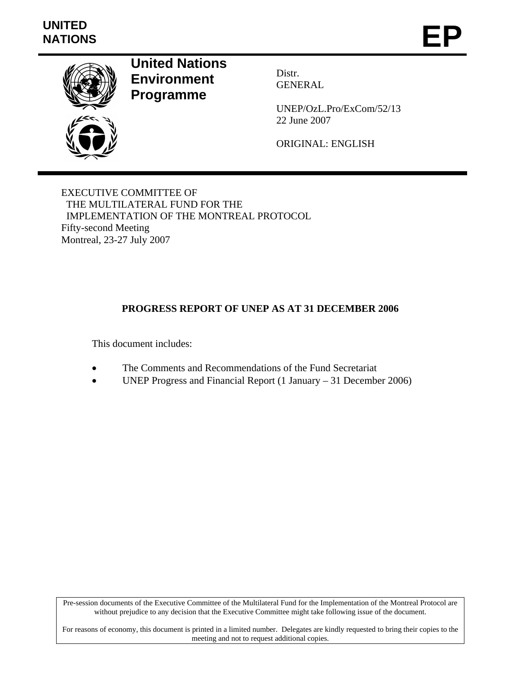# **UNITED**  UNITED<br>NATIONS **EP**



**United Nations Environment Programme** 

Distr. GENERAL

UNEP/OzL.Pro/ExCom/52/13 22 June 2007

ORIGINAL: ENGLISH

EXECUTIVE COMMITTEE OF THE MULTILATERAL FUND FOR THE IMPLEMENTATION OF THE MONTREAL PROTOCOL Fifty-second Meeting Montreal, 23-27 July 2007

# **PROGRESS REPORT OF UNEP AS AT 31 DECEMBER 2006**

This document includes:

- The Comments and Recommendations of the Fund Secretariat
- UNEP Progress and Financial Report (1 January 31 December 2006)

Pre-session documents of the Executive Committee of the Multilateral Fund for the Implementation of the Montreal Protocol are without prejudice to any decision that the Executive Committee might take following issue of the document.

For reasons of economy, this document is printed in a limited number. Delegates are kindly requested to bring their copies to the meeting and not to request additional copies.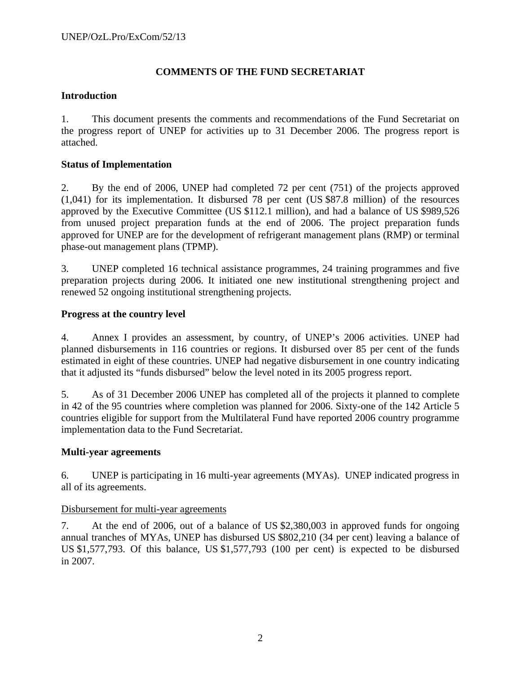# **COMMENTS OF THE FUND SECRETARIAT**

## **Introduction**

1. This document presents the comments and recommendations of the Fund Secretariat on the progress report of UNEP for activities up to 31 December 2006. The progress report is attached.

# **Status of Implementation**

2. By the end of 2006, UNEP had completed 72 per cent (751) of the projects approved (1,041) for its implementation. It disbursed 78 per cent (US \$87.8 million) of the resources approved by the Executive Committee (US \$112.1 million), and had a balance of US \$989,526 from unused project preparation funds at the end of 2006. The project preparation funds approved for UNEP are for the development of refrigerant management plans (RMP) or terminal phase-out management plans (TPMP).

3. UNEP completed 16 technical assistance programmes, 24 training programmes and five preparation projects during 2006. It initiated one new institutional strengthening project and renewed 52 ongoing institutional strengthening projects.

# **Progress at the country level**

4. Annex I provides an assessment, by country, of UNEP's 2006 activities. UNEP had planned disbursements in 116 countries or regions. It disbursed over 85 per cent of the funds estimated in eight of these countries. UNEP had negative disbursement in one country indicating that it adjusted its "funds disbursed" below the level noted in its 2005 progress report.

5. As of 31 December 2006 UNEP has completed all of the projects it planned to complete in 42 of the 95 countries where completion was planned for 2006. Sixty-one of the 142 Article 5 countries eligible for support from the Multilateral Fund have reported 2006 country programme implementation data to the Fund Secretariat.

## **Multi-year agreements**

6. UNEP is participating in 16 multi-year agreements (MYAs). UNEP indicated progress in all of its agreements.

## Disbursement for multi-year agreements

7. At the end of 2006, out of a balance of US \$2,380,003 in approved funds for ongoing annual tranches of MYAs, UNEP has disbursed US \$802,210 (34 per cent) leaving a balance of US \$1,577,793. Of this balance, US \$1,577,793 (100 per cent) is expected to be disbursed in 2007.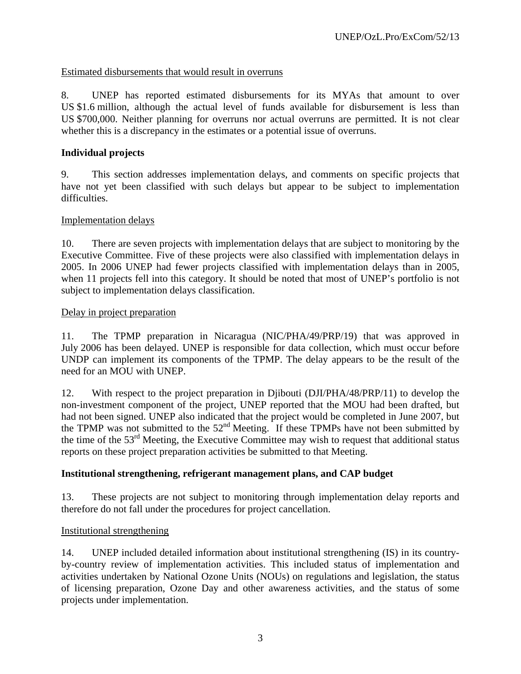# Estimated disbursements that would result in overruns

8. UNEP has reported estimated disbursements for its MYAs that amount to over US \$1.6 million, although the actual level of funds available for disbursement is less than US \$700,000. Neither planning for overruns nor actual overruns are permitted. It is not clear whether this is a discrepancy in the estimates or a potential issue of overruns.

# **Individual projects**

9. This section addresses implementation delays, and comments on specific projects that have not yet been classified with such delays but appear to be subject to implementation difficulties.

## Implementation delays

10. There are seven projects with implementation delays that are subject to monitoring by the Executive Committee. Five of these projects were also classified with implementation delays in 2005. In 2006 UNEP had fewer projects classified with implementation delays than in 2005, when 11 projects fell into this category. It should be noted that most of UNEP's portfolio is not subject to implementation delays classification.

## Delay in project preparation

11. The TPMP preparation in Nicaragua (NIC/PHA/49/PRP/19) that was approved in July 2006 has been delayed. UNEP is responsible for data collection, which must occur before UNDP can implement its components of the TPMP. The delay appears to be the result of the need for an MOU with UNEP.

12. With respect to the project preparation in Djibouti (DJI/PHA/48/PRP/11) to develop the non-investment component of the project, UNEP reported that the MOU had been drafted, but had not been signed. UNEP also indicated that the project would be completed in June 2007, but the TPMP was not submitted to the  $52<sup>nd</sup>$  Meeting. If these TPMPs have not been submitted by the time of the 53rd Meeting, the Executive Committee may wish to request that additional status reports on these project preparation activities be submitted to that Meeting.

## **Institutional strengthening, refrigerant management plans, and CAP budget**

13. These projects are not subject to monitoring through implementation delay reports and therefore do not fall under the procedures for project cancellation.

## Institutional strengthening

14. UNEP included detailed information about institutional strengthening (IS) in its countryby-country review of implementation activities. This included status of implementation and activities undertaken by National Ozone Units (NOUs) on regulations and legislation, the status of licensing preparation, Ozone Day and other awareness activities, and the status of some projects under implementation.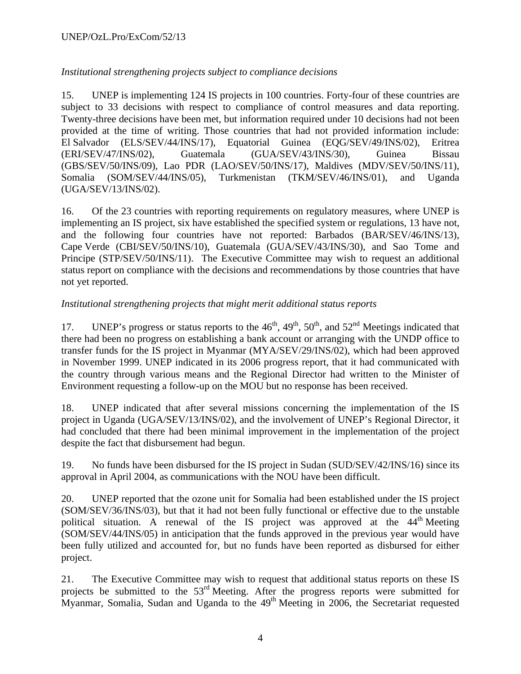# *Institutional strengthening projects subject to compliance decisions*

15. UNEP is implementing 124 IS projects in 100 countries. Forty-four of these countries are subject to 33 decisions with respect to compliance of control measures and data reporting. Twenty-three decisions have been met, but information required under 10 decisions had not been provided at the time of writing. Those countries that had not provided information include: El Salvador (ELS/SEV/44/INS/17), Equatorial Guinea (EQG/SEV/49/INS/02), Eritrea (ERI/SEV/47/INS/02), Guatemala (GUA/SEV/43/INS/30), Guinea Bissau (GBS/SEV/50/INS/09), Lao PDR (LAO/SEV/50/INS/17), Maldives (MDV/SEV/50/INS/11), Somalia (SOM/SEV/44/INS/05), Turkmenistan (TKM/SEV/46/INS/01), and Uganda (UGA/SEV/13/INS/02).

16. Of the 23 countries with reporting requirements on regulatory measures, where UNEP is implementing an IS project, six have established the specified system or regulations, 13 have not, and the following four countries have not reported: Barbados (BAR/SEV/46/INS/13), Cape Verde (CBI/SEV/50/INS/10), Guatemala (GUA/SEV/43/INS/30), and Sao Tome and Principe (STP/SEV/50/INS/11). The Executive Committee may wish to request an additional status report on compliance with the decisions and recommendations by those countries that have not yet reported.

# *Institutional strengthening projects that might merit additional status reports*

17. UNEP's progress or status reports to the  $46<sup>th</sup>$ ,  $49<sup>th</sup>$ ,  $50<sup>th</sup>$ , and  $52<sup>nd</sup>$  Meetings indicated that there had been no progress on establishing a bank account or arranging with the UNDP office to transfer funds for the IS project in Myanmar (MYA/SEV/29/INS/02), which had been approved in November 1999. UNEP indicated in its 2006 progress report, that it had communicated with the country through various means and the Regional Director had written to the Minister of Environment requesting a follow-up on the MOU but no response has been received.

18. UNEP indicated that after several missions concerning the implementation of the IS project in Uganda (UGA/SEV/13/INS/02), and the involvement of UNEP's Regional Director, it had concluded that there had been minimal improvement in the implementation of the project despite the fact that disbursement had begun.

19. No funds have been disbursed for the IS project in Sudan (SUD/SEV/42/INS/16) since its approval in April 2004, as communications with the NOU have been difficult.

20. UNEP reported that the ozone unit for Somalia had been established under the IS project (SOM/SEV/36/INS/03), but that it had not been fully functional or effective due to the unstable political situation. A renewal of the IS project was approved at the  $44<sup>th</sup>$  Meeting (SOM/SEV/44/INS/05) in anticipation that the funds approved in the previous year would have been fully utilized and accounted for, but no funds have been reported as disbursed for either project.

21. The Executive Committee may wish to request that additional status reports on these IS projects be submitted to the 53rd Meeting. After the progress reports were submitted for Myanmar, Somalia, Sudan and Uganda to the  $49<sup>th</sup>$  Meeting in 2006, the Secretariat requested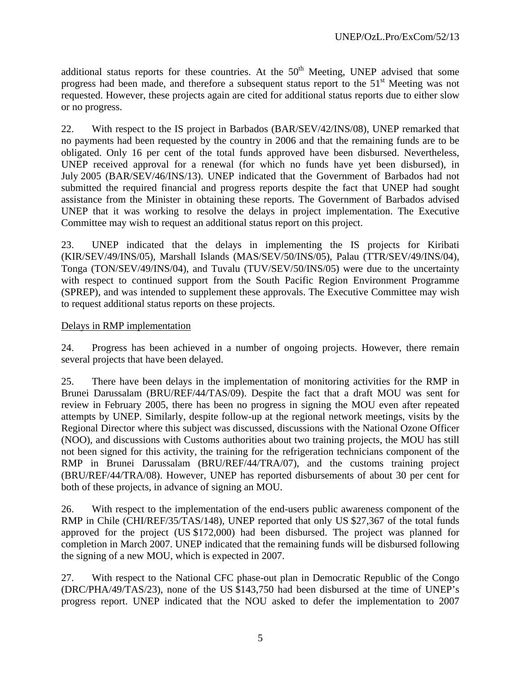additional status reports for these countries. At the  $50<sup>th</sup>$  Meeting, UNEP advised that some progress had been made, and therefore a subsequent status report to the  $51<sup>st</sup>$  Meeting was not requested. However, these projects again are cited for additional status reports due to either slow or no progress.

22. With respect to the IS project in Barbados (BAR/SEV/42/INS/08), UNEP remarked that no payments had been requested by the country in 2006 and that the remaining funds are to be obligated. Only 16 per cent of the total funds approved have been disbursed. Nevertheless, UNEP received approval for a renewal (for which no funds have yet been disbursed), in July 2005 (BAR/SEV/46/INS/13). UNEP indicated that the Government of Barbados had not submitted the required financial and progress reports despite the fact that UNEP had sought assistance from the Minister in obtaining these reports. The Government of Barbados advised UNEP that it was working to resolve the delays in project implementation. The Executive Committee may wish to request an additional status report on this project.

23. UNEP indicated that the delays in implementing the IS projects for Kiribati (KIR/SEV/49/INS/05), Marshall Islands (MAS/SEV/50/INS/05), Palau (TTR/SEV/49/INS/04), Tonga (TON/SEV/49/INS/04), and Tuvalu (TUV/SEV/50/INS/05) were due to the uncertainty with respect to continued support from the South Pacific Region Environment Programme (SPREP), and was intended to supplement these approvals. The Executive Committee may wish to request additional status reports on these projects.

# Delays in RMP implementation

24. Progress has been achieved in a number of ongoing projects. However, there remain several projects that have been delayed.

25. There have been delays in the implementation of monitoring activities for the RMP in Brunei Darussalam (BRU/REF/44/TAS/09). Despite the fact that a draft MOU was sent for review in February 2005, there has been no progress in signing the MOU even after repeated attempts by UNEP. Similarly, despite follow-up at the regional network meetings, visits by the Regional Director where this subject was discussed, discussions with the National Ozone Officer (NOO), and discussions with Customs authorities about two training projects, the MOU has still not been signed for this activity, the training for the refrigeration technicians component of the RMP in Brunei Darussalam (BRU/REF/44/TRA/07), and the customs training project (BRU/REF/44/TRA/08). However, UNEP has reported disbursements of about 30 per cent for both of these projects, in advance of signing an MOU.

26. With respect to the implementation of the end-users public awareness component of the RMP in Chile (CHI/REF/35/TAS/148), UNEP reported that only US \$27,367 of the total funds approved for the project (US \$172,000) had been disbursed. The project was planned for completion in March 2007. UNEP indicated that the remaining funds will be disbursed following the signing of a new MOU, which is expected in 2007.

27. With respect to the National CFC phase-out plan in Democratic Republic of the Congo (DRC/PHA/49/TAS/23), none of the US \$143,750 had been disbursed at the time of UNEP's progress report. UNEP indicated that the NOU asked to defer the implementation to 2007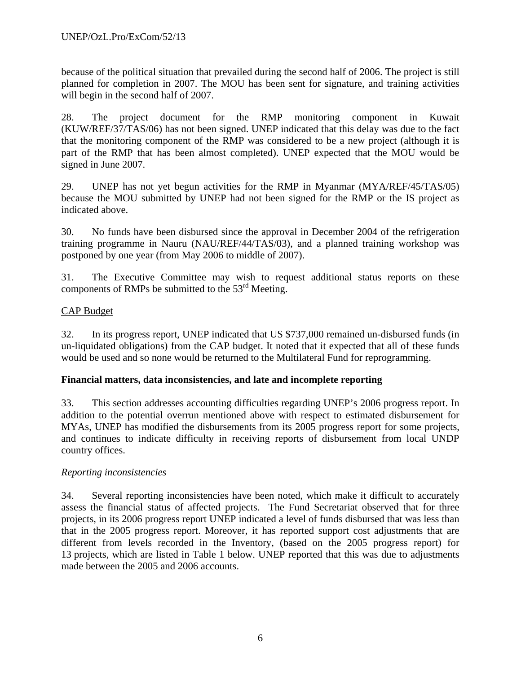because of the political situation that prevailed during the second half of 2006. The project is still planned for completion in 2007. The MOU has been sent for signature, and training activities will begin in the second half of 2007.

28. The project document for the RMP monitoring component in Kuwait (KUW/REF/37/TAS/06) has not been signed. UNEP indicated that this delay was due to the fact that the monitoring component of the RMP was considered to be a new project (although it is part of the RMP that has been almost completed). UNEP expected that the MOU would be signed in June 2007.

29. UNEP has not yet begun activities for the RMP in Myanmar (MYA/REF/45/TAS/05) because the MOU submitted by UNEP had not been signed for the RMP or the IS project as indicated above.

30. No funds have been disbursed since the approval in December 2004 of the refrigeration training programme in Nauru (NAU/REF/44/TAS/03), and a planned training workshop was postponed by one year (from May 2006 to middle of 2007).

31. The Executive Committee may wish to request additional status reports on these components of RMPs be submitted to the  $53<sup>rd</sup>$  Meeting.

# CAP Budget

32. In its progress report, UNEP indicated that US \$737,000 remained un-disbursed funds (in un-liquidated obligations) from the CAP budget. It noted that it expected that all of these funds would be used and so none would be returned to the Multilateral Fund for reprogramming.

# **Financial matters, data inconsistencies, and late and incomplete reporting**

33. This section addresses accounting difficulties regarding UNEP's 2006 progress report. In addition to the potential overrun mentioned above with respect to estimated disbursement for MYAs, UNEP has modified the disbursements from its 2005 progress report for some projects, and continues to indicate difficulty in receiving reports of disbursement from local UNDP country offices.

## *Reporting inconsistencies*

34. Several reporting inconsistencies have been noted, which make it difficult to accurately assess the financial status of affected projects. The Fund Secretariat observed that for three projects, in its 2006 progress report UNEP indicated a level of funds disbursed that was less than that in the 2005 progress report. Moreover, it has reported support cost adjustments that are different from levels recorded in the Inventory, (based on the 2005 progress report) for 13 projects, which are listed in Table 1 below. UNEP reported that this was due to adjustments made between the 2005 and 2006 accounts.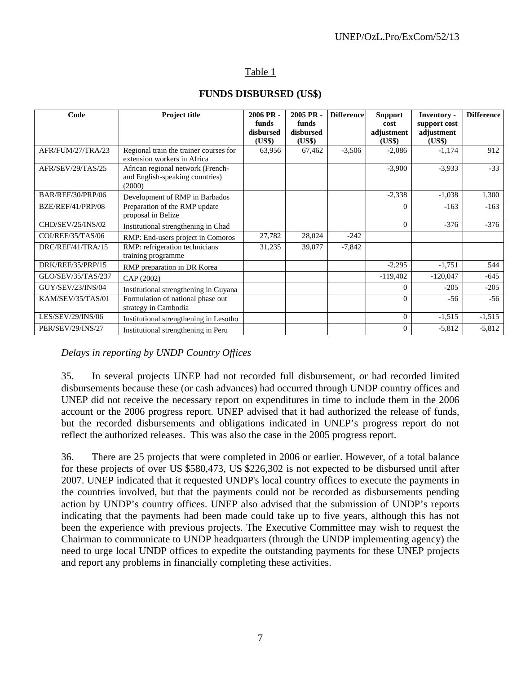# Table 1

| Code               | Project title                                                                  | $2006$ PR -<br>funds<br>disbursed<br>(US\$) | 2005 PR -<br>funds<br>disbursed<br>(US\$) | <b>Difference</b> | <b>Support</b><br>cost<br>adjustment<br>(US\$) | <b>Inventory -</b><br>support cost<br>adjustment<br>(US\$) | <b>Difference</b> |
|--------------------|--------------------------------------------------------------------------------|---------------------------------------------|-------------------------------------------|-------------------|------------------------------------------------|------------------------------------------------------------|-------------------|
| AFR/FUM/27/TRA/23  | Regional train the trainer courses for<br>extension workers in Africa          | 63,956                                      | 67,462                                    | $-3,506$          | $-2,086$                                       | $-1,174$                                                   | 912               |
| AFR/SEV/29/TAS/25  | African regional network (French-<br>and English-speaking countries)<br>(2000) |                                             |                                           |                   | $-3,900$                                       | $-3,933$                                                   | $-33$             |
| BAR/REF/30/PRP/06  | Development of RMP in Barbados                                                 |                                             |                                           |                   | $-2,338$                                       | $-1,038$                                                   | 1,300             |
| BZE/REF/41/PRP/08  | Preparation of the RMP update<br>proposal in Belize                            |                                             |                                           |                   | $\Omega$                                       | $-163$                                                     | $-163$            |
| CHD/SEV/25/INS/02  | Institutional strengthening in Chad                                            |                                             |                                           |                   | $\Omega$                                       | $-376$                                                     | $-376$            |
| COI/REF/35/TAS/06  | RMP: End-users project in Comoros                                              | 27,782                                      | 28,024                                    | $-242$            |                                                |                                                            |                   |
| DRC/REF/41/TRA/15  | RMP: refrigeration technicians<br>training programme                           | 31,235                                      | 39,077                                    | $-7,842$          |                                                |                                                            |                   |
| DRK/REF/35/PRP/15  | RMP preparation in DR Korea                                                    |                                             |                                           |                   | $-2,295$                                       | $-1,751$                                                   | 544               |
| GLO/SEV/35/TAS/237 | CAP (2002)                                                                     |                                             |                                           |                   | $-119,402$                                     | $-120,047$                                                 | $-645$            |
| GUY/SEV/23/INS/04  | Institutional strengthening in Guyana                                          |                                             |                                           |                   | $\Omega$                                       | $-205$                                                     | $-205$            |
| KAM/SEV/35/TAS/01  | Formulation of national phase out<br>strategy in Cambodia                      |                                             |                                           |                   | $\Omega$                                       | $-56$                                                      | $-56$             |
| LES/SEV/29/INS/06  | Institutional strengthening in Lesotho                                         |                                             |                                           |                   | $\Omega$                                       | $-1,515$                                                   | $-1,515$          |
| PER/SEV/29/INS/27  | Institutional strengthening in Peru                                            |                                             |                                           |                   | $\Omega$                                       | $-5,812$                                                   | $-5,812$          |

# **FUNDS DISBURSED (US\$)**

*Delays in reporting by UNDP Country Offices* 

35. In several projects UNEP had not recorded full disbursement, or had recorded limited disbursements because these (or cash advances) had occurred through UNDP country offices and UNEP did not receive the necessary report on expenditures in time to include them in the 2006 account or the 2006 progress report. UNEP advised that it had authorized the release of funds, but the recorded disbursements and obligations indicated in UNEP's progress report do not reflect the authorized releases. This was also the case in the 2005 progress report.

36. There are 25 projects that were completed in 2006 or earlier. However, of a total balance for these projects of over US \$580,473, US \$226,302 is not expected to be disbursed until after 2007. UNEP indicated that it requested UNDP's local country offices to execute the payments in the countries involved, but that the payments could not be recorded as disbursements pending action by UNDP's country offices. UNEP also advised that the submission of UNDP's reports indicating that the payments had been made could take up to five years, although this has not been the experience with previous projects. The Executive Committee may wish to request the Chairman to communicate to UNDP headquarters (through the UNDP implementing agency) the need to urge local UNDP offices to expedite the outstanding payments for these UNEP projects and report any problems in financially completing these activities.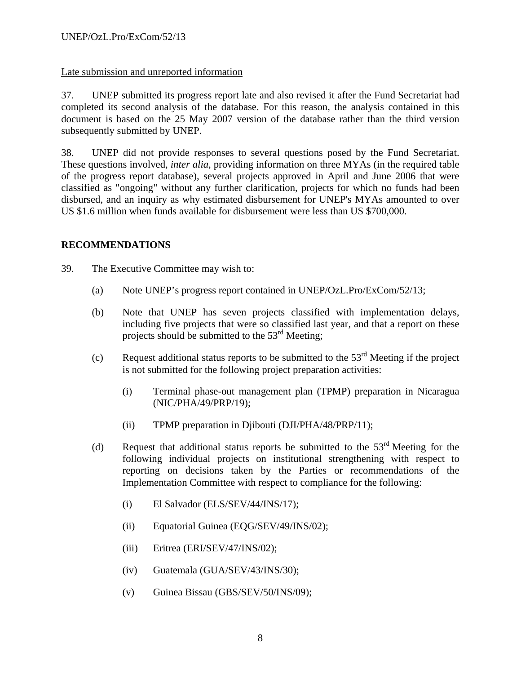# Late submission and unreported information

37. UNEP submitted its progress report late and also revised it after the Fund Secretariat had completed its second analysis of the database. For this reason, the analysis contained in this document is based on the 25 May 2007 version of the database rather than the third version subsequently submitted by UNEP.

38. UNEP did not provide responses to several questions posed by the Fund Secretariat. These questions involved, *inter alia*, providing information on three MYAs (in the required table of the progress report database), several projects approved in April and June 2006 that were classified as "ongoing" without any further clarification, projects for which no funds had been disbursed, and an inquiry as why estimated disbursement for UNEP's MYAs amounted to over US \$1.6 million when funds available for disbursement were less than US \$700,000.

# **RECOMMENDATIONS**

39. The Executive Committee may wish to:

- (a) Note UNEP's progress report contained in UNEP/OzL.Pro/ExCom/52/13;
- (b) Note that UNEP has seven projects classified with implementation delays, including five projects that were so classified last year, and that a report on these projects should be submitted to the 53<sup>rd</sup> Meeting;
- (c) Request additional status reports to be submitted to the  $53<sup>rd</sup>$  Meeting if the project is not submitted for the following project preparation activities:
	- (i) Terminal phase-out management plan (TPMP) preparation in Nicaragua (NIC/PHA/49/PRP/19);
	- (ii) TPMP preparation in Djibouti (DJI/PHA/48/PRP/11);
- (d) Request that additional status reports be submitted to the  $53<sup>rd</sup>$  Meeting for the following individual projects on institutional strengthening with respect to reporting on decisions taken by the Parties or recommendations of the Implementation Committee with respect to compliance for the following:
	- (i) El Salvador (ELS/SEV/44/INS/17);
	- (ii) Equatorial Guinea (EQG/SEV/49/INS/02);
	- (iii) Eritrea (ERI/SEV/47/INS/02);
	- (iv) Guatemala (GUA/SEV/43/INS/30);
	- (v) Guinea Bissau (GBS/SEV/50/INS/09);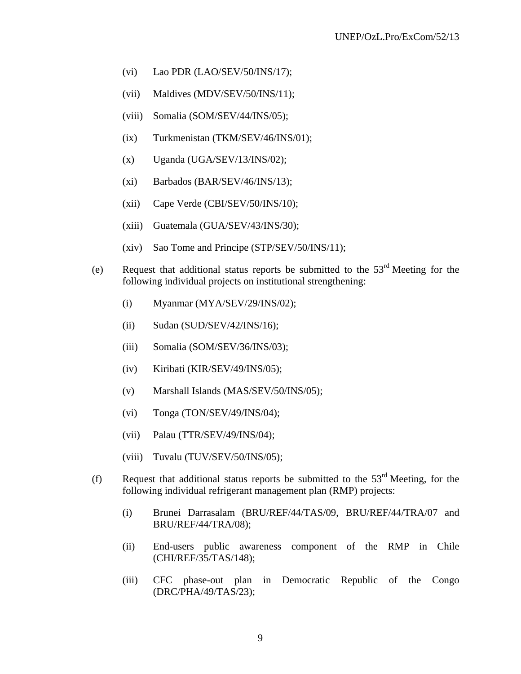- (vi) Lao PDR (LAO/SEV/50/INS/17);
- (vii) Maldives (MDV/SEV/50/INS/11);
- (viii) Somalia (SOM/SEV/44/INS/05);
- (ix) Turkmenistan (TKM/SEV/46/INS/01);
- $(x)$  Uganda (UGA/SEV/13/INS/02);
- (xi) Barbados (BAR/SEV/46/INS/13);
- (xii) Cape Verde (CBI/SEV/50/INS/10);
- (xiii) Guatemala (GUA/SEV/43/INS/30);
- (xiv) Sao Tome and Principe (STP/SEV/50/INS/11);
- (e) Request that additional status reports be submitted to the 53rd Meeting for the following individual projects on institutional strengthening:
	- (i) Myanmar (MYA/SEV/29/INS/02);
	- (ii) Sudan (SUD/SEV/42/INS/16);
	- (iii) Somalia (SOM/SEV/36/INS/03);
	- (iv) Kiribati (KIR/SEV/49/INS/05);
	- (v) Marshall Islands (MAS/SEV/50/INS/05);
	- (vi) Tonga (TON/SEV/49/INS/04);
	- (vii) Palau (TTR/SEV/49/INS/04);
	- (viii) Tuvalu (TUV/SEV/50/INS/05);
- (f) Request that additional status reports be submitted to the  $53<sup>rd</sup>$  Meeting, for the following individual refrigerant management plan (RMP) projects:
	- (i) Brunei Darrasalam (BRU/REF/44/TAS/09, BRU/REF/44/TRA/07 and BRU/REF/44/TRA/08);
	- (ii) End-users public awareness component of the RMP in Chile (CHI/REF/35/TAS/148);
	- (iii) CFC phase-out plan in Democratic Republic of the Congo (DRC/PHA/49/TAS/23);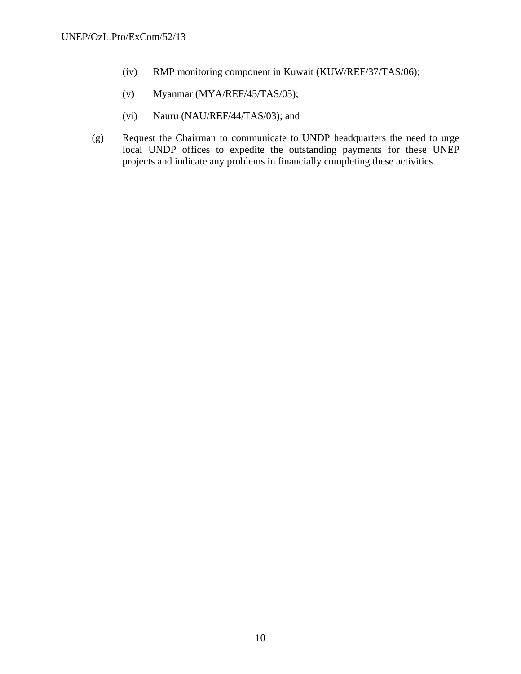- (iv) RMP monitoring component in Kuwait (KUW/REF/37/TAS/06);
- (v) Myanmar (MYA/REF/45/TAS/05);
- (vi) Nauru (NAU/REF/44/TAS/03); and
- (g) Request the Chairman to communicate to UNDP headquarters the need to urge local UNDP offices to expedite the outstanding payments for these UNEP projects and indicate any problems in financially completing these activities.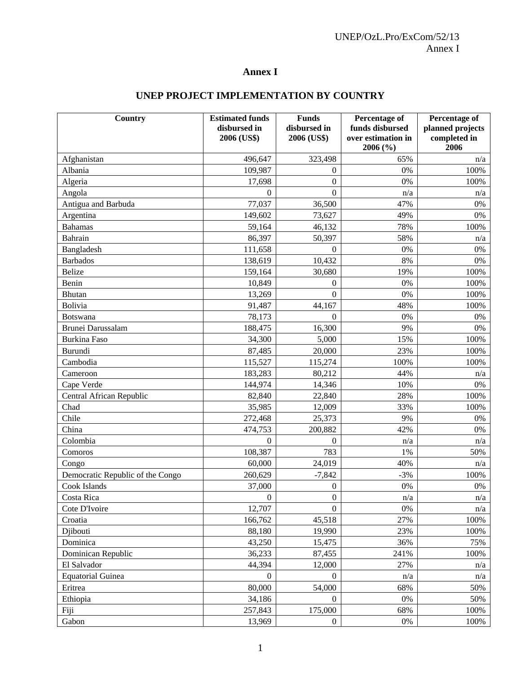# **Annex I**

# **UNEP PROJECT IMPLEMENTATION BY COUNTRY**

| Country                          | <b>Estimated funds</b> | <b>Funds</b>     | <b>Percentage of</b>           | Percentage of        |
|----------------------------------|------------------------|------------------|--------------------------------|----------------------|
|                                  | disbursed in           | disbursed in     | funds disbursed                | planned projects     |
|                                  | 2006 (US\$)            | 2006 (US\$)      | over estimation in<br>2006 (%) | completed in<br>2006 |
| Afghanistan                      | 496,647                | 323,498          | 65%                            | n/a                  |
| Albania                          | 109,987                | $\boldsymbol{0}$ | 0%                             | 100%                 |
| Algeria                          | 17,698                 | $\boldsymbol{0}$ | 0%                             | 100%                 |
| Angola                           | $\theta$               | $\boldsymbol{0}$ | n/a                            | n/a                  |
| Antigua and Barbuda              | 77,037                 | 36,500           | 47%                            | 0%                   |
| Argentina                        | 149,602                | 73,627           | 49%                            | 0%                   |
| <b>Bahamas</b>                   | 59,164                 | 46,132           | 78%                            | 100%                 |
| Bahrain                          | 86,397                 | 50,397           | 58%                            | n/a                  |
| Bangladesh                       | 111,658                | $\boldsymbol{0}$ | 0%                             | 0%                   |
| <b>Barbados</b>                  | 138,619                | 10,432           | 8%                             | 0%                   |
| <b>Belize</b>                    | 159,164                | 30,680           | 19%                            | 100%                 |
| Benin                            | 10,849                 | $\boldsymbol{0}$ | 0%                             | 100%                 |
| <b>Bhutan</b>                    | 13,269                 | $\boldsymbol{0}$ | 0%                             | 100%                 |
| Bolivia                          | 91,487                 | 44,167           | 48%                            | 100%                 |
| <b>Botswana</b>                  | 78,173                 | $\theta$         | 0%                             | 0%                   |
| Brunei Darussalam                | 188,475                | 16,300           | 9%                             | $0\%$                |
| <b>Burkina Faso</b>              | 34,300                 | 5,000            | 15%                            | 100%                 |
| Burundi                          | 87,485                 | 20,000           | 23%                            | 100%                 |
| Cambodia                         | 115,527                | 115,274          | 100%                           | 100%                 |
| Cameroon                         | 183,283                | 80,212           | 44%                            | n/a                  |
| Cape Verde                       | 144,974                | 14,346           | 10%                            | $0\%$                |
| Central African Republic         | 82,840                 | 22,840           | 28%                            | 100%                 |
| Chad                             | 35,985                 | 12,009           | 33%                            | 100%                 |
| Chile                            | 272,468                | 25,373           | 9%                             | 0%                   |
| China                            | 474,753                | 200,882          | 42%                            | 0%                   |
| Colombia                         | $\boldsymbol{0}$       | $\mathbf{0}$     | n/a                            | n/a                  |
| Comoros                          | 108,387                | 783              | 1%                             | 50%                  |
| Congo                            | 60,000                 | 24,019           | 40%                            | n/a                  |
| Democratic Republic of the Congo | 260,629                | $-7,842$         | $-3%$                          | 100%                 |
| Cook Islands                     | 37,000                 | $\boldsymbol{0}$ | $0\%$                          | $0\%$                |
| Costa Rica                       | $\boldsymbol{0}$       | $\boldsymbol{0}$ | n/a                            | n/a                  |
| Cote D'Ivoire                    | 12,707                 | $\boldsymbol{0}$ | 0%                             | n/a                  |
| Croatia                          | 166,762                | 45,518           | 27%                            | 100%                 |
| Djibouti                         | 88,180                 | 19,990           | 23%                            | 100%                 |
| Dominica                         | 43,250                 | 15,475           | 36%                            | 75%                  |
| Dominican Republic               | 36,233                 | 87,455           | 241%                           | 100%                 |
| El Salvador                      | 44,394                 | 12,000           | 27%                            | n/a                  |
| <b>Equatorial Guinea</b>         | $\boldsymbol{0}$       | $\boldsymbol{0}$ | n/a                            | n/a                  |
| Eritrea                          | 80,000                 | 54,000           | 68%                            | 50%                  |
| Ethiopia                         | 34,186                 | $\boldsymbol{0}$ | $0\%$                          | 50%                  |
| Fiji                             | 257,843                | 175,000          | 68%                            | 100%                 |
| Gabon                            | 13,969                 | $\mathbf{0}$     | 0%                             | 100%                 |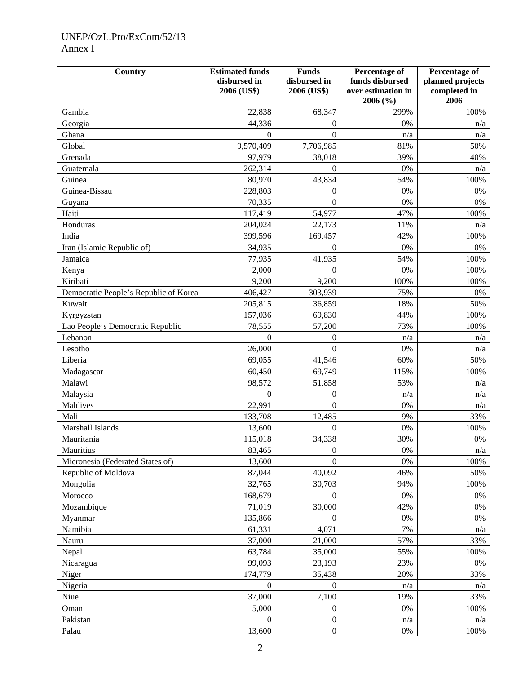# UNEP/OzL.Pro/ExCom/52/13 Annex I

| Country                               | <b>Estimated funds</b><br>disbursed in<br>2006 (US\$) | <b>Funds</b><br>disbursed in<br>2006 (US\$) | <b>Percentage of</b><br>funds disbursed<br>over estimation in<br>2006 (%) | Percentage of<br>planned projects<br>completed in<br>2006 |
|---------------------------------------|-------------------------------------------------------|---------------------------------------------|---------------------------------------------------------------------------|-----------------------------------------------------------|
| Gambia                                | 22,838                                                | 68,347                                      | 299%                                                                      | 100%                                                      |
| Georgia                               | 44,336                                                | 0                                           | 0%                                                                        | n/a                                                       |
| Ghana                                 | $\Omega$                                              | $\theta$                                    | n/a                                                                       | n/a                                                       |
| Global                                | 9,570,409                                             | 7,706,985                                   | 81%                                                                       | 50%                                                       |
| Grenada                               | 97,979                                                | 38,018                                      | 39%                                                                       | 40%                                                       |
| Guatemala                             | 262,314                                               | $\boldsymbol{0}$                            | 0%                                                                        | n/a                                                       |
| Guinea                                | 80,970                                                | 43,834                                      | 54%                                                                       | 100%                                                      |
| Guinea-Bissau                         | 228,803                                               | 0                                           | 0%                                                                        | 0%                                                        |
| Guyana                                | 70,335                                                | $\theta$                                    | 0%                                                                        | 0%                                                        |
| Haiti                                 | 117,419                                               | 54,977                                      | 47%                                                                       | 100%                                                      |
| Honduras                              | 204,024                                               | 22,173                                      | 11%                                                                       | n/a                                                       |
| India                                 | 399,596                                               | 169,457                                     | 42%                                                                       | 100%                                                      |
| Iran (Islamic Republic of)            | 34,935                                                | $\Omega$                                    | 0%                                                                        | 0%                                                        |
| Jamaica                               | 77,935                                                | 41,935                                      | 54%                                                                       | 100%                                                      |
| Kenya                                 | 2,000                                                 | $\theta$                                    | 0%                                                                        | 100%                                                      |
| Kiribati                              | 9,200                                                 | 9,200                                       | 100%                                                                      | 100%                                                      |
| Democratic People's Republic of Korea | 406,427                                               | 303,939                                     | 75%                                                                       | 0%                                                        |
| Kuwait                                | 205,815                                               | 36,859                                      | 18%                                                                       | 50%                                                       |
| Kyrgyzstan                            | 157,036                                               | 69,830                                      | 44%                                                                       | 100%                                                      |
| Lao People's Democratic Republic      | 78,555                                                | 57,200                                      | 73%                                                                       | 100%                                                      |
| Lebanon                               | $\overline{0}$                                        | 0                                           | n/a                                                                       | n/a                                                       |
| Lesotho                               | 26,000                                                | $\theta$                                    | 0%                                                                        | n/a                                                       |
| Liberia                               | 69,055                                                | 41,546                                      | 60%                                                                       | 50%                                                       |
| Madagascar                            | 60,450                                                | 69,749                                      | 115%                                                                      | 100%                                                      |
| Malawi                                | 98,572                                                | 51,858                                      | 53%                                                                       | n/a                                                       |
| Malaysia                              | $\overline{0}$                                        | $\overline{0}$                              | n/a                                                                       | n/a                                                       |
| Maldives                              | 22,991                                                | $\theta$                                    | 0%                                                                        | n/a                                                       |
| Mali                                  | 133,708                                               | 12,485                                      | 9%                                                                        | 33%                                                       |
| Marshall Islands                      | 13,600                                                | $\boldsymbol{0}$                            | 0%                                                                        | 100%                                                      |
| Mauritania                            | 115,018                                               | 34,338                                      | 30%                                                                       | $0\%$                                                     |
| Mauritius                             | 83,465                                                | $\theta$                                    | $0\%$                                                                     | n/a                                                       |
| Micronesia (Federated States of)      | 13,600                                                | $\overline{0}$                              | 0%                                                                        | 100%                                                      |
| Republic of Moldova                   | 87,044                                                | 40,092                                      | 46%                                                                       | 50%                                                       |
| Mongolia                              | 32,765                                                | 30,703                                      | 94%                                                                       | 100%                                                      |
| Morocco                               | 168,679                                               | $\overline{0}$                              | $0\%$                                                                     | $0\%$                                                     |
| Mozambique                            | 71,019                                                | 30,000                                      | 42%                                                                       | 0%                                                        |
| Myanmar                               | 135,866                                               | $\Omega$                                    | 0%                                                                        | $0\%$                                                     |
| Namibia                               | 61,331                                                | 4,071                                       | 7%                                                                        | n/a                                                       |
| Nauru                                 | 37,000                                                | 21,000                                      | 57%                                                                       | 33%                                                       |
| Nepal                                 | 63,784                                                | 35,000                                      | 55%                                                                       | 100%                                                      |
| Nicaragua                             | 99,093                                                | 23,193                                      | 23%                                                                       | 0%                                                        |
| Niger                                 | 174,779                                               | 35,438                                      | 20%                                                                       | 33%                                                       |
| Nigeria                               | $\boldsymbol{0}$                                      | $\overline{0}$                              | n/a                                                                       | n/a                                                       |
| Niue                                  | 37,000                                                | 7,100                                       | 19%                                                                       | 33%                                                       |
| Oman                                  | 5,000                                                 | $\overline{0}$                              | $0\%$                                                                     | 100%                                                      |
| Pakistan                              | $\theta$                                              | $\boldsymbol{0}$                            | n/a                                                                       | n/a                                                       |
| Palau                                 | 13,600                                                | $\overline{0}$                              | $0\%$                                                                     | 100%                                                      |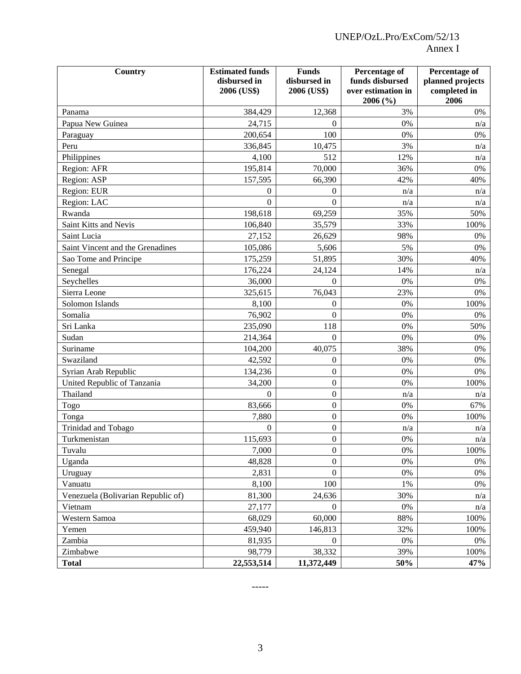| Country                            | <b>Estimated funds</b> | <b>Funds</b>     | Percentage of      | Percentage of    |
|------------------------------------|------------------------|------------------|--------------------|------------------|
|                                    | disbursed in           | disbursed in     | funds disbursed    | planned projects |
|                                    | 2006 (US\$)            | 2006 (US\$)      | over estimation in | completed in     |
|                                    |                        |                  | 2006 (%)           | 2006             |
| Panama                             | 384,429                | 12,368           | 3%                 | 0%               |
| Papua New Guinea                   | 24,715                 | $\theta$         | 0%                 | n/a              |
| Paraguay                           | 200,654                | 100              | 0%                 | 0%               |
| Peru                               | 336,845                | 10,475           | 3%                 | n/a              |
| Philippines                        | 4,100                  | 512              | 12%                | n/a              |
| Region: AFR                        | 195,814                | 70,000           | 36%                | $0\%$            |
| Region: ASP                        | 157,595                | 66,390           | 42%                | 40%              |
| Region: EUR                        | 0                      | 0                | n/a                | n/a              |
| Region: LAC                        | $\theta$               | $\theta$         | n/a                | n/a              |
| Rwanda                             | 198,618                | 69,259           | 35%                | 50%              |
| Saint Kitts and Nevis              | 106,840                | 35,579           | 33%                | 100%             |
| Saint Lucia                        | 27,152                 | 26,629           | 98%                | 0%               |
| Saint Vincent and the Grenadines   | 105,086                | 5,606            | 5%                 | 0%               |
| Sao Tome and Principe              | 175,259                | 51,895           | 30%                | 40%              |
| Senegal                            | 176,224                | 24,124           | 14%                | n/a              |
| Seychelles                         | 36,000                 | $\overline{0}$   | $0\%$              | $0\%$            |
| Sierra Leone                       | 325,615                | 76,043           | 23%                | 0%               |
| Solomon Islands                    | 8,100                  | $\overline{0}$   | 0%                 | 100%             |
| Somalia                            | 76,902                 | $\boldsymbol{0}$ | $0\%$              | 0%               |
| Sri Lanka                          | 235,090                | 118              | 0%                 | 50%              |
| Sudan                              | 214,364                | $\theta$         | 0%                 | 0%               |
| Suriname                           | 104,200                | 40,075           | 38%                | 0%               |
| Swaziland                          | 42,592                 | $\boldsymbol{0}$ | 0%                 | $0\%$            |
| Syrian Arab Republic               | 134,236                | $\overline{0}$   | 0%                 | 0%               |
| United Republic of Tanzania        | 34,200                 | $\boldsymbol{0}$ | 0%                 | 100%             |
| Thailand                           | 0                      | $\boldsymbol{0}$ | n/a                | n/a              |
| Togo                               | 83,666                 | $\boldsymbol{0}$ | 0%                 | 67%              |
| Tonga                              | 7,880                  | $\boldsymbol{0}$ | 0%                 | 100%             |
| Trinidad and Tobago                | $\boldsymbol{0}$       | $\boldsymbol{0}$ | n/a                | n/a              |
| Turkmenistan                       | 115,693                | $\boldsymbol{0}$ | 0%                 | n/a              |
| Tuvalu                             | 7,000                  | $\boldsymbol{0}$ | 0%                 | 100%             |
| Uganda                             | 48,828                 | $\overline{0}$   | 0%                 | $0\%$            |
| Uruguay                            | 2,831                  | $\overline{0}$   | $0\%$              | $0\%$            |
| Vanuatu                            | 8,100                  | 100              | 1%                 | 0%               |
| Venezuela (Bolivarian Republic of) | 81,300                 | 24,636           | 30%                | n/a              |
| Vietnam                            | 27,177                 | $\theta$         | $0\%$              | n/a              |
| Western Samoa                      | 68,029                 | 60,000           | 88%                | 100%             |
| Yemen                              | 459,940                | 146,813          | 32%                | 100%             |
| Zambia                             | 81,935                 | $\mathbf{0}$     | $0\%$              | 0%               |
| Zimbabwe                           | 98,779                 | 38,332           | 39%                | 100%             |
| <b>Total</b>                       | 22,553,514             | 11,372,449       | 50%                | 47%              |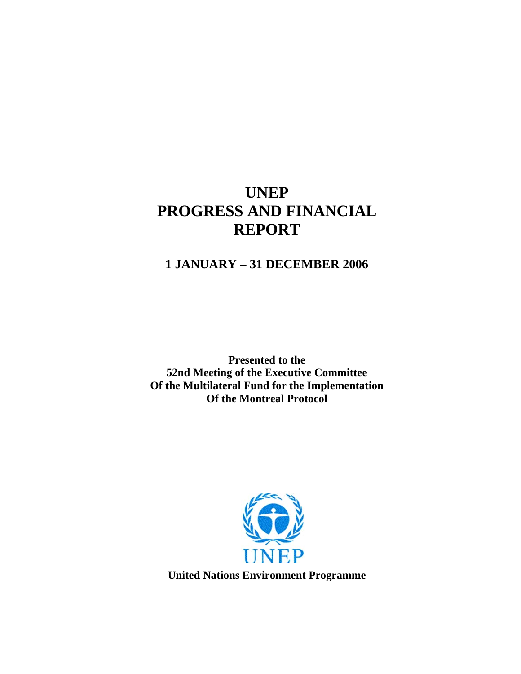# **UNEP PROGRESS AND FINANCIAL REPORT**

# **1 JANUARY – 31 DECEMBER 2006**

**Presented to the 52nd Meeting of the Executive Committee Of the Multilateral Fund for the Implementation Of the Montreal Protocol** 



**United Nations Environment Programme**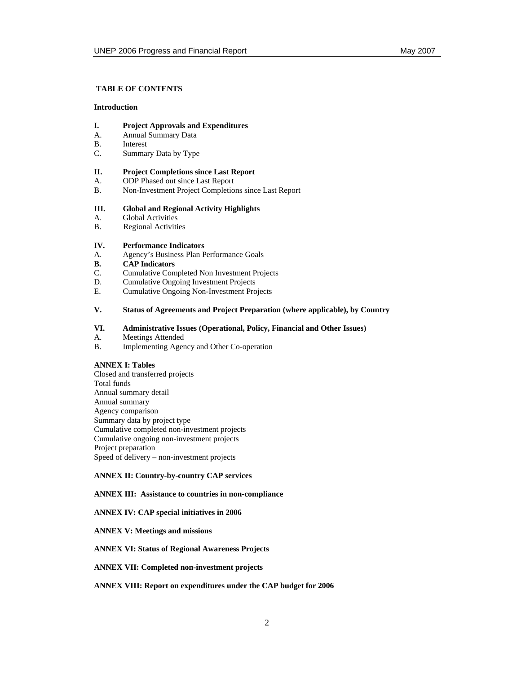#### **TABLE OF CONTENTS**

#### **Introduction**

### **I. Project Approvals and Expenditures**

- A. Annual Summary Data
- B. Interest
- C. Summary Data by Type

#### **II. Project Completions since Last Report**

- A. ODP Phased out since Last Report
- B. Non-Investment Project Completions since Last Report

#### **III. Global and Regional Activity Highlights**

- A. Global Activities
- B. Regional Activities

#### **IV. Performance Indicators**

- A. Agency's Business Plan Performance Goals
- **B. CAP Indicators C. Cumulative Com**
- C. Cumulative Completed Non Investment Projects<br>D. Cumulative Ongoing Investment Projects
- Cumulative Ongoing Investment Projects
- E. Cumulative Ongoing Non-Investment Projects

#### **V. Status of Agreements and Project Preparation (where applicable), by Country**

### **VI. Administrative Issues (Operational, Policy, Financial and Other Issues)**

- A. Meetings Attended<br>B. Implementing Ager
- Implementing Agency and Other Co-operation

#### **ANNEX I: Tables**

Closed and transferred projects Total funds Annual summary detail Annual summary Agency comparison Summary data by project type Cumulative completed non-investment projects Cumulative ongoing non-investment projects Project preparation Speed of delivery – non-investment projects

#### **ANNEX II: Country-by-country CAP services**

#### **ANNEX III: Assistance to countries in non-compliance**

#### **ANNEX IV: CAP special initiatives in 2006**

#### **ANNEX V: Meetings and missions**

#### **ANNEX VI: Status of Regional Awareness Projects**

#### **ANNEX VII: Completed non-investment projects**

#### **ANNEX VIII: Report on expenditures under the CAP budget for 2006**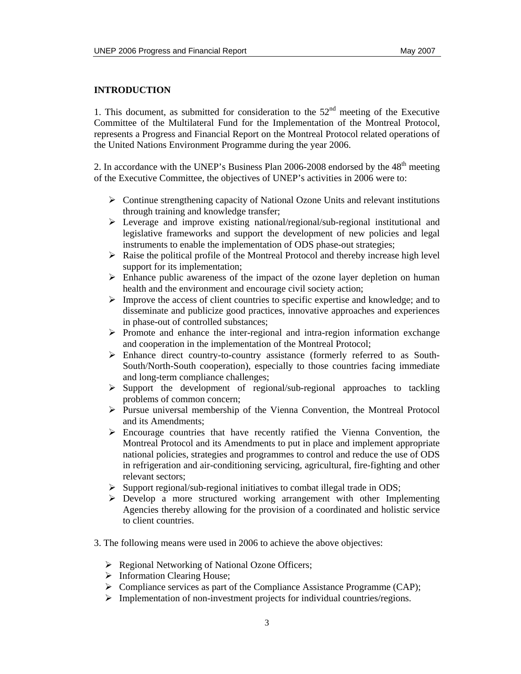### **INTRODUCTION**

1. This document, as submitted for consideration to the  $52<sup>nd</sup>$  meeting of the Executive Committee of the Multilateral Fund for the Implementation of the Montreal Protocol, represents a Progress and Financial Report on the Montreal Protocol related operations of the United Nations Environment Programme during the year 2006.

2. In accordance with the UNEP's Business Plan  $2006-2008$  endorsed by the  $48<sup>th</sup>$  meeting of the Executive Committee, the objectives of UNEP's activities in 2006 were to:

- $\triangleright$  Continue strengthening capacity of National Ozone Units and relevant institutions through training and knowledge transfer;
- $\triangleright$  Leverage and improve existing national/regional/sub-regional institutional and legislative frameworks and support the development of new policies and legal instruments to enable the implementation of ODS phase-out strategies;
- $\triangleright$  Raise the political profile of the Montreal Protocol and thereby increase high level support for its implementation;
- $\triangleright$  Enhance public awareness of the impact of the ozone layer depletion on human health and the environment and encourage civil society action;
- $\triangleright$  Improve the access of client countries to specific expertise and knowledge; and to disseminate and publicize good practices, innovative approaches and experiences in phase-out of controlled substances;
- ¾ Promote and enhance the inter-regional and intra-region information exchange and cooperation in the implementation of the Montreal Protocol;
- $\triangleright$  Enhance direct country-to-country assistance (formerly referred to as South-South/North-South cooperation), especially to those countries facing immediate and long-term compliance challenges;
- $\triangleright$  Support the development of regional/sub-regional approaches to tackling problems of common concern;
- ¾ Pursue universal membership of the Vienna Convention, the Montreal Protocol and its Amendments;
- $\triangleright$  Encourage countries that have recently ratified the Vienna Convention, the Montreal Protocol and its Amendments to put in place and implement appropriate national policies, strategies and programmes to control and reduce the use of ODS in refrigeration and air-conditioning servicing, agricultural, fire-fighting and other relevant sectors;
- $\triangleright$  Support regional/sub-regional initiatives to combat illegal trade in ODS;
- $\triangleright$  Develop a more structured working arrangement with other Implementing Agencies thereby allowing for the provision of a coordinated and holistic service to client countries.
- 3. The following means were used in 2006 to achieve the above objectives:
	- $\triangleright$  Regional Networking of National Ozone Officers;
	- $\triangleright$  Information Clearing House;
	- ¾ Compliance services as part of the Compliance Assistance Programme (CAP);
	- ¾ Implementation of non-investment projects for individual countries/regions.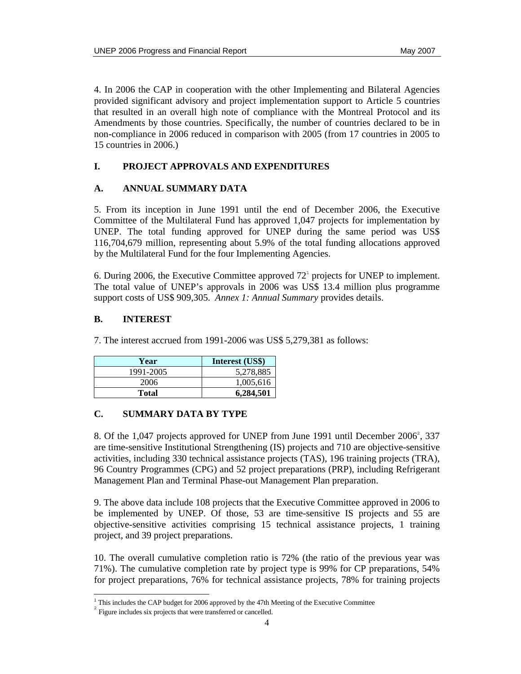4. In 2006 the CAP in cooperation with the other Implementing and Bilateral Agencies provided significant advisory and project implementation support to Article 5 countries that resulted in an overall high note of compliance with the Montreal Protocol and its Amendments by those countries. Specifically, the number of countries declared to be in non-compliance in 2006 reduced in comparison with 2005 (from 17 countries in 2005 to 15 countries in 2006.)

# **I. PROJECT APPROVALS AND EXPENDITURES**

### **A. ANNUAL SUMMARY DATA**

5. From its inception in June 1991 until the end of December 2006, the Executive Committee of the Multilateral Fund has approved 1,047 projects for implementation by UNEP. The total funding approved for UNEP during the same period was US\$ 116,704,679 million, representing about 5.9% of the total funding allocations approved by the Multilateral Fund for the four Implementing Agencies.

6. During 2006, the Executive Committee approved  $72<sup>1</sup>$  projects for UNEP to implement. The total value of UNEP's approvals in 2006 was US\$ 13.4 million plus programme support costs of US\$ 909,305. *Annex 1: Annual Summary* provides details.

### **B. INTEREST**

7. The interest accrued from 1991-2006 was US\$ 5,279,381 as follows:

| Year      | Interest (US\$) |
|-----------|-----------------|
| 1991-2005 | 5,278,885       |
| 2006      | 1,005,616       |
| Total     | 6,284,501       |

## **C. SUMMARY DATA BY TYPE**

8. Of the  $1,047$  projects approved for UNEP from June 1991 until December  $2006^2$ , 337 are time-sensitive Institutional Strengthening (IS) projects and 710 are objective-sensitive activities, including 330 technical assistance projects (TAS), 196 training projects (TRA), 96 Country Programmes (CPG) and 52 project preparations (PRP), including Refrigerant Management Plan and Terminal Phase-out Management Plan preparation.

9. The above data include 108 projects that the Executive Committee approved in 2006 to be implemented by UNEP. Of those, 53 are time-sensitive IS projects and 55 are objective-sensitive activities comprising 15 technical assistance projects, 1 training project, and 39 project preparations.

10. The overall cumulative completion ratio is 72% (the ratio of the previous year was 71%). The cumulative completion rate by project type is 99% for CP preparations, 54% for project preparations, 76% for technical assistance projects, 78% for training projects

 $\overline{a}$  $<sup>1</sup>$  This includes the CAP budget for 2006 approved by the 47th Meeting of the Executive Committee</sup>

<sup>&</sup>lt;sup>2</sup> Figure includes six projects that were transferred or cancelled.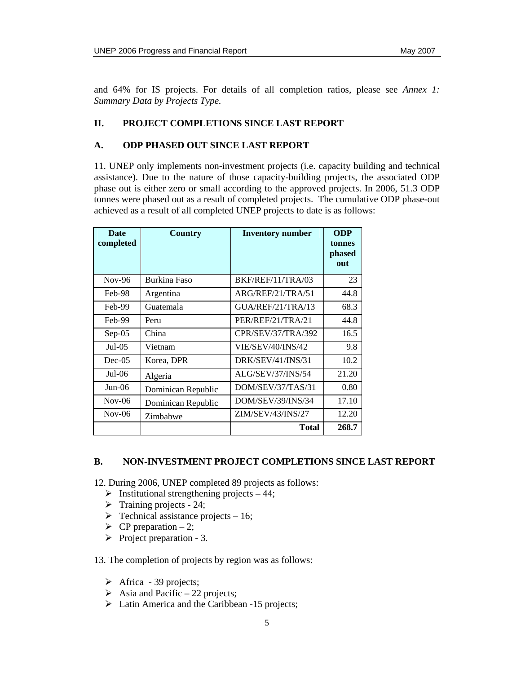and 64% for IS projects. For details of all completion ratios, please see *Annex 1: Summary Data by Projects Type.* 

### **II. PROJECT COMPLETIONS SINCE LAST REPORT**

### **A. ODP PHASED OUT SINCE LAST REPORT**

11. UNEP only implements non-investment projects (i.e. capacity building and technical assistance). Due to the nature of those capacity-building projects, the associated ODP phase out is either zero or small according to the approved projects. In 2006, 51.3 ODP tonnes were phased out as a result of completed projects. The cumulative ODP phase-out achieved as a result of all completed UNEP projects to date is as follows:

| <b>Date</b><br>completed | <b>Country</b>     | <b>Inventory number</b> | <b>ODP</b><br>tonnes<br>phased<br>out |
|--------------------------|--------------------|-------------------------|---------------------------------------|
| $Nov-96$                 | Burkina Faso       | BKF/REF/11/TRA/03       | 23                                    |
| Feb-98                   | Argentina          | ARG/REF/21/TRA/51       | 44.8                                  |
| Feb-99                   | Guatemala          | GUA/REF/21/TRA/13       | 68.3                                  |
| Feb-99                   | Peru               | PER/REF/21/TRA/21       | 44.8                                  |
| $Sep-05$                 | China              | CPR/SEV/37/TRA/392      | 16.5                                  |
| Jul- $05$                | Vietnam            | VIE/SEV/40/INS/42       | 9.8                                   |
| $Dec-05$                 | Korea, DPR         | DRK/SEV/41/INS/31       | 10.2                                  |
| Jul-06                   | Algeria            | ALG/SEV/37/INS/54       | 21.20                                 |
| $Jun-06$                 | Dominican Republic | DOM/SEV/37/TAS/31       | 0.80                                  |
| $Nov-06$                 | Dominican Republic | DOM/SEV/39/INS/34       | 17.10                                 |
| $Nov-06$                 | Zimbabwe           | ZIM/SEV/43/INS/27       | 12.20                                 |
|                          |                    | Total                   | 268.7                                 |

### **B. NON-INVESTMENT PROJECT COMPLETIONS SINCE LAST REPORT**

12. During 2006, UNEP completed 89 projects as follows:

- $\triangleright$  Institutional strengthening projects 44;
- $\triangleright$  Training projects 24;
- $\triangleright$  Technical assistance projects 16;
- $\triangleright$  CP preparation 2;
- $\triangleright$  Project preparation 3.

13. The completion of projects by region was as follows:

- $\triangleright$  Africa 39 projects;
- $\triangleright$  Asia and Pacific 22 projects;
- $\triangleright$  Latin America and the Caribbean -15 projects;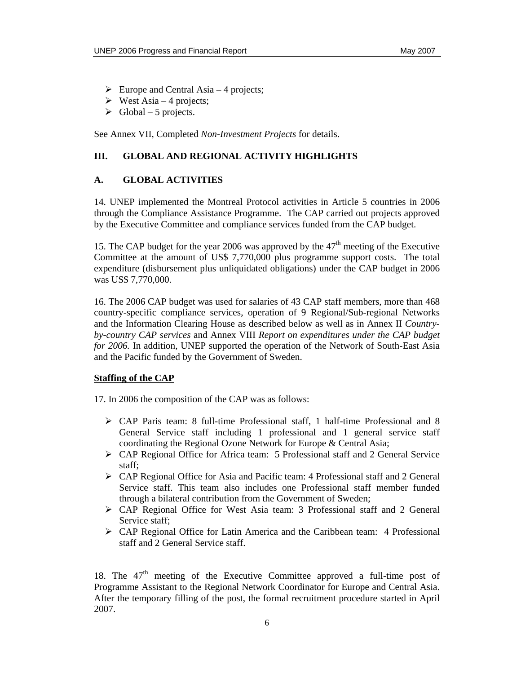- $\triangleright$  Europe and Central Asia 4 projects;
- $\triangleright$  West Asia 4 projects;
- $\triangleright$  Global 5 projects.

See Annex VII, Completed *Non-Investment Projects* for details.

### **III. GLOBAL AND REGIONAL ACTIVITY HIGHLIGHTS**

### **A. GLOBAL ACTIVITIES**

14. UNEP implemented the Montreal Protocol activities in Article 5 countries in 2006 through the Compliance Assistance Programme. The CAP carried out projects approved by the Executive Committee and compliance services funded from the CAP budget.

15. The CAP budget for the year 2006 was approved by the  $47<sup>th</sup>$  meeting of the Executive Committee at the amount of US\$ 7,770,000 plus programme support costs. The total expenditure (disbursement plus unliquidated obligations) under the CAP budget in 2006 was US\$ 7,770,000.

16. The 2006 CAP budget was used for salaries of 43 CAP staff members, more than 468 country-specific compliance services, operation of 9 Regional/Sub-regional Networks and the Information Clearing House as described below as well as in Annex II *Countryby-country CAP services* and Annex VIII *Report on expenditures under the CAP budget for 2006.* In addition, UNEP supported the operation of the Network of South-East Asia and the Pacific funded by the Government of Sweden.

### **Staffing of the CAP**

17. In 2006 the composition of the CAP was as follows:

- $\triangleright$  CAP Paris team: 8 full-time Professional staff, 1 half-time Professional and 8 General Service staff including 1 professional and 1 general service staff coordinating the Regional Ozone Network for Europe & Central Asia;
- $\triangleright$  CAP Regional Office for Africa team: 5 Professional staff and 2 General Service staff;
- ¾ CAP Regional Office for Asia and Pacific team: 4 Professional staff and 2 General Service staff. This team also includes one Professional staff member funded through a bilateral contribution from the Government of Sweden;
- ¾ CAP Regional Office for West Asia team: 3 Professional staff and 2 General Service staff;
- ¾ CAP Regional Office for Latin America and the Caribbean team: 4 Professional staff and 2 General Service staff.

18. The  $47<sup>th</sup>$  meeting of the Executive Committee approved a full-time post of Programme Assistant to the Regional Network Coordinator for Europe and Central Asia. After the temporary filling of the post, the formal recruitment procedure started in April 2007.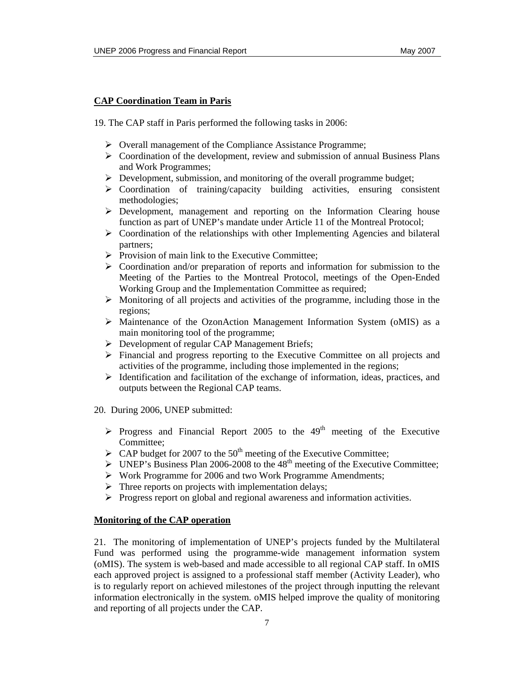### **CAP Coordination Team in Paris**

19. The CAP staff in Paris performed the following tasks in 2006:

- ¾ Overall management of the Compliance Assistance Programme;
- $\triangleright$  Coordination of the development, review and submission of annual Business Plans and Work Programmes;
- $\triangleright$  Development, submission, and monitoring of the overall programme budget;
- $\triangleright$  Coordination of training/capacity building activities, ensuring consistent methodologies;
- $\triangleright$  Development, management and reporting on the Information Clearing house function as part of UNEP's mandate under Article 11 of the Montreal Protocol;
- $\triangleright$  Coordination of the relationships with other Implementing Agencies and bilateral partners;
- $\triangleright$  Provision of main link to the Executive Committee;
- $\triangleright$  Coordination and/or preparation of reports and information for submission to the Meeting of the Parties to the Montreal Protocol, meetings of the Open-Ended Working Group and the Implementation Committee as required;
- $\triangleright$  Monitoring of all projects and activities of the programme, including those in the regions;
- $\triangleright$  Maintenance of the OzonAction Management Information System (oMIS) as a main monitoring tool of the programme;
- $\triangleright$  Development of regular CAP Management Briefs;
- ¾ Financial and progress reporting to the Executive Committee on all projects and activities of the programme, including those implemented in the regions;
- $\triangleright$  Identification and facilitation of the exchange of information, ideas, practices, and outputs between the Regional CAP teams.
- 20. During 2006, UNEP submitted:
	- $\triangleright$  Progress and Financial Report 2005 to the 49<sup>th</sup> meeting of the Executive Committee;
	- $\triangleright$  CAP budget for 2007 to the 50<sup>th</sup> meeting of the Executive Committee;
	- $\triangleright$  UNEP's Business Plan 2006-2008 to the 48<sup>th</sup> meeting of the Executive Committee;
	- ¾ Work Programme for 2006 and two Work Programme Amendments;
	- $\triangleright$  Three reports on projects with implementation delays;
	- $\triangleright$  Progress report on global and regional awareness and information activities.

### **Monitoring of the CAP operation**

21. The monitoring of implementation of UNEP's projects funded by the Multilateral Fund was performed using the programme-wide management information system (oMIS). The system is web-based and made accessible to all regional CAP staff. In oMIS each approved project is assigned to a professional staff member (Activity Leader), who is to regularly report on achieved milestones of the project through inputting the relevant information electronically in the system. oMIS helped improve the quality of monitoring and reporting of all projects under the CAP.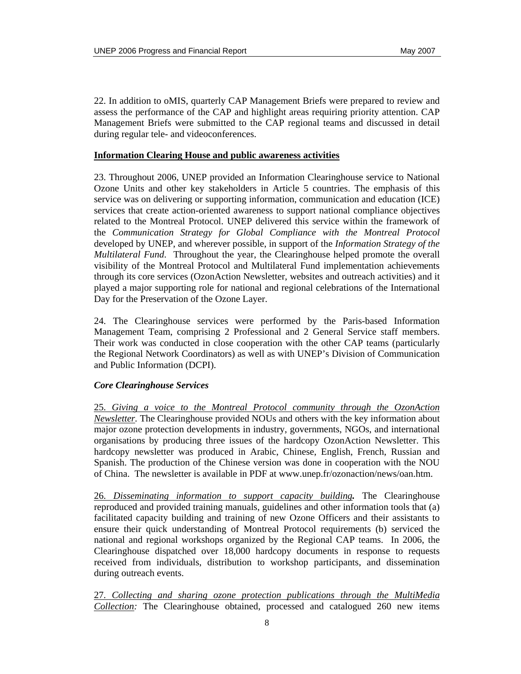22. In addition to oMIS, quarterly CAP Management Briefs were prepared to review and assess the performance of the CAP and highlight areas requiring priority attention. CAP Management Briefs were submitted to the CAP regional teams and discussed in detail during regular tele- and videoconferences.

### **Information Clearing House and public awareness activities**

23. Throughout 2006, UNEP provided an Information Clearinghouse service to National Ozone Units and other key stakeholders in Article 5 countries. The emphasis of this service was on delivering or supporting information, communication and education (ICE) services that create action-oriented awareness to support national compliance objectives related to the Montreal Protocol. UNEP delivered this service within the framework of the *Communication Strategy for Global Compliance with the Montreal Protocol* developed by UNEP, and wherever possible, in support of the *Information Strategy of the Multilateral Fund*. Throughout the year, the Clearinghouse helped promote the overall visibility of the Montreal Protocol and Multilateral Fund implementation achievements through its core services (OzonAction Newsletter, websites and outreach activities) and it played a major supporting role for national and regional celebrations of the International Day for the Preservation of the Ozone Layer.

24. The Clearinghouse services were performed by the Paris-based Information Management Team, comprising 2 Professional and 2 General Service staff members. Their work was conducted in close cooperation with the other CAP teams (particularly the Regional Network Coordinators) as well as with UNEP's Division of Communication and Public Information (DCPI).

### *Core Clearinghouse Services*

25. *Giving a voice to the Montreal Protocol community through the OzonAction Newsletter.* The Clearinghouse provided NOUs and others with the key information about major ozone protection developments in industry, governments, NGOs, and international organisations by producing three issues of the hardcopy OzonAction Newsletter. This hardcopy newsletter was produced in Arabic, Chinese, English, French, Russian and Spanish. The production of the Chinese version was done in cooperation with the NOU of China. The newsletter is available in PDF at www.unep.fr/ozonaction/news/oan.htm.

26. *Disseminating information to support capacity building.* The Clearinghouse reproduced and provided training manuals, guidelines and other information tools that (a) facilitated capacity building and training of new Ozone Officers and their assistants to ensure their quick understanding of Montreal Protocol requirements (b) serviced the national and regional workshops organized by the Regional CAP teams. In 2006, the Clearinghouse dispatched over 18,000 hardcopy documents in response to requests received from individuals, distribution to workshop participants, and dissemination during outreach events.

27. *Collecting and sharing ozone protection publications through the MultiMedia Collection:* The Clearinghouse obtained, processed and catalogued 260 new items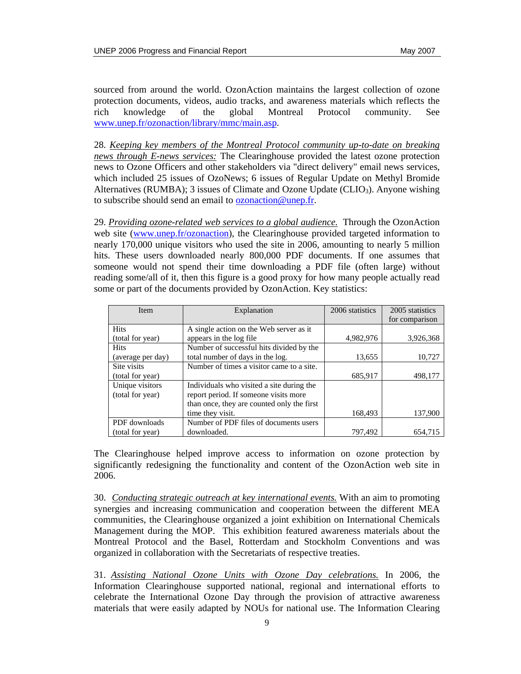sourced from around the world. OzonAction maintains the largest collection of ozone protection documents, videos, audio tracks, and awareness materials which reflects the rich knowledge of the global Montreal Protocol community. See www.unep.fr/ozonaction/library/mmc/main.asp.

28. *Keeping key members of the Montreal Protocol community up-to-date on breaking news through E-news services:* The Clearinghouse provided the latest ozone protection news to Ozone Officers and other stakeholders via "direct delivery" email news services, which included 25 issues of OzoNews; 6 issues of Regular Update on Methyl Bromide Alternatives (RUMBA); 3 issues of Climate and Ozone Update (CLIO<sub>3</sub>). Anyone wishing to subscribe should send an email to ozonaction@unep.fr.

29. *Providing ozone-related web services to a global audience.* Through the OzonAction web site (www.unep.fr/ozonaction), the Clearinghouse provided targeted information to nearly 170,000 unique visitors who used the site in 2006, amounting to nearly 5 million hits. These users downloaded nearly 800,000 PDF documents. If one assumes that someone would not spend their time downloading a PDF file (often large) without reading some/all of it, then this figure is a good proxy for how many people actually read some or part of the documents provided by OzonAction. Key statistics:

| <b>Item</b>       | Explanation                                | 2006 statistics | 2005 statistics |
|-------------------|--------------------------------------------|-----------------|-----------------|
|                   |                                            |                 | for comparison  |
| <b>Hits</b>       | A single action on the Web server as it    |                 |                 |
| (total for year)  | appears in the log file                    | 4,982,976       | 3,926,368       |
| <b>Hits</b>       | Number of successful hits divided by the   |                 |                 |
| (average per day) | total number of days in the log.           | 13,655          | 10,727          |
| Site visits       | Number of times a visitor came to a site.  |                 |                 |
| (total for year)  |                                            | 685,917         | 498,177         |
| Unique visitors   | Individuals who visited a site during the  |                 |                 |
| (total for year)  | report period. If someone visits more      |                 |                 |
|                   | than once, they are counted only the first |                 |                 |
|                   | time they visit.                           | 168,493         | 137,900         |
| PDF downloads     | Number of PDF files of documents users     |                 |                 |
| (total for year)  | downloaded.                                | 797.492         | 654.715         |

The Clearinghouse helped improve access to information on ozone protection by significantly redesigning the functionality and content of the OzonAction web site in 2006.

30. *Conducting strategic outreach at key international events.* With an aim to promoting synergies and increasing communication and cooperation between the different MEA communities, the Clearinghouse organized a joint exhibition on International Chemicals Management during the MOP. This exhibition featured awareness materials about the Montreal Protocol and the Basel, Rotterdam and Stockholm Conventions and was organized in collaboration with the Secretariats of respective treaties.

31. *Assisting National Ozone Units with Ozone Day celebrations.* In 2006, the Information Clearinghouse supported national, regional and international efforts to celebrate the International Ozone Day through the provision of attractive awareness materials that were easily adapted by NOUs for national use. The Information Clearing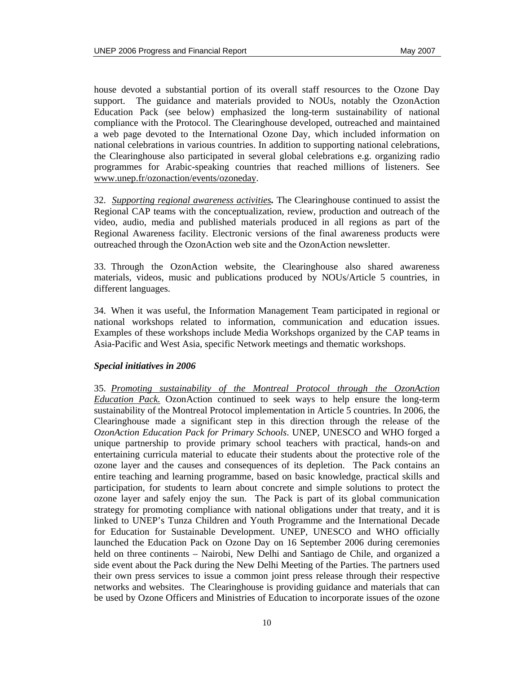house devoted a substantial portion of its overall staff resources to the Ozone Day support. The guidance and materials provided to NOUs, notably the OzonAction Education Pack (see below) emphasized the long-term sustainability of national compliance with the Protocol. The Clearinghouse developed, outreached and maintained a web page devoted to the International Ozone Day, which included information on national celebrations in various countries. In addition to supporting national celebrations, the Clearinghouse also participated in several global celebrations e.g. organizing radio programmes for Arabic-speaking countries that reached millions of listeners. See www.unep.fr/ozonaction/events/ozoneday.

32. *Supporting regional awareness activities.* The Clearinghouse continued to assist the Regional CAP teams with the conceptualization, review, production and outreach of the video, audio, media and published materials produced in all regions as part of the Regional Awareness facility. Electronic versions of the final awareness products were outreached through the OzonAction web site and the OzonAction newsletter.

33. Through the OzonAction website, the Clearinghouse also shared awareness materials, videos, music and publications produced by NOUs/Article 5 countries, in different languages.

34. When it was useful, the Information Management Team participated in regional or national workshops related to information, communication and education issues. Examples of these workshops include Media Workshops organized by the CAP teams in Asia-Pacific and West Asia, specific Network meetings and thematic workshops.

### *Special initiatives in 2006*

35. *Promoting sustainability of the Montreal Protocol through the OzonAction Education Pack.* OzonAction continued to seek ways to help ensure the long-term sustainability of the Montreal Protocol implementation in Article 5 countries. In 2006, the Clearinghouse made a significant step in this direction through the release of the *OzonAction Education Pack for Primary Schools*. UNEP, UNESCO and WHO forged a unique partnership to provide primary school teachers with practical, hands-on and entertaining curricula material to educate their students about the protective role of the ozone layer and the causes and consequences of its depletion. The Pack contains an entire teaching and learning programme, based on basic knowledge, practical skills and participation, for students to learn about concrete and simple solutions to protect the ozone layer and safely enjoy the sun. The Pack is part of its global communication strategy for promoting compliance with national obligations under that treaty, and it is linked to UNEP's Tunza Children and Youth Programme and the International Decade for Education for Sustainable Development. UNEP, UNESCO and WHO officially launched the Education Pack on Ozone Day on 16 September 2006 during ceremonies held on three continents – Nairobi, New Delhi and Santiago de Chile, and organized a side event about the Pack during the New Delhi Meeting of the Parties. The partners used their own press services to issue a common joint press release through their respective networks and websites. The Clearinghouse is providing guidance and materials that can be used by Ozone Officers and Ministries of Education to incorporate issues of the ozone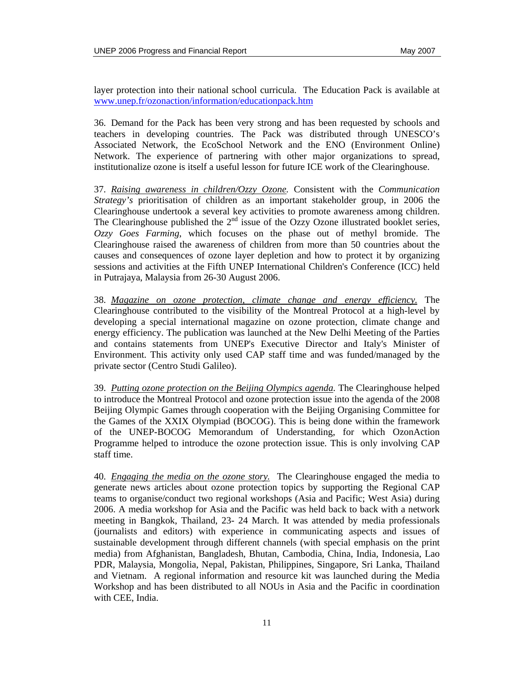layer protection into their national school curricula. The Education Pack is available at www.unep.fr/ozonaction/information/educationpack.htm

36. Demand for the Pack has been very strong and has been requested by schools and teachers in developing countries. The Pack was distributed through UNESCO's Associated Network, the EcoSchool Network and the ENO (Environment Online) Network. The experience of partnering with other major organizations to spread, institutionalize ozone is itself a useful lesson for future ICE work of the Clearinghouse.

37. *Raising awareness in children/Ozzy Ozone.* Consistent with the *Communication Strategy's* prioritisation of children as an important stakeholder group, in 2006 the Clearinghouse undertook a several key activities to promote awareness among children. The Clearinghouse published the  $2<sup>nd</sup>$  issue of the Ozzy Ozone illustrated booklet series, *Ozzy Goes Farming*, which focuses on the phase out of methyl bromide. The Clearinghouse raised the awareness of children from more than 50 countries about the causes and consequences of ozone layer depletion and how to protect it by organizing sessions and activities at the Fifth UNEP International Children's Conference (ICC) held in Putrajaya, Malaysia from 26-30 August 2006.

38. *Magazine on ozone protection, climate change and energy efficiency.* The Clearinghouse contributed to the visibility of the Montreal Protocol at a high-level by developing a special international magazine on ozone protection, climate change and energy efficiency. The publication was launched at the New Delhi Meeting of the Parties and contains statements from UNEP's Executive Director and Italy's Minister of Environment. This activity only used CAP staff time and was funded/managed by the private sector (Centro Studi Galileo).

39. *Putting ozone protection on the Beijing Olympics agenda.* The Clearinghouse helped to introduce the Montreal Protocol and ozone protection issue into the agenda of the 2008 Beijing Olympic Games through cooperation with the Beijing Organising Committee for the Games of the XXIX Olympiad (BOCOG). This is being done within the framework of the UNEP-BOCOG Memorandum of Understanding, for which OzonAction Programme helped to introduce the ozone protection issue. This is only involving CAP staff time.

40. *Engaging the media on the ozone story.* The Clearinghouse engaged the media to generate news articles about ozone protection topics by supporting the Regional CAP teams to organise/conduct two regional workshops (Asia and Pacific; West Asia) during 2006. A media workshop for Asia and the Pacific was held back to back with a network meeting in Bangkok, Thailand, 23- 24 March. It was attended by media professionals (journalists and editors) with experience in communicating aspects and issues of sustainable development through different channels (with special emphasis on the print media) from Afghanistan, Bangladesh, Bhutan, Cambodia, China, India, Indonesia, Lao PDR, Malaysia, Mongolia, Nepal, Pakistan, Philippines, Singapore, Sri Lanka, Thailand and Vietnam. A regional information and resource kit was launched during the Media Workshop and has been distributed to all NOUs in Asia and the Pacific in coordination with CEE, India.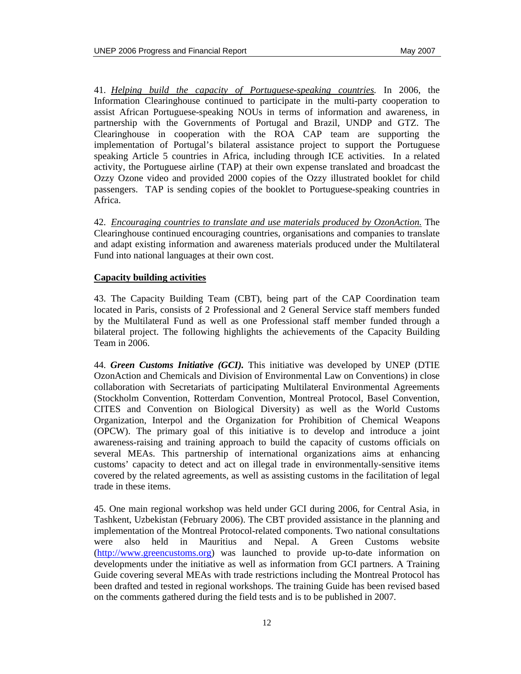41. *Helping build the capacity of Portuguese-speaking countries.* In 2006, the Information Clearinghouse continued to participate in the multi-party cooperation to assist African Portuguese-speaking NOUs in terms of information and awareness, in partnership with the Governments of Portugal and Brazil, UNDP and GTZ. The Clearinghouse in cooperation with the ROA CAP team are supporting the implementation of Portugal's bilateral assistance project to support the Portuguese speaking Article 5 countries in Africa, including through ICE activities. In a related activity, the Portuguese airline (TAP) at their own expense translated and broadcast the Ozzy Ozone video and provided 2000 copies of the Ozzy illustrated booklet for child passengers. TAP is sending copies of the booklet to Portuguese-speaking countries in Africa.

42. *Encouraging countries to translate and use materials produced by OzonAction.* The Clearinghouse continued encouraging countries, organisations and companies to translate and adapt existing information and awareness materials produced under the Multilateral Fund into national languages at their own cost.

### **Capacity building activities**

43. The Capacity Building Team (CBT), being part of the CAP Coordination team located in Paris, consists of 2 Professional and 2 General Service staff members funded by the Multilateral Fund as well as one Professional staff member funded through a bilateral project. The following highlights the achievements of the Capacity Building Team in 2006.

44. *Green Customs Initiative (GCI).* This initiative was developed by UNEP (DTIE OzonAction and Chemicals and Division of Environmental Law on Conventions) in close collaboration with Secretariats of participating Multilateral Environmental Agreements (Stockholm Convention, Rotterdam Convention, Montreal Protocol, Basel Convention, CITES and Convention on Biological Diversity) as well as the World Customs Organization, Interpol and the Organization for Prohibition of Chemical Weapons (OPCW). The primary goal of this initiative is to develop and introduce a joint awareness-raising and training approach to build the capacity of customs officials on several MEAs. This partnership of international organizations aims at enhancing customs' capacity to detect and act on illegal trade in environmentally-sensitive items covered by the related agreements, as well as assisting customs in the facilitation of legal trade in these items.

45. One main regional workshop was held under GCI during 2006, for Central Asia, in Tashkent, Uzbekistan (February 2006). The CBT provided assistance in the planning and implementation of the Montreal Protocol-related components. Two national consultations were also held in Mauritius and Nepal. A Green Customs website (http://www.greencustoms.org) was launched to provide up-to-date information on developments under the initiative as well as information from GCI partners. A Training Guide covering several MEAs with trade restrictions including the Montreal Protocol has been drafted and tested in regional workshops. The training Guide has been revised based on the comments gathered during the field tests and is to be published in 2007.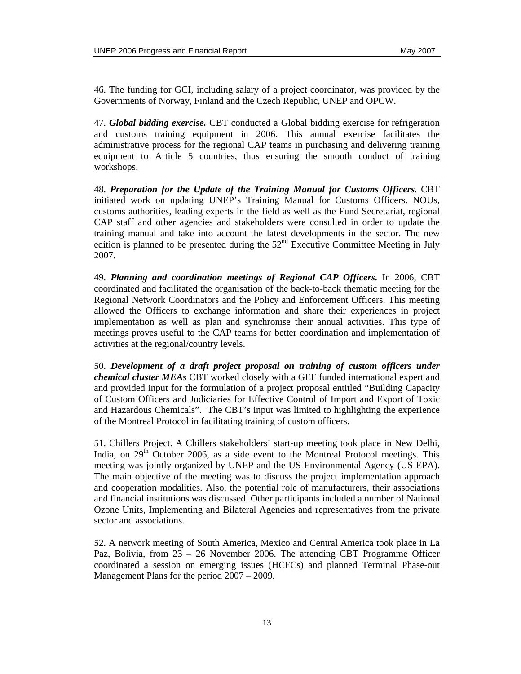46. The funding for GCI, including salary of a project coordinator, was provided by the Governments of Norway, Finland and the Czech Republic, UNEP and OPCW.

47. *Global bidding exercise.* CBT conducted a Global bidding exercise for refrigeration and customs training equipment in 2006. This annual exercise facilitates the administrative process for the regional CAP teams in purchasing and delivering training equipment to Article 5 countries, thus ensuring the smooth conduct of training workshops.

48. *Preparation for the Update of the Training Manual for Customs Officers.* CBT initiated work on updating UNEP's Training Manual for Customs Officers. NOUs, customs authorities, leading experts in the field as well as the Fund Secretariat, regional CAP staff and other agencies and stakeholders were consulted in order to update the training manual and take into account the latest developments in the sector. The new edition is planned to be presented during the  $52<sup>nd</sup>$  Executive Committee Meeting in July 2007.

49. *Planning and coordination meetings of Regional CAP Officers.* In 2006, CBT coordinated and facilitated the organisation of the back-to-back thematic meeting for the Regional Network Coordinators and the Policy and Enforcement Officers. This meeting allowed the Officers to exchange information and share their experiences in project implementation as well as plan and synchronise their annual activities. This type of meetings proves useful to the CAP teams for better coordination and implementation of activities at the regional/country levels.

50. *Development of a draft project proposal on training of custom officers under chemical cluster MEAs* CBT worked closely with a GEF funded international expert and and provided input for the formulation of a project proposal entitled "Building Capacity of Custom Officers and Judiciaries for Effective Control of Import and Export of Toxic and Hazardous Chemicals". The CBT's input was limited to highlighting the experience of the Montreal Protocol in facilitating training of custom officers.

51. Chillers Project. A Chillers stakeholders' start-up meeting took place in New Delhi, India, on  $29<sup>th</sup>$  October 2006, as a side event to the Montreal Protocol meetings. This meeting was jointly organized by UNEP and the US Environmental Agency (US EPA). The main objective of the meeting was to discuss the project implementation approach and cooperation modalities. Also, the potential role of manufacturers, their associations and financial institutions was discussed. Other participants included a number of National Ozone Units, Implementing and Bilateral Agencies and representatives from the private sector and associations.

52. A network meeting of South America, Mexico and Central America took place in La Paz, Bolivia, from 23 – 26 November 2006. The attending CBT Programme Officer coordinated a session on emerging issues (HCFCs) and planned Terminal Phase-out Management Plans for the period 2007 – 2009.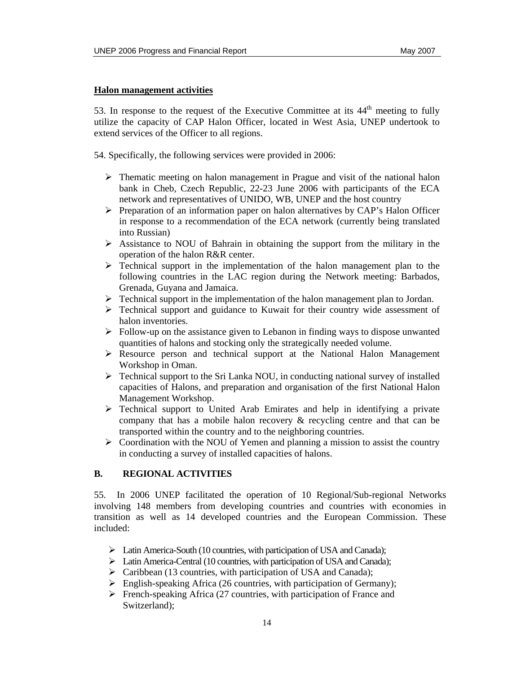### **Halon management activities**

53. In response to the request of the Executive Committee at its  $44<sup>th</sup>$  meeting to fully utilize the capacity of CAP Halon Officer, located in West Asia, UNEP undertook to extend services of the Officer to all regions.

54. Specifically, the following services were provided in 2006:

- $\triangleright$  Thematic meeting on halon management in Prague and visit of the national halon bank in Cheb, Czech Republic, 22-23 June 2006 with participants of the ECA network and representatives of UNIDO, WB, UNEP and the host country
- ¾ Preparation of an information paper on halon alternatives by CAP's Halon Officer in response to a recommendation of the ECA network (currently being translated into Russian)
- $\triangleright$  Assistance to NOU of Bahrain in obtaining the support from the military in the operation of the halon R&R center.
- $\triangleright$  Technical support in the implementation of the halon management plan to the following countries in the LAC region during the Network meeting: Barbados, Grenada, Guyana and Jamaica.
- $\triangleright$  Technical support in the implementation of the halon management plan to Jordan.
- $\triangleright$  Technical support and guidance to Kuwait for their country wide assessment of halon inventories.
- $\triangleright$  Follow-up on the assistance given to Lebanon in finding ways to dispose unwanted quantities of halons and stocking only the strategically needed volume.
- $\triangleright$  Resource person and technical support at the National Halon Management Workshop in Oman.
- ¾ Technical support to the Sri Lanka NOU, in conducting national survey of installed capacities of Halons, and preparation and organisation of the first National Halon Management Workshop.
- $\triangleright$  Technical support to United Arab Emirates and help in identifying a private company that has a mobile halon recovery & recycling centre and that can be transported within the country and to the neighboring countries.
- $\triangleright$  Coordination with the NOU of Yemen and planning a mission to assist the country in conducting a survey of installed capacities of halons.

### **B. REGIONAL ACTIVITIES**

55. In 2006 UNEP facilitated the operation of 10 Regional/Sub-regional Networks involving 148 members from developing countries and countries with economies in transition as well as 14 developed countries and the European Commission. These included:

- ¾ Latin America-South (10 countries, with participation of USA and Canada);
- ¾ Latin America-Central (10 countries, with participation of USA and Canada);
- $\triangleright$  Caribbean (13 countries, with participation of USA and Canada);
- $\triangleright$  English-speaking Africa (26 countries, with participation of Germany);
- $\triangleright$  French-speaking Africa (27 countries, with participation of France and Switzerland);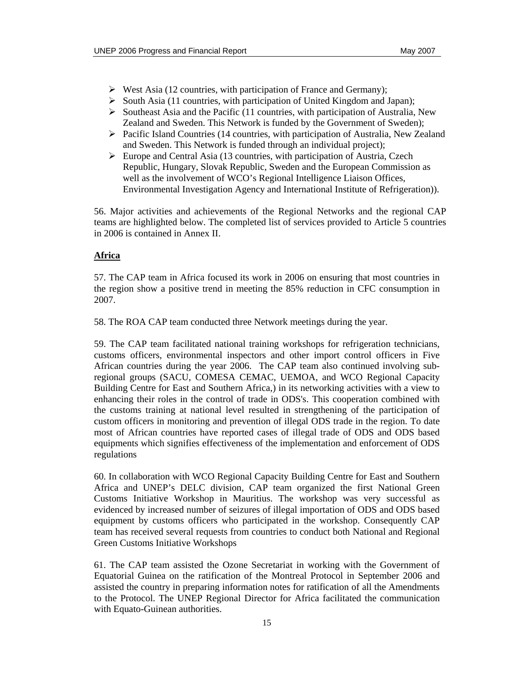- $\triangleright$  West Asia (12 countries, with participation of France and Germany);
- ¾ South Asia (11 countries, with participation of United Kingdom and Japan);
- $\triangleright$  Southeast Asia and the Pacific (11 countries, with participation of Australia, New Zealand and Sweden. This Network is funded by the Government of Sweden);
- $\triangleright$  Pacific Island Countries (14 countries, with participation of Australia, New Zealand and Sweden. This Network is funded through an individual project);
- $\triangleright$  Europe and Central Asia (13 countries, with participation of Austria, Czech Republic, Hungary, Slovak Republic, Sweden and the European Commission as well as the involvement of WCO's Regional Intelligence Liaison Offices, Environmental Investigation Agency and International Institute of Refrigeration)).

56. Major activities and achievements of the Regional Networks and the regional CAP teams are highlighted below. The completed list of services provided to Article 5 countries in 2006 is contained in Annex II.

### **Africa**

57. The CAP team in Africa focused its work in 2006 on ensuring that most countries in the region show a positive trend in meeting the 85% reduction in CFC consumption in 2007.

58. The ROA CAP team conducted three Network meetings during the year.

59. The CAP team facilitated national training workshops for refrigeration technicians, customs officers, environmental inspectors and other import control officers in Five African countries during the year 2006. The CAP team also continued involving subregional groups (SACU, COMESA CEMAC, UEMOA, and WCO Regional Capacity Building Centre for East and Southern Africa,) in its networking activities with a view to enhancing their roles in the control of trade in ODS's. This cooperation combined with the customs training at national level resulted in strengthening of the participation of custom officers in monitoring and prevention of illegal ODS trade in the region. To date most of African countries have reported cases of illegal trade of ODS and ODS based equipments which signifies effectiveness of the implementation and enforcement of ODS regulations

60. In collaboration with WCO Regional Capacity Building Centre for East and Southern Africa and UNEP's DELC division, CAP team organized the first National Green Customs Initiative Workshop in Mauritius. The workshop was very successful as evidenced by increased number of seizures of illegal importation of ODS and ODS based equipment by customs officers who participated in the workshop. Consequently CAP team has received several requests from countries to conduct both National and Regional Green Customs Initiative Workshops

61. The CAP team assisted the Ozone Secretariat in working with the Government of Equatorial Guinea on the ratification of the Montreal Protocol in September 2006 and assisted the country in preparing information notes for ratification of all the Amendments to the Protocol. The UNEP Regional Director for Africa facilitated the communication with Equato-Guinean authorities.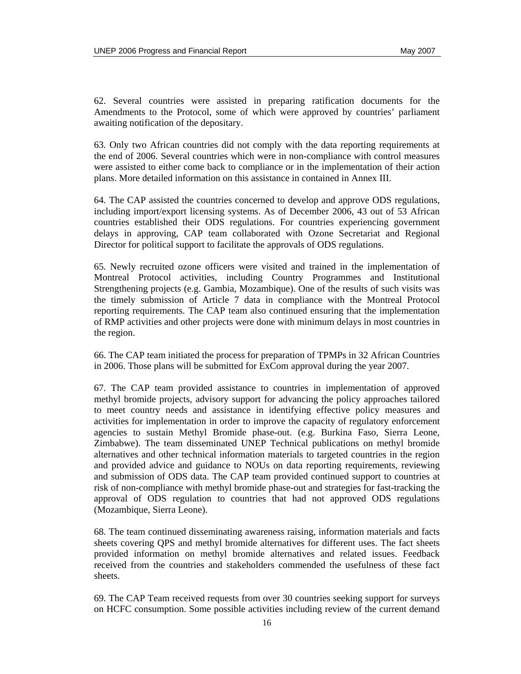62. Several countries were assisted in preparing ratification documents for the Amendments to the Protocol, some of which were approved by countries' parliament awaiting notification of the depositary.

63. Only two African countries did not comply with the data reporting requirements at the end of 2006. Several countries which were in non-compliance with control measures were assisted to either come back to compliance or in the implementation of their action plans. More detailed information on this assistance in contained in Annex III.

64. The CAP assisted the countries concerned to develop and approve ODS regulations, including import/export licensing systems. As of December 2006, 43 out of 53 African countries established their ODS regulations. For countries experiencing government delays in approving, CAP team collaborated with Ozone Secretariat and Regional Director for political support to facilitate the approvals of ODS regulations.

65. Newly recruited ozone officers were visited and trained in the implementation of Montreal Protocol activities, including Country Programmes and Institutional Strengthening projects (e.g. Gambia, Mozambique). One of the results of such visits was the timely submission of Article 7 data in compliance with the Montreal Protocol reporting requirements. The CAP team also continued ensuring that the implementation of RMP activities and other projects were done with minimum delays in most countries in the region.

66. The CAP team initiated the process for preparation of TPMPs in 32 African Countries in 2006. Those plans will be submitted for ExCom approval during the year 2007.

67. The CAP team provided assistance to countries in implementation of approved methyl bromide projects, advisory support for advancing the policy approaches tailored to meet country needs and assistance in identifying effective policy measures and activities for implementation in order to improve the capacity of regulatory enforcement agencies to sustain Methyl Bromide phase-out. (e.g. Burkina Faso, Sierra Leone, Zimbabwe). The team disseminated UNEP Technical publications on methyl bromide alternatives and other technical information materials to targeted countries in the region and provided advice and guidance to NOUs on data reporting requirements, reviewing and submission of ODS data. The CAP team provided continued support to countries at risk of non-compliance with methyl bromide phase-out and strategies for fast-tracking the approval of ODS regulation to countries that had not approved ODS regulations (Mozambique, Sierra Leone).

68. The team continued disseminating awareness raising, information materials and facts sheets covering QPS and methyl bromide alternatives for different uses. The fact sheets provided information on methyl bromide alternatives and related issues. Feedback received from the countries and stakeholders commended the usefulness of these fact sheets.

69. The CAP Team received requests from over 30 countries seeking support for surveys on HCFC consumption. Some possible activities including review of the current demand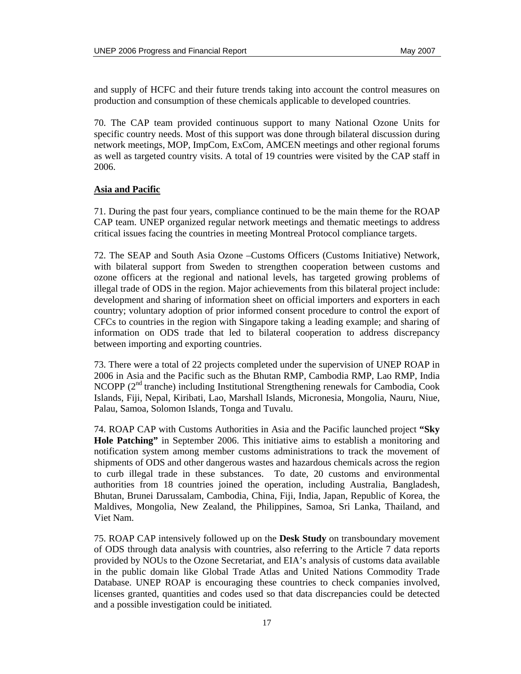and supply of HCFC and their future trends taking into account the control measures on production and consumption of these chemicals applicable to developed countries.

70. The CAP team provided continuous support to many National Ozone Units for specific country needs. Most of this support was done through bilateral discussion during network meetings, MOP, ImpCom, ExCom, AMCEN meetings and other regional forums as well as targeted country visits. A total of 19 countries were visited by the CAP staff in 2006.

#### **Asia and Pacific**

71. During the past four years, compliance continued to be the main theme for the ROAP CAP team. UNEP organized regular network meetings and thematic meetings to address critical issues facing the countries in meeting Montreal Protocol compliance targets.

72. The SEAP and South Asia Ozone –Customs Officers (Customs Initiative) Network, with bilateral support from Sweden to strengthen cooperation between customs and ozone officers at the regional and national levels, has targeted growing problems of illegal trade of ODS in the region. Major achievements from this bilateral project include: development and sharing of information sheet on official importers and exporters in each country; voluntary adoption of prior informed consent procedure to control the export of CFCs to countries in the region with Singapore taking a leading example; and sharing of information on ODS trade that led to bilateral cooperation to address discrepancy between importing and exporting countries.

73. There were a total of 22 projects completed under the supervision of UNEP ROAP in 2006 in Asia and the Pacific such as the Bhutan RMP, Cambodia RMP, Lao RMP, India NCOPP ( $2<sup>nd</sup>$  tranche) including Institutional Strengthening renewals for Cambodia, Cook Islands, Fiji, Nepal, Kiribati, Lao, Marshall Islands, Micronesia, Mongolia, Nauru, Niue, Palau, Samoa, Solomon Islands, Tonga and Tuvalu.

74. ROAP CAP with Customs Authorities in Asia and the Pacific launched project **"Sky Hole Patching"** in September 2006. This initiative aims to establish a monitoring and notification system among member customs administrations to track the movement of shipments of ODS and other dangerous wastes and hazardous chemicals across the region to curb illegal trade in these substances. To date, 20 customs and environmental authorities from 18 countries joined the operation, including Australia, Bangladesh, Bhutan, Brunei Darussalam, Cambodia, China, Fiji, India, Japan, Republic of Korea, the Maldives, Mongolia, New Zealand, the Philippines, Samoa, Sri Lanka, Thailand, and Viet Nam.

75. ROAP CAP intensively followed up on the **Desk Study** on transboundary movement of ODS through data analysis with countries, also referring to the Article 7 data reports provided by NOUs to the Ozone Secretariat, and EIA's analysis of customs data available in the public domain like Global Trade Atlas and United Nations Commodity Trade Database. UNEP ROAP is encouraging these countries to check companies involved, licenses granted, quantities and codes used so that data discrepancies could be detected and a possible investigation could be initiated.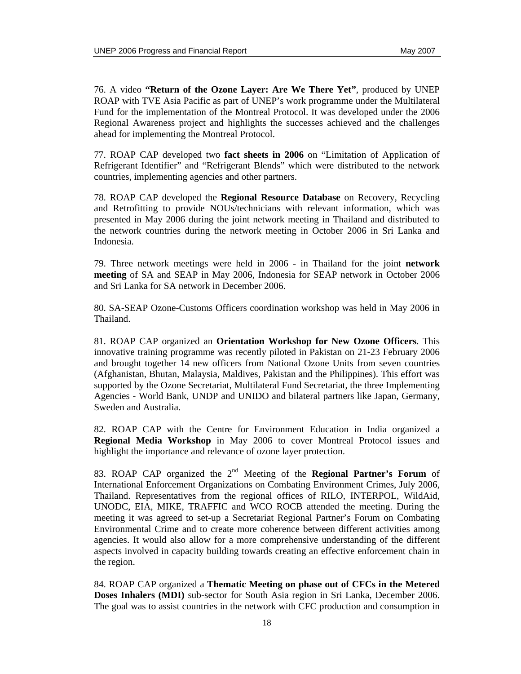76. A video **"Return of the Ozone Layer: Are We There Yet"**, produced by UNEP ROAP with TVE Asia Pacific as part of UNEP's work programme under the Multilateral Fund for the implementation of the Montreal Protocol. It was developed under the 2006 Regional Awareness project and highlights the successes achieved and the challenges ahead for implementing the Montreal Protocol.

77. ROAP CAP developed two **fact sheets in 2006** on "Limitation of Application of Refrigerant Identifier" and "Refrigerant Blends" which were distributed to the network countries, implementing agencies and other partners.

78. ROAP CAP developed the **Regional Resource Database** on Recovery, Recycling and Retrofitting to provide NOUs/technicians with relevant information, which was presented in May 2006 during the joint network meeting in Thailand and distributed to the network countries during the network meeting in October 2006 in Sri Lanka and Indonesia.

79. Three network meetings were held in 2006 - in Thailand for the joint **network meeting** of SA and SEAP in May 2006, Indonesia for SEAP network in October 2006 and Sri Lanka for SA network in December 2006.

80. SA-SEAP Ozone-Customs Officers coordination workshop was held in May 2006 in Thailand.

81. ROAP CAP organized an **Orientation Workshop for New Ozone Officers**. This innovative training programme was recently piloted in Pakistan on 21-23 February 2006 and brought together 14 new officers from National Ozone Units from seven countries (Afghanistan, Bhutan, Malaysia, Maldives, Pakistan and the Philippines). This effort was supported by the Ozone Secretariat, Multilateral Fund Secretariat, the three Implementing Agencies - World Bank, UNDP and UNIDO and bilateral partners like Japan, Germany, Sweden and Australia.

82. ROAP CAP with the Centre for Environment Education in India organized a **Regional Media Workshop** in May 2006 to cover Montreal Protocol issues and highlight the importance and relevance of ozone layer protection.

83. ROAP CAP organized the 2nd Meeting of the **Regional Partner's Forum** of International Enforcement Organizations on Combating Environment Crimes, July 2006, Thailand. Representatives from the regional offices of RILO, INTERPOL, WildAid, UNODC, EIA, MIKE, TRAFFIC and WCO ROCB attended the meeting. During the meeting it was agreed to set-up a Secretariat Regional Partner's Forum on Combating Environmental Crime and to create more coherence between different activities among agencies. It would also allow for a more comprehensive understanding of the different aspects involved in capacity building towards creating an effective enforcement chain in the region.

84. ROAP CAP organized a **Thematic Meeting on phase out of CFCs in the Metered Doses Inhalers (MDI)** sub-sector for South Asia region in Sri Lanka, December 2006. The goal was to assist countries in the network with CFC production and consumption in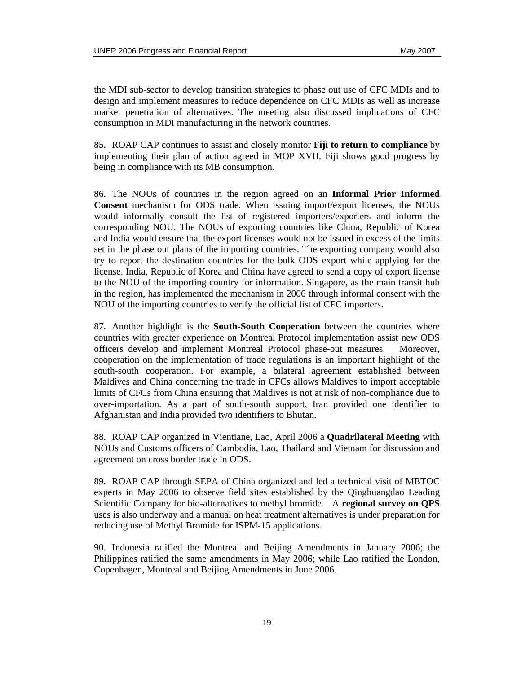the MDI sub-sector to develop transition strategies to phase out use of CFC MDIs and to design and implement measures to reduce dependence on CFC MDIs as well as increase market penetration of alternatives. The meeting also discussed implications of CFC consumption in MDI manufacturing in the network countries.

85. ROAP CAP continues to assist and closely monitor **Fiji to return to compliance** by implementing their plan of action agreed in MOP XVII. Fiji shows good progress by being in compliance with its MB consumption.

86. The NOUs of countries in the region agreed on an **Informal Prior Informed Consent** mechanism for ODS trade. When issuing import/export licenses, the NOUs would informally consult the list of registered importers/exporters and inform the corresponding NOU. The NOUs of exporting countries like China, Republic of Korea and India would ensure that the export licenses would not be issued in excess of the limits set in the phase out plans of the importing countries. The exporting company would also try to report the destination countries for the bulk ODS export while applying for the license. India, Republic of Korea and China have agreed to send a copy of export license to the NOU of the importing country for information. Singapore, as the main transit hub in the region, has implemented the mechanism in 2006 through informal consent with the NOU of the importing countries to verify the official list of CFC importers.

87. Another highlight is the **South-South Cooperation** between the countries where countries with greater experience on Montreal Protocol implementation assist new ODS officers develop and implement Montreal Protocol phase-out measures. Moreover, cooperation on the implementation of trade regulations is an important highlight of the south-south cooperation. For example, a bilateral agreement established between Maldives and China concerning the trade in CFCs allows Maldives to import acceptable limits of CFCs from China ensuring that Maldives is not at risk of non-compliance due to over-importation. As a part of south-south support, Iran provided one identifier to Afghanistan and India provided two identifiers to Bhutan.

88. ROAP CAP organized in Vientiane, Lao, April 2006 a **Quadrilateral Meeting** with NOUs and Customs officers of Cambodia, Lao, Thailand and Vietnam for discussion and agreement on cross border trade in ODS.

89. ROAP CAP through SEPA of China organized and led a technical visit of MBTOC experts in May 2006 to observe field sites established by the Qinghuangdao Leading Scientific Company for bio-alternatives to methyl bromide. A **regional survey on QPS** uses is also underway and a manual on heat treatment alternatives is under preparation for reducing use of Methyl Bromide for ISPM-15 applications.

90. Indonesia ratified the Montreal and Beijing Amendments in January 2006; the Philippines ratified the same amendments in May 2006; while Lao ratified the London, Copenhagen, Montreal and Beijing Amendments in June 2006.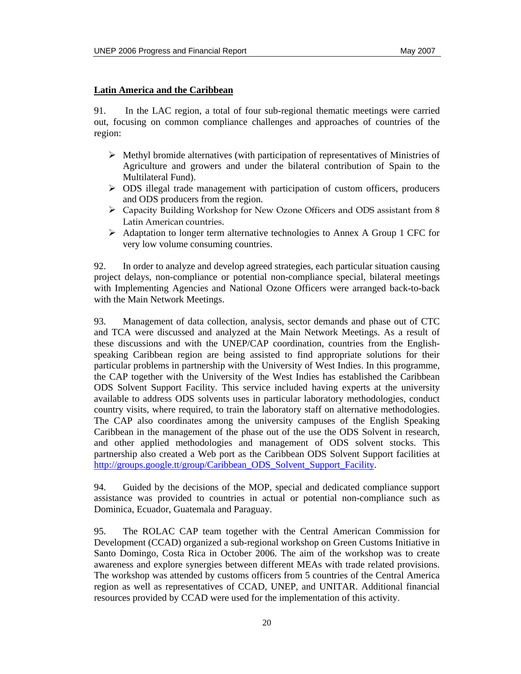### **Latin America and the Caribbean**

91. In the LAC region, a total of four sub-regional thematic meetings were carried out, focusing on common compliance challenges and approaches of countries of the region:

- $\triangleright$  Methyl bromide alternatives (with participation of representatives of Ministries of Agriculture and growers and under the bilateral contribution of Spain to the Multilateral Fund).
- $\triangleright$  ODS illegal trade management with participation of custom officers, producers and ODS producers from the region.
- ¾ Capacity Building Workshop for New Ozone Officers and ODS assistant from 8 Latin American countries.
- $\triangleright$  Adaptation to longer term alternative technologies to Annex A Group 1 CFC for very low volume consuming countries.

92. In order to analyze and develop agreed strategies, each particular situation causing project delays, non-compliance or potential non-compliance special, bilateral meetings with Implementing Agencies and National Ozone Officers were arranged back-to-back with the Main Network Meetings.

93. Management of data collection, analysis, sector demands and phase out of CTC and TCA were discussed and analyzed at the Main Network Meetings. As a result of these discussions and with the UNEP/CAP coordination, countries from the Englishspeaking Caribbean region are being assisted to find appropriate solutions for their particular problems in partnership with the University of West Indies. In this programme, the CAP together with the University of the West Indies has established the Caribbean ODS Solvent Support Facility. This service included having experts at the university available to address ODS solvents uses in particular laboratory methodologies, conduct country visits, where required, to train the laboratory staff on alternative methodologies. The CAP also coordinates among the university campuses of the English Speaking Caribbean in the management of the phase out of the use the ODS Solvent in research, and other applied methodologies and management of ODS solvent stocks. This partnership also created a Web port as the Caribbean ODS Solvent Support facilities at http://groups.google.tt/group/Caribbean\_ODS\_Solvent\_Support\_Facility.

94. Guided by the decisions of the MOP, special and dedicated compliance support assistance was provided to countries in actual or potential non-compliance such as Dominica, Ecuador, Guatemala and Paraguay.

95. The ROLAC CAP team together with the Central American Commission for Development (CCAD) organized a sub-regional workshop on Green Customs Initiative in Santo Domingo, Costa Rica in October 2006. The aim of the workshop was to create awareness and explore synergies between different MEAs with trade related provisions. The workshop was attended by customs officers from 5 countries of the Central America region as well as representatives of CCAD, UNEP, and UNITAR. Additional financial resources provided by CCAD were used for the implementation of this activity.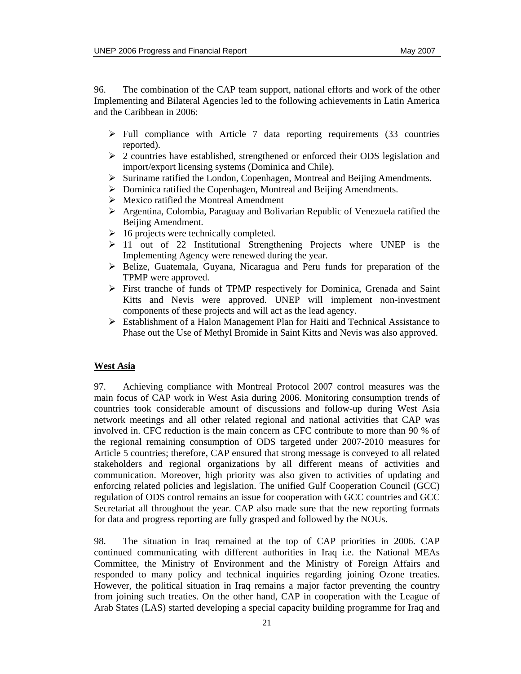96. The combination of the CAP team support, national efforts and work of the other Implementing and Bilateral Agencies led to the following achievements in Latin America and the Caribbean in 2006:

- $\triangleright$  Full compliance with Article 7 data reporting requirements (33 countries reported).
- $\geq$  2 countries have established, strengthened or enforced their ODS legislation and import/export licensing systems (Dominica and Chile).
- ¾ Suriname ratified the London, Copenhagen, Montreal and Beijing Amendments.
- ¾ Dominica ratified the Copenhagen, Montreal and Beijing Amendments.
- $\triangleright$  Mexico ratified the Montreal Amendment
- $\triangleright$  Argentina, Colombia, Paraguay and Bolivarian Republic of Venezuela ratified the Beijing Amendment.
- $\geq 16$  projects were technically completed.
- $\geq 11$  out of 22 Institutional Strengthening Projects where UNEP is the Implementing Agency were renewed during the year.
- ¾ Belize, Guatemala, Guyana, Nicaragua and Peru funds for preparation of the TPMP were approved.
- ¾ First tranche of funds of TPMP respectively for Dominica, Grenada and Saint Kitts and Nevis were approved. UNEP will implement non-investment components of these projects and will act as the lead agency.
- $\triangleright$  Establishment of a Halon Management Plan for Haiti and Technical Assistance to Phase out the Use of Methyl Bromide in Saint Kitts and Nevis was also approved.

### **West Asia**

97. Achieving compliance with Montreal Protocol 2007 control measures was the main focus of CAP work in West Asia during 2006. Monitoring consumption trends of countries took considerable amount of discussions and follow-up during West Asia network meetings and all other related regional and national activities that CAP was involved in. CFC reduction is the main concern as CFC contribute to more than 90 % of the regional remaining consumption of ODS targeted under 2007-2010 measures for Article 5 countries; therefore, CAP ensured that strong message is conveyed to all related stakeholders and regional organizations by all different means of activities and communication. Moreover, high priority was also given to activities of updating and enforcing related policies and legislation. The unified Gulf Cooperation Council (GCC) regulation of ODS control remains an issue for cooperation with GCC countries and GCC Secretariat all throughout the year. CAP also made sure that the new reporting formats for data and progress reporting are fully grasped and followed by the NOUs.

98. The situation in Iraq remained at the top of CAP priorities in 2006. CAP continued communicating with different authorities in Iraq i.e. the National MEAs Committee, the Ministry of Environment and the Ministry of Foreign Affairs and responded to many policy and technical inquiries regarding joining Ozone treaties. However, the political situation in Iraq remains a major factor preventing the country from joining such treaties. On the other hand, CAP in cooperation with the League of Arab States (LAS) started developing a special capacity building programme for Iraq and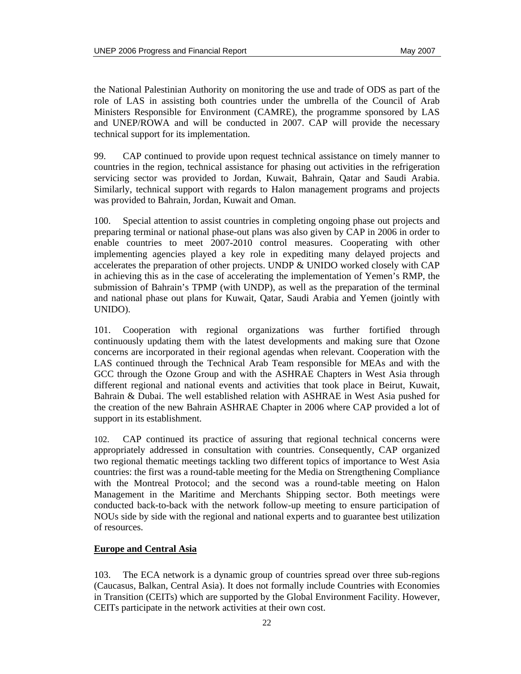the National Palestinian Authority on monitoring the use and trade of ODS as part of the role of LAS in assisting both countries under the umbrella of the Council of Arab Ministers Responsible for Environment (CAMRE), the programme sponsored by LAS and UNEP/ROWA and will be conducted in 2007. CAP will provide the necessary technical support for its implementation.

99. CAP continued to provide upon request technical assistance on timely manner to countries in the region, technical assistance for phasing out activities in the refrigeration servicing sector was provided to Jordan, Kuwait, Bahrain, Qatar and Saudi Arabia. Similarly, technical support with regards to Halon management programs and projects was provided to Bahrain, Jordan, Kuwait and Oman.

100. Special attention to assist countries in completing ongoing phase out projects and preparing terminal or national phase-out plans was also given by CAP in 2006 in order to enable countries to meet 2007-2010 control measures. Cooperating with other implementing agencies played a key role in expediting many delayed projects and accelerates the preparation of other projects. UNDP & UNIDO worked closely with CAP in achieving this as in the case of accelerating the implementation of Yemen's RMP, the submission of Bahrain's TPMP (with UNDP), as well as the preparation of the terminal and national phase out plans for Kuwait, Qatar, Saudi Arabia and Yemen (jointly with UNIDO).

101. Cooperation with regional organizations was further fortified through continuously updating them with the latest developments and making sure that Ozone concerns are incorporated in their regional agendas when relevant. Cooperation with the LAS continued through the Technical Arab Team responsible for MEAs and with the GCC through the Ozone Group and with the ASHRAE Chapters in West Asia through different regional and national events and activities that took place in Beirut, Kuwait, Bahrain & Dubai. The well established relation with ASHRAE in West Asia pushed for the creation of the new Bahrain ASHRAE Chapter in 2006 where CAP provided a lot of support in its establishment.

102. CAP continued its practice of assuring that regional technical concerns were appropriately addressed in consultation with countries. Consequently, CAP organized two regional thematic meetings tackling two different topics of importance to West Asia countries: the first was a round-table meeting for the Media on Strengthening Compliance with the Montreal Protocol; and the second was a round-table meeting on Halon Management in the Maritime and Merchants Shipping sector. Both meetings were conducted back-to-back with the network follow-up meeting to ensure participation of NOUs side by side with the regional and national experts and to guarantee best utilization of resources.

### **Europe and Central Asia**

103. The ECA network is a dynamic group of countries spread over three sub-regions (Caucasus, Balkan, Central Asia). It does not formally include Countries with Economies in Transition (CEITs) which are supported by the Global Environment Facility. However, CEITs participate in the network activities at their own cost.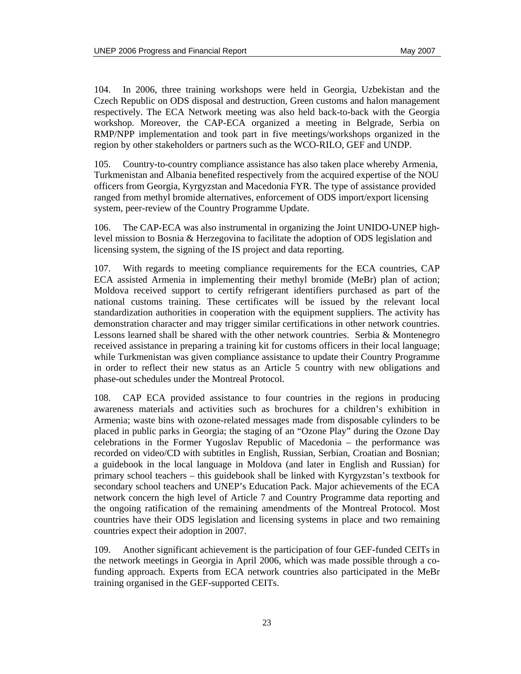104. In 2006, three training workshops were held in Georgia, Uzbekistan and the Czech Republic on ODS disposal and destruction, Green customs and halon management respectively. The ECA Network meeting was also held back-to-back with the Georgia workshop. Moreover, the CAP-ECA organized a meeting in Belgrade, Serbia on RMP/NPP implementation and took part in five meetings/workshops organized in the region by other stakeholders or partners such as the WCO-RILO, GEF and UNDP.

105. Country-to-country compliance assistance has also taken place whereby Armenia, Turkmenistan and Albania benefited respectively from the acquired expertise of the NOU officers from Georgia, Kyrgyzstan and Macedonia FYR. The type of assistance provided ranged from methyl bromide alternatives, enforcement of ODS import/export licensing system, peer-review of the Country Programme Update.

The CAP-ECA was also instrumental in organizing the Joint UNIDO-UNEP highlevel mission to Bosnia & Herzegovina to facilitate the adoption of ODS legislation and licensing system, the signing of the IS project and data reporting.

107. With regards to meeting compliance requirements for the ECA countries, CAP ECA assisted Armenia in implementing their methyl bromide (MeBr) plan of action; Moldova received support to certify refrigerant identifiers purchased as part of the national customs training. These certificates will be issued by the relevant local standardization authorities in cooperation with the equipment suppliers. The activity has demonstration character and may trigger similar certifications in other network countries. Lessons learned shall be shared with the other network countries. Serbia & Montenegro received assistance in preparing a training kit for customs officers in their local language; while Turkmenistan was given compliance assistance to update their Country Programme in order to reflect their new status as an Article 5 country with new obligations and phase-out schedules under the Montreal Protocol.

108. CAP ECA provided assistance to four countries in the regions in producing awareness materials and activities such as brochures for a children's exhibition in Armenia; waste bins with ozone-related messages made from disposable cylinders to be placed in public parks in Georgia; the staging of an "Ozone Play" during the Ozone Day celebrations in the Former Yugoslav Republic of Macedonia – the performance was recorded on video/CD with subtitles in English, Russian, Serbian, Croatian and Bosnian; a guidebook in the local language in Moldova (and later in English and Russian) for primary school teachers – this guidebook shall be linked with Kyrgyzstan's textbook for secondary school teachers and UNEP's Education Pack. Major achievements of the ECA network concern the high level of Article 7 and Country Programme data reporting and the ongoing ratification of the remaining amendments of the Montreal Protocol. Most countries have their ODS legislation and licensing systems in place and two remaining countries expect their adoption in 2007.

109. Another significant achievement is the participation of four GEF-funded CEITs in the network meetings in Georgia in April 2006, which was made possible through a cofunding approach. Experts from ECA network countries also participated in the MeBr training organised in the GEF-supported CEITs.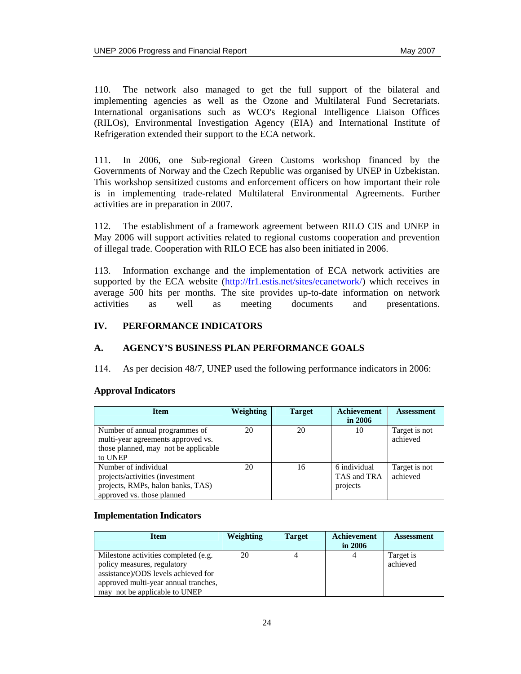110. The network also managed to get the full support of the bilateral and implementing agencies as well as the Ozone and Multilateral Fund Secretariats. International organisations such as WCO's Regional Intelligence Liaison Offices (RILOs), Environmental Investigation Agency (EIA) and International Institute of Refrigeration extended their support to the ECA network.

111. In 2006, one Sub-regional Green Customs workshop financed by the Governments of Norway and the Czech Republic was organised by UNEP in Uzbekistan. This workshop sensitized customs and enforcement officers on how important their role is in implementing trade-related Multilateral Environmental Agreements. Further activities are in preparation in 2007.

112. The establishment of a framework agreement between RILO CIS and UNEP in May 2006 will support activities related to regional customs cooperation and prevention of illegal trade. Cooperation with RILO ECE has also been initiated in 2006.

113. Information exchange and the implementation of ECA network activities are supported by the ECA website (http://fr1.estis.net/sites/ecanetwork/) which receives in average 500 hits per months. The site provides up-to-date information on network activities as well as meeting documents and presentations.

### **IV. PERFORMANCE INDICATORS**

### **A. AGENCY'S BUSINESS PLAN PERFORMANCE GOALS**

114. As per decision 48/7, UNEP used the following performance indicators in 2006:

### **Approval Indicators**

| <b>Item</b>                                                                                                                | <b>Weighting</b> | <b>Target</b> | <b>Achievement</b><br>in $2006$         | <b>Assessment</b>         |
|----------------------------------------------------------------------------------------------------------------------------|------------------|---------------|-----------------------------------------|---------------------------|
| Number of annual programmes of<br>multi-year agreements approved vs.<br>those planned, may not be applicable<br>to UNEP    | 20               | 20            | 10                                      | Target is not<br>achieved |
| Number of individual<br>projects/activities (investment<br>projects, RMPs, halon banks, TAS)<br>approved vs. those planned | 20               | 16            | 6 individual<br>TAS and TRA<br>projects | Target is not<br>achieved |

### **Implementation Indicators**

| <b>Item</b>                          | <b>Weighting</b> | <b>Target</b> | Achievement | <b>Assessment</b> |
|--------------------------------------|------------------|---------------|-------------|-------------------|
|                                      |                  |               | in $2006$   |                   |
| Milestone activities completed (e.g. | 20               |               |             | Target is         |
| policy measures, regulatory          |                  |               |             | achieved          |
| assistance)/ODS levels achieved for  |                  |               |             |                   |
| approved multi-year annual tranches, |                  |               |             |                   |
| not be applicable to UNEP<br>may     |                  |               |             |                   |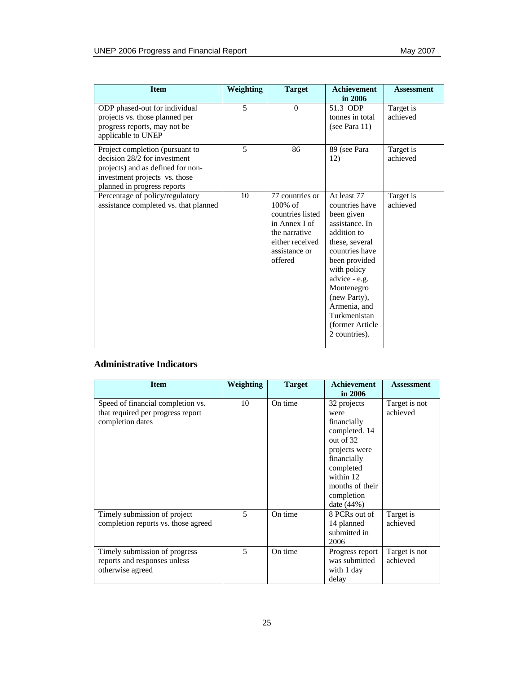| <b>Item</b>                                                                                                                                                          | Weighting | <b>Target</b>                                                                                                                      | <b>Achievement</b><br>in 2006                                                                                                                                                                                                                                        | <b>Assessment</b>     |
|----------------------------------------------------------------------------------------------------------------------------------------------------------------------|-----------|------------------------------------------------------------------------------------------------------------------------------------|----------------------------------------------------------------------------------------------------------------------------------------------------------------------------------------------------------------------------------------------------------------------|-----------------------|
| ODP phased-out for individual<br>projects vs. those planned per<br>progress reports, may not be<br>applicable to UNEP                                                | 5         | $\theta$                                                                                                                           | 51.3 ODP<br>tonnes in total<br>(see Para $11$ )                                                                                                                                                                                                                      | Target is<br>achieved |
| Project completion (pursuant to<br>decision 28/2 for investment<br>projects) and as defined for non-<br>investment projects vs. those<br>planned in progress reports | 5         | 86                                                                                                                                 | 89 (see Para<br>12)                                                                                                                                                                                                                                                  | Target is<br>achieved |
| Percentage of policy/regulatory<br>assistance completed vs. that planned                                                                                             | 10        | 77 countries or<br>$100\%$ of<br>countries listed<br>in Annex I of<br>the narrative<br>either received<br>assistance or<br>offered | At least 77<br>countries have<br>been given<br>assistance. In<br>addition to<br>these, several<br>countries have<br>been provided<br>with policy<br>advice - e.g.<br>Montenegro<br>(new Party),<br>Armenia, and<br>Turkmenistan<br>(former Article)<br>2 countries). | Target is<br>achieved |

## **Administrative Indicators**

| <b>Item</b>                                                                                | Weighting                | <b>Target</b> | <b>Achievement</b><br>in $2006$                                                                                                                                               | <b>Assessment</b>         |
|--------------------------------------------------------------------------------------------|--------------------------|---------------|-------------------------------------------------------------------------------------------------------------------------------------------------------------------------------|---------------------------|
| Speed of financial completion vs.<br>that required per progress report<br>completion dates | 10                       | On time       | 32 projects<br>were<br>financially<br>completed. 14<br>out of $32$<br>projects were<br>financially<br>completed<br>within 12<br>months of their<br>completion<br>date $(44%)$ | Target is not<br>achieved |
| Timely submission of project<br>completion reports vs. those agreed                        | $\overline{\phantom{0}}$ | On time       | 8 PCRs out of<br>14 planned<br>submitted in<br>2006                                                                                                                           | Target is<br>achieved     |
| Timely submission of progress<br>reports and responses unless<br>otherwise agreed          | 5                        | On time       | Progress report<br>was submitted<br>with 1 day<br>delay                                                                                                                       | Target is not<br>achieved |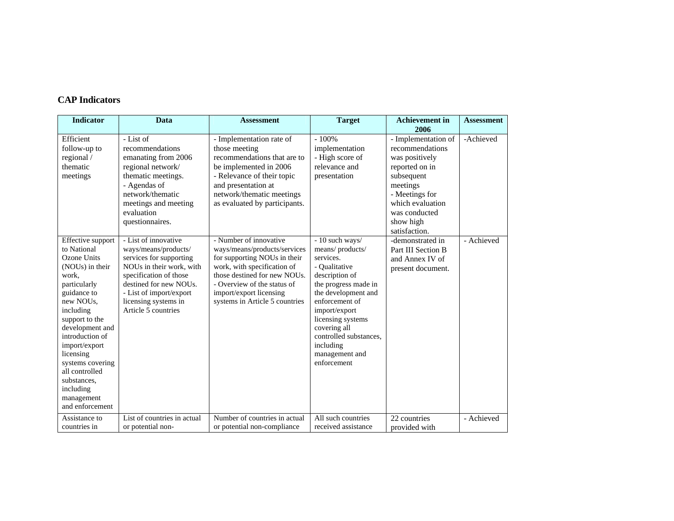### **CAP Indicators**

| <b>Indicator</b>                                                                                                                                                                                                                                                                                                                           | Data                                                                                                                                                                                                                              | <b>Assessment</b>                                                                                                                                                                                                                                 | <b>Target</b>                                                                                                                                                                                                                                                                     | <b>Achievement in</b><br>2006                                                                                                                                                             | <b>Assessment</b> |
|--------------------------------------------------------------------------------------------------------------------------------------------------------------------------------------------------------------------------------------------------------------------------------------------------------------------------------------------|-----------------------------------------------------------------------------------------------------------------------------------------------------------------------------------------------------------------------------------|---------------------------------------------------------------------------------------------------------------------------------------------------------------------------------------------------------------------------------------------------|-----------------------------------------------------------------------------------------------------------------------------------------------------------------------------------------------------------------------------------------------------------------------------------|-------------------------------------------------------------------------------------------------------------------------------------------------------------------------------------------|-------------------|
| Efficient<br>follow-up to<br>regional /<br>thematic<br>meetings                                                                                                                                                                                                                                                                            | - List of<br>recommendations<br>emanating from 2006<br>regional network/<br>thematic meetings.<br>- Agendas of<br>network/thematic<br>meetings and meeting<br>evaluation<br>questionnaires.                                       | - Implementation rate of<br>those meeting<br>recommendations that are to<br>be implemented in 2006<br>- Relevance of their topic<br>and presentation at<br>network/thematic meetings<br>as evaluated by participants.                             | $-100%$<br>implementation<br>- High score of<br>relevance and<br>presentation                                                                                                                                                                                                     | - Implementation of<br>recommendations<br>was positively<br>reported on in<br>subsequent<br>meetings<br>- Meetings for<br>which evaluation<br>was conducted<br>show high<br>satisfaction. | -Achieved         |
| Effective support<br>to National<br>Ozone Units<br>(NOU <sub>s</sub> ) in their<br>work,<br>particularly<br>guidance to<br>new NOUs,<br>including<br>support to the<br>development and<br>introduction of<br>import/export<br>licensing<br>systems covering<br>all controlled<br>substances,<br>including<br>management<br>and enforcement | - List of innovative<br>ways/means/products/<br>services for supporting<br>NOUs in their work, with<br>specification of those<br>destined for new NOUs.<br>- List of import/export<br>licensing systems in<br>Article 5 countries | - Number of innovative<br>ways/means/products/services<br>for supporting NOUs in their<br>work, with specification of<br>those destined for new NOUs.<br>- Overview of the status of<br>import/export licensing<br>systems in Article 5 countries | - 10 such ways/<br>means/products/<br>services.<br>- Qualitative<br>description of<br>the progress made in<br>the development and<br>enforcement of<br>import/export<br>licensing systems<br>covering all<br>controlled substances,<br>including<br>management and<br>enforcement | -demonstrated in<br>Part III Section B<br>and Annex IV of<br>present document.                                                                                                            | - Achieved        |
| Assistance to<br>countries in                                                                                                                                                                                                                                                                                                              | List of countries in actual<br>or potential non-                                                                                                                                                                                  | Number of countries in actual<br>or potential non-compliance                                                                                                                                                                                      | All such countries<br>received assistance                                                                                                                                                                                                                                         | 22 countries<br>provided with                                                                                                                                                             | - Achieved        |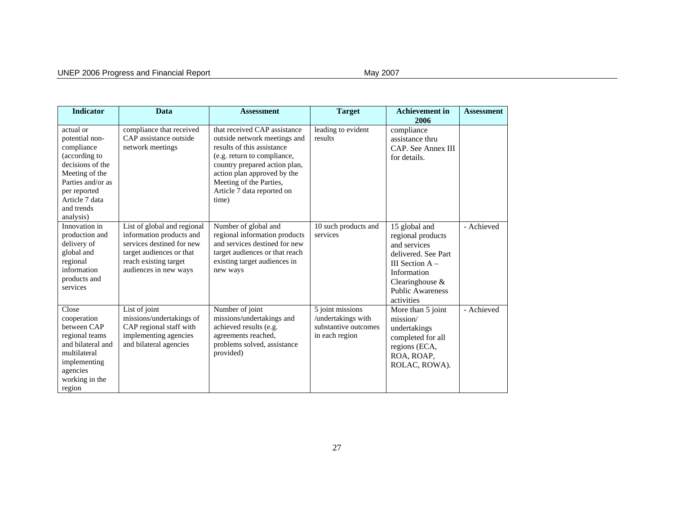| <b>Indicator</b>                                                                                                                                                                   | Data                                                                                                                                                               | <b>Assessment</b>                                                                                                                                                                                                                                           | <b>Target</b>                                                                    | <b>Achievement in</b><br>2006                                                                                                                                                | <b>Assessment</b> |
|------------------------------------------------------------------------------------------------------------------------------------------------------------------------------------|--------------------------------------------------------------------------------------------------------------------------------------------------------------------|-------------------------------------------------------------------------------------------------------------------------------------------------------------------------------------------------------------------------------------------------------------|----------------------------------------------------------------------------------|------------------------------------------------------------------------------------------------------------------------------------------------------------------------------|-------------------|
| actual or<br>potential non-<br>compliance<br>(according to<br>decisions of the<br>Meeting of the<br>Parties and/or as<br>per reported<br>Article 7 data<br>and trends<br>analysis) | compliance that received<br>CAP assistance outside<br>network meetings                                                                                             | that received CAP assistance<br>outside network meetings and<br>results of this assistance<br>(e.g. return to compliance,<br>country prepared action plan,<br>action plan approved by the<br>Meeting of the Parties,<br>Article 7 data reported on<br>time) | leading to evident<br>results                                                    | compliance<br>assistance thru<br>CAP. See Annex III<br>for details.                                                                                                          |                   |
| Innovation in<br>production and<br>delivery of<br>global and<br>regional<br>information<br>products and<br>services                                                                | List of global and regional<br>information products and<br>services destined for new<br>target audiences or that<br>reach existing target<br>audiences in new ways | Number of global and<br>regional information products<br>and services destined for new<br>target audiences or that reach<br>existing target audiences in<br>new ways                                                                                        | 10 such products and<br>services                                                 | 15 global and<br>regional products<br>and services<br>delivered. See Part<br>III Section $A -$<br>Information<br>Clearinghouse $\&$<br><b>Public Awareness</b><br>activities | - Achieved        |
| Close<br>cooperation<br>between CAP<br>regional teams<br>and bilateral and<br>multilateral<br>implementing<br>agencies<br>working in the<br>region                                 | List of joint<br>missions/undertakings of<br>CAP regional staff with<br>implementing agencies<br>and bilateral agencies                                            | Number of joint<br>missions/undertakings and<br>achieved results (e.g.<br>agreements reached,<br>problems solved, assistance<br>provided)                                                                                                                   | 5 joint missions<br>/undertakings with<br>substantive outcomes<br>in each region | More than 5 joint<br>mission/<br>undertakings<br>completed for all<br>regions (ECA,<br>ROA, ROAP,<br>ROLAC, ROWA).                                                           | - Achieved        |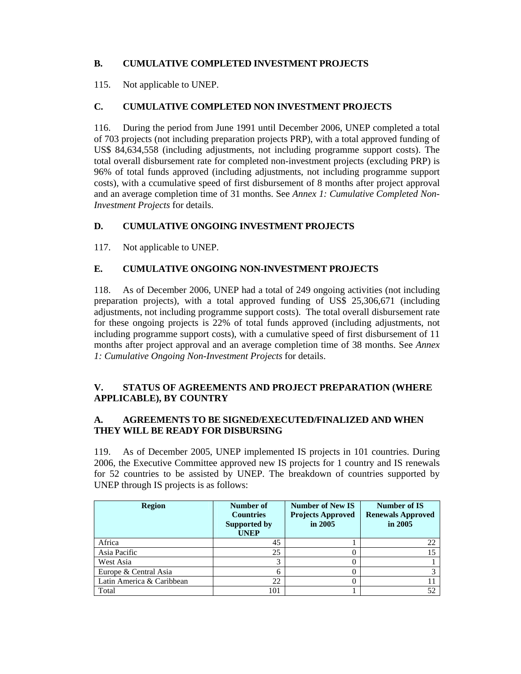# **B. CUMULATIVE COMPLETED INVESTMENT PROJECTS**

115. Not applicable to UNEP.

### **C. CUMULATIVE COMPLETED NON INVESTMENT PROJECTS**

116. During the period from June 1991 until December 2006, UNEP completed a total of 703 projects (not including preparation projects PRP), with a total approved funding of US\$ 84,634,558 (including adjustments, not including programme support costs). The total overall disbursement rate for completed non-investment projects (excluding PRP) is 96% of total funds approved (including adjustments, not including programme support costs), with a ccumulative speed of first disbursement of 8 months after project approval and an average completion time of 31 months. See *Annex 1: Cumulative Completed Non-Investment Projects* for details.

# **D. CUMULATIVE ONGOING INVESTMENT PROJECTS**

117. Not applicable to UNEP.

## **E. CUMULATIVE ONGOING NON-INVESTMENT PROJECTS**

118. As of December 2006, UNEP had a total of 249 ongoing activities (not including preparation projects), with a total approved funding of US\$ 25,306,671 (including adjustments, not including programme support costs). The total overall disbursement rate for these ongoing projects is 22% of total funds approved (including adjustments, not including programme support costs), with a cumulative speed of first disbursement of 11 months after project approval and an average completion time of 38 months. See *Annex 1: Cumulative Ongoing Non-Investment Projects* for details.

### **V. STATUS OF AGREEMENTS AND PROJECT PREPARATION (WHERE APPLICABLE), BY COUNTRY**

## **A. AGREEMENTS TO BE SIGNED/EXECUTED/FINALIZED AND WHEN THEY WILL BE READY FOR DISBURSING**

119. As of December 2005, UNEP implemented IS projects in 101 countries. During 2006, the Executive Committee approved new IS projects for 1 country and IS renewals for 52 countries to be assisted by UNEP. The breakdown of countries supported by UNEP through IS projects is as follows:

| <b>Region</b>             | Number of<br><b>Countries</b><br>Supported by<br><b>UNEP</b> | <b>Number of New IS</b><br><b>Projects Approved</b><br>in 2005 | Number of IS<br><b>Renewals Approved</b><br>in 2005 |
|---------------------------|--------------------------------------------------------------|----------------------------------------------------------------|-----------------------------------------------------|
| Africa                    | 45                                                           |                                                                | 22                                                  |
| Asia Pacific              | 25                                                           |                                                                |                                                     |
| West Asia                 | 3                                                            | $\left( \right)$                                               |                                                     |
| Europe & Central Asia     | h.                                                           | 0                                                              |                                                     |
| Latin America & Caribbean | 22                                                           | 0                                                              | $\mathbf{I}$                                        |
| Total                     | 101                                                          |                                                                | 52                                                  |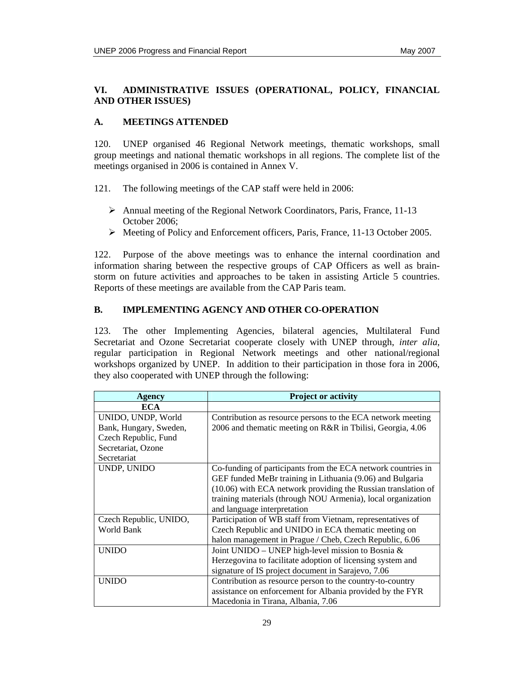### **VI. ADMINISTRATIVE ISSUES (OPERATIONAL, POLICY, FINANCIAL AND OTHER ISSUES)**

### **A. MEETINGS ATTENDED**

120. UNEP organised 46 Regional Network meetings, thematic workshops, small group meetings and national thematic workshops in all regions. The complete list of the meetings organised in 2006 is contained in Annex V.

- 121. The following meetings of the CAP staff were held in 2006:
	- ¾ Annual meeting of the Regional Network Coordinators, Paris, France, 11-13 October 2006;
	- ¾ Meeting of Policy and Enforcement officers, Paris, France, 11-13 October 2005.

122. Purpose of the above meetings was to enhance the internal coordination and information sharing between the respective groups of CAP Officers as well as brainstorm on future activities and approaches to be taken in assisting Article 5 countries. Reports of these meetings are available from the CAP Paris team.

### **B. IMPLEMENTING AGENCY AND OTHER CO-OPERATION**

123. The other Implementing Agencies, bilateral agencies, Multilateral Fund Secretariat and Ozone Secretariat cooperate closely with UNEP through, *inter alia*, regular participation in Regional Network meetings and other national/regional workshops organized by UNEP. In addition to their participation in those fora in 2006, they also cooperated with UNEP through the following:

| Agency                 | <b>Project or activity</b>                                    |
|------------------------|---------------------------------------------------------------|
| <b>ECA</b>             |                                                               |
| UNIDO, UNDP, World     | Contribution as resource persons to the ECA network meeting   |
| Bank, Hungary, Sweden, | 2006 and thematic meeting on R&R in Tbilisi, Georgia, 4.06    |
| Czech Republic, Fund   |                                                               |
| Secretariat, Ozone     |                                                               |
| Secretariat            |                                                               |
| UNDP, UNIDO            | Co-funding of participants from the ECA network countries in  |
|                        | GEF funded MeBr training in Lithuania (9.06) and Bulgaria     |
|                        | (10.06) with ECA network providing the Russian translation of |
|                        | training materials (through NOU Armenia), local organization  |
|                        | and language interpretation                                   |
| Czech Republic, UNIDO, | Participation of WB staff from Vietnam, representatives of    |
| World Bank             | Czech Republic and UNIDO in ECA thematic meeting on           |
|                        | halon management in Prague / Cheb, Czech Republic, 6.06       |
| <b>UNIDO</b>           | Joint UNIDO - UNEP high-level mission to Bosnia &             |
|                        | Herzegovina to facilitate adoption of licensing system and    |
|                        | signature of IS project document in Sarajevo, 7.06            |
| <b>UNIDO</b>           | Contribution as resource person to the country-to-country     |
|                        | assistance on enforcement for Albania provided by the FYR     |
|                        | Macedonia in Tirana, Albania, 7.06                            |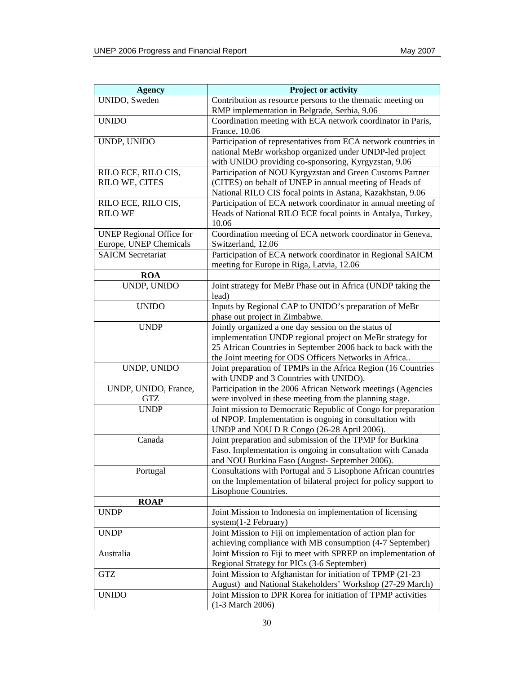| <b>Agency</b>                                             | <b>Project or activity</b>                                                                                                                                                                                                                 |
|-----------------------------------------------------------|--------------------------------------------------------------------------------------------------------------------------------------------------------------------------------------------------------------------------------------------|
| UNIDO, Sweden                                             | Contribution as resource persons to the thematic meeting on<br>RMP implementation in Belgrade, Serbia, 9.06                                                                                                                                |
| <b>UNIDO</b>                                              | Coordination meeting with ECA network coordinator in Paris,<br>France, 10.06                                                                                                                                                               |
| UNDP, UNIDO                                               | Participation of representatives from ECA network countries in<br>national MeBr workshop organized under UNDP-led project<br>with UNIDO providing co-sponsoring, Kyrgyzstan, 9.06                                                          |
| RILO ECE, RILO CIS,<br>RILO WE, CITES                     | Participation of NOU Kyrgyzstan and Green Customs Partner<br>(CITES) on behalf of UNEP in annual meeting of Heads of<br>National RILO CIS focal points in Astana, Kazakhstan, 9.06                                                         |
| RILO ECE, RILO CIS,<br><b>RILO WE</b>                     | Participation of ECA network coordinator in annual meeting of<br>Heads of National RILO ECE focal points in Antalya, Turkey,<br>10.06                                                                                                      |
| <b>UNEP Regional Office for</b><br>Europe, UNEP Chemicals | Coordination meeting of ECA network coordinator in Geneva,<br>Switzerland, 12.06                                                                                                                                                           |
| <b>SAICM Secretariat</b>                                  | Participation of ECA network coordinator in Regional SAICM<br>meeting for Europe in Riga, Latvia, 12.06                                                                                                                                    |
| <b>ROA</b>                                                |                                                                                                                                                                                                                                            |
| UNDP, UNIDO                                               | Joint strategy for MeBr Phase out in Africa (UNDP taking the<br>lead)                                                                                                                                                                      |
| <b>UNIDO</b>                                              | Inputs by Regional CAP to UNIDO's preparation of MeBr<br>phase out project in Zimbabwe.                                                                                                                                                    |
| <b>UNDP</b>                                               | Jointly organized a one day session on the status of<br>implementation UNDP regional project on MeBr strategy for<br>25 African Countries in September 2006 back to back with the<br>the Joint meeting for ODS Officers Networks in Africa |
| UNDP, UNIDO                                               | Joint preparation of TPMPs in the Africa Region (16 Countries<br>with UNDP and 3 Countries with UNIDO).                                                                                                                                    |
| UNDP, UNIDO, France,<br><b>GTZ</b>                        | Participation in the 2006 African Network meetings (Agencies<br>were involved in these meeting from the planning stage.                                                                                                                    |
| <b>UNDP</b>                                               | Joint mission to Democratic Republic of Congo for preparation<br>of NPOP. Implementation is ongoing in consultation with<br>UNDP and NOU D R Congo (26-28 April 2006).                                                                     |
| Canada                                                    | Joint preparation and submission of the TPMP for Burkina<br>Faso. Implementation is ongoing in consultation with Canada<br>and NOU Burkina Faso (August- September 2006).                                                                  |
| Portugal                                                  | Consultations with Portugal and 5 Lisophone African countries<br>on the Implementation of bilateral project for policy support to<br>Lisophone Countries.                                                                                  |
| <b>ROAP</b>                                               |                                                                                                                                                                                                                                            |
| <b>UNDP</b>                                               | Joint Mission to Indonesia on implementation of licensing<br>$system(1-2 February)$                                                                                                                                                        |
| <b>UNDP</b>                                               | Joint Mission to Fiji on implementation of action plan for<br>achieving compliance with MB consumption (4-7 September)                                                                                                                     |
| Australia                                                 | Joint Mission to Fiji to meet with SPREP on implementation of<br>Regional Strategy for PICs (3-6 September)                                                                                                                                |
| <b>GTZ</b>                                                | Joint Mission to Afghanistan for initiation of TPMP (21-23)<br>August) and National Stakeholders' Workshop (27-29 March)                                                                                                                   |
| <b>UNIDO</b>                                              | Joint Mission to DPR Korea for initiation of TPMP activities<br>(1-3 March 2006)                                                                                                                                                           |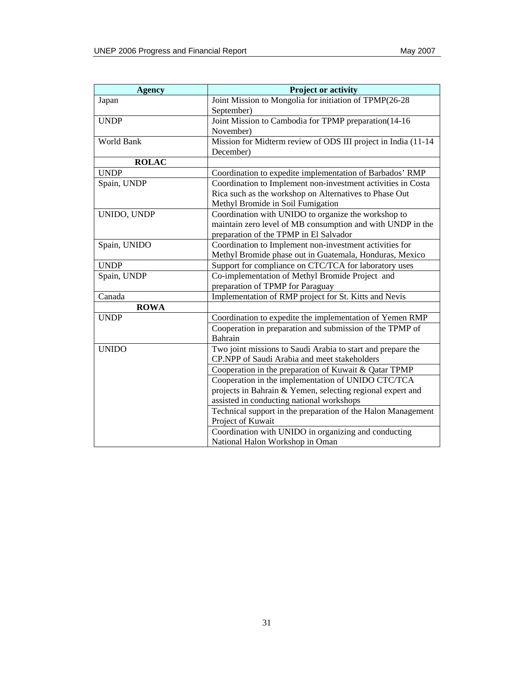| <b>Agency</b> | <b>Project or activity</b>                                    |
|---------------|---------------------------------------------------------------|
| Japan         | Joint Mission to Mongolia for initiation of TPMP(26-28        |
|               | September)                                                    |
| <b>UNDP</b>   | Joint Mission to Cambodia for TPMP preparation(14-16)         |
|               | November)                                                     |
| World Bank    | Mission for Midterm review of ODS III project in India (11-14 |
|               | December)                                                     |
| <b>ROLAC</b>  |                                                               |
| <b>UNDP</b>   | Coordination to expedite implementation of Barbados' RMP      |
| Spain, UNDP   | Coordination to Implement non-investment activities in Costa  |
|               | Rica such as the workshop on Alternatives to Phase Out        |
|               | Methyl Bromide in Soil Fumigation                             |
| UNIDO, UNDP   | Coordination with UNIDO to organize the workshop to           |
|               | maintain zero level of MB consumption and with UNDP in the    |
|               | preparation of the TPMP in El Salvador                        |
| Spain, UNIDO  | Coordination to Implement non-investment activities for       |
|               | Methyl Bromide phase out in Guatemala, Honduras, Mexico       |
| <b>UNDP</b>   | Support for compliance on CTC/TCA for laboratory uses         |
| Spain, UNDP   | Co-implementation of Methyl Bromide Project and               |
|               | preparation of TPMP for Paraguay                              |
| Canada        | Implementation of RMP project for St. Kitts and Nevis         |
| <b>ROWA</b>   |                                                               |
| <b>UNDP</b>   | Coordination to expedite the implementation of Yemen RMP      |
|               | Cooperation in preparation and submission of the TPMP of      |
|               | <b>Bahrain</b>                                                |
| <b>UNIDO</b>  | Two joint missions to Saudi Arabia to start and prepare the   |
|               | CP.NPP of Saudi Arabia and meet stakeholders                  |
|               | Cooperation in the preparation of Kuwait & Qatar TPMP         |
|               | Cooperation in the implementation of UNIDO CTC/TCA            |
|               | projects in Bahrain & Yemen, selecting regional expert and    |
|               | assisted in conducting national workshops                     |
|               | Technical support in the preparation of the Halon Management  |
|               | Project of Kuwait                                             |
|               | Coordination with UNIDO in organizing and conducting          |
|               | National Halon Workshop in Oman                               |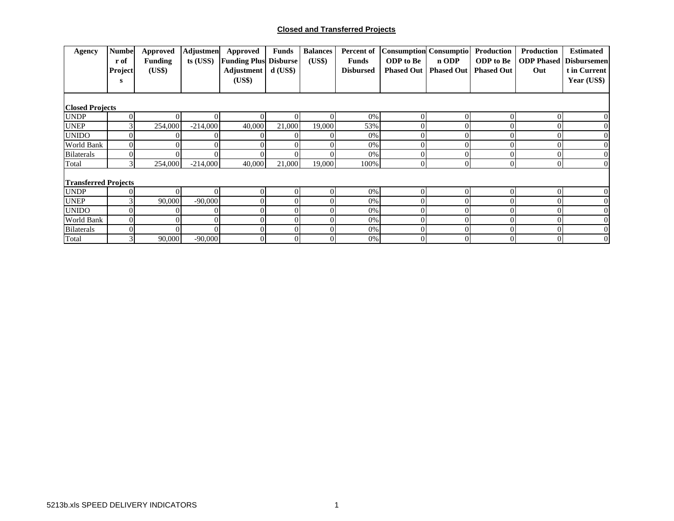### **Closed and Transferred Projects**

| Agency                      | <b>Numbel</b><br>r of<br>Project<br>s | <b>Approved</b><br><b>Funding</b><br>(US\$) | <b>Adjustmen</b><br>ts (USS) | Approved<br><b>Funding Plus Disburse</b><br>Adjustment<br>(US\$) | <b>Funds</b><br>$d$ (US\$) | <b>Balances</b><br>(US\$) | Percent of<br><b>Funds</b><br><b>Disbursed</b> | <b>Consumption Consumptio</b><br><b>ODP</b> to Be<br><b>Phased Out</b> | n ODP<br><b>Phased Out</b> | Production<br><b>ODP</b> to Be<br><b>Phased Out</b> | <b>Production</b><br>Out | <b>Estimated</b><br><b>ODP Phased Disbursemen</b><br>t in Current<br>Year (US\$) |
|-----------------------------|---------------------------------------|---------------------------------------------|------------------------------|------------------------------------------------------------------|----------------------------|---------------------------|------------------------------------------------|------------------------------------------------------------------------|----------------------------|-----------------------------------------------------|--------------------------|----------------------------------------------------------------------------------|
| <b>Closed Projects</b>      |                                       |                                             |                              |                                                                  |                            |                           |                                                |                                                                        |                            |                                                     |                          |                                                                                  |
| <b>UNDP</b>                 |                                       |                                             |                              | 0                                                                | ΩI                         |                           | 0%                                             | $\Omega$                                                               | $\Omega$                   |                                                     |                          |                                                                                  |
| <b>UNEP</b>                 |                                       | 254,000                                     | $-214,000$                   | 40,000                                                           | 21,000                     | 19,000                    | 53%                                            |                                                                        |                            |                                                     |                          |                                                                                  |
| <b>UNIDO</b>                |                                       |                                             |                              |                                                                  |                            |                           | 0%                                             |                                                                        |                            |                                                     |                          |                                                                                  |
| <b>World Bank</b>           |                                       |                                             |                              |                                                                  |                            |                           | 0%                                             | $\Omega$                                                               |                            |                                                     |                          |                                                                                  |
| <b>Bilaterals</b>           |                                       |                                             |                              |                                                                  |                            |                           | 0%                                             | $\Omega$                                                               | $\Omega$                   |                                                     |                          |                                                                                  |
| Total                       |                                       | 254,000                                     | $-214,000$                   | 40,000                                                           | 21,000                     | 19,000                    | 100%                                           | $\Omega$                                                               | $\Omega$                   | $\Omega$                                            | $\Omega$                 | $\Omega$                                                                         |
| <b>Transferred Projects</b> |                                       |                                             |                              |                                                                  |                            |                           |                                                |                                                                        |                            |                                                     |                          |                                                                                  |
| <b>UNDP</b>                 |                                       | $\Omega$                                    |                              | $\Omega$                                                         | ΩI                         |                           | 0%                                             | $\Omega$                                                               | $\Omega$                   |                                                     |                          |                                                                                  |
| <b>UNEP</b>                 |                                       | 90,000                                      | $-90,000$                    |                                                                  | ∩                          |                           | 0%                                             |                                                                        |                            |                                                     |                          |                                                                                  |
| <b>UNIDO</b>                |                                       |                                             |                              |                                                                  | ΩI                         |                           | 0%                                             |                                                                        |                            |                                                     |                          |                                                                                  |
| World Bank                  |                                       |                                             |                              |                                                                  | ΩI                         |                           | 0%                                             | $\Omega$                                                               |                            |                                                     |                          |                                                                                  |
| <b>Bilaterals</b>           |                                       |                                             |                              |                                                                  | ΩI                         |                           | 0%                                             |                                                                        |                            |                                                     |                          |                                                                                  |
| Total                       |                                       | 90,000                                      | $-90,000$                    | $\overline{0}$                                                   | $\overline{0}$             | $\Omega$                  | 0%                                             | $\Omega$                                                               | $\overline{0}$             | 01                                                  |                          | 0                                                                                |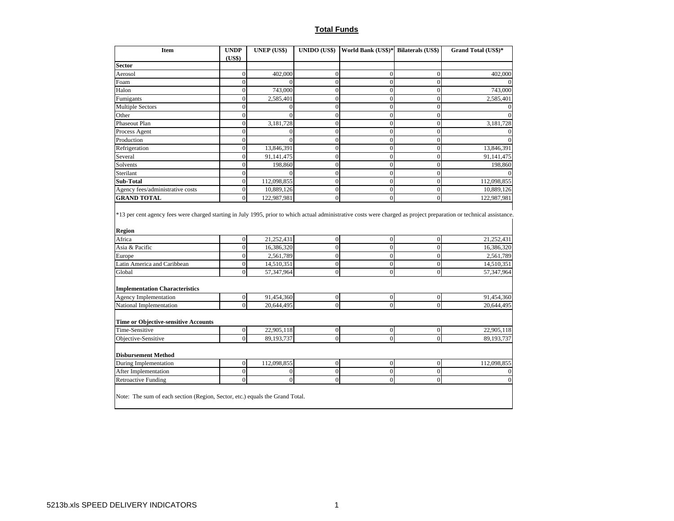### **Total Funds**

| <b>Item</b>                                                                                                                                                                                | <b>UNDP</b>                      | <b>UNEP (US\$)</b>       | UNIDO (US\$)                       | World Bank (US\$)* Bilaterals (US\$) |                  | Grand Total (US\$)*     |
|--------------------------------------------------------------------------------------------------------------------------------------------------------------------------------------------|----------------------------------|--------------------------|------------------------------------|--------------------------------------|------------------|-------------------------|
|                                                                                                                                                                                            | (US\$)                           |                          |                                    |                                      |                  |                         |
| <b>Sector</b>                                                                                                                                                                              |                                  |                          |                                    |                                      |                  |                         |
| Aerosol                                                                                                                                                                                    | $\overline{0}$                   | 402,000                  | $\overline{0}$                     | $\overline{0}$                       | $\overline{0}$   | 402,000                 |
| Foam                                                                                                                                                                                       | $\overline{0}$                   | $\Omega$                 | $\overline{0}$                     | $\theta$                             | $\theta$         |                         |
| Halon                                                                                                                                                                                      | $\mathbf{0}$                     | 743,000                  | $\boldsymbol{0}$                   | $\overline{0}$                       | $\mathbf{0}$     | 743,000                 |
| Fumigants                                                                                                                                                                                  | $\overline{0}$                   | 2,585,401                | $\mathbf{0}$                       | $\overline{0}$                       | $\overline{0}$   | 2,585,401               |
| <b>Multiple Sectors</b>                                                                                                                                                                    | $\overline{0}$                   | $\overline{0}$           | $\overline{0}$                     | $\overline{0}$                       | $\overline{0}$   | $\Omega$                |
| Other                                                                                                                                                                                      | $\overline{0}$                   | $\theta$                 | $\overline{0}$                     | $\theta$                             | $\Omega$         |                         |
| Phaseout Plan                                                                                                                                                                              | $\overline{0}$                   | 3,181,728                | $\overline{0}$                     | $\overline{0}$                       | $\overline{0}$   | 3,181,728               |
| Process Agent                                                                                                                                                                              | $\mathbf{0}$                     | $\boldsymbol{0}$         | $\mathbf{0}$                       | $\overline{0}$                       | $\overline{0}$   | $\theta$                |
| Production                                                                                                                                                                                 | $\overline{0}$                   | $\theta$                 | $\overline{0}$                     | $\theta$                             | $\Omega$         |                         |
| Refrigeration                                                                                                                                                                              | $\mathbf{0}$                     | 13,846,391               | $\mathbf{0}$                       | $\overline{0}$                       | $\mathbf{0}$     | 13,846,391              |
| Several                                                                                                                                                                                    | $\overline{0}$                   | 91,141,475               | $\overline{0}$                     | $\overline{0}$                       | $\Omega$         | 91,141,475              |
| Solvents                                                                                                                                                                                   | $\overline{0}$                   | 198,860                  | $\overline{0}$                     | $\theta$                             | $\theta$         | 198,860                 |
| Sterilant                                                                                                                                                                                  | $\mathbf{0}$                     | $\mathbf{0}$             | $\overline{0}$                     | $\overline{0}$                       | $\overline{0}$   |                         |
| Sub-Total                                                                                                                                                                                  | $\boldsymbol{0}$                 | 112,098,855              | $\mathbf{0}$                       | $\overline{0}$                       | $\Omega$         | 112,098,855             |
|                                                                                                                                                                                            | $\boldsymbol{0}$                 | 10,889,126               | $\boldsymbol{0}$                   | $\overline{0}$                       | $\boldsymbol{0}$ | 10,889,126              |
| Agency fees/administrative costs                                                                                                                                                           |                                  |                          | $\theta$                           | $\theta$                             | $\Omega$         | 122,987,981             |
| <b>GRAND TOTAL</b><br>*13 per cent agency fees were charged starting in July 1995, prior to which actual administrative costs were charged as project preparation or technical assistance. | $\overline{0}$                   | 122,987,981              |                                    |                                      |                  |                         |
|                                                                                                                                                                                            |                                  |                          |                                    |                                      |                  |                         |
|                                                                                                                                                                                            |                                  |                          |                                    | $\overline{0}$                       | $\overline{0}$   |                         |
| Africa<br>Asia & Pacific                                                                                                                                                                   | $\overline{0}$<br>$\overline{0}$ | 21,252,431<br>16,386,320 | $\boldsymbol{0}$<br>$\overline{0}$ | $\overline{0}$                       | $\overline{0}$   | 21,252,431              |
| Europe                                                                                                                                                                                     | $\mathbf{0}$                     | 2,561,789                | $\boldsymbol{0}$                   | $\theta$                             | $\overline{0}$   | 16,386,320              |
| Latin America and Caribbean                                                                                                                                                                | $\mathbf{0}$                     | 14,510,351               | $\mathbf{0}$                       | $\overline{0}$                       | $\overline{0}$   | 14,510,351              |
| Global                                                                                                                                                                                     | $\mathbf{0}$                     | 57,347,964               | $\overline{0}$                     | $\overline{0}$                       | $\overline{0}$   | 57,347,964              |
|                                                                                                                                                                                            |                                  |                          |                                    |                                      |                  |                         |
| <b>Implementation Characteristics</b>                                                                                                                                                      |                                  |                          |                                    |                                      |                  |                         |
| <b>Agency Implementation</b>                                                                                                                                                               | $\mathbf{0}$                     | 91,454,360               | $\boldsymbol{0}$                   | $\boldsymbol{0}$                     | $\boldsymbol{0}$ | 2,561,789<br>91,454,360 |
| National Implementation                                                                                                                                                                    | $\overline{0}$                   | 20,644,495               | $\overline{0}$                     | $\overline{0}$                       | $\Omega$         | 20,644,495              |
| Time or Objective-sensitive Accounts                                                                                                                                                       |                                  |                          |                                    |                                      |                  |                         |
| Time-Sensitive                                                                                                                                                                             | $\boldsymbol{0}$                 | 22,905,118               | $\boldsymbol{0}$                   | $\boldsymbol{0}$                     | $\boldsymbol{0}$ | 22,905,118              |
| <b>Region</b><br>Objective-Sensitive                                                                                                                                                       | $\mathbf{0}$                     | 89,193,737               | $\overline{0}$                     | $\overline{0}$                       | $\theta$         | 89,193,737              |
|                                                                                                                                                                                            |                                  |                          |                                    |                                      |                  |                         |
| <b>Disbursement Method</b><br>During Implementation                                                                                                                                        | $\boldsymbol{0}$                 | 112,098,855              | $\mathbf{0}$                       | $\overline{0}$                       | $\Omega$         | 112,098,855             |
| After Implementation                                                                                                                                                                       | $\mathbf{0}$                     | $\boldsymbol{0}$         | $\overline{0}$                     | $\overline{0}$                       | $\overline{0}$   |                         |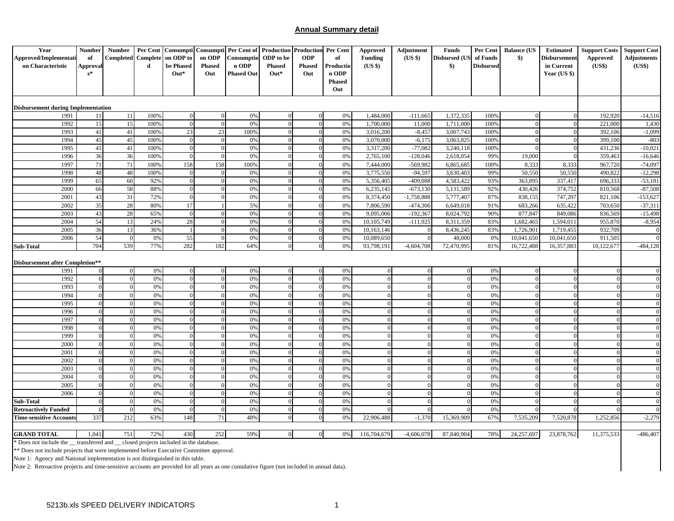### **Annual Summary detail**

| Year                                                                                    | <b>Number</b>        | Number Per Cent           |          |                                  |                            | Consumpti Consumpti Per Cent of Production Production Per Cent |               |                      |                        | <b>Approved</b> | Adjustment   | <b>Funds</b>                   | Per Cent         | <b>Balance (US</b>         | <b>Estimated</b> | <b>Support Costs</b>   | <b>Support Cost</b>              |
|-----------------------------------------------------------------------------------------|----------------------|---------------------------|----------|----------------------------------|----------------------------|----------------------------------------------------------------|---------------|----------------------|------------------------|-----------------|--------------|--------------------------------|------------------|----------------------------|------------------|------------------------|----------------------------------|
| Approved/Implementati                                                                   | of                   | <b>Completed</b> Complete |          | on ODP to                        | on ODP                     | Consumptio                                                     | ODP to be     | <b>ODP</b>           | of                     | <b>Funding</b>  | (US \$)      | <b>Disbursed (US</b>           | of Funds         | $\bullet$                  | Disbursement     | <b>Approved</b>        | <b>Adjustments</b>               |
| on Characteristic                                                                       | <b>Approval</b>      |                           | d        | be Phased                        | <b>Phased</b>              | n ODP                                                          | <b>Phased</b> | <b>Phased</b>        | Productio              | (US \$)         |              | $\boldsymbol{\$}$              | <b>Disbursed</b> |                            | in Current       | (US\$)                 | (US\$)                           |
|                                                                                         | $s^*$                |                           |          | $Out*$                           | Out                        | <b>Phased Out</b>                                              | $Out*$        | Out                  | n ODP<br><b>Phased</b> |                 |              |                                |                  |                            | Year $(US \$     |                        |                                  |
|                                                                                         |                      |                           |          |                                  |                            |                                                                |               |                      | Out                    |                 |              |                                |                  |                            |                  |                        |                                  |
|                                                                                         |                      |                           |          |                                  |                            |                                                                |               |                      |                        |                 |              |                                |                  |                            |                  |                        |                                  |
| <b>Disbursement during Implementation</b>                                               |                      |                           |          |                                  |                            |                                                                |               |                      |                        |                 |              |                                |                  |                            |                  |                        |                                  |
| 1991                                                                                    | 11                   | <sup>11</sup>             | 100%     | $\overline{0}$                   | $\overline{0}$             | 0%                                                             |               |                      | 0%                     | 1,484,000       | $-111,665$   | 1,372,335                      | 100%             | $\overline{0}$             | $\Omega$         | 192,920                | $-14,516$                        |
| 1992                                                                                    | 15                   | 15                        | 100%     | $\Omega$                         | $\mathbf{0}$               | 0%                                                             |               | $\Omega$             | 0%                     | 1,700,000       | 11,000       | 1,711,000                      | 100%             | $\Omega$                   |                  | 221,000                | 1,430                            |
| 1993                                                                                    | 41                   | 41                        | 100%     | 23                               | 23                         | 100%                                                           |               |                      | 0%                     | 3,016,200       | $-8,457$     | 3,007,743                      | 100%             | $\overline{0}$             |                  | 392,106                | $-1,099$                         |
| 1994                                                                                    | 45                   | 45                        | 100%     | $\overline{0}$                   | $\mathbf{0}$               | 0%                                                             |               |                      | 0%                     | 3,070,000       | $-6,175$     | 3,063,825                      | 100%             | $\overline{0}$             |                  | 399,100                | $-803$                           |
| 1995                                                                                    | 41                   | 41                        | 100%     | $\overline{0}$                   | $\Omega$                   | 0%                                                             |               |                      | 0%                     | 3,317,200       | $-77,082$    | 3,240,118                      | 100%             | $\Omega$                   | $\Omega$         | 431,236                | $-10,021$                        |
| 1996                                                                                    | 36                   | 36                        | 100%     | $\overline{0}$                   | $\Omega$                   | 0%                                                             |               |                      | 0%                     | 2,765,100       | $-128,046$   | 2,618,054                      | 99%              | 19,000                     |                  | 359,463                | $-16,646$                        |
| 1997                                                                                    | 71                   | 71                        | 100%     | 158                              | 158                        | 100%                                                           |               |                      | 0%                     | 7,444,000       | $-569,982$   | 6,865,685                      | 100%             | 8,333                      | 8,333            | 967,720                | $-74,097$                        |
| 1998                                                                                    | 48                   | 48                        | 100%     | $\overline{0}$                   | $\Omega$                   | 0%                                                             |               |                      | 0%                     | 3,775,550       | $-94,597$    | 3,630,403                      | 99%              | 50,550                     | 50,550           | 490,822                | $-12,298$                        |
| 1999                                                                                    | 65                   | 60                        | 92%      | $\overline{0}$                   | $\Omega$                   | 0%                                                             |               |                      | 0%                     | 5,356,405       | -409,088     | 4,583,422                      | 93%              | 363,895                    | 337,417          | 696,333                | $-53,181$                        |
| 2000                                                                                    | 66                   | 58                        | 88%      | $\mathbf{0}$                     | $\Omega$                   | 0%                                                             |               |                      | 0%                     | 6,235,145       | $-673,130$   | 5,131,589                      | 92%              | 430,426                    | 374,752          | 810,568                | $-87,508$                        |
| 2001                                                                                    | 43                   | 31                        | 72%      | $\overline{0}$                   | $\Omega$                   | 0%                                                             |               |                      | 0%                     | 8,374,450       | $-1,758,888$ | 5,777,407                      | 87%              | 838,155                    | 747,207          | 821,106                | $-153,627$                       |
| 2002                                                                                    | 35                   | 28                        | 80%      | 17                               |                            | 5%                                                             |               |                      | 0%                     | 7,806,590       | $-474,306$   | 6,649,018                      | 91%              | 683,266                    | 635,422          | 703,650                | $-37,311$                        |
| 2003                                                                                    | 43                   | 28                        | 65%      | $\overline{0}$                   | $\Omega$                   | 0%                                                             |               |                      | 0%                     | 9,095,006       | $-192,367$   | 8,024,792                      | 90%              | 877,847                    | 849,086          | 836,569                | $-15,498$                        |
| 2004                                                                                    | 54                   | 13                        | 24%      | 28                               | $\Omega$                   | 0%                                                             |               | $\Omega$             | 0%                     | 10,105,749      | $-111,925$   | 8,311,359                      | 83%              | 1,682,465                  | 1,594,01         | 955,870                | $-8,954$                         |
| 2005                                                                                    | 36                   | 13                        | 36%      | -1                               | $\Omega$                   | 0%                                                             |               | $\Omega$             | 0%                     | 10,163,146      |              | 8,436,245                      | 83%              | 1,726,901                  | 1,719,455        | 932,709                |                                  |
| 2006                                                                                    | 54                   | $\overline{0}$            | 0%       | 55                               | $\overline{0}$             | 0%                                                             |               | $\Omega$             | 0%                     | 10,089,650      |              | 48,000                         | 0%               | 10,041,650                 | 10,041,650       | 911,505                |                                  |
| Sub-Total                                                                               | 704                  | 539                       | 77%      | 282                              | 182                        | 64%                                                            |               |                      | 0%                     | 93,798,191      | $-4,604,708$ | 72,470,995                     | 81%              | 16,722,488                 | 16,357,883       | 10,122,677             | $-484, 128$                      |
|                                                                                         |                      |                           |          |                                  |                            |                                                                |               |                      |                        |                 |              |                                |                  |                            |                  |                        |                                  |
| <b>Disbursement after Completion**</b>                                                  |                      |                           |          |                                  |                            |                                                                |               |                      |                        |                 |              |                                |                  |                            |                  |                        |                                  |
| 1991                                                                                    | $\Omega$             | $\overline{0}$            | 0%       | $\mathbf{0}$                     | $\mathbf{0}$               | 0%                                                             |               |                      | 0%                     |                 |              | $\overline{0}$                 | 0%               | $\overline{0}$             |                  |                        | $\Omega$                         |
| 1992                                                                                    | $\Omega$             | $\mathbf{0}$              | 0%       | $\mathbf{0}$                     | $\Omega$                   | 0%                                                             |               | $\Omega$             | 0%                     |                 |              | $\overline{0}$                 | 0%               | $\theta$                   |                  | $\Omega$               | $\Omega$                         |
| 1993                                                                                    | $\Omega$             | $\Omega$                  | 0%       | $\overline{0}$                   | $\Omega$                   | 0%                                                             |               |                      | 0%                     |                 |              | $\mathbf{0}$                   | 0%               | $\overline{0}$             |                  |                        | $\overline{0}$                   |
| 1994                                                                                    | $\Omega$             | $\Omega$                  | 0%       | $\Omega$                         | $\Omega$                   | 0%                                                             |               |                      | 0%                     |                 |              | $\mathbf{0}$                   | 0%               | $\Omega$                   |                  | $\theta$               | $\Omega$                         |
| 1995                                                                                    | $\theta$             | $\Omega$                  | 0%       | $\overline{0}$                   | $\Omega$                   | 0%                                                             |               |                      | 0%                     |                 |              | $\mathbf{0}$                   | 0%               | $\theta$                   |                  | $\Omega$               | $\overline{0}$                   |
| 1996                                                                                    | $\theta$             | $\Omega$                  | 0%       | $\overline{0}$                   | $\Omega$                   | 0%                                                             |               |                      | 0%                     |                 |              | $\overline{0}$                 | 0%               | $\overline{0}$             |                  | $\Omega$               | $\overline{0}$                   |
| 1997                                                                                    | $\Omega$             | $\Omega$                  | 0%       | $\mathbf{0}$                     | $\theta$                   | 0%                                                             |               |                      | 0%                     |                 |              | $\mathbf{0}$                   | 0%               | $\theta$                   |                  | $\sqrt{ }$             | $\overline{0}$                   |
| 1998                                                                                    | $\Omega$             | $\Omega$                  | 0%       | $\mathbf{0}$                     | $\Omega$                   | 0%                                                             |               |                      | 0%                     |                 |              | $\overline{0}$                 | 0%               | $\theta$                   |                  | $\Omega$               | $\mathbf{0}$                     |
| 1999                                                                                    | $\Omega$             | $\Omega$                  | 0%       | $\mathbf{0}$                     | $\mathbf{0}$               | 0%                                                             |               |                      | 0%                     |                 |              | $\boldsymbol{0}$               | 0%               | $\mathbf{0}$               |                  | $\Omega$               | $\overline{0}$                   |
| 2000                                                                                    | $\Omega$             | $\Omega$                  | 0%       | $\mathbf{0}$                     | $\Omega$                   | 0%                                                             |               | $\Omega$<br>$\Omega$ | 0%                     |                 | $\Omega$     | $\overline{0}$                 | 0%               | $\overline{0}$             |                  | $\Omega$               | $\overline{0}$                   |
| 2001<br>2002                                                                            | $\Omega$<br>$\Omega$ | $\Omega$                  | 0%       | $\mathbf{0}$<br>$\theta$         | $\overline{0}$<br>$\Omega$ | 0%                                                             |               |                      | 0%<br>0%               |                 |              | $\mathbf{0}$                   | 0%<br>0%         | $\mathbf{0}$<br>$\theta$   |                  | $\Omega$               | $\overline{0}$<br>$\Omega$       |
| 2003                                                                                    | $\theta$             | $\Omega$                  | 0%       |                                  | $\Omega$                   | 0%                                                             |               |                      |                        |                 |              | $\overline{0}$                 |                  |                            |                  | $\theta$<br>$\sqrt{ }$ |                                  |
| 2004                                                                                    | $\Omega$             | $\Omega$<br>$\Omega$      | 0%<br>0% | $\overline{0}$<br>$\overline{0}$ | $\overline{0}$             | 0%<br>0%                                                       |               |                      | 0%<br>0%               |                 |              | $\mathbf{0}$<br>$\overline{0}$ | 0%<br>0%         | $\theta$<br>$\overline{0}$ |                  | $\Omega$               | $\overline{0}$<br>$\overline{0}$ |
| 2005                                                                                    | $\Omega$             | $\Omega$                  | 0%       | $\overline{0}$                   | $\theta$                   | 0%                                                             |               |                      | 0%                     |                 |              | $\mathbf{0}$                   | 0%               | $\theta$                   |                  |                        | $\Omega$                         |
| 2006                                                                                    | $\Omega$             | $\Omega$                  | 0%       | $\overline{0}$                   | $\Omega$                   | 0%                                                             |               |                      | 0%                     |                 |              | $\mathbf{0}$                   | 0%               | $\overline{0}$             |                  | $\theta$               | $\mathbf{0}$                     |
| Sub-Total                                                                               |                      | $\Omega$                  | 0%       | $\mathbf{0}$                     | $\overline{0}$             | 0%                                                             |               |                      | 0%                     |                 |              | $\mathbf{0}$                   | 0%               | $\overline{0}$             |                  |                        | $\overline{0}$                   |
| <b>Retroactively Funded</b>                                                             | $\Omega$             | $\overline{0}$            | 0%       | $\overline{0}$                   | $\overline{0}$             | 0%                                                             |               | $\Omega$             | 0%                     |                 |              | $\theta$                       | 0%               | $\Omega$                   |                  |                        |                                  |
| <b>Time-sensitive Accounts</b>                                                          | 337                  | 212                       | 63%      | 148                              | 71                         | 48%                                                            |               | $\Omega$             | 0%                     | 22,906,488      | $-1,370$     | 15,369,909                     | 67%              | 7,535,209                  | 7,520,878        | 1,252,856              | $-2,279$                         |
|                                                                                         |                      |                           |          |                                  |                            |                                                                |               |                      |                        |                 |              |                                |                  |                            |                  |                        |                                  |
| <b>GRAND TOTAL</b>                                                                      | 1,041                | 751                       | 72%      | 430                              | 252                        | 59%                                                            |               | $\Omega$             | 0%                     | 116,704,679     | $-4,606,078$ | 87,840,904                     | 78%              | 24,257,697                 | 23,878,762       | 11,375,533             | $-486,407$                       |
| * Does not include the _transferred and _ closed projects included in the database.     |                      |                           |          |                                  |                            |                                                                |               |                      |                        |                 |              |                                |                  |                            |                  |                        |                                  |
| ** Does not include projects that were implemented before Executive Committee approval. |                      |                           |          |                                  |                            |                                                                |               |                      |                        |                 |              |                                |                  |                            |                  |                        |                                  |

Note 1: Agency and National implementation is not distinguished in this table.

Note 2: Retroactive projects and time-sensitive accounts are provided for all years as one cumulative figure (not included in annual data).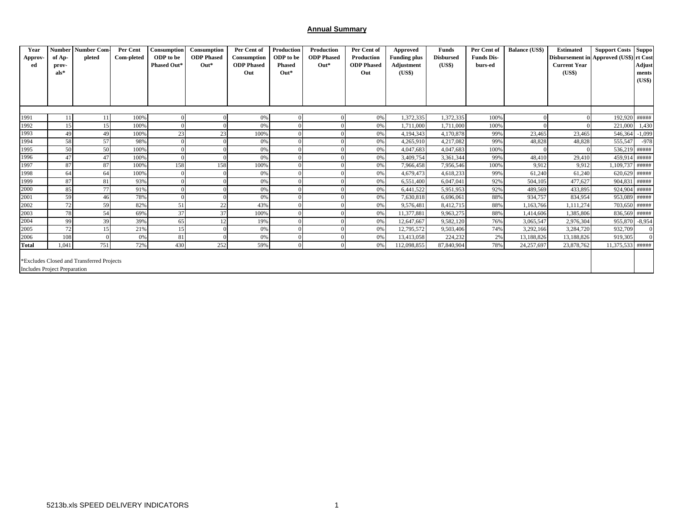### **Annual Summary**

| Year<br>Approv<br>ed                | <b>Number</b><br>of Ap-<br>prov-<br>$als*$ | <b>Number Com-</b><br>pleted              | Per Cent<br>Com-pleted | Consumption<br><b>ODP</b> to be<br><b>Phased Out*</b> | Consumption<br><b>ODP</b> Phased<br>$Out*$ | Per Cent of<br>Consumption<br><b>ODP</b> Phased<br>Out | Production<br>ODP to be<br><b>Phased</b><br>$Out*$ | Production<br><b>ODP</b> Phased<br>$Out*$ | Per Cent of<br>Production<br><b>ODP</b> Phased<br>Out | Approved<br><b>Funding plus</b><br>Adjustment<br>(US\$) | <b>Funds</b><br><b>Disbursed</b><br>(US\$) | Per Cent of<br><b>Funds Dis-</b><br>burs-ed | <b>Balance (US\$)</b> | <b>Estimated</b><br>Disbursement in Approved (US\$) rt Cost<br><b>Current Year</b><br>(US\$) | <b>Support Costs Suppo</b> | Adjust<br>ments<br>(US\$) |
|-------------------------------------|--------------------------------------------|-------------------------------------------|------------------------|-------------------------------------------------------|--------------------------------------------|--------------------------------------------------------|----------------------------------------------------|-------------------------------------------|-------------------------------------------------------|---------------------------------------------------------|--------------------------------------------|---------------------------------------------|-----------------------|----------------------------------------------------------------------------------------------|----------------------------|---------------------------|
| 1991                                | 11                                         | 11                                        | 100%                   |                                                       |                                            | 0%                                                     |                                                    |                                           | 0%                                                    | 1,372,335                                               | 1,372,335                                  | 100%                                        |                       |                                                                                              | 192,920 #####              |                           |
| 1992                                | 15                                         | 15                                        | 100%                   |                                                       |                                            | 0%                                                     |                                                    |                                           | 0%                                                    | 1,711,000                                               | 1,711,000                                  | 100%                                        |                       |                                                                                              | 221,000                    | 1,430                     |
| 1993                                | 49                                         | 49                                        | 100%                   | 23                                                    | 23                                         | 100%                                                   |                                                    |                                           | 0%                                                    | 4,194,343                                               | 4,170,878                                  | 99%                                         | 23,465                | 23,465                                                                                       | 546,364                    | $-1,099$                  |
| 1994                                | 58                                         | 57                                        | 98%                    |                                                       |                                            | 0%                                                     |                                                    |                                           | 0%                                                    | 4,265,910                                               | 4,217,082                                  | 99%                                         | 48,828                | 48,828                                                                                       | 555,547                    | $-978$                    |
| 1995                                | 50                                         | 50                                        | 100%                   |                                                       |                                            | 0%                                                     |                                                    |                                           | 0%                                                    | 4,047,683                                               | 4,047,683                                  | 100%                                        |                       |                                                                                              | 536,219 #####              |                           |
| 1996                                | 47                                         | 47                                        | 100%                   |                                                       |                                            | 0%                                                     |                                                    |                                           | 0%                                                    | 3,409,754                                               | 3,361,344                                  | 99%                                         | 48,410                | 29,410                                                                                       | 459,914 #####              |                           |
| 1997                                | 87                                         | 87                                        | 100%                   | 158                                                   | 158                                        | 100%                                                   |                                                    |                                           | 0%                                                    | 7,966,458                                               | 7,956,546                                  | 100%                                        | 9,912                 | 9,912                                                                                        | 1,109,737 #####            |                           |
| 1998                                | 64                                         | 64                                        | 100%                   |                                                       |                                            | 0%                                                     |                                                    |                                           | 0%                                                    | 4,679,473                                               | 4,618,233                                  | 99%                                         | 61,240                | 61,240                                                                                       | 620,629 #####              |                           |
| 1999                                | 87                                         | 81                                        | 93%                    |                                                       |                                            | 0%                                                     |                                                    |                                           | 0%                                                    | 6,551,400                                               | 6,047,041                                  | 92%                                         | 504,105               | 477,627                                                                                      | 904,831 #####              |                           |
| 2000                                | 85                                         | 77                                        | 91%                    |                                                       |                                            | 0%                                                     |                                                    |                                           | 0%                                                    | 6,441,522                                               | 5,951,953                                  | 92%                                         | 489,569               | 433,895                                                                                      | 924,904 #####              |                           |
| 2001                                | 59                                         | 46                                        | 78%                    |                                                       |                                            | 0%                                                     |                                                    |                                           | 0%                                                    | 7,630,818                                               | 6,696,061                                  | 88%                                         | 934,757               | 834,954                                                                                      | 953,089 #####              |                           |
| 2002                                | 72                                         | 59                                        | 82%                    | 51                                                    | 22                                         | 43%                                                    |                                                    |                                           | 0%                                                    | 9,576,481                                               | 8,412,715                                  | 88%                                         | 1,163,766             | 1,111,274                                                                                    | 703,650 #####              |                           |
| 2003                                | 78                                         | 54                                        | 69%                    | 37                                                    | 37                                         | 100%                                                   |                                                    |                                           | 0%                                                    | 11,377,881                                              | 9,963,275                                  | 88%                                         | 1,414,606             | 1,385,806                                                                                    | 836,569 #####              |                           |
| 2004                                | 99                                         | 39                                        | 39%                    | 65                                                    | 12                                         | 19%                                                    |                                                    |                                           | 0%                                                    | 12,647,667                                              | 9,582,120                                  | 76%                                         | 3,065,547             | 2,976,304                                                                                    | 955,870 -8,954             |                           |
| 2005                                | 72                                         | 15                                        | 21%                    | 15                                                    |                                            | 0%                                                     |                                                    |                                           | 0%                                                    | 12,795,572                                              | 9,503,406                                  | 74%                                         | 3,292,166             | 3,284,720                                                                                    | 932,709                    |                           |
| 2006                                | 108                                        |                                           | 0%                     | 81                                                    |                                            | 0%                                                     |                                                    |                                           | 0%                                                    | 13,413,058                                              | 224,232                                    | 2%                                          | 13,188,826            | 13,188,826                                                                                   | 919,305                    |                           |
| <b>Total</b>                        | 1,041                                      | 751                                       | 72%                    | 430                                                   | 252                                        | 59%                                                    | $\Omega$                                           | 0                                         | 0%                                                    | 112,098,855                                             | 87,840,904                                 | 78%                                         | 24,257,697            | 23,878,762                                                                                   | 11,375,533 #####           |                           |
| <b>Includes Project Preparation</b> |                                            | *Excludes Closed and Transferred Projects |                        |                                                       |                                            |                                                        |                                                    |                                           |                                                       |                                                         |                                            |                                             |                       |                                                                                              |                            |                           |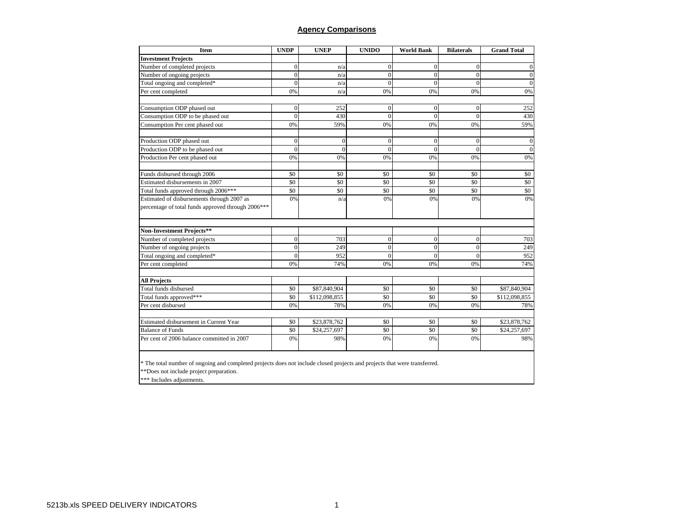### **Agency Comparisons**

| Item                                                                                                                                                                 | <b>UNDP</b>                 | <b>UNEP</b>     | <b>UNIDO</b>     | <b>World Bank</b> | <b>Bilaterals</b> | <b>Grand Total</b> |
|----------------------------------------------------------------------------------------------------------------------------------------------------------------------|-----------------------------|-----------------|------------------|-------------------|-------------------|--------------------|
| <b>Investment Projects</b>                                                                                                                                           |                             |                 |                  |                   |                   |                    |
| Number of completed projects                                                                                                                                         | $\overline{0}$              | n/a             | $\mathbf{0}$     | $\mathbf{0}$      | $\mathbf{0}$      | $\mathbf{0}$       |
| Number of ongoing projects                                                                                                                                           | $\theta$                    | n/a             | $\boldsymbol{0}$ | $\theta$          | $\Omega$          | $\boldsymbol{0}$   |
| Total ongoing and completed*                                                                                                                                         | C                           | n/a             | $\overline{0}$   | $\theta$          | $\Omega$          | $\overline{0}$     |
| Per cent completed                                                                                                                                                   | 0%                          | n/a             | 0%               | 0%                | 0%                | 0%                 |
| Consumption ODP phased out                                                                                                                                           | $\Omega$                    | 252             | $\Omega$         | $\Omega$          | $\Omega$          | 252                |
| Consumption ODP to be phased out                                                                                                                                     | $\mathcal{C}_{\mathcal{C}}$ | 430             | $\Omega$         | $\theta$          | $\Omega$          | 430                |
| Consumption Per cent phased out                                                                                                                                      | 0%                          | 59%             | 0%               | 0%                | 0%                | 59%                |
| Production ODP phased out                                                                                                                                            | $\Omega$                    | $\overline{0}$  | $\mathbf{0}$     | $\mathbf{0}$      | $\Omega$          | $\boldsymbol{0}$   |
| Production ODP to be phased out                                                                                                                                      | C                           | $\Omega$        | $\mathbf{0}$     | $\theta$          | $\Omega$          | $\overline{0}$     |
| Production Per cent phased out                                                                                                                                       | 0%                          | 0%              | 0%               | 0%                | 0%                | 0%                 |
| Funds disbursed through 2006                                                                                                                                         | \$0                         | \$0             | \$0              | \$0               | \$0               | \$0                |
| Estimated disbursements in 2007                                                                                                                                      | \$0                         | \$0             | \$0              | \$0               | \$0               | \$0                |
| Total funds approved through 2006***                                                                                                                                 | \$0                         | $\overline{50}$ | $\overline{50}$  | $\overline{50}$   | $\overline{50}$   | \$0                |
| Estimated of disbursements through 2007 as<br>percentage of total funds approved through 2006***                                                                     | 0%                          | n/z             | 0%               | 0%                | 0%                | 0%                 |
| Non-Investment Projects**                                                                                                                                            |                             |                 |                  |                   |                   |                    |
| Number of completed projects                                                                                                                                         | $\overline{0}$              | 703             | $\overline{0}$   | $\mathbf{0}$      | $\Omega$          | 703                |
| Number of ongoing projects                                                                                                                                           | $\overline{0}$              | 249             | $\mathbf{0}$     | $\mathbf{0}$      | $\mathbf{0}$      | 249                |
| Total ongoing and completed*                                                                                                                                         | $\theta$                    | 952             | $\Omega$         | $\Omega$          | $\Omega$          | 952                |
| Per cent completed                                                                                                                                                   | 0%                          | 74%             | 0%               | 0%                | 0%                | 74%                |
| <b>All Projects</b>                                                                                                                                                  |                             |                 |                  |                   |                   |                    |
| Total funds disbursed                                                                                                                                                | \$0                         | \$87,840,904    | \$0              | \$0               | \$0               | \$87,840,904       |
| Total funds approved***                                                                                                                                              | \$0                         | \$112,098,855   | \$0              | \$0               | \$0               | \$112,098,855      |
| Per cent disbursed                                                                                                                                                   | 0%                          | 78%             | 0%               | 0%                | 0%                | 78%                |
| Estimated disbursement in Current Year                                                                                                                               | \$0                         | \$23,878,762    | \$0              | \$0               | \$0               | \$23,878,762       |
| <b>Balance of Funds</b>                                                                                                                                              | \$0                         | \$24,257,697    | \$0              | \$0               | \$0               | \$24,257,697       |
| Per cent of 2006 balance committed in 2007                                                                                                                           | 0%                          | 98%             | 0%               | 0%                | 0%                | 98%                |
| * The total number of ongoing and completed projects does not include closed projects and projects that were transferred.<br>**Does not include project preparation. |                             |                 |                  |                   |                   |                    |

\*\*\* Includes adjustments.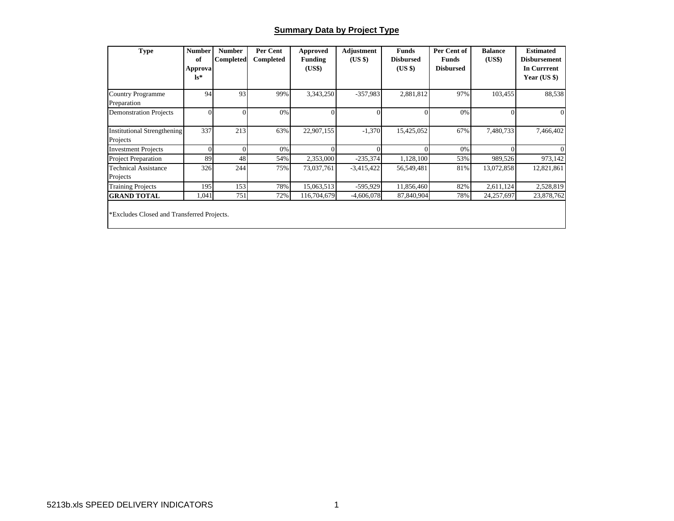### **Summary Data by Project Type**

| <b>Type</b>                                    | <b>Number</b><br>of<br><b>Approva</b><br>$\mathbf{ls}^*$ | <b>Number</b><br><b>Completed</b> | Per Cent<br>Completed | Approved<br><b>Funding</b><br>(US\$) | Adjustment<br>(US \$) | <b>Funds</b><br><b>Disbursed</b><br>$(US \$ | Per Cent of<br><b>Funds</b><br><b>Disbursed</b> | <b>Balance</b><br>(US\$) | <b>Estimated</b><br><b>Disbursement</b><br><b>In Currrent</b><br>Year $(US \$ |
|------------------------------------------------|----------------------------------------------------------|-----------------------------------|-----------------------|--------------------------------------|-----------------------|---------------------------------------------|-------------------------------------------------|--------------------------|-------------------------------------------------------------------------------|
| <b>Country Programme</b><br>Preparation        | 94                                                       | 93                                | 99%                   | 3,343,250                            | $-357,983$            | 2,881,812                                   | 97%                                             | 103,455                  | 88,538                                                                        |
| <b>Demonstration Projects</b>                  | $\Omega$                                                 | $\Omega$                          | 0%                    | $\Omega$                             |                       |                                             | 0%                                              |                          |                                                                               |
| <b>Institutional Strengthening</b><br>Projects | 337                                                      | 213                               | 63%                   | 22,907,155                           | $-1,370$              | 15,425,052                                  | 67%                                             | 7,480,733                | 7,466,402                                                                     |
| <b>Investment Projects</b>                     |                                                          | $\Omega$                          | 0%                    |                                      |                       |                                             | 0%                                              |                          |                                                                               |
| <b>Project Preparation</b>                     | 89                                                       | 48                                | 54%                   | 2,353,000                            | $-235,374$            | 1,128,100                                   | 53%                                             | 989,526                  | 973,142                                                                       |
| <b>Technical Assistance</b><br>Projects        | 326                                                      | 244                               | 75%                   | 73,037,761                           | $-3,415,422$          | 56,549,481                                  | 81%                                             | 13,072,858               | 12,821,861                                                                    |
| <b>Training Projects</b>                       | 195                                                      | 153                               | 78%                   | 15,063,513                           | $-595,929$            | 11,856,460                                  | 82%                                             | 2,611,124                | 2,528,819                                                                     |
| <b>GRAND TOTAL</b>                             | 1,041                                                    | 751                               | 72%                   | 116,704,679                          | $-4,606,078$          | 87,840,904                                  | 78%                                             | 24,257,697               | 23,878,762                                                                    |
| *Excludes Closed and Transferred Projects.     |                                                          |                                   |                       |                                      |                       |                                             |                                                 |                          |                                                                               |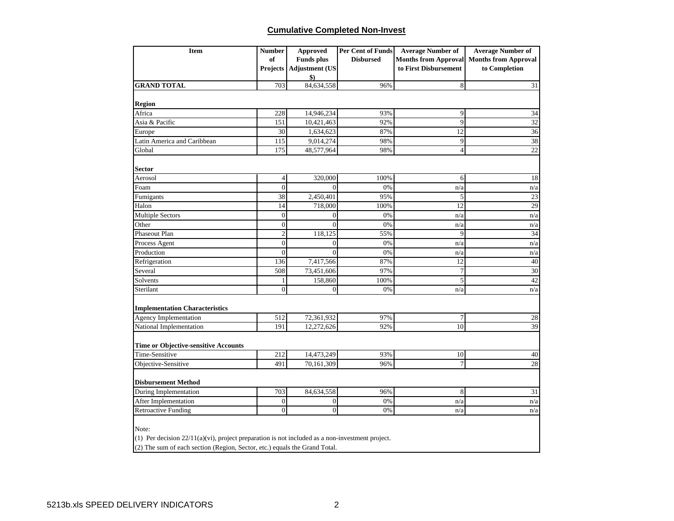## **Cumulative Completed Non-Invest**

| <b>Item</b>                                                                                        | <b>Number</b>  | <b>Approved</b>           | Per Cent of Funds | <b>Average Number of</b>    | <b>Average Number of</b>    |
|----------------------------------------------------------------------------------------------------|----------------|---------------------------|-------------------|-----------------------------|-----------------------------|
|                                                                                                    | of             | <b>Funds plus</b>         | <b>Disbursed</b>  | <b>Months from Approval</b> | <b>Months from Approval</b> |
|                                                                                                    |                | Projects   Adjustment (US |                   | to First Disbursement       | to Completion               |
|                                                                                                    |                | \$)                       |                   |                             |                             |
| <b>GRAND TOTAL</b>                                                                                 | 703            | 84,634,558                | 96%               | $\,8\,$                     | 31                          |
| <b>Region</b>                                                                                      |                |                           |                   |                             |                             |
| Africa                                                                                             | 228            | 14,946,234                | 93%               | 9                           | 34                          |
| Asia & Pacific                                                                                     | 151            | 10,421,463                | 92%               | 9                           | 32                          |
| Europe                                                                                             | 30             | 1,634,623                 | 87%               | 12                          | $\overline{36}$             |
| Latin America and Caribbean                                                                        | 115            | 9,014,274                 | 98%               | 9                           | 38                          |
| Global                                                                                             | 175            | 48,577,964                | 98%               | $\overline{4}$              | $\overline{22}$             |
|                                                                                                    |                |                           |                   |                             |                             |
| Sector                                                                                             |                |                           |                   |                             |                             |
| Aerosol                                                                                            | $\overline{4}$ | 320,000                   | 100%              | 6                           | 18                          |
| Foam                                                                                               | $\overline{0}$ | $\theta$                  | 0%                | n/a                         | n/a                         |
| Fumigants                                                                                          | 38             | 2,450,401                 | 95%               | 5                           | $\overline{23}$             |
| Halon                                                                                              | 14             | 718,000                   | 100%              | 12                          | 29                          |
| <b>Multiple Sectors</b>                                                                            | $\overline{0}$ | $\overline{0}$            | 0%                | n/a                         | n/a                         |
| Other                                                                                              | $\overline{0}$ | $\theta$                  | 0%                | n/a                         | n/a                         |
| Phaseout Plan                                                                                      | $\overline{2}$ | 118,125                   | 55%               | 9                           | 34                          |
| Process Agent                                                                                      | $\theta$       | $\overline{0}$            | 0%                | n/a                         | n/a                         |
| Production                                                                                         | $\overline{0}$ | $\theta$                  | 0%                | n/a                         | n/a                         |
| Refrigeration                                                                                      | 136            | 7,417,566                 | 87%               | 12                          | 40                          |
| Several                                                                                            | 508            | 73,451,606                | 97%               | $\boldsymbol{7}$            | 30                          |
| Solvents                                                                                           | 1              | 158,860                   | 100%              | $\sqrt{5}$                  | 42                          |
| Sterilant                                                                                          | $\theta$       | $\theta$                  | 0%                | n/a                         | n/a                         |
| <b>Implementation Characteristics</b>                                                              |                |                           |                   |                             |                             |
| Agency Implementation                                                                              | 512            | 72,361,932                | 97%               | $\overline{7}$              | 28                          |
| National Implementation                                                                            | 191            | 12,272,626                | 92%               | 10                          | 39                          |
|                                                                                                    |                |                           |                   |                             |                             |
| <b>Time or Objective-sensitive Accounts</b>                                                        |                |                           |                   |                             |                             |
| Time-Sensitive                                                                                     | 212            | 14,473,249                | 93%               | 10                          | 40                          |
| Objective-Sensitive                                                                                | 491            | 70,161,309                | 96%               | $\tau$                      | 28                          |
| <b>Disbursement Method</b>                                                                         |                |                           |                   |                             |                             |
| During Implementation                                                                              | 703            | 84,634,558                | 96%               | 8                           | 31                          |
| After Implementation                                                                               | $\mathbf{0}$   | $\boldsymbol{0}$          | 0%                | n/a                         | n/a                         |
| <b>Retroactive Funding</b>                                                                         | $\theta$       | $\overline{0}$            | 0%                | n/a                         | n/a                         |
|                                                                                                    |                |                           |                   |                             |                             |
| Note:                                                                                              |                |                           |                   |                             |                             |
| (1) Per decision $22/11(a)(vi)$ , project preparation is not included as a non-investment project. |                |                           |                   |                             |                             |
| (2) The sum of each section (Region, Sector, etc.) equals the Grand Total.                         |                |                           |                   |                             |                             |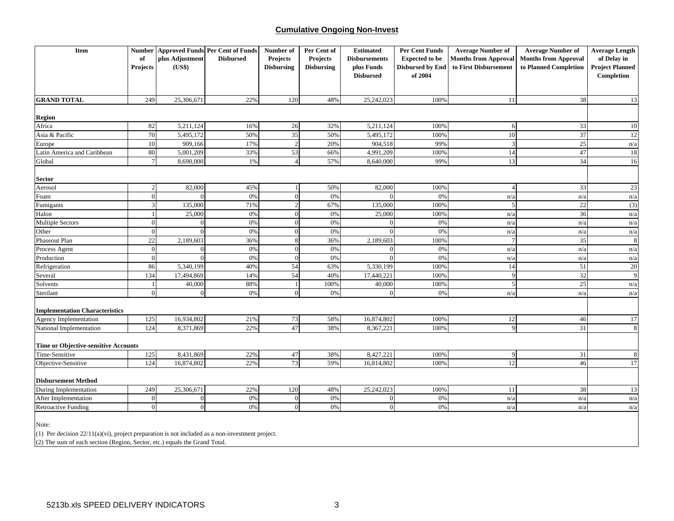### **Cumulative Ongoing Non-Invest**

| <b>Item</b>                                                                                        |                 |                 | <b>Number Approved Funds Per Cent of Funds</b> | Number of         | Per Cent of       | <b>Estimated</b>     | <b>Per Cent Funds</b>   | <b>Average Number of</b>    | <b>Average Number of</b>    | <b>Average Length</b>  |
|----------------------------------------------------------------------------------------------------|-----------------|-----------------|------------------------------------------------|-------------------|-------------------|----------------------|-------------------------|-----------------------------|-----------------------------|------------------------|
|                                                                                                    | of              | plus Adjustment | <b>Disbursed</b>                               | Projects          | <b>Projects</b>   | <b>Disbursements</b> | <b>Expected to be</b>   | <b>Months from Approval</b> | <b>Months from Approval</b> | of Delay in            |
|                                                                                                    | Projects        | (US\$)          |                                                | <b>Disbursing</b> | <b>Disbursing</b> | plus Funds           | <b>Disbursed by End</b> | to First Disbursement       | to Planned Completion       | <b>Project Planned</b> |
|                                                                                                    |                 |                 |                                                |                   |                   | <b>Disbursed</b>     | of 2004                 |                             |                             | Completion             |
|                                                                                                    |                 |                 |                                                |                   |                   |                      |                         |                             |                             |                        |
| <b>GRAND TOTAL</b>                                                                                 | 249             | 25,306,671      | 22%                                            | 120               | 48%               | 25,242,023           | 100%                    | 11                          | 38                          | 13                     |
|                                                                                                    |                 |                 |                                                |                   |                   |                      |                         |                             |                             |                        |
| <b>Region</b>                                                                                      |                 |                 |                                                |                   |                   |                      |                         |                             |                             |                        |
| Africa                                                                                             | 82              | 5,211,124       | 16%                                            | 26                | 32%               | 5,211,124            | 100%                    | 6                           | 33                          | 10                     |
| Asia & Pacific                                                                                     | 70              | 5,495,172       | 50%                                            | 35                | 50%               | 5,495,172            | 100%                    | 10                          | 37                          | 12                     |
| Europe                                                                                             | 10              | 909,166         | 17%                                            | 2                 | 20%               | 904,518              | 99%                     | $\mathcal{R}$               | 25                          | n/a                    |
| Latin America and Caribbean                                                                        | 80              | 5,001,209       | 33%                                            | 53                | 66%               | 4,991,209            | 100%                    | 14                          | 47                          | 18                     |
| Global                                                                                             | $7\phantom{.0}$ | 8,690,000       | $1\%$                                          | $\overline{4}$    | 57%               | 8,640,000            | 99%                     | 13                          | 34                          | 16                     |
| Sector                                                                                             |                 |                 |                                                |                   |                   |                      |                         |                             |                             |                        |
| Aerosol                                                                                            | $\overline{2}$  | 82,000          | 45%                                            | -1                | 50%               | 82,000               | 100%                    |                             | 33                          | $23\,$                 |
| Foam                                                                                               | $\Omega$        | $\sqrt{ }$      | 0%                                             | $\mathbf{0}$      | 0%                | $\Omega$             | 0%                      | n/a                         | n/a                         | n/a                    |
| Fumigants                                                                                          | 3               | 135,000         | 71%                                            | $\overline{2}$    | 67%               | 135,000              | 100%                    | 5                           | 22                          | (3)                    |
| Halon                                                                                              |                 | 25,000          | 0%                                             | $\theta$          | 0%                | 25,000               | 100%                    | n/a                         | 36                          | n/a                    |
| <b>Multiple Sectors</b>                                                                            | $\overline{0}$  |                 | 0%                                             | $\mathbf{0}$      | 0%                | $\Omega$             | 0%                      | n/a                         | n/a                         | n/a                    |
| Other                                                                                              | $\Omega$        |                 | 0%                                             | $\overline{0}$    | 0%                |                      | 0%                      | n/a                         | n/a                         | n/a                    |
| Phaseout Plan                                                                                      | 22              | 2,189,603       | 36%                                            | $8\phantom{.}$    | 36%               | 2,189,603            | 100%                    |                             | 35                          | 8                      |
| Process Agent                                                                                      | $\overline{0}$  | $\sqrt{ }$      | 0%                                             | $\theta$          | 0%                | $\Omega$             | 0%                      | n/a                         | n/a                         | n/a                    |
| Production                                                                                         | $\overline{0}$  | $\Omega$        | 0%                                             | $\overline{0}$    | 0%                | $\Omega$             | 0%                      | n/a                         | n/a                         | n/a                    |
| Refrigeration                                                                                      | 86              | 5,340,199       | 40%                                            | 54                | 63%               | 5,330,199            | 100%                    | 14                          | 51                          | 20                     |
| Several                                                                                            | 134             | 17,494,869      | 14%                                            | 54                | 40%               | 17,440,221           | 100%                    | $\mathbf Q$                 | 32                          | 9                      |
| Solvents                                                                                           |                 | 40,000          | 88%                                            | $\mathbf{1}$      | 100%              | 40,000               | 100%                    | 5                           | 25                          | n/a                    |
| Sterilant                                                                                          | $\Omega$        | $\Omega$        | 0%                                             | $\overline{0}$    | 0%                | $\Omega$             | 0%                      | n/a                         | n/a                         | n/a                    |
| <b>Implementation Characteristics</b>                                                              |                 |                 |                                                |                   |                   |                      |                         |                             |                             |                        |
| Agency Implementation                                                                              | 125             | 16,934,802      | 21%                                            | 73                | 58%               | 16,874,802           | 100%                    | 12                          | 46                          | 17                     |
| National Implementation                                                                            | 124             | 8,371,869       | 22%                                            | 47                | 38%               | 8,367,221            | 100%                    | Q                           | 31                          | 8                      |
|                                                                                                    |                 |                 |                                                |                   |                   |                      |                         |                             |                             |                        |
| <b>Time or Objective-sensitive Accounts</b><br>Time-Sensitive                                      | 125             | 8,431,869       | 22%                                            | 47                | 38%               | 8,427,221            | 100%                    | 9                           | 31                          | $\, 8$                 |
| Objective-Sensitive                                                                                | 124             | 16,874,802      | 22%                                            | 73                | 59%               | 16,814,802           | 100%                    | 12                          | 46                          | 17                     |
|                                                                                                    |                 |                 |                                                |                   |                   |                      |                         |                             |                             |                        |
| <b>Disbursement Method</b>                                                                         |                 |                 |                                                |                   |                   |                      |                         |                             |                             |                        |
| During Implementation                                                                              | 249             | 25,306,671      | 22%                                            | 120               | 48%               | 25,242,023           | 100%                    | 11                          | 38                          | 13                     |
| After Implementation                                                                               | $\Omega$        | $\Omega$        | 0%                                             | $\overline{0}$    | 0%                | $\overline{0}$       | 0%                      | n/a                         | n/a                         | n/a                    |
| <b>Retroactive Funding</b>                                                                         | $\Omega$        | $\Omega$        | 0%                                             | $\mathbf{0}$      | 0%                | $\overline{0}$       | 0%                      | n/a                         | n/a                         | n/a                    |
|                                                                                                    |                 |                 |                                                |                   |                   |                      |                         |                             |                             |                        |
| Note:                                                                                              |                 |                 |                                                |                   |                   |                      |                         |                             |                             |                        |
| (1) Per decision $22/11(a)(vi)$ , project preparation is not included as a non-investment project. |                 |                 |                                                |                   |                   |                      |                         |                             |                             |                        |
| (2) The sum of each section (Region, Sector, etc.) equals the Grand Total.                         |                 |                 |                                                |                   |                   |                      |                         |                             |                             |                        |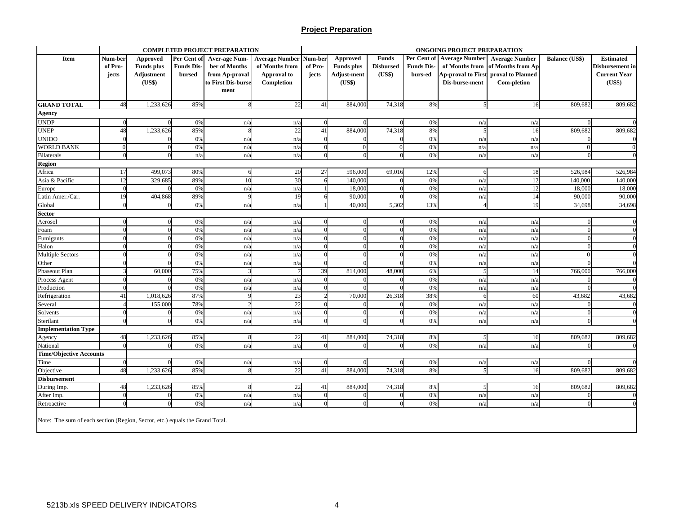### **Project Preparation**

|                                                                              |          |                   |                   | <b>COMPLETED PROJECT PREPARATION</b> |                       |            |                    |                  |                   | ONGOING PROJECT PREPARATION |                                           |                       |                        |
|------------------------------------------------------------------------------|----------|-------------------|-------------------|--------------------------------------|-----------------------|------------|--------------------|------------------|-------------------|-----------------------------|-------------------------------------------|-----------------------|------------------------|
| Item                                                                         | Num-ber  | Approved          | Per Cent of       | <b>Aver-age Num-</b>                 | <b>Average Number</b> | Num-ber    | Approved           | <b>Funds</b>     |                   |                             | Per Cent of Average Number Average Number | <b>Balance (US\$)</b> | <b>Estimated</b>       |
|                                                                              | of Pro-  | <b>Funds</b> plus | <b>Funds Dis-</b> | ber of Months                        | of Months from        | of Pro-    | <b>Funds</b> plus  | <b>Disbursed</b> | <b>Funds Dis-</b> |                             | of Months from of Months from Ap          |                       | <b>Disbursement</b> in |
|                                                                              | jects    | Adjustment        | bursed            | from Ap-proval                       | Approval to           | jects      | <b>Adjust-ment</b> | (US\$)           | burs-ed           |                             | Ap-proval to First proval to Planned      |                       | <b>Current Year</b>    |
|                                                                              |          | (US\$)            |                   | to First Dis-burse                   | Completion            |            | (US\$)             |                  |                   | Dis-burse-ment              | Com-pletion                               |                       | (US\$)                 |
|                                                                              |          |                   |                   | ment                                 |                       |            |                    |                  |                   |                             |                                           |                       |                        |
| <b>GRAND TOTAL</b>                                                           | 48       | 1,233,626         | 85%               | $\mathbf{R}$                         | 22                    | 41         | 884,000            | 74,318           | 8%                | 5                           | 16                                        | 809,682               | 809,682                |
| Agency                                                                       |          |                   |                   |                                      |                       |            |                    |                  |                   |                             |                                           |                       |                        |
| UNDP                                                                         | $\Omega$ |                   | 0%                | n/a                                  | n/a                   |            |                    |                  | 0%                | n/a                         | n/a                                       |                       |                        |
| <b>UNEP</b>                                                                  | 48       | 1,233,626         | 85%               | $\mathbf{\mathsf{R}}$                | 22                    | 41         | 884,00             | 74,318           | 8%                |                             | 16                                        | 809,682               | 809,682                |
| UNIDO                                                                        |          |                   | 0%                | n/a                                  | n/a                   |            |                    |                  | 0%                | n/a                         | n/a                                       |                       |                        |
| WORLD BANK                                                                   | $\Omega$ |                   | 0%                | n/a                                  | n/a                   |            | $\Omega$           |                  | 0%                | n/a                         | n/a                                       | $\Omega$              | $\Omega$               |
| <b>Bilaterals</b>                                                            | $\Omega$ |                   | n/a               | n/a                                  | n/a                   |            |                    |                  | 0%                | n/a                         | n/a                                       |                       |                        |
| <b>Region</b>                                                                |          |                   |                   |                                      |                       |            |                    |                  |                   |                             |                                           |                       |                        |
| Africa                                                                       | 17       | 499,073           | 80%               | 6                                    | 20                    | 27         | 596,00             | 69,016           | 12%               |                             | 18                                        | 526,984               | 526,984                |
| Asia & Pacific                                                               | 12       | 329,68            | 89%               | 10                                   | 30                    |            | 140,00             |                  | 0%                | n/a                         | 12                                        | 140,000               | 140,00                 |
| Europe                                                                       | $\Omega$ |                   | 0%                | n/a                                  | n/a                   |            | 18,00              |                  | 0%                | n/a                         | 12                                        | 18,000                | 18,000                 |
| Latin Amer./Car.                                                             | 19       | 404,868           | 89%               | $\Omega$                             | 19                    |            | 90,00              |                  | 0%                | n/a                         | 14                                        | 90,000                | 90,000                 |
| Global                                                                       |          |                   | 0%                | n/a                                  | n/a                   |            | 40,00              | 5,302            | 13%               |                             | 19                                        | 34,698                | 34,698                 |
| Sector                                                                       |          |                   |                   |                                      |                       |            |                    |                  |                   |                             |                                           |                       |                        |
| Aerosol                                                                      | $\Omega$ |                   | 0%                | n/a                                  | n/a                   |            |                    |                  | 0%                | n/a                         | n/a                                       |                       |                        |
| Foam                                                                         | $\Omega$ |                   | 0%                | n/a                                  | n/a                   |            |                    |                  | 0%                | n/a                         | n/a                                       |                       |                        |
| Fumigants                                                                    |          |                   | 0%                | n/a                                  | n/a                   |            |                    |                  | 0%                | n/a                         | n/a                                       |                       |                        |
| Halon                                                                        |          |                   | 0%                | n/a                                  | n/a                   |            |                    |                  | 0%                | n/a                         | n/a                                       |                       |                        |
| Multiple Sectors                                                             | $\Omega$ |                   | 0%                | n/a                                  | n/a                   |            |                    |                  | 0%                | n/a                         | n/a                                       | $\Omega$              |                        |
| Other                                                                        |          |                   | 0%                | n/a                                  | n/a                   |            |                    |                  | 0%                | n/a                         | n/a                                       |                       |                        |
| Phaseout Plan                                                                |          | 60,000            | 75%               |                                      |                       | 39         | 814,00             | 48,00            | 6%                |                             | 14                                        | 766,000               | 766,000                |
| Process Agent                                                                |          |                   | 0%                | n/a                                  | n/a                   |            |                    |                  | 0%                | n/a                         | n/a                                       |                       |                        |
| Production                                                                   | $\Omega$ |                   | 0%                | n/a                                  | n/a                   |            |                    |                  | 0%                | n/a                         | n/a                                       |                       |                        |
| Refrigeration                                                                | 41       | 1,018,626         | 87%               | $\Omega$                             | 23                    |            | 70,00              | 26,318           | 38%               |                             | 60                                        | 43,682                | 43,682                 |
| Several                                                                      |          | 155,000           | 78%               |                                      | 22                    |            |                    |                  | 0%                | n/a                         | n/a                                       |                       |                        |
| Solvents                                                                     | $\Omega$ |                   | 0%                | n/a                                  | n/a                   |            |                    |                  | 0%                | n/a                         | n/a                                       |                       |                        |
| Sterilant                                                                    | $\Omega$ |                   | 0%                | n/a                                  | n/a                   |            |                    |                  | 0%                | n/a                         | n/a                                       |                       |                        |
| <b>Implementation Type</b>                                                   |          |                   |                   |                                      |                       |            |                    |                  |                   |                             |                                           |                       |                        |
| Agency                                                                       | 48       | 1,233,626         | 85%               | $\mathbf{\hat{z}}$                   | 22                    | 41         | 884,000            | 74,318           | 8%                |                             | 16                                        | 809.682               | 809,682                |
| National                                                                     |          |                   | 0%                | n/a                                  | n/a                   |            |                    |                  | 0%                | n/a                         | n/a                                       |                       |                        |
| <b>Time/Objective Accounts</b>                                               |          |                   |                   |                                      |                       |            |                    |                  |                   |                             |                                           |                       |                        |
| Time                                                                         | $\Omega$ |                   | 0%                | n/a                                  | n/a                   | $\Omega$   |                    |                  | 0%                | n/a                         | n/a                                       |                       |                        |
| Objective                                                                    | 48       | 1,233,626         | 85%               |                                      | 22                    | 41         | 884,000            | 74,318           | 8%                |                             | 16                                        | 809.682               | 809,682                |
| <b>Disbursement</b>                                                          |          |                   |                   |                                      |                       |            |                    |                  |                   |                             |                                           |                       |                        |
| During Imp.                                                                  | 48       | 1,233,626         | 85%               | $\mathbf{8}$                         | 22                    | 41         | 884,000            | 74,318           | 8%                |                             | 16                                        | 809,682               | 809,682                |
| After Imp.                                                                   | $\Omega$ |                   | 0%                | n/a                                  | n/a                   | $\sqrt{ }$ |                    |                  | 0%                | n/a                         | n/a                                       |                       |                        |
| Retroactive                                                                  |          |                   | 0%                | n/a                                  | n/a                   |            |                    |                  | 0%                | n/a                         | n/a                                       |                       |                        |
| Note: The sum of each section (Region, Sector, etc.) equals the Grand Total. |          |                   |                   |                                      |                       |            |                    |                  |                   |                             |                                           |                       |                        |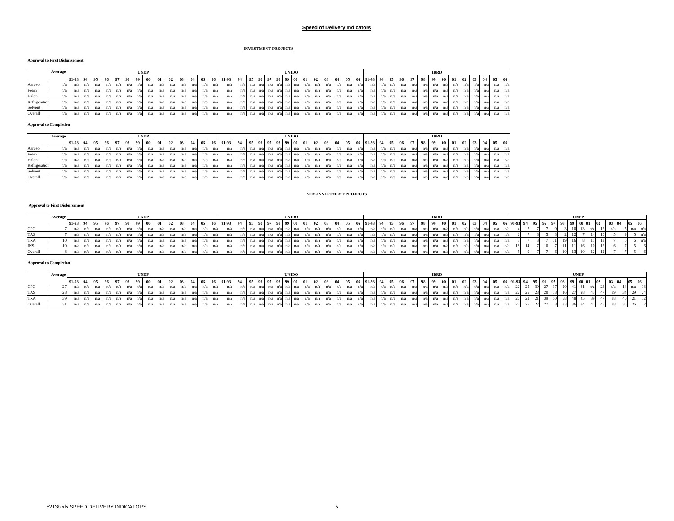#### **Speed of Delivery Indicators**

#### **INVESTMENT PROJECTS**

### **Approval to First Disbursement**

|               | Average |          |     |            |     |     |     |     | <b>UNDP</b> |     |               |     |     |      |      |       |     |             |            |             |     | <b>UNIDO</b>      |      |     |     |     |     |      |          |    |     |     |    |    | <b>IBRD</b> |    |     |    |           |     |            |     |
|---------------|---------|----------|-----|------------|-----|-----|-----|-----|-------------|-----|---------------|-----|-----|------|------|-------|-----|-------------|------------|-------------|-----|-------------------|------|-----|-----|-----|-----|------|----------|----|-----|-----|----|----|-------------|----|-----|----|-----------|-----|------------|-----|
|               |         | 91-93 94 |     | <b>195</b> | 96  | 97  | 98  | QQ  | - 00        | 01  | $^{\circ}$ 02 | 03  |     | 05 1 | - 06 | 91-93 | 94  | -95         | <b>196</b> | $_{\alpha}$ | -98 | 99                | - 00 | 01  |     | 03  |     | - 05 | 06 91-93 | 94 | 95. | 96  | 97 | 98 | . 99        | 00 | 01  | 02 | $03 \ 04$ |     | 0506       |     |
| Aerosol       | n/a     |          | n/a | n/a        | n   | n/a |     |     |             | n/a |               | n/a |     | n/a  | n/a  |       | n/a |             | n.         | n/a         |     |                   | n/a  | n/a | n/a | n/a |     |      |          |    |     | n/a |    |    | n/a         |    | n/a | n  | n/a       | n/a | val.       | n/a |
| Foam          | u a     |          | n/a | n/a        | n   | n/a | n/a | n/a |             | n/a | $n_i$         | n/a | n/a | n/a  | n/a  |       | n/a | $n/a$ $n/$  |            | $n/a$ $n$   |     |                   | n/a  | n/a | n/a | n/a |     |      | n/a      |    |     | n/a |    |    | n/a         |    | n/a | n/ | n/a       | n/a | n/a        | n/a |
| Halon         | n/a     |          | n/a | n/a        | n   | n/a | n/a | n/a |             | n/a | n/z           | n/a | n/a | n/a  | n/a  |       | n/a | $n/a$ $n/$  |            | $n/a$ $n$   |     | /al n/            | n/a  | n/a | n/a | n/a | n/a |      | n/a      |    |     | n/a |    |    | n/a         |    | n/a | n  | n/a       | n/a | val.       | n/a |
| Refrigeration | n/a     |          | n/a | n/a        | n   | n/a |     |     |             | n/a |               | n/i |     | n/a  | n/a  |       | n/a |             |            |             |     |                   | n/a  | n/z |     | n/a |     |      | n/a      |    |     |     |    |    |             |    | n/a |    | n/a       |     | n/a        | n/a |
| Solvent       | n/a     |          | n/a | n/a        | n   | n/a |     |     |             | n/a | $n_i$         | n/a |     | n/a  | n/a  |       | n/a |             |            |             |     |                   | n/a  | n/3 |     |     |     |      | n/a      |    |     |     |    |    |             |    | n/a | n  | n/a       | n/a | .val       | n/a |
| Overall       | n/a     |          | n/a | n/a        | n/z | n/a |     | n/a |             | n/a |               | n/i |     | n/a  | n/a  |       | n/a | $n/a$ $n/3$ |            |             |     | $n/a$ $n/a$ $n/a$ | n/al | n/a |     |     |     |      | n/a      |    |     |     |    |    |             |    | n/a | n/ | n/a       | n/a | $\sqrt{a}$ | n/a |

#### **Approval to Completion**

|               | Average |          |     |     |     |     |     |     | <b>UNDP</b> |  |     |     |     |                 |       |     |       |             |       |     |             | <b>UNIDO</b> |     |                 |              |     |     |     |         |     |     |     |     |     |    | <b>IBRD</b> |               |                |     |                |     |       |
|---------------|---------|----------|-----|-----|-----|-----|-----|-----|-------------|--|-----|-----|-----|-----------------|-------|-----|-------|-------------|-------|-----|-------------|--------------|-----|-----------------|--------------|-----|-----|-----|---------|-----|-----|-----|-----|-----|----|-------------|---------------|----------------|-----|----------------|-----|-------|
|               |         | 91-93 94 |     |     | 96  | 97  | 98  | 99  | 00          |  | 03  | -04 |     | 06              | 91-93 | 0.4 | 95 96 |             | $-97$ | 98  | 99          | 900          | 01  | $\overline{02}$ | 03           | 04  | 05  | -06 | $91-93$ | 94  | 95  |     | 97  | 98  | 99 | $00\,$      | $^{\circ}$ 01 | 02             | -03 | $\blacksquare$ |     | 05 06 |
| Aerosol       |         |          |     | n/a |     |     |     | n/a |             |  | n/a |     | n/a | n/3             |       | n/a |       |             | n     |     | $n/a$ $n/a$ |              | n/a |                 | $\mathbf{n}$ |     |     | n/a |         | n/a |     |     | ш   |     |    |             | n/a.          | n/3            | n/a | n/a            | n/a | n/a   |
| Foam          |         |          | n/a | n/a |     | n/a |     | n/a |             |  | n/a | n/a | n/a | n/z             |       | n/a |       |             | n     |     | $n/a$ $n$   |              | n/a |                 | n/a          |     | n   | n/a |         | n/a | n/a | n/a |     |     |    |             | n/a           | n/s            | n/a | n/a            | n/a |       |
| Halon         |         |          |     | n/a |     |     |     |     |             |  | n/a |     | n/a |                 |       | n/a |       |             | n     |     | $n/a$ $n/$  |              | n/a |                 | $\mathbf n$  |     |     | n/a |         | n/a | n/a |     |     |     |    |             | n/a           | n/3            | n/a | n/a            | n/a |       |
| Refrigeration | n/a     |          |     | n/a |     |     |     |     |             |  | n/a | n/a | n/a | n/3             |       | n/a |       |             |       |     | n/a         | n/           | n   |                 |              |     |     | n/a |         | n/a | n/a |     |     |     |    |             | n/a           | n <sub>i</sub> | n/a | n/a            | n/a |       |
| Solvent       |         |          | n/a | n/a | n/a | n/a |     | n/a |             |  | n/a | n/a | n/a | $n/\varepsilon$ |       | n/a |       | n/a         | n/3   | n/a | n/a n/a     |              | n/a |                 | n/a          | n/z | n/a | n/a |         | n/a |     | n/a | u a | n/a |    |             | n/a           | n/3            | n/a | n/a            | n/a | n/a   |
| Overall       |         |          | n/a | n/a | n/a | n/a | n/a | n/a |             |  | n/a | n/a | n/a | n/a             |       | n/a |       | $n/a$ $n/a$ | n/a   | n/a | $n/a$ $n/a$ |              | n/a | n/a             | n/a          | n   | n/a | n/a |         | n/a | n/a | n/a |     | n/a |    | n/a         | n/a           | n/3            | n/a | n/a            | n/a | n/a   |

#### **NON-INVESTMENT PROJECTS**

### **Approval to First Disbursement**

|            | Average |          |  |             |  | <b>UNDP</b> |  |            |                 |                   |             |    |  | <b>UNIDO</b> |  |     |   |      |  |             |  |  | <b>IBRD</b> |  |  |    |       |  |             |  | <b>UNEF</b> |      |  |       |  |
|------------|---------|----------|--|-------------|--|-------------|--|------------|-----------------|-------------------|-------------|----|--|--------------|--|-----|---|------|--|-------------|--|--|-------------|--|--|----|-------|--|-------------|--|-------------|------|--|-------|--|
|            |         | 91-93 94 |  | $95$   $90$ |  |             |  | $02 \t 03$ | $\overline{04}$ | $\blacksquare$ 05 | i 1 91.93 l | 05 |  | <b>00</b>    |  | -02 | ູ | - 04 |  | $91-93$ $9$ |  |  |             |  |  | 05 | 01.03 |  | $^{\alpha}$ |  | -00-01      | l 03 |  | - 106 |  |
| <b>CPG</b> |         |          |  |             |  |             |  |            |                 |                   |             |    |  |              |  |     |   |      |  |             |  |  |             |  |  |    |       |  |             |  |             |      |  |       |  |
| <b>TAS</b> |         |          |  |             |  |             |  |            |                 |                   |             |    |  |              |  |     |   |      |  |             |  |  |             |  |  |    |       |  |             |  |             |      |  |       |  |
| <b>TRA</b> |         |          |  |             |  |             |  |            |                 |                   |             |    |  |              |  |     |   |      |  |             |  |  |             |  |  |    |       |  |             |  |             |      |  |       |  |
| <b>INS</b> |         |          |  |             |  |             |  |            |                 |                   |             |    |  |              |  |     |   |      |  |             |  |  |             |  |  |    |       |  |             |  |             |      |  |       |  |
| Overal     |         |          |  |             |  |             |  |            |                 |                   |             |    |  |              |  |     |   |      |  |             |  |  |             |  |  |    |       |  |             |  |             |      |  |       |  |

### **Approval to Completion**

|            | Average |       |  |  |  | <b>UNDP</b> |  |  |  |      |            |  |                | <b>UNIDO</b> |      |  |  |        |  |  | <b>IBRD</b> |  |  |  |  |  |  | <b>UNEI</b> |          |    |         |  |  |
|------------|---------|-------|--|--|--|-------------|--|--|--|------|------------|--|----------------|--------------|------|--|--|--------|--|--|-------------|--|--|--|--|--|--|-------------|----------|----|---------|--|--|
|            |         | 91-93 |  |  |  |             |  |  |  | - 03 | <b>DOC</b> |  | $\overline{0}$ |              | - 02 |  |  | $-01.$ |  |  |             |  |  |  |  |  |  |             | $-00-01$ | 02 | $03-10$ |  |  |
| CPG        |         |       |  |  |  |             |  |  |  |      |            |  |                |              |      |  |  |        |  |  |             |  |  |  |  |  |  |             |          |    |         |  |  |
| <b>TAS</b> |         |       |  |  |  |             |  |  |  |      |            |  |                |              |      |  |  |        |  |  |             |  |  |  |  |  |  |             |          |    |         |  |  |
| <b>TRA</b> |         |       |  |  |  |             |  |  |  |      |            |  |                |              |      |  |  |        |  |  |             |  |  |  |  |  |  |             |          |    |         |  |  |
| Overall    |         |       |  |  |  |             |  |  |  |      |            |  |                |              |      |  |  |        |  |  |             |  |  |  |  |  |  |             |          |    |         |  |  |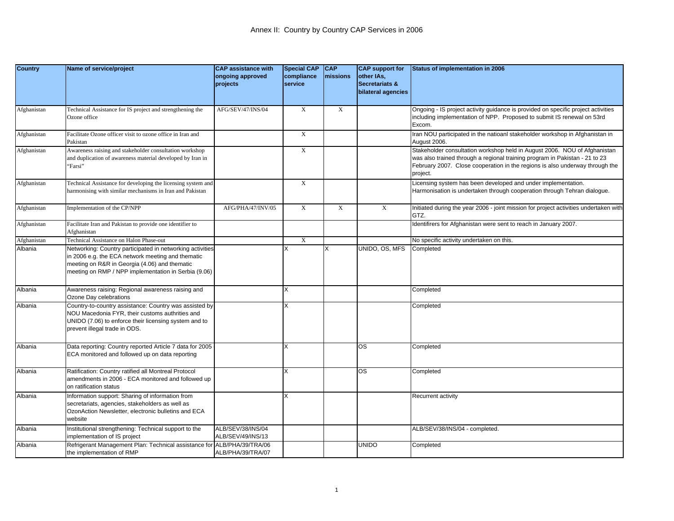| <b>Country</b> | Name of service/project                                                                                                                                                                                                 | <b>CAP</b> assistance with             | <b>Special CAP</b>    | <b>CAP</b>  | <b>CAP</b> support for                             | Status of implementation in 2006                                                                                                                                                                                                                     |
|----------------|-------------------------------------------------------------------------------------------------------------------------------------------------------------------------------------------------------------------------|----------------------------------------|-----------------------|-------------|----------------------------------------------------|------------------------------------------------------------------------------------------------------------------------------------------------------------------------------------------------------------------------------------------------------|
|                |                                                                                                                                                                                                                         | ongoing approved<br>projects           | compliance<br>service | missions    | other IAs,<br>Secretariats &<br>bilateral agencies |                                                                                                                                                                                                                                                      |
| Afghanistan    | Technical Assistance for IS project and strengthening the<br>Ozone office                                                                                                                                               | AFG/SEV/47/INS/04                      | $\mathbf X$           | $\mathbf X$ |                                                    | Ongoing - IS project activity guidance is provided on specific project activities<br>including implementation of NPP. Proposed to submit IS renewal on 53rd<br>Excom.                                                                                |
| Afghanistan    | Facilitate Ozone officer visit to ozone office in Iran and<br>Pakistan                                                                                                                                                  |                                        | $\overline{X}$        |             |                                                    | Iran NOU participated in the natioanl stakeholder workshop in Afghanistan in<br>August 2006.                                                                                                                                                         |
| Afghanistan    | Awareness raising and stakeholder consultation workshop<br>and duplication of awareness material developed by Iran in<br>'Farsi"                                                                                        |                                        | $\mathbf X$           |             |                                                    | Stakeholder consultation workshop held in August 2006. NOU of Afghanistan<br>was also trained through a regional training program in Pakistan - 21 to 23<br>February 2007. Close cooperation in the regions is also underway through the<br>project. |
| Afghanistan    | Technical Assistance for developing the licensing system and<br>narmonising with similar mechanisms in Iran and Pakistan                                                                                                |                                        | $\mathbf X$           |             |                                                    | Licensing system has been developed and under implementation.<br>Harmonisation is undertaken through cooperation through Tehran dialogue.                                                                                                            |
| Afghanistan    | Implementation of the CP/NPP                                                                                                                                                                                            | AFG/PHA/47/INV/05                      | $\mathbf X$           | $\mathbf X$ | $\mathbf X$                                        | Initiated during the year 2006 - joint mission for project activities undertaken with<br>GTZ.                                                                                                                                                        |
| Afghanistan    | Facilitate Iran and Pakistan to provide one identifier to<br>Afghanistan                                                                                                                                                |                                        |                       |             |                                                    | Identifirers for Afghanistan were sent to reach in January 2007.                                                                                                                                                                                     |
| Afghanistan    | <b>Technical Assistance on Halon Phase-out</b>                                                                                                                                                                          |                                        | $\mathbf X$           |             |                                                    | No specific activity undertaken on this.                                                                                                                                                                                                             |
| Albania        | Networking: Country participated in networking activities<br>in 2006 e.g. the ECA network meeting and thematic<br>meeting on R&R in Georgia (4.06) and thematic<br>meeting on RMP / NPP implementation in Serbia (9.06) |                                        |                       | X           | UNIDO, OS, MFS                                     | Completed                                                                                                                                                                                                                                            |
| Albania        | Awareness raising: Regional awareness raising and<br>Ozone Day celebrations                                                                                                                                             |                                        | X                     |             |                                                    | Completed                                                                                                                                                                                                                                            |
| Albania        | Country-to-country assistance: Country was assisted by<br>NOU Macedonia FYR, their customs authrities and<br>UNIDO (7.06) to enforce their licensing system and to<br>prevent illegal trade in ODS.                     |                                        | X                     |             |                                                    | Completed                                                                                                                                                                                                                                            |
| Albania        | Data reporting: Country reported Article 7 data for 2005<br>ECA monitored and followed up on data reporting                                                                                                             |                                        | X                     |             | <b>OS</b>                                          | Completed                                                                                                                                                                                                                                            |
| Albania        | Ratification: Country ratified all Montreal Protocol<br>amendments in 2006 - ECA monitored and followed up<br>on ratification status                                                                                    |                                        | X                     |             | $\overline{\text{os}}$                             | Completed                                                                                                                                                                                                                                            |
| Albania        | Information support: Sharing of information from<br>secretariats, agencies, stakeholders as well as<br>OzonAction Newsletter, electronic bulletins and ECA<br>website                                                   |                                        | X                     |             |                                                    | Recurrent activity                                                                                                                                                                                                                                   |
| Albania        | Institutional strengthening: Technical support to the<br>mplementation of IS project                                                                                                                                    | ALB/SEV/38/INS/04<br>ALB/SEV/49/INS/13 |                       |             |                                                    | ALB/SEV/38/INS/04 - completed.                                                                                                                                                                                                                       |
| Albania        | Refrigerant Management Plan: Technical assistance for<br>the implementation of RMP                                                                                                                                      | ALB/PHA/39/TRA/06<br>ALB/PHA/39/TRA/07 |                       |             | <b>UNIDO</b>                                       | Completed                                                                                                                                                                                                                                            |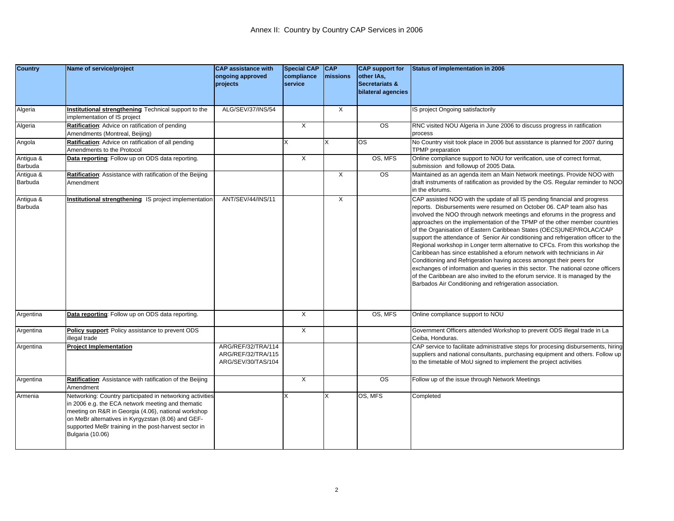| <b>Country</b>       | Name of service/project                                                                                                                                                                                                                                                                                 | <b>CAP</b> assistance with<br>ongoing approved<br>projects     | <b>Special CAP</b><br>compliance<br>service | CAP<br>missions | <b>CAP</b> support for<br>other IAs,<br>Secretariats &<br>bilateral agencies | Status of implementation in 2006                                                                                                                                                                                                                                                                                                                                                                                                                                                                                                                                                                                                                                                                                                                                                                                                                                                                                                                |
|----------------------|---------------------------------------------------------------------------------------------------------------------------------------------------------------------------------------------------------------------------------------------------------------------------------------------------------|----------------------------------------------------------------|---------------------------------------------|-----------------|------------------------------------------------------------------------------|-------------------------------------------------------------------------------------------------------------------------------------------------------------------------------------------------------------------------------------------------------------------------------------------------------------------------------------------------------------------------------------------------------------------------------------------------------------------------------------------------------------------------------------------------------------------------------------------------------------------------------------------------------------------------------------------------------------------------------------------------------------------------------------------------------------------------------------------------------------------------------------------------------------------------------------------------|
| Algeria              | Institutional strengthening Technical support to the<br>mplementation of IS project                                                                                                                                                                                                                     | ALG/SEV/37/INS/54                                              |                                             | X               |                                                                              | IS project Ongoing satisfactorily                                                                                                                                                                                                                                                                                                                                                                                                                                                                                                                                                                                                                                                                                                                                                                                                                                                                                                               |
| Algeria              | Ratification: Advice on ratification of pending<br>Amendments (Montreal, Beijing)                                                                                                                                                                                                                       |                                                                | X                                           |                 | <b>OS</b>                                                                    | RNC visited NOU Algeria in June 2006 to discuss progress in ratification<br>process                                                                                                                                                                                                                                                                                                                                                                                                                                                                                                                                                                                                                                                                                                                                                                                                                                                             |
| Angola               | Ratification: Advice on ratification of all pending<br>Amendments to the Protocol                                                                                                                                                                                                                       |                                                                |                                             | X               | <b>OS</b>                                                                    | No Country visit took place in 2006 but assistance is planned for 2007 during<br><b>TPMP</b> preparation                                                                                                                                                                                                                                                                                                                                                                                                                                                                                                                                                                                                                                                                                                                                                                                                                                        |
| Antigua &<br>Barbuda | Data reporting: Follow up on ODS data reporting.                                                                                                                                                                                                                                                        |                                                                | X                                           |                 | OS, MFS                                                                      | Online compliance support to NOU for verification, use of correct format,<br>submission and followup of 2005 Data.                                                                                                                                                                                                                                                                                                                                                                                                                                                                                                                                                                                                                                                                                                                                                                                                                              |
| Antigua &<br>Barbuda | Ratification: Assistance with ratification of the Beijing<br>Amendment                                                                                                                                                                                                                                  |                                                                |                                             | $\times$        | <b>OS</b>                                                                    | Maintained as an agenda item an Main Network meetings. Provide NOO with<br>draft instruments of ratification as provided by the OS. Regular reminder to NOO<br>in the eforums.                                                                                                                                                                                                                                                                                                                                                                                                                                                                                                                                                                                                                                                                                                                                                                  |
| Antigua &<br>Barbuda | nstitutional strengthening: IS project implementation                                                                                                                                                                                                                                                   | ANT/SEV/44/INS/11                                              |                                             | X               |                                                                              | CAP assisted NOO with the update of all IS pending financial and progress<br>reports. Disbursements were resumed on October 06. CAP team also has<br>involved the NOO through network meetings and eforums in the progress and<br>approaches on the implementation of the TPMP of the other member countries<br>of the Organisation of Eastern Caribbean States (OECS)UNEP/ROLAC/CAP<br>support the attendance of Senior Air conditioning and refrigeration officer to the<br>Regional workshop in Longer term alternative to CFCs. From this workshop the<br>Caribbean has since established a eforum network with technicians in Air<br>Conditioning and Refrigeration having access amongst their peers for<br>exchanges of information and queries in this sector. The national ozone officers<br>of the Caribbean are also invited to the eforum service. It is managed by the<br>Barbados Air Conditioning and refrigeration association. |
| Argentina            | Data reporting: Follow up on ODS data reporting.                                                                                                                                                                                                                                                        |                                                                | $\overline{X}$                              |                 | OS, MFS                                                                      | Online compliance support to NOU                                                                                                                                                                                                                                                                                                                                                                                                                                                                                                                                                                                                                                                                                                                                                                                                                                                                                                                |
| Argentina            | Policy support: Policy assistance to prevent ODS<br>llegal trade                                                                                                                                                                                                                                        |                                                                | X                                           |                 |                                                                              | Government Officers attended Workshop to prevent ODS illegal trade in La<br>Ceiba, Honduras.                                                                                                                                                                                                                                                                                                                                                                                                                                                                                                                                                                                                                                                                                                                                                                                                                                                    |
| Argentina            | <b>Project Implementation</b>                                                                                                                                                                                                                                                                           | ARG/REF/32/TRA/114<br>ARG/REF/32/TRA/115<br>ARG/SEV/30/TAS/104 |                                             |                 |                                                                              | CAP service to facilitate administrative steps for procesing disbursements, hiring<br>suppliers and national consultants, purchasing equipment and others. Follow up<br>to the timetable of MoU signed to implement the project activities                                                                                                                                                                                                                                                                                                                                                                                                                                                                                                                                                                                                                                                                                                      |
| Argentina            | Ratification: Assistance with ratification of the Beijing<br>Amendment                                                                                                                                                                                                                                  |                                                                | $\times$                                    |                 | <b>OS</b>                                                                    | Follow up of the issue through Network Meetings                                                                                                                                                                                                                                                                                                                                                                                                                                                                                                                                                                                                                                                                                                                                                                                                                                                                                                 |
| Armenia              | Networking: Country participated in networking activities<br>n 2006 e.g. the ECA network meeting and thematic<br>meeting on R&R in Georgia (4.06), national workshop<br>on MeBr alternatives in Kyrgyzstan (8.06) and GEF-<br>supported MeBr training in the post-harvest sector in<br>Bulgaria (10.06) |                                                                |                                             |                 | OS, MFS                                                                      | Completed                                                                                                                                                                                                                                                                                                                                                                                                                                                                                                                                                                                                                                                                                                                                                                                                                                                                                                                                       |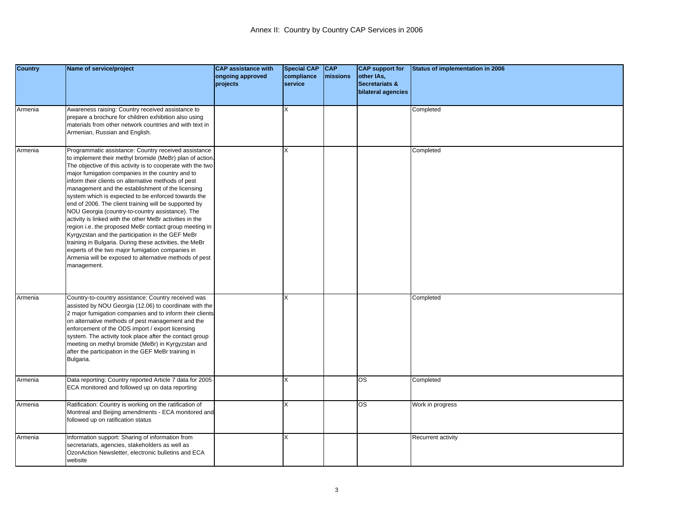| <b>Country</b> | Name of service/project                                                                                                                                                                                                                                                                                                                                                                                                                                                                                                                                                                                                                                                                                                                                                                                                                                                              | <b>CAP assistance with</b><br>ongoing approved<br>projects | <b>Special CAP</b><br>compliance<br>service | $ $ CAP<br><b>Imissions</b> | <b>CAP</b> support for<br>other IAs,<br>Secretariats &<br>bilateral agencies | Status of implementation in 2006 |
|----------------|--------------------------------------------------------------------------------------------------------------------------------------------------------------------------------------------------------------------------------------------------------------------------------------------------------------------------------------------------------------------------------------------------------------------------------------------------------------------------------------------------------------------------------------------------------------------------------------------------------------------------------------------------------------------------------------------------------------------------------------------------------------------------------------------------------------------------------------------------------------------------------------|------------------------------------------------------------|---------------------------------------------|-----------------------------|------------------------------------------------------------------------------|----------------------------------|
| Armenia        | Awareness raising: Country received assistance to<br>prepare a brochure for children exhibition also using<br>materials from other network countries and with text in<br>Armenian, Russian and English.                                                                                                                                                                                                                                                                                                                                                                                                                                                                                                                                                                                                                                                                              |                                                            | X                                           |                             |                                                                              | Completed                        |
| Armenia        | Programmatic assistance: Country received assistance<br>to implement their methyl bromide (MeBr) plan of action.<br>The objective of this activity is to cooperate with the two<br>major fumigation companies in the country and to<br>nform their clients on alternative methods of pest<br>management and the establishment of the licensing<br>system which is expected to be enforced towards the<br>end of 2006. The client training will be supported by<br>NOU Georgia (country-to-country assistance). The<br>activity is linked with the other MeBr activities in the<br>region i.e. the proposed MeBr contact group meeting in<br>Kyrgyzstan and the participation in the GEF MeBr<br>training in Bulgaria. During these activities, the MeBr<br>experts of the two major fumigation companies in<br>Armenia will be exposed to alternative methods of pest<br>management. |                                                            | X                                           |                             |                                                                              | Completed                        |
| Armenia        | Country-to-country assistance: Country received was<br>assisted by NOU Georgia (12.06) to coordinate with the<br>2 major fumigation companies and to inform their clients<br>on alternative methods of pest management and the<br>enforcement of the ODS import / export licensing<br>system. The activity took place after the contact group<br>meeting on methyl bromide (MeBr) in Kyrgyzstan and<br>after the participation in the GEF MeBr training in<br>Bulgaria.                                                                                                                                                                                                                                                                                                                                                                                                              |                                                            | X                                           |                             |                                                                              | Completed                        |
| Armenia        | Data reporting: Country reported Article 7 data for 2005<br>ECA monitored and followed up on data reporting                                                                                                                                                                                                                                                                                                                                                                                                                                                                                                                                                                                                                                                                                                                                                                          |                                                            | X                                           |                             | <b>OS</b>                                                                    | Completed                        |
| Armenia        | Ratification: Country is working on the ratification of<br>Montreal and Beijing amendments - ECA monitored and<br>followed up on ratification status                                                                                                                                                                                                                                                                                                                                                                                                                                                                                                                                                                                                                                                                                                                                 |                                                            | X                                           |                             | <b>OS</b>                                                                    | Work in progress                 |
| Armenia        | Information support: Sharing of information from<br>secretariats, agencies, stakeholders as well as<br>OzonAction Newsletter, electronic bulletins and ECA<br>website                                                                                                                                                                                                                                                                                                                                                                                                                                                                                                                                                                                                                                                                                                                |                                                            | х                                           |                             |                                                                              | Recurrent activity               |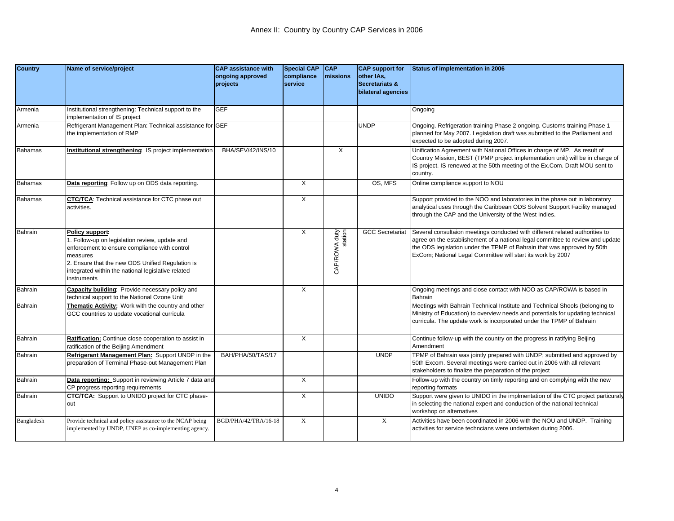| <b>Country</b> | Name of service/project                                                                                                                                                                                                                              | <b>CAP</b> assistance with<br>ongoing approved<br>projects | <b>Special CAP</b><br>compliance<br>service | <b>CAP</b><br><b>Imissions</b> | <b>CAP</b> support for<br>other IAs,<br><b>Secretariats &amp;</b><br>bilateral agencies | <b>Status of implementation in 2006</b>                                                                                                                                                                                                                                                                  |
|----------------|------------------------------------------------------------------------------------------------------------------------------------------------------------------------------------------------------------------------------------------------------|------------------------------------------------------------|---------------------------------------------|--------------------------------|-----------------------------------------------------------------------------------------|----------------------------------------------------------------------------------------------------------------------------------------------------------------------------------------------------------------------------------------------------------------------------------------------------------|
| Armenia        | Institutional strengthening: Technical support to the<br>implementation of IS project                                                                                                                                                                | <b>GEF</b>                                                 |                                             |                                |                                                                                         | Ongoing                                                                                                                                                                                                                                                                                                  |
| Armenia        | Refrigerant Management Plan: Technical assistance for GEF<br>the implementation of RMP                                                                                                                                                               |                                                            |                                             |                                | <b>UNDP</b>                                                                             | Ongoing. Refrigeration training Phase 2 ongoing. Customs training Phase 1<br>planned for May 2007. Legislation draft was submitted to the Parliament and<br>expected to be adopted during 2007.                                                                                                          |
| <b>Bahamas</b> | Institutional strengthening IS project implementation                                                                                                                                                                                                | BHA/SEV/42/INS/10                                          |                                             | X                              |                                                                                         | Unification Agreement with National Offices in charge of MP. As result of<br>Country Mission, BEST (TPMP project implementation unit) will be in charge of<br>IS project. IS renewed at the 50th meeting of the Ex.Com. Draft MOU sent to<br>country.                                                    |
| <b>Bahamas</b> | Data reporting: Follow up on ODS data reporting.                                                                                                                                                                                                     |                                                            | $\times$                                    |                                | OS. MFS                                                                                 | Online compliance support to NOU                                                                                                                                                                                                                                                                         |
| <b>Bahamas</b> | CTC/TCA: Technical assistance for CTC phase out<br>activities.                                                                                                                                                                                       |                                                            | X                                           |                                |                                                                                         | Support provided to the NOO and laboratories in the phase out in laboratory<br>analytical uses through the Caribbean ODS Solvent Support Facility managed<br>through the CAP and the University of the West Indies.                                                                                      |
| Bahrain        | Policy support:<br>Follow-up on legislation review, update and<br>enforcement to ensure compliance with control<br>measures<br>2. Ensure that the new ODS Unified Regulation is<br>integrated within the national legislative related<br>instruments |                                                            | $\times$                                    | CAP/ROWA duty<br>station       | <b>GCC Secretariat</b>                                                                  | Several consultaion meetings conducted with different related authorities to<br>agree on the establishement of a national legal committee to review and update<br>the ODS legislation under the TPMP of Bahrain that was approved by 50th<br>ExCom; National Legal Committee will start its work by 2007 |
| Bahrain        | <b>Capacity building:</b> Provide necessary policy and<br>technical support to the National Ozone Unit                                                                                                                                               |                                                            | $\times$                                    |                                |                                                                                         | Ongoing meetings and close contact with NOO as CAP/ROWA is based in<br>Bahrain                                                                                                                                                                                                                           |
| Bahrain        | Thematic Activity: Work with the country and other<br>GCC countries to update vocational curricula                                                                                                                                                   |                                                            |                                             |                                |                                                                                         | Meetings with Bahrain Technical Institute and Technical Shools (belonging to<br>Ministry of Education) to overview needs and potentials for updating technical<br>curricula. The update work is incorporated under the TPMP of Bahrain                                                                   |
| Bahrain        | Ratification: Continue close cooperation to assist in<br>ratification of the Beijing Amendment                                                                                                                                                       |                                                            | X                                           |                                |                                                                                         | Continue follow-up with the country on the progress in ratifying Beijing<br>Amendment                                                                                                                                                                                                                    |
| Bahrain        | Refrigerant Management Plan: Support UNDP in the<br>preparation of Terminal Phase-out Management Plan                                                                                                                                                | BAH/PHA/50/TAS/17                                          |                                             |                                | <b>UNDP</b>                                                                             | TPMP of Bahrain was jointly prepared with UNDP; submitted and approved by<br>50th Excom. Several meetings were carried out in 2006 with all relevant<br>stakeholders to finalize the preparation of the project                                                                                          |
| Bahrain        | Data reporting: Support in reviewing Article 7 data and<br>CP progress reporting requirements                                                                                                                                                        |                                                            | $\times$                                    |                                |                                                                                         | Follow-up with the country on timly reporting and on complying with the new<br>reporting formats                                                                                                                                                                                                         |
| Bahrain        | CTC/TCA: Support to UNIDO project for CTC phase-<br>out                                                                                                                                                                                              |                                                            | X                                           |                                | <b>UNIDO</b>                                                                            | Support were given to UNIDO in the implmentation of the CTC project particuraly<br>in selecting the national expert and conduction of the national technical<br>workshop on alternatives                                                                                                                 |
| Bangladesh     | Provide technical and policy assistance to the NCAP being<br>implemented by UNDP, UNEP as co-implementing agency.                                                                                                                                    | BGD/PHA/42/TRA/16-18                                       | $\mathbf X$                                 |                                | $\mathbf X$                                                                             | Activities have been coordinated in 2006 with the NOU and UNDP. Training<br>activities for service techncians were undertaken during 2006.                                                                                                                                                               |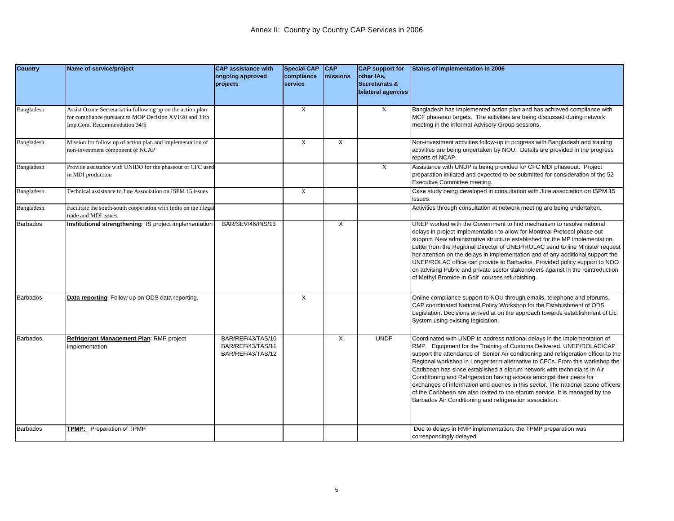| <b>Country</b>  | Name of service/project                                                                                                                                | <b>CAP assistance with</b><br>ongoing approved<br>projects  | <b>Special CAP</b><br>compliance<br>service | <b>CAP</b><br>missions | <b>CAP</b> support for<br>other IAs,<br><b>Secretariats &amp;</b><br>bilateral agencies | Status of implementation in 2006                                                                                                                                                                                                                                                                                                                                                                                                                                                                                                                                                                                                                                                                             |
|-----------------|--------------------------------------------------------------------------------------------------------------------------------------------------------|-------------------------------------------------------------|---------------------------------------------|------------------------|-----------------------------------------------------------------------------------------|--------------------------------------------------------------------------------------------------------------------------------------------------------------------------------------------------------------------------------------------------------------------------------------------------------------------------------------------------------------------------------------------------------------------------------------------------------------------------------------------------------------------------------------------------------------------------------------------------------------------------------------------------------------------------------------------------------------|
|                 |                                                                                                                                                        |                                                             |                                             |                        |                                                                                         |                                                                                                                                                                                                                                                                                                                                                                                                                                                                                                                                                                                                                                                                                                              |
| Bangladesh      | Assist Ozone Secretariat in following up on the action plan<br>for compliance pursuant to MOP Decision XVI/20 and 34th<br>Imp.Com. Recommendation 34/5 |                                                             | X                                           |                        | X                                                                                       | Bangladesh has implemented action plan and has achieved compliance with<br>MCF phaseout targets. The activities are being discussed during network<br>meeting in the informal Advisory Group sessions.                                                                                                                                                                                                                                                                                                                                                                                                                                                                                                       |
| Bangladesh      | Mission for follow up of action plan and implementation of<br>non-investment component of NCAP                                                         |                                                             | $\mathbf x$                                 | X                      |                                                                                         | Non-investment activities follow-up in progress with Bangladesh and training<br>activities are being undertaken by NOU. Details are provided in the progress<br>reports of NCAP.                                                                                                                                                                                                                                                                                                                                                                                                                                                                                                                             |
| Bangladesh      | Provide assistance with UNIDO for the phaseout of CFC used<br>in MDI production                                                                        |                                                             |                                             |                        | $\mathbf X$                                                                             | Assistance with UNDP is being provided for CFC MDI phaseout. Project<br>preparation initiated and expected to be submitted for consideration of the 52<br>Executive Committee meeting.                                                                                                                                                                                                                                                                                                                                                                                                                                                                                                                       |
| Bangladesh      | Technical assistance to Jute Association on ISPM 15 issues                                                                                             |                                                             | $\mathbf X$                                 |                        |                                                                                         | Case study being developed in consultation with Jute association on ISPM 15<br>ssues.                                                                                                                                                                                                                                                                                                                                                                                                                                                                                                                                                                                                                        |
| Bangladesh      | Facilitate the south-south cooperation with India on the illega<br>trade and MDI issues                                                                |                                                             |                                             |                        |                                                                                         | Activities through consultation at network meeting are being undertaken.                                                                                                                                                                                                                                                                                                                                                                                                                                                                                                                                                                                                                                     |
| Barbados        | Institutional strengthening: IS project implementation                                                                                                 | BAR/SEV/46/INS/13                                           |                                             | X                      |                                                                                         | UNEP worked with the Government to find mechanism to resolve national<br>delays in project implementation to allow for Montreal Protocol phase out<br>support. New administrative structure established for the MP implementation.<br>Letter from the Regional Director of UNEP/ROLAC send to line Minister request<br>her attention on the delays in implementation and of any additional support the<br>UNEP/ROLAC office can provide to Barbados. Provided policy support to NOO<br>on advising Public and private sector stakeholders against in the reintroduction<br>of Methyl Bromide in Golf courses refurbishing.                                                                                   |
| <b>Barbados</b> | Data reporting: Follow up on ODS data reporting.                                                                                                       |                                                             | X                                           |                        |                                                                                         | Online compliance support to NOU through emails, telephone and eforums.<br>CAP coordinated National Policy Workshop for the Establishment of ODS<br>Legislation. Decisions arrived at on the approach towards establishment of Lic.<br>System using existing legislation.                                                                                                                                                                                                                                                                                                                                                                                                                                    |
| <b>Barbados</b> | Refrigerant Management Plan: RMP project<br>mplementation                                                                                              | BAR/REF/43/TAS/10<br>BAR/REF/43/TAS/11<br>BAR/REF/43/TAS/12 |                                             | X                      | <b>UNDP</b>                                                                             | Coordinated with UNDP to address national delays in the implementation of<br>RMP. Equipment for the Training of Customs Delivered. UNEP/ROLAC/CAP<br>support the attendance of Senior Air conditioning and refrigeration officer to the<br>Regional workshop in Longer term alternative to CFCs. From this workshop the<br>Caribbean has since established a eforum network with technicians in Air<br>Conditioning and Refrigeration having access amongst their peers for<br>exchanges of information and queries in this sector. The national ozone officers<br>of the Caribbean are also invited to the eforum service. It is managed by the<br>Barbados Air Conditioning and refrigeration association. |
| <b>Barbados</b> | TPMP: Preparation of TPMP                                                                                                                              |                                                             |                                             |                        |                                                                                         | Due to delays in RMP implementation, the TPMP preparation was<br>correspondingly delayed                                                                                                                                                                                                                                                                                                                                                                                                                                                                                                                                                                                                                     |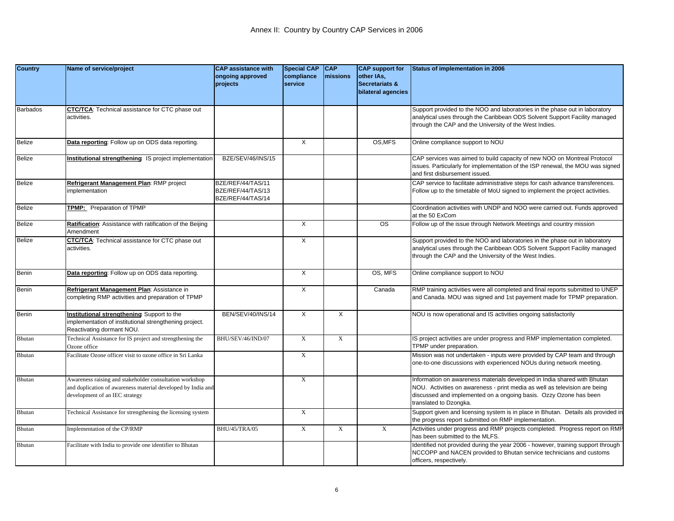| <b>Country</b> | Name of service/project                                                                | <b>CAP assistance with</b>             | <b>Special CAP</b> | <b>CAP</b>  | <b>CAP</b> support for    | Status of implementation in 2006                                                                                                                                |
|----------------|----------------------------------------------------------------------------------------|----------------------------------------|--------------------|-------------|---------------------------|-----------------------------------------------------------------------------------------------------------------------------------------------------------------|
|                |                                                                                        | ongoing approved                       | compliance         | missions    | other IAs,                |                                                                                                                                                                 |
|                |                                                                                        | projects                               | service            |             | <b>Secretariats &amp;</b> |                                                                                                                                                                 |
|                |                                                                                        |                                        |                    |             | bilateral agencies        |                                                                                                                                                                 |
| Barbados       | <b>CTC/TCA:</b> Technical assistance for CTC phase out                                 |                                        |                    |             |                           | Support provided to the NOO and laboratories in the phase out in laboratory                                                                                     |
|                | activities.                                                                            |                                        |                    |             |                           | analytical uses through the Caribbean ODS Solvent Support Facility managed                                                                                      |
|                |                                                                                        |                                        |                    |             |                           | through the CAP and the University of the West Indies.                                                                                                          |
|                |                                                                                        |                                        |                    |             |                           |                                                                                                                                                                 |
| <b>Belize</b>  | Data reporting: Follow up on ODS data reporting.                                       |                                        | X                  |             | OS, MFS                   | Online compliance support to NOU                                                                                                                                |
|                |                                                                                        |                                        |                    |             |                           |                                                                                                                                                                 |
| Belize         | Institutional strengthening: IS project implementation                                 | BZE/SEV/46/INS/15                      |                    |             |                           | CAP services was aimed to build capacity of new NOO on Montreal Protocol                                                                                        |
|                |                                                                                        |                                        |                    |             |                           | issues. Particularly for implementation of the ISP renewal, the MOU was signed<br>and first disbursement issued.                                                |
| <b>Belize</b>  |                                                                                        |                                        |                    |             |                           |                                                                                                                                                                 |
|                | Refrigerant Management Plan: RMP project<br>mplementation                              | BZE/REF/44/TAS/11<br>BZE/REF/44/TAS/13 |                    |             |                           | CAP service to facilitate administrative steps for cash advance transferences.<br>Follow up to the timetable of MoU signed to implement the project activities. |
|                |                                                                                        | BZE/REF/44/TAS/14                      |                    |             |                           |                                                                                                                                                                 |
| <b>Belize</b>  | TPMP: Preparation of TPMP                                                              |                                        |                    |             |                           | Coordination activities with UNDP and NOO were carried out. Funds approved                                                                                      |
|                |                                                                                        |                                        |                    |             |                           | at the 50 ExCom                                                                                                                                                 |
| <b>Belize</b>  | Ratification: Assistance with ratification of the Beijing                              |                                        | $\times$           |             | <b>OS</b>                 | Follow up of the issue through Network Meetings and country mission                                                                                             |
|                | Amendment                                                                              |                                        |                    |             |                           |                                                                                                                                                                 |
| <b>Belize</b>  | CTC/TCA: Technical assistance for CTC phase out                                        |                                        | X                  |             |                           | Support provided to the NOO and laboratories in the phase out in laboratory                                                                                     |
|                | activities.                                                                            |                                        |                    |             |                           | analytical uses through the Caribbean ODS Solvent Support Facility managed                                                                                      |
|                |                                                                                        |                                        |                    |             |                           | through the CAP and the University of the West Indies.                                                                                                          |
| Benin          | Data reporting: Follow up on ODS data reporting.                                       |                                        | X                  |             | OS, MFS                   | Online compliance support to NOU                                                                                                                                |
|                |                                                                                        |                                        |                    |             |                           |                                                                                                                                                                 |
| <b>Benin</b>   | Refrigerant Management Plan: Assistance in                                             |                                        | X                  |             | Canada                    | RMP training activities were all completed and final reports submitted to UNEP                                                                                  |
|                | completing RMP activities and preparation of TPMP                                      |                                        |                    |             |                           | and Canada. MOU was signed and 1st payement made for TPMP preparation.                                                                                          |
|                |                                                                                        |                                        |                    |             |                           |                                                                                                                                                                 |
| Benin          | Institutional strengthening Support to the                                             | BEN/SEV/40/INS/14                      | X                  | $\times$    |                           | NOU is now operational and IS activities ongoing satisfactorily                                                                                                 |
|                | mplementation of institutional strengthening project.                                  |                                        |                    |             |                           |                                                                                                                                                                 |
| Bhutan         | Reactivating dormant NOU.<br>Technical Assistance for IS project and strengthening the | BHU/SEV/46/IND/07                      | $\mathbf X$        | $\mathbf X$ |                           | IS project activities are under progress and RMP implementation completed.                                                                                      |
|                | Ozone office                                                                           |                                        |                    |             |                           | TPMP under preparation.                                                                                                                                         |
| <b>Bhutan</b>  | Facilitate Ozone officer visit to ozone office in Sri Lanka                            |                                        | $\mathbf X$        |             |                           | Mission was not undertaken - inputs were provided by CAP team and through                                                                                       |
|                |                                                                                        |                                        |                    |             |                           | one-to-one discussions with experienced NOUs during network meeting.                                                                                            |
|                |                                                                                        |                                        |                    |             |                           |                                                                                                                                                                 |
| Bhutan         | Awareness raising and stakeholder consultation workshop                                |                                        | X                  |             |                           | Information on awareness materials developed in India shared with Bhutan                                                                                        |
|                | and duplication of awareness material developed by India and                           |                                        |                    |             |                           | NOU. Activities on awareness - print media as well as television are being                                                                                      |
|                | development of an IEC strategy                                                         |                                        |                    |             |                           | discussed and implemented on a ongoing basis. Ozzy Ozone has been                                                                                               |
|                |                                                                                        |                                        |                    |             |                           | translated to Dzongka.                                                                                                                                          |
| Bhutan         | Fechnical Assistance for strengthening the licensing system                            |                                        | $\mathbf X$        |             |                           | Support given and licensing system is in place in Bhutan. Details als provided in<br>the progress report submitted on RMP implementation.                       |
| Bhutan         | Implementation of the CP/RMP                                                           | BHU/45/TRA/05                          | X                  | X           | X                         | Activities under progress and RMP projects completed. Progress report on RMP                                                                                    |
|                |                                                                                        |                                        |                    |             |                           | has been submitted to the MLFS.                                                                                                                                 |
| Bhutan         | Facilitate with India to provide one identifier to Bhutan                              |                                        |                    |             |                           | Identified not provided during the year 2006 - however, training support through                                                                                |
|                |                                                                                        |                                        |                    |             |                           | NCCOPP and NACEN provided to Bhutan service technicians and customs                                                                                             |
|                |                                                                                        |                                        |                    |             |                           | officers, respectively.                                                                                                                                         |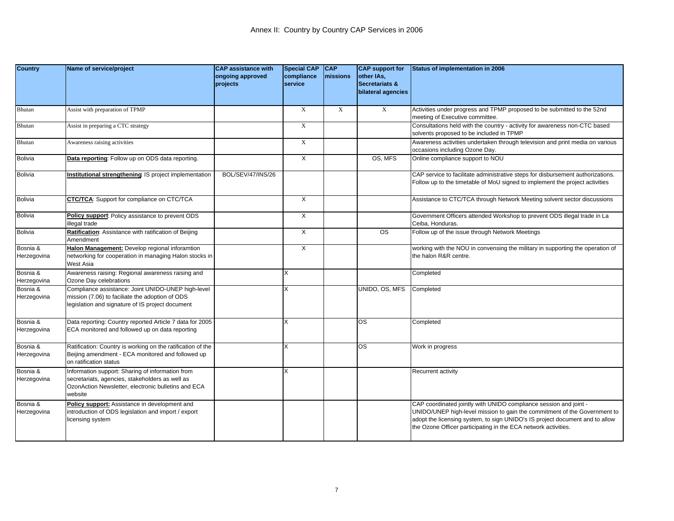| <b>Country</b>          | Name of service/project                                                                                                                                               | <b>CAP</b> assistance with<br>ongoing approved<br>projects | <b>Special CAP</b><br>compliance<br>service | <b>CAP</b><br>missions | <b>CAP</b> support for<br>other IAs,<br><b>Secretariats &amp;</b><br>bilateral agencies | <b>Status of implementation in 2006</b>                                                                                                                                                                                                                                                          |
|-------------------------|-----------------------------------------------------------------------------------------------------------------------------------------------------------------------|------------------------------------------------------------|---------------------------------------------|------------------------|-----------------------------------------------------------------------------------------|--------------------------------------------------------------------------------------------------------------------------------------------------------------------------------------------------------------------------------------------------------------------------------------------------|
| Bhutan                  | Assist with preparation of TPMP                                                                                                                                       |                                                            | X                                           | $\mathbf X$            | $\boldsymbol{\mathrm{X}}$                                                               | Activities under progress and TPMP proposed to be submitted to the 52nd<br>meeting of Executive committee.                                                                                                                                                                                       |
| Bhutan                  | Assist in preparing a CTC strategy                                                                                                                                    |                                                            | $\mathbf X$                                 |                        |                                                                                         | Consultations held with the country - activity for awareness non-CTC based<br>solvents proposed to be included in TPMP                                                                                                                                                                           |
| Bhutan                  | Awareness raising activities                                                                                                                                          |                                                            | X                                           |                        |                                                                                         | Awareness activities undertaken through television and print media on various<br>occasions including Ozone Day.                                                                                                                                                                                  |
| <b>Bolivia</b>          | Data reporting: Follow up on ODS data reporting.                                                                                                                      |                                                            | X                                           |                        | OS, MFS                                                                                 | Online compliance support to NOU                                                                                                                                                                                                                                                                 |
| <b>Bolivia</b>          | Institutional strengthening IS project implementation                                                                                                                 | <b>BOL/SEV/47/INS/26</b>                                   |                                             |                        |                                                                                         | CAP service to facilitate administrative steps for disbursement authorizations.<br>Follow up to the timetable of MoU signed to implement the project activities                                                                                                                                  |
| <b>Bolivia</b>          | <b>CTC/TCA:</b> Support for compliance on CTC/TCA                                                                                                                     |                                                            | X                                           |                        |                                                                                         | Assistance to CTC/TCA through Network Meeting solvent sector discussions                                                                                                                                                                                                                         |
| <b>Bolivia</b>          | Policy support: Policy assistance to prevent ODS<br>llegal trade                                                                                                      |                                                            | X                                           |                        |                                                                                         | Government Officers attended Workshop to prevent ODS illegal trade in La<br>Ceiba, Honduras.                                                                                                                                                                                                     |
| <b>Bolivia</b>          | Ratification: Assistance with ratification of Beijing<br>Amendment                                                                                                    |                                                            | X                                           |                        | $\overline{\text{os}}$                                                                  | Follow up of the issue through Network Meetings                                                                                                                                                                                                                                                  |
| Bosnia &<br>Herzegovina | Halon Management: Develop regional inforamtion<br>networking for cooperation in managing Halon stocks in<br>West Asia                                                 |                                                            | X                                           |                        |                                                                                         | working with the NOU in convensing the military in supporting the operation of<br>the halon R&R centre.                                                                                                                                                                                          |
| Bosnia &<br>Herzegovina | Awareness raising: Regional awareness raising and<br>Ozone Day celebrations                                                                                           |                                                            | X                                           |                        |                                                                                         | Completed                                                                                                                                                                                                                                                                                        |
| Bosnia &<br>Herzegovina | Compliance assistance: Joint UNIDO-UNEP high-level<br>mission (7.06) to faciliate the adoption of ODS<br>legislation and signature of IS project document             |                                                            | X                                           |                        | UNIDO, OS, MFS                                                                          | Completed                                                                                                                                                                                                                                                                                        |
| Bosnia &<br>Herzegovina | Data reporting: Country reported Article 7 data for 2005<br>ECA monitored and followed up on data reporting                                                           |                                                            | X                                           |                        | <b>OS</b>                                                                               | Completed                                                                                                                                                                                                                                                                                        |
| Bosnia &<br>Herzegovina | Ratification: Country is working on the ratification of the<br>Beijing amendment - ECA monitored and followed up<br>on ratification status                            |                                                            | X                                           |                        | <b>OS</b>                                                                               | Work in progress                                                                                                                                                                                                                                                                                 |
| Bosnia &<br>Herzegovina | Information support: Sharing of information from<br>secretariats, agencies, stakeholders as well as<br>OzonAction Newsletter, electronic bulletins and ECA<br>website |                                                            | X                                           |                        |                                                                                         | Recurrent activity                                                                                                                                                                                                                                                                               |
| Bosnia &<br>Herzegovina | Policy support: Assistance in development and<br>introduction of ODS legislation and import / export<br>icensing system                                               |                                                            |                                             |                        |                                                                                         | CAP coordinated jointly with UNIDO compliance session and joint -<br>UNIDO/UNEP high-level mission to gain the commitment of the Government to<br>adopt the licensing system, to sign UNIDO's IS project document and to allow<br>the Ozone Officer participating in the ECA network activities. |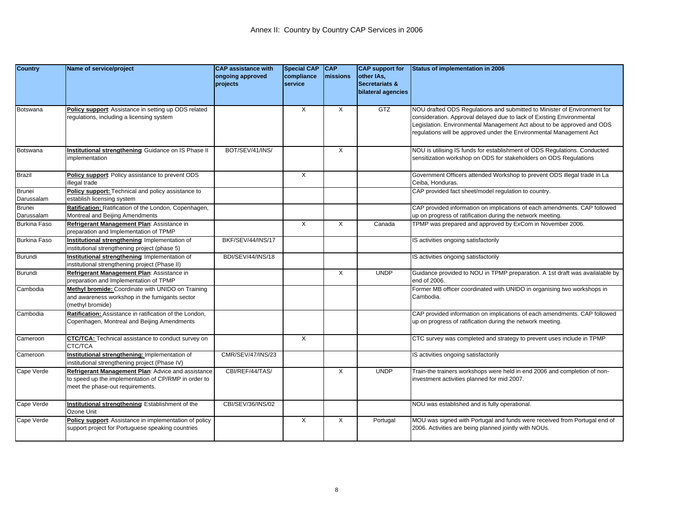| <b>Country</b>              | Name of service/project                                                                                                                        | <b>CAP</b> assistance with<br>ongoing approved<br>projects | <b>Special CAP</b><br>compliance<br>service | <b>CAP</b><br><b>Imissions</b> | <b>CAP</b> support for<br>other IAs,<br><b>Secretariats &amp;</b><br>bilateral agencies | Status of implementation in 2006                                                                                                                                                                                                                                                                   |
|-----------------------------|------------------------------------------------------------------------------------------------------------------------------------------------|------------------------------------------------------------|---------------------------------------------|--------------------------------|-----------------------------------------------------------------------------------------|----------------------------------------------------------------------------------------------------------------------------------------------------------------------------------------------------------------------------------------------------------------------------------------------------|
| Botswana                    | Policy support: Assistance in setting up ODS related<br>egulations, including a licensing system                                               |                                                            | $\times$                                    | X                              | <b>GTZ</b>                                                                              | NOU drafted ODS Regulations and submitted to Minister of Environment for<br>consideration. Approval delayed due to lack of Existing Environmental<br>Legislation. Environmental Management Act about to be approved and ODS<br>regulations will be approved under the Environmental Management Act |
| Botswana                    | Institutional strengthening: Guidance on IS Phase II<br>mplementation                                                                          | BOT/SEV/41/INS/                                            |                                             | X                              |                                                                                         | NOU is utilising IS funds for establishment of ODS Regulations. Conducted<br>sensitization workshop on ODS for stakeholders on ODS Regulations                                                                                                                                                     |
| <b>Brazil</b>               | Policy support: Policy assistance to prevent ODS<br>llegal trade                                                                               |                                                            | $\times$                                    |                                |                                                                                         | Government Officers attended Workshop to prevent ODS illegal trade in La<br>Ceiba. Honduras.                                                                                                                                                                                                       |
| <b>Brunei</b><br>Darussalam | Policy support: Technical and policy assistance to<br>establish licensing system                                                               |                                                            |                                             |                                |                                                                                         | CAP provided fact sheet/model regulation to country.                                                                                                                                                                                                                                               |
| <b>Brunei</b><br>Darussalam | Ratification: Ratification of the London, Copenhagen,<br>Montreal and Beijing Amendments                                                       |                                                            |                                             |                                |                                                                                         | CAP provided information on implications of each amendments. CAP followed<br>up on progress of ratification during the network meeting.                                                                                                                                                            |
| <b>Burkina Faso</b>         | Refrigerant Management Plan: Assistance in<br>preparation and Implementation of TPMP                                                           |                                                            | X                                           | X                              | Canada                                                                                  | TPMP was prepared and approved by ExCom in November 2006.                                                                                                                                                                                                                                          |
| <b>Burkina Faso</b>         | Institutional strengthening Implementation of<br>institutional strengthening project (phase 5)                                                 | BKF/SEV/44/INS/17                                          |                                             |                                |                                                                                         | IS activities ongoing satisfactorily                                                                                                                                                                                                                                                               |
| Burundi                     | Institutional strengthening Implementation of<br>institutional strengthening project (Phase II)                                                | BDI/SEV/44/INS/18                                          |                                             |                                |                                                                                         | S activities ongoing satisfactorily                                                                                                                                                                                                                                                                |
| Burundi                     | Refrigerant Management Plan: Assistance in<br>preparation and Implementation of TPMP                                                           |                                                            |                                             | X                              | <b>UNDP</b>                                                                             | Guidance provided to NOU in TPMP preparation. A 1st draft was availalable by<br>end of 2006.                                                                                                                                                                                                       |
| Cambodia                    | Methyl bromide: Coordinate with UNIDO on Training<br>and awareness workshop in the fumigants sector<br>(methyl bromide)                        |                                                            |                                             |                                |                                                                                         | Former MB officer coordinated with UNIDO in organising two workshops in<br>Cambodia.                                                                                                                                                                                                               |
| Cambodia                    | Ratification: Assistance in ratification of the London,<br>Copenhagen, Montreal and Beijing Amendments                                         |                                                            |                                             |                                |                                                                                         | CAP provided information on implications of each amendments. CAP followed<br>up on progress of ratification during the network meeting.                                                                                                                                                            |
| Cameroon                    | <b>CTC/TCA:</b> Technical assistance to conduct survey on<br>CTC/TCA                                                                           |                                                            | $\times$                                    |                                |                                                                                         | CTC survey was completed and strategy to prevent uses include in TPMP                                                                                                                                                                                                                              |
| Cameroon                    | Institutional strengthening: Implementation of<br>institutional strengthening project (Phase IV)                                               | CMR/SEV/47/INS/23                                          |                                             |                                |                                                                                         | S activities ongoing satisfactorily                                                                                                                                                                                                                                                                |
| Cape Verde                  | Refrigerant Management Plan: Advice and assistance<br>to speed up the implementation of CP/RMP in order to<br>meet the phase-out requirements. | CBI/REF/44/TAS/                                            |                                             | X                              | <b>UNDP</b>                                                                             | Train-the trainers workshops were held in end 2006 and completion of non-<br>investment activities planned for mid 2007.                                                                                                                                                                           |
| Cape Verde                  | Institutional strengthening: Establishment of the<br>Ozone Unit                                                                                | CBI/SEV/36/INS/02                                          |                                             |                                |                                                                                         | NOU was established and is fully operational.                                                                                                                                                                                                                                                      |
| Cape Verde                  | Policy support: Assistance in implementation of policy<br>support project for Portuguese speaking countries                                    |                                                            | $\times$                                    | X                              | Portugal                                                                                | MOU was signed with Portugal and funds were received from Portugal end of<br>2006. Activities are being planned jointly with NOUs.                                                                                                                                                                 |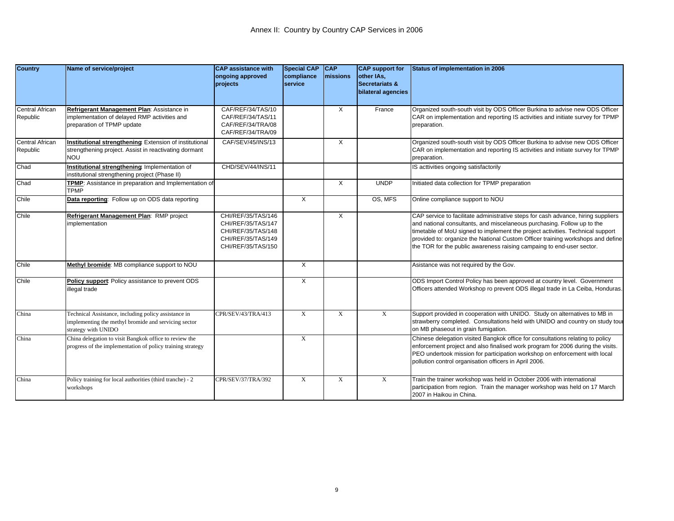| <b>Country</b>                     | Name of service/project                                                                                                            | <b>CAP</b> assistance with<br>ongoing approved<br>projects                                                 | <b>Special CAP</b><br>compliance<br><b>Service</b> | <b>CAP</b><br><b>Imissions</b> | <b>CAP</b> support for<br>other IAs,<br><b>Secretariats &amp;</b><br>bilateral agencies | Status of implementation in 2006                                                                                                                                                                                                                                                                                                                                                                           |
|------------------------------------|------------------------------------------------------------------------------------------------------------------------------------|------------------------------------------------------------------------------------------------------------|----------------------------------------------------|--------------------------------|-----------------------------------------------------------------------------------------|------------------------------------------------------------------------------------------------------------------------------------------------------------------------------------------------------------------------------------------------------------------------------------------------------------------------------------------------------------------------------------------------------------|
| <b>Central African</b><br>Republic | Refrigerant Management Plan: Assistance in<br>mplementation of delayed RMP activities and<br>preparation of TPMP update            | CAF/REF/34/TAS/10<br>CAF/REF/34/TAS/11<br>CAF/REF/34/TRA/08<br>CAF/REF/34/TRA/09                           |                                                    | X                              | France                                                                                  | Organized south-south visit by ODS Officer Burkina to advise new ODS Officer<br>CAR on implementation and reporting IS activities and initiate survey for TPMP<br>preparation.                                                                                                                                                                                                                             |
| <b>Central African</b><br>Republic | Institutional strengthening: Extension of institutional<br>strengthening project. Assist in reactivating dormant<br>NOU            | CAF/SEV/45/INS/13                                                                                          |                                                    | X                              |                                                                                         | Organized south-south visit by ODS Officer Burkina to advise new ODS Officer<br>CAR on implementation and reporting IS activities and initiate survey for TPMP<br>preparation.                                                                                                                                                                                                                             |
| Chad                               | Institutional strengthening: Implementation of<br>nstitutional strengthening project (Phase II)                                    | CHD/SEV/44/INS/11                                                                                          |                                                    |                                |                                                                                         | IS acttivities ongoing satisfactorily                                                                                                                                                                                                                                                                                                                                                                      |
| Chad                               | TPMP: Assistance in preparation and Implementation of<br><b>TPMP</b>                                                               |                                                                                                            |                                                    | $\times$                       | <b>UNDP</b>                                                                             | Initiated data collection for TPMP preparation                                                                                                                                                                                                                                                                                                                                                             |
| Chile                              | Data reporting: Follow up on ODS data reporting                                                                                    |                                                                                                            | X                                                  |                                | OS, MFS                                                                                 | Online compliance support to NOU                                                                                                                                                                                                                                                                                                                                                                           |
| Chile                              | Refrigerant Management Plan: RMP project<br>implementation                                                                         | CHI/REF/35/TAS/146<br>CHI/REF/35/TAS/147<br>CHI/REF/35/TAS/148<br>CHI/REF/35/TAS/149<br>CHI/REF/35/TAS/150 |                                                    | Χ                              |                                                                                         | CAP service to facilitate administrative steps for cash advance, hiring suppliers<br>and national consultants, and miscelaneous purchasing. Follow up to the<br>timetable of MoU signed to implement the project activities. Technical support<br>provided to: organize the National Custom Officer training workshops and define<br>the TOR for the public awareness raising campaing to end-user sector. |
| Chile                              | Methyl bromide: MB compliance support to NOU                                                                                       |                                                                                                            | $\times$                                           |                                |                                                                                         | Asistance was not required by the Gov.                                                                                                                                                                                                                                                                                                                                                                     |
| Chile                              | Policy support: Policy assistance to prevent ODS<br>illegal trade                                                                  |                                                                                                            | $\times$                                           |                                |                                                                                         | ODS Import Control Policy has been approved at country level. Government<br>Officers attended Workshop ro prevent ODS illegal trade in La Ceiba, Honduras.                                                                                                                                                                                                                                                 |
| China                              | Technical Assistance, including policy assistance in<br>mplementing the methyl bromide and servicing sector<br>strategy with UNIDO | CPR/SEV/43/TRA/413                                                                                         | $\mathbf X$                                        | $\mathbf{X}$                   | X                                                                                       | Support provided in cooperation with UNIDO. Study on alternatives to MB in<br>strawberry completed. Consultations held with UNIDO and country on study tour<br>on MB phaseout in grain fumigation.                                                                                                                                                                                                         |
| China                              | China delegation to visit Bangkok office to review the<br>progress of the implementation of policy training strategy               |                                                                                                            | X                                                  |                                |                                                                                         | Chinese delegation visited Bangkok office for consultations relating to policy<br>enforcement project and also finalised work program for 2006 during the visits.<br>PEO undertook mission for participation workshop on enforcement with local<br>pollution control organisation officers in April 2006.                                                                                                  |
| China                              | Policy training for local authorities (third tranche) - 2<br>workshops                                                             | CPR/SEV/37/TRA/392                                                                                         | $\mathbf X$                                        | X                              | $\mathbf{X}$                                                                            | Train the trainer workshop was held in October 2006 with international<br>participation from region. Train the manager workshop was held on 17 March<br>2007 in Haikou in China.                                                                                                                                                                                                                           |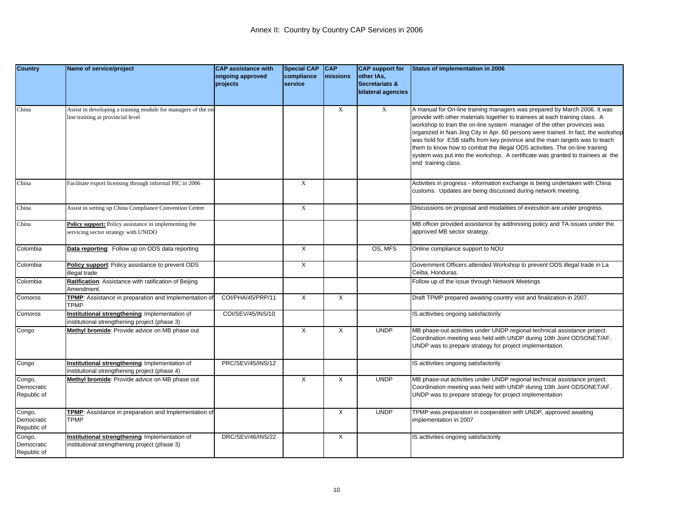| <b>Country</b>                      | Name of service/project                                                                            | <b>CAP assistance with</b><br>ongoing approved | <b>Special CAP</b><br>compliance | <b>CAP</b><br>missions | <b>CAP</b> support for<br>other IAs, | Status of implementation in 2006                                                                                                                                                                                                                                                                                                                                                                                                                                                                                                                                                                |
|-------------------------------------|----------------------------------------------------------------------------------------------------|------------------------------------------------|----------------------------------|------------------------|--------------------------------------|-------------------------------------------------------------------------------------------------------------------------------------------------------------------------------------------------------------------------------------------------------------------------------------------------------------------------------------------------------------------------------------------------------------------------------------------------------------------------------------------------------------------------------------------------------------------------------------------------|
|                                     |                                                                                                    | projects                                       | service                          |                        | Secretariats &                       |                                                                                                                                                                                                                                                                                                                                                                                                                                                                                                                                                                                                 |
|                                     |                                                                                                    |                                                |                                  |                        | bilateral agencies                   |                                                                                                                                                                                                                                                                                                                                                                                                                                                                                                                                                                                                 |
| China                               | Assist in developing a training module for managers of the on<br>line training at provincial level |                                                |                                  | X                      | $\mathbf X$                          | A manual for On-line training managers was prepared by March 2006. It was<br>provide with other materials together to trainees at each training class. A<br>workshop to train the on-line system manager of the other provinces was<br>organized in Nan Jing City in Apr. 60 persons were trained. In fact, the workshop<br>was hold for ESB staffs from key province and the main targets was to teach<br>them to know how to combat the illegal ODS activities. The on-line training<br>system was put into the workshop. A certificate was granted to trainees at the<br>end training class. |
| China                               | Facilitate export licensing through informal PIC in 2006                                           |                                                | $\boldsymbol{\mathrm{X}}$        |                        |                                      | Activities in progress - information exchange is being undertaken with China<br>customs. Updates are being discussed during network meeting.                                                                                                                                                                                                                                                                                                                                                                                                                                                    |
| China                               | Assist in setting up China Compliance Convention Centre                                            |                                                | $\mathbf{X}$                     |                        |                                      | Discussions on proposal and modalities of execution are under progress.                                                                                                                                                                                                                                                                                                                                                                                                                                                                                                                         |
| China                               | Policy support: Policy assistance in implementing the<br>servicing sector strategy with UNIDO      |                                                |                                  |                        |                                      | MB officer provided assistance by addressing policy and TA issues under the<br>approved MB sector strategy.                                                                                                                                                                                                                                                                                                                                                                                                                                                                                     |
| Colombia                            | Data reporting: Follow up on ODS data reporting                                                    |                                                | $\times$                         |                        | OS, MFS                              | Online compliance support to NOU                                                                                                                                                                                                                                                                                                                                                                                                                                                                                                                                                                |
| Colombia                            | Policy support: Policy assistance to prevent ODS<br>llegal trade                                   |                                                | X                                |                        |                                      | Government Officers attended Workshop to prevent ODS illegal trade in La<br>Ceiba, Honduras.                                                                                                                                                                                                                                                                                                                                                                                                                                                                                                    |
| Colombia                            | Ratification: Assistance with ratification of Beijing<br>Amendment.                                |                                                |                                  |                        |                                      | Follow up of the issue through Network Meetings                                                                                                                                                                                                                                                                                                                                                                                                                                                                                                                                                 |
| Comoros                             | TPMP: Assistance in preparation and Implementation of<br><b>TPMP</b>                               | COI/PHA/45/PRP/11                              | $\overline{X}$                   | X                      |                                      | Draft TPMP prepared awaiting country visit and finalization in 2007.                                                                                                                                                                                                                                                                                                                                                                                                                                                                                                                            |
| Comoros                             | Institutional strengthening Implementation of<br>nstitutional strengthening project (phase 3)      | COI/SEV/45/INS/10                              |                                  |                        |                                      | IS acttivities ongoing satisfactorily                                                                                                                                                                                                                                                                                                                                                                                                                                                                                                                                                           |
| Congo                               | Methyl bromide: Provide advice on MB phase out                                                     |                                                | $\overline{X}$                   | X                      | <b>UNDP</b>                          | MB phase-out activities under UNDP regional technical assistance project.<br>Coordination meeting was held with UNDP during 10th Joint ODSONET/AF.<br>UNDP was to prepare strategy for project implementation.                                                                                                                                                                                                                                                                                                                                                                                  |
| Congo                               | Institutional strengthening: Implementation of<br>nstitutional strengthening project (phase 4)     | PRC/SEV/45/INS/12                              |                                  |                        |                                      | IS acttivities ongoing satisfactorily                                                                                                                                                                                                                                                                                                                                                                                                                                                                                                                                                           |
| Congo,<br>Democratic<br>Republic of | Methyl bromide: Provide advice on MB phase out                                                     |                                                | X                                | X                      | <b>UNDP</b>                          | MB phase-out activities under UNDP regional technical assistance project.<br>Coordination meeting was held with UNDP during 10th Joint ODSONET/AF.<br>UNDP was to prepare strategy for project implementation                                                                                                                                                                                                                                                                                                                                                                                   |
| Congo,<br>Democratic<br>Republic of | TPMP: Assistance in preparation and Implementation of<br><b>TPMP</b>                               |                                                |                                  | X                      | <b>UNDP</b>                          | TPMP was preparation in cooperation with UNDP, approved awaiting<br>mplementation in 2007                                                                                                                                                                                                                                                                                                                                                                                                                                                                                                       |
| Congo,<br>Democratic<br>Republic of | Institutional strengthening: Implementation of<br>nstitutional strengthening project (phase 3)     | DRC/SEV/46/INS/22                              |                                  | X                      |                                      | IS acttivities ongoing satisfactorily                                                                                                                                                                                                                                                                                                                                                                                                                                                                                                                                                           |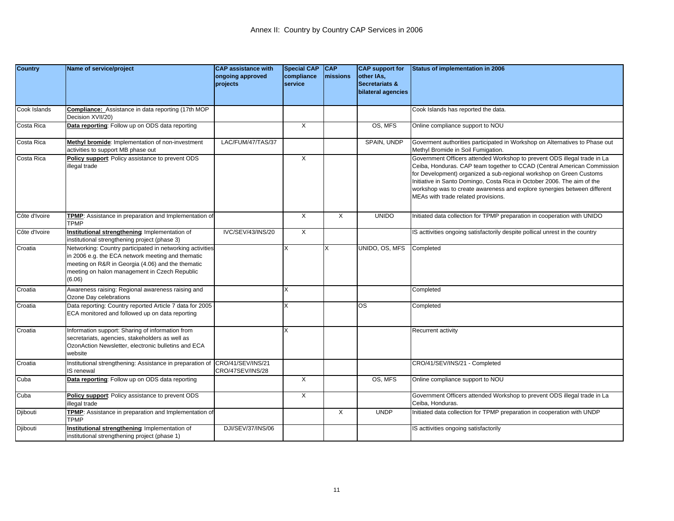| <b>Country</b> | Name of service/project                                                                                                                                                                                                        | <b>CAP assistance with</b><br>ongoing approved<br>projects | Special CAP CAP<br>compliance<br>service | <b>Imissions</b> | <b>CAP</b> support for<br>other IAs,<br><b>Secretariats &amp;</b><br>bilateral agencies | <b>Status of implementation in 2006</b>                                                                                                                                                                                                                                                                                                                                                                                  |
|----------------|--------------------------------------------------------------------------------------------------------------------------------------------------------------------------------------------------------------------------------|------------------------------------------------------------|------------------------------------------|------------------|-----------------------------------------------------------------------------------------|--------------------------------------------------------------------------------------------------------------------------------------------------------------------------------------------------------------------------------------------------------------------------------------------------------------------------------------------------------------------------------------------------------------------------|
| Cook Islands   | Compliance: Assistance in data reporting (17th MOP<br>Decision XVII/20)                                                                                                                                                        |                                                            |                                          |                  |                                                                                         | Cook Islands has reported the data.                                                                                                                                                                                                                                                                                                                                                                                      |
| Costa Rica     | Data reporting: Follow up on ODS data reporting                                                                                                                                                                                |                                                            | $\overline{\mathsf{x}}$                  |                  | OS, MFS                                                                                 | Online compliance support to NOU                                                                                                                                                                                                                                                                                                                                                                                         |
| Costa Rica     | Methyl bromide: Implementation of non-investment<br>activities to support MB phase out                                                                                                                                         | LAC/FUM/47/TAS/37                                          |                                          |                  | SPAIN, UNDP                                                                             | Goverment authorities participated in Workshop on Alternatives to Phase out<br>Methyl Bromide in Soil Fumigation.                                                                                                                                                                                                                                                                                                        |
| Costa Rica     | Policy support: Policy assistance to prevent ODS<br>llegal trade                                                                                                                                                               |                                                            | X                                        |                  |                                                                                         | Government Officers attended Workshop to prevent ODS illegal trade in La<br>Ceiba, Honduras. CAP team together to CCAD (Central American Commission<br>for Development) organized a sub-regional workshop on Green Customs<br>Initiative in Santo Domingo, Costa Rica in October 2006. The aim of the<br>workshop was to create awareness and explore synergies between different<br>MEAs with trade related provisions. |
| Côte d'Ivoire  | TPMP: Assistance in preparation and Implementation of<br><b>TPMP</b>                                                                                                                                                           |                                                            | $\times$                                 | $\times$         | <b>UNIDO</b>                                                                            | Initiated data collection for TPMP preparation in cooperation with UNIDO                                                                                                                                                                                                                                                                                                                                                 |
| Côte d'Ivoire  | Institutional strengthening: Implementation of<br>nstitutional strengthening project (phase 3)                                                                                                                                 | IVC/SEV/43/INS/20                                          | X                                        |                  |                                                                                         | IS acttivities ongoing satisfactorily despite pollical unrest in the country                                                                                                                                                                                                                                                                                                                                             |
| Croatia        | Networking: Country participated in networking activities<br>in 2006 e.g. the ECA network meeting and thematic<br>meeting on R&R in Georgia (4.06) and the thematic<br>meeting on halon management in Czech Republic<br>(6.06) |                                                            | X                                        | X                | UNIDO, OS, MFS                                                                          | Completed                                                                                                                                                                                                                                                                                                                                                                                                                |
| Croatia        | Awareness raising: Regional awareness raising and<br>Ozone Day celebrations                                                                                                                                                    |                                                            | X                                        |                  |                                                                                         | Completed                                                                                                                                                                                                                                                                                                                                                                                                                |
| Croatia        | Data reporting: Country reported Article 7 data for 2005<br>ECA monitored and followed up on data reporting                                                                                                                    |                                                            |                                          |                  | <b>OS</b>                                                                               | Completed                                                                                                                                                                                                                                                                                                                                                                                                                |
| Croatia        | Information support: Sharing of information from<br>secretariats, agencies, stakeholders as well as<br>OzonAction Newsletter, electronic bulletins and ECA<br>website                                                          |                                                            | X                                        |                  |                                                                                         | Recurrent activity                                                                                                                                                                                                                                                                                                                                                                                                       |
| Croatia        | Institutional strengthening: Assistance in preparation of<br><b>S</b> renewal                                                                                                                                                  | CRO/41/SEV/INS/21<br>CRO/47SEV/INS/28                      |                                          |                  |                                                                                         | CRO/41/SEV/INS/21 - Completed                                                                                                                                                                                                                                                                                                                                                                                            |
| Cuba           | Data reporting: Follow up on ODS data reporting                                                                                                                                                                                |                                                            | X                                        |                  | OS, MFS                                                                                 | Online compliance support to NOU                                                                                                                                                                                                                                                                                                                                                                                         |
| Cuba           | Policy support: Policy assistance to prevent ODS<br>llegal trade                                                                                                                                                               |                                                            | X                                        |                  |                                                                                         | Government Officers attended Workshop to prevent ODS illegal trade in La<br>Ceiba, Honduras.                                                                                                                                                                                                                                                                                                                             |
| Djibouti       | TPMP: Assistance in preparation and Implementation of<br><b>TPMP</b>                                                                                                                                                           |                                                            |                                          | $\times$         | <b>UNDP</b>                                                                             | Initiated data collection for TPMP preparation in cooperation with UNDP                                                                                                                                                                                                                                                                                                                                                  |
| Djibouti       | nstitutional strengthening: Implementation of<br>institutional strengthening project (phase 1)                                                                                                                                 | DJI/SEV/37/INS/06                                          |                                          |                  |                                                                                         | IS acttivities ongoing satisfactorily                                                                                                                                                                                                                                                                                                                                                                                    |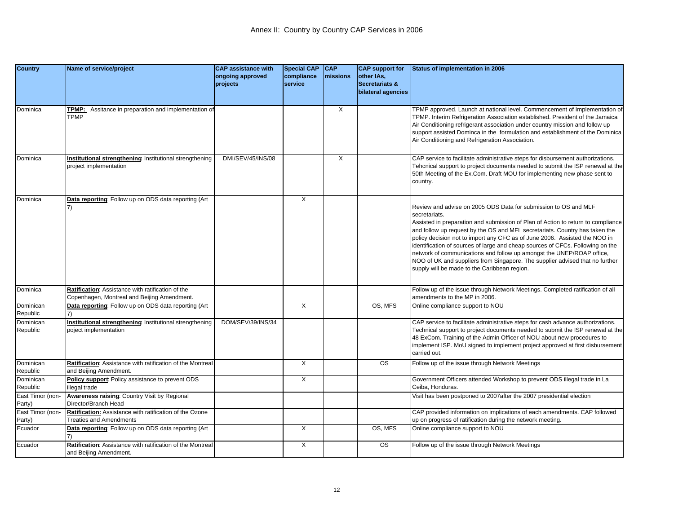| <b>Country</b>        | Name of service/project                                     | <b>CAP</b> assistance with | <b>Special CAP</b> | <b>CAP</b> | <b>CAP</b> support for | Status of implementation in 2006                                                 |
|-----------------------|-------------------------------------------------------------|----------------------------|--------------------|------------|------------------------|----------------------------------------------------------------------------------|
|                       |                                                             | ongoing approved           | compliance         | missions   | other IAs,             |                                                                                  |
|                       |                                                             | projects                   | service            |            | Secretariats &         |                                                                                  |
|                       |                                                             |                            |                    |            | bilateral agencies     |                                                                                  |
|                       |                                                             |                            |                    |            |                        |                                                                                  |
| Dominica              | <b>TPMP:</b> Assitance in preparation and implementation of |                            |                    | X          |                        | TPMP approved. Launch at national level. Commencement of Implementation of       |
|                       | <b>TPMP</b>                                                 |                            |                    |            |                        | TPMP. Interim Refrigeration Association established. President of the Jamaica    |
|                       |                                                             |                            |                    |            |                        | Air Conditioning refrigerant association under country mission and follow up     |
|                       |                                                             |                            |                    |            |                        | support assisted Dominca in the formulation and establishment of the Dominica    |
|                       |                                                             |                            |                    |            |                        | Air Conditioning and Refrigeration Association.                                  |
|                       |                                                             |                            |                    |            |                        |                                                                                  |
| Dominica              | Institutional strengthening Institutional strengthening     | DMI/SEV/45/INS/08          |                    | X          |                        | CAP service to facilitate administrative steps for disbursement authorizations.  |
|                       | project implementation                                      |                            |                    |            |                        | Tehcnical support to project documents needed to submit the ISP renewal at the   |
|                       |                                                             |                            |                    |            |                        | 50th Meeting of the Ex.Com. Draft MOU for implementing new phase sent to         |
|                       |                                                             |                            |                    |            |                        | country.                                                                         |
|                       |                                                             |                            |                    |            |                        |                                                                                  |
| Dominica              | Data reporting: Follow up on ODS data reporting (Art        |                            | X                  |            |                        |                                                                                  |
|                       |                                                             |                            |                    |            |                        | Review and advise on 2005 ODS Data for submission to OS and MLF                  |
|                       |                                                             |                            |                    |            |                        | secretariats.                                                                    |
|                       |                                                             |                            |                    |            |                        | Assisted in preparation and submission of Plan of Action to return to compliance |
|                       |                                                             |                            |                    |            |                        | and follow up request by the OS and MFL secretariats. Country has taken the      |
|                       |                                                             |                            |                    |            |                        | policy decision not to import any CFC as of June 2006. Assisted the NOO in       |
|                       |                                                             |                            |                    |            |                        | identification of sources of large and cheap sources of CFCs. Following on the   |
|                       |                                                             |                            |                    |            |                        | network of communications and follow up amongst the UNEP/ROAP office,            |
|                       |                                                             |                            |                    |            |                        | NOO of UK and suppliers from Singapore. The supplier advised that no further     |
|                       |                                                             |                            |                    |            |                        | supply will be made to the Caribbean region.                                     |
|                       |                                                             |                            |                    |            |                        |                                                                                  |
| Dominica              | Ratification: Assistance with ratification of the           |                            |                    |            |                        | Follow up of the issue through Network Meetings. Completed ratification of all   |
|                       | Copenhagen, Montreal and Beijing Amendment.                 |                            |                    |            |                        | amendments to the MP in 2006.                                                    |
| Dominican<br>Republic | Data reporting: Follow up on ODS data reporting (Art        |                            | X                  |            | OS, MFS                | Online compliance support to NOU                                                 |
| Dominican             | Institutional strengthening Institutional strengthening     | DOM/SEV/39/INS/34          |                    |            |                        | CAP service to facilitate administrative steps for cash advance authorizations.  |
| Republic              | ooject implementation                                       |                            |                    |            |                        | Technical support to project documents needed to submit the ISP renewal at the   |
|                       |                                                             |                            |                    |            |                        | 48 ExCom. Training of the Admin Officer of NOU about new procedures to           |
|                       |                                                             |                            |                    |            |                        | mplement ISP. MoU signed to implement project approved at first disbursement     |
|                       |                                                             |                            |                    |            |                        | carried out.                                                                     |
| Dominican             | Ratification: Assistance with ratification of the Montreal  |                            | X                  |            | <b>OS</b>              | Follow up of the issue through Network Meetings                                  |
| Republic              | and Beijing Amendment.                                      |                            |                    |            |                        |                                                                                  |
| Dominican             | Policy support: Policy assistance to prevent ODS            |                            | X                  |            |                        | Government Officers attended Workshop to prevent ODS illegal trade in La         |
| Republic              | llegal trade                                                |                            |                    |            |                        | Ceiba, Honduras.                                                                 |
| East Timor (non-      | <b>Awareness raising: Country Visit by Regional</b>         |                            |                    |            |                        | Visit has been postponed to 2007after the 2007 presidential election             |
| Party)                | Director/Branch Head                                        |                            |                    |            |                        |                                                                                  |
| East Timor (non-      | Ratification: Assistance with ratification of the Ozone     |                            |                    |            |                        | CAP provided information on implications of each amendments. CAP followed        |
| Party)                | <b>Treaties and Amendments</b>                              |                            |                    |            |                        | up on progress of ratification during the network meeting.                       |
| Ecuador               | Data reporting: Follow up on ODS data reporting (Art        |                            | X                  |            | OS, MFS                | Online compliance support to NOU                                                 |
|                       |                                                             |                            |                    |            |                        |                                                                                  |
| Ecuador               | Ratification: Assistance with ratification of the Montreal  |                            | X                  |            | <b>OS</b>              | Follow up of the issue through Network Meetings                                  |
|                       | and Beijing Amendment.                                      |                            |                    |            |                        |                                                                                  |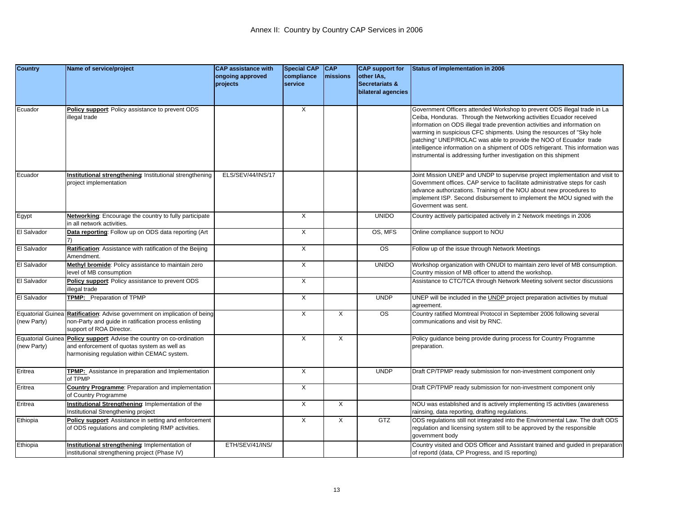| <b>Country</b>           | Name of service/project                                                   | <b>CAP assistance with</b> | <b>Special CAP</b>      | <b>CAP</b>       | <b>CAP</b> support for | Status of implementation in 2006                                                |
|--------------------------|---------------------------------------------------------------------------|----------------------------|-------------------------|------------------|------------------------|---------------------------------------------------------------------------------|
|                          |                                                                           | ongoing approved           | compliance              | <b>Imissions</b> | other IAs,             |                                                                                 |
|                          |                                                                           | projects                   | service                 |                  | Secretariats &         |                                                                                 |
|                          |                                                                           |                            |                         |                  | bilateral agencies     |                                                                                 |
|                          |                                                                           |                            |                         |                  |                        |                                                                                 |
| Ecuador                  | Policy support: Policy assistance to prevent ODS                          |                            | X                       |                  |                        | Government Officers attended Workshop to prevent ODS illegal trade in La        |
|                          | illegal trade                                                             |                            |                         |                  |                        | Ceiba, Honduras. Through the Networking activities Ecuador received             |
|                          |                                                                           |                            |                         |                  |                        | information on ODS illegal trade prevention activities and information on       |
|                          |                                                                           |                            |                         |                  |                        | warming in suspicious CFC shipments. Using the resources of "Sky hole           |
|                          |                                                                           |                            |                         |                  |                        | patching" UNEP/ROLAC was able to provide the NOO of Ecuador trade               |
|                          |                                                                           |                            |                         |                  |                        | intelligence information on a shipment of ODS refrigerant. This information was |
|                          |                                                                           |                            |                         |                  |                        | instrumental is addressing further investigation on this shipment               |
|                          |                                                                           |                            |                         |                  |                        |                                                                                 |
| Ecuador                  | Institutional strengthening: Institutional strengthening                  | ELS/SEV/44/INS/17          |                         |                  |                        | Joint Mission UNEP and UNDP to supervise project implementation and visit to    |
|                          | project implementation                                                    |                            |                         |                  |                        | Government offices. CAP service to facilitate administrative steps for cash     |
|                          |                                                                           |                            |                         |                  |                        | advance authorizations. Training of the NOU about new procedures to             |
|                          |                                                                           |                            |                         |                  |                        | implement ISP. Second disbursement to implement the MOU signed with the         |
|                          |                                                                           |                            |                         |                  |                        | Goverment was sent.                                                             |
| Egypt                    | <b>Networking:</b> Encourage the country to fully participate             |                            | $\times$                |                  | <b>UNIDO</b>           | Country acttively participated actively in 2 Network meetings in 2006           |
|                          | in all network activities.                                                |                            |                         |                  |                        |                                                                                 |
| El Salvador              | Data reporting: Follow up on ODS data reporting (Art                      |                            | X                       |                  | OS, MFS                | Online compliance support to NOU                                                |
|                          |                                                                           |                            |                         |                  |                        |                                                                                 |
| El Salvador              | Ratification: Assistance with ratification of the Beijing                 |                            | $\times$                |                  | <b>OS</b>              | Follow up of the issue through Network Meetings                                 |
|                          | Amendment.                                                                |                            |                         |                  |                        |                                                                                 |
| El Salvador              | Methyl bromide: Policy assistance to maintain zero                        |                            | $\overline{X}$          |                  | <b>UNIDO</b>           | Workshop organization with ONUDI to maintain zero level of MB consumption.      |
|                          | level of MB consumption                                                   |                            |                         |                  |                        | Country mission of MB officer to attend the workshop.                           |
| El Salvador              | Policy support: Policy assistance to prevent ODS                          |                            | $\overline{\mathsf{x}}$ |                  |                        | Assistance to CTC/TCA through Network Meeting solvent sector discussions        |
|                          | llegal trade                                                              |                            |                         |                  |                        |                                                                                 |
| El Salvador              | TPMP: Preparation of TPMP                                                 |                            | X                       |                  | <b>UNDP</b>            | UNEP will be included in the UNDP project preparation activities by mutual      |
|                          |                                                                           |                            |                         |                  |                        | agreement.                                                                      |
|                          | Equatorial Guinea Ratification: Advise government on implication of being |                            | $\overline{X}$          | X                | $\overline{\text{os}}$ | Country ratified Momtreal Protocol in September 2006 following several          |
| (new Party)              | non-Party and guide in ratification process enlisting                     |                            |                         |                  |                        | communications and visit by RNC.                                                |
|                          | support of ROA Director.                                                  |                            |                         |                  |                        |                                                                                 |
| <b>Equatorial Guinea</b> | Policy support: Advise the country on co-ordination                       |                            | X                       | X                |                        | Policy guidance being provide during process for Country Programme              |
| (new Party)              | and enforcement of quotas system as well as                               |                            |                         |                  |                        | preparation.                                                                    |
|                          | harmonising regulation within CEMAC system.                               |                            |                         |                  |                        |                                                                                 |
|                          |                                                                           |                            |                         |                  |                        |                                                                                 |
| Eritrea                  | TPMP: Assistance in preparation and Implementation<br>of TPMP             |                            | X                       |                  | <b>UNDP</b>            | Draft CP/TPMP ready submission for non-investment component only                |
| Eritrea                  | <b>Country Programme: Preparation and implementation</b>                  |                            | $\overline{\mathsf{x}}$ |                  |                        | Draft CP/TPMP ready submission for non-investment component only                |
|                          | of Country Programme                                                      |                            |                         |                  |                        |                                                                                 |
| Eritrea                  | Institutional Strengthening Implementation of the                         |                            | $\times$                | X                |                        | NOU was established and is actively implementing IS activities (awareness       |
|                          | Institutional Strengthening project                                       |                            |                         |                  |                        | rainsing, data reporting, drafting regulations.                                 |
| Ethiopia                 | Policy support: Assistance in setting and enforcement                     |                            | X                       | X                | GTZ                    | ODS regulations still not integrated into the Environmental Law. The draft ODS  |
|                          | of ODS regulations and completing RMP activities.                         |                            |                         |                  |                        | regulation and licensing system still to be approved by the responsible         |
|                          |                                                                           |                            |                         |                  |                        | government body                                                                 |
| Ethiopia                 | Institutional strengthening Implementation of                             | ETH/SEV/41/INS/            |                         |                  |                        | Country visited and ODS Officer and Assistant trained and guided in preparation |
|                          | institutional strengthening project (Phase IV)                            |                            |                         |                  |                        | of reportd (data, CP Progress, and IS reporting)                                |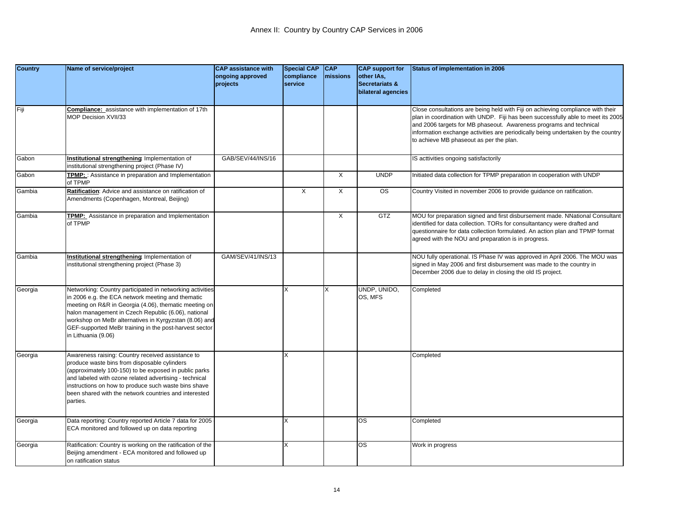| <b>Country</b> | Name of service/project                                                                                                                                                                                                                                                                                                                                                   | <b>CAP assistance with</b>   | <b>Special CAP</b>    | <b>CAP</b>     | <b>CAP</b> support for                  | Status of implementation in 2006                                                                                                                                                                                                                                                                                                                                         |
|----------------|---------------------------------------------------------------------------------------------------------------------------------------------------------------------------------------------------------------------------------------------------------------------------------------------------------------------------------------------------------------------------|------------------------------|-----------------------|----------------|-----------------------------------------|--------------------------------------------------------------------------------------------------------------------------------------------------------------------------------------------------------------------------------------------------------------------------------------------------------------------------------------------------------------------------|
|                |                                                                                                                                                                                                                                                                                                                                                                           | ongoing approved<br>projects | compliance<br>service | missions       | other IAs,<br><b>Secretariats &amp;</b> |                                                                                                                                                                                                                                                                                                                                                                          |
|                |                                                                                                                                                                                                                                                                                                                                                                           |                              |                       |                | bilateral agencies                      |                                                                                                                                                                                                                                                                                                                                                                          |
| Fiji           | Compliance: assistance with implementation of 17th<br><b>JOP Decision XVII/33</b>                                                                                                                                                                                                                                                                                         |                              |                       |                |                                         | Close consultations are being held with Fiji on achieving compliance with their<br>plan in coordination with UNDP. Fiji has been successfully able to meet its 2005<br>and 2006 targets for MB phaseout. Awareness programs and technical<br>information exchange activities are periodically being undertaken by the country<br>to achieve MB phaseout as per the plan. |
| Gabon          | Institutional strengthening: Implementation of                                                                                                                                                                                                                                                                                                                            | GAB/SEV/44/INS/16            |                       |                |                                         | IS acttivities ongoing satisfactorily                                                                                                                                                                                                                                                                                                                                    |
|                | institutional strengthening project (Phase IV)                                                                                                                                                                                                                                                                                                                            |                              |                       |                |                                         |                                                                                                                                                                                                                                                                                                                                                                          |
| Gabon          | TPMP: : Assistance in preparation and Implementation<br>of TPMP                                                                                                                                                                                                                                                                                                           |                              |                       | $\times$       | <b>UNDP</b>                             | Initiated data collection for TPMP preparation in cooperation with UNDP                                                                                                                                                                                                                                                                                                  |
| Gambia         | Ratification: Advice and assistance on ratification of<br>Amendments (Copenhagen, Montreal, Beijing)                                                                                                                                                                                                                                                                      |                              | X                     | $\times$       | <b>OS</b>                               | Country Visited in november 2006 to provide guidance on ratification.                                                                                                                                                                                                                                                                                                    |
| Gambia         | TPMP: Assistance in preparation and Implementation<br>of TPMP                                                                                                                                                                                                                                                                                                             |                              |                       | $\overline{X}$ | <b>GTZ</b>                              | MOU for preparation signed and first disbursement made. NNational Consultant<br>identified for data collection. TORs for consultantancy were drafted and<br>questionnaire for data collection formulated. An action plan and TPMP format<br>agreed with the NOU and preparation is in progress.                                                                          |
| Gambia         | Institutional strengthening Implementation of<br>nstitutional strengthening project (Phase 3)                                                                                                                                                                                                                                                                             | GAM/SEV/41/INS/13            |                       |                |                                         | NOU fully operational. IS Phase IV was approved in April 2006. The MOU was<br>signed in May 2006 and first disbursement was made to the country in<br>December 2006 due to delay in closing the old IS project.                                                                                                                                                          |
| Georgia        | Networking: Country participated in networking activities<br>in 2006 e.g. the ECA network meeting and thematic<br>meeting on R&R in Georgia (4.06), thematic meeting on<br>halon management in Czech Republic (6.06), national<br>workshop on MeBr alternatives in Kyrgyzstan (8.06) and<br>GEF-supported MeBr training in the post-harvest sector<br>in Lithuania (9.06) |                              | x                     |                | UNDP, UNIDO,<br>OS. MFS                 | Completed                                                                                                                                                                                                                                                                                                                                                                |
| Georgia        | Awareness raising: Country received assistance to<br>produce waste bins from disposable cylinders<br>(approximately 100-150) to be exposed in public parks<br>and labeled with ozone related advertising - technical<br>instructions on how to produce such waste bins shave<br>been shared with the network countries and interested<br>parties.                         |                              |                       |                |                                         | Completed                                                                                                                                                                                                                                                                                                                                                                |
| Georgia        | Data reporting: Country reported Article 7 data for 2005<br>ECA monitored and followed up on data reporting                                                                                                                                                                                                                                                               |                              |                       |                | <b>OS</b>                               | Completed                                                                                                                                                                                                                                                                                                                                                                |
| Georgia        | Ratification: Country is working on the ratification of the<br>Beijing amendment - ECA monitored and followed up<br>on ratification status                                                                                                                                                                                                                                |                              | Χ                     |                | OS                                      | Work in progress                                                                                                                                                                                                                                                                                                                                                         |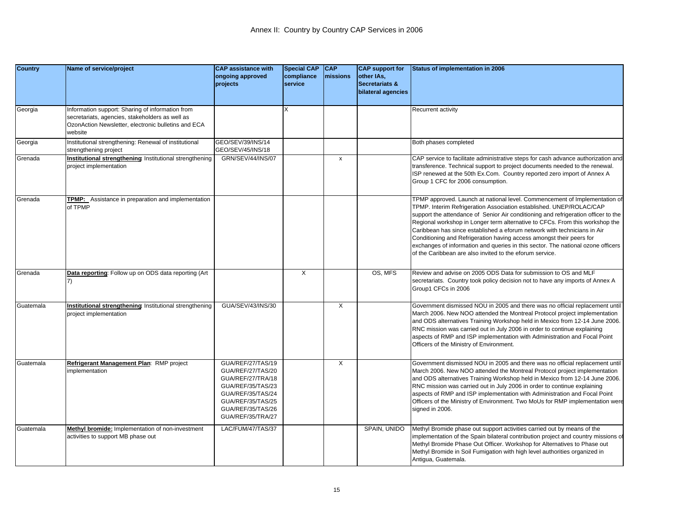| <b>Country</b> | Name of service/project                                                                                                                                               | <b>CAP assistance with</b><br>ongoing approved<br>projects                                                                                                           | <b>Special CAP</b><br>compliance<br>service | <b>CAP</b><br>missions | <b>CAP</b> support for<br>other IAs,<br><b>Secretariats &amp;</b><br>bilateral agencies | Status of implementation in 2006                                                                                                                                                                                                                                                                                                                                                                                                                                                                                                                                                                                            |
|----------------|-----------------------------------------------------------------------------------------------------------------------------------------------------------------------|----------------------------------------------------------------------------------------------------------------------------------------------------------------------|---------------------------------------------|------------------------|-----------------------------------------------------------------------------------------|-----------------------------------------------------------------------------------------------------------------------------------------------------------------------------------------------------------------------------------------------------------------------------------------------------------------------------------------------------------------------------------------------------------------------------------------------------------------------------------------------------------------------------------------------------------------------------------------------------------------------------|
| Georgia        | Information support: Sharing of information from<br>secretariats, agencies, stakeholders as well as<br>OzonAction Newsletter, electronic bulletins and ECA<br>website |                                                                                                                                                                      | x                                           |                        |                                                                                         | Recurrent activity                                                                                                                                                                                                                                                                                                                                                                                                                                                                                                                                                                                                          |
| Georgia        | Institutional strengthening: Renewal of institutional<br>strengthening project                                                                                        | GEO/SEV/39/INS/14<br>GEO/SEV/45/INS/18                                                                                                                               |                                             |                        |                                                                                         | Both phases completed                                                                                                                                                                                                                                                                                                                                                                                                                                                                                                                                                                                                       |
| Grenada        | Institutional strengthening Institutional strengthening<br>project implementation                                                                                     | GRN/SEV/44/INS/07                                                                                                                                                    |                                             | $\pmb{\chi}$           |                                                                                         | CAP service to facilitate administrative steps for cash advance authorization and<br>transference. Technical support to project documents needed to the renewal.<br>ISP renewed at the 50th Ex.Com. Country reported zero import of Annex A<br>Group 1 CFC for 2006 consumption.                                                                                                                                                                                                                                                                                                                                            |
| Grenada        | TPMP: Assistance in preparation and implementation<br>of TPMP                                                                                                         |                                                                                                                                                                      |                                             |                        |                                                                                         | TPMP approved. Launch at national level. Commencement of Implementation of<br>TPMP. Interim Refrigeration Association established. UNEP/ROLAC/CAP<br>support the attendance of Senior Air conditioning and refrigeration officer to the<br>Regional workshop in Longer term alternative to CFCs. From this workshop the<br>Caribbean has since established a eforum network with technicians in Air<br>Conditioning and Refrigeration having access amongst their peers for<br>exchanges of information and queries in this sector. The national ozone officers<br>of the Caribbean are also invited to the eforum service. |
| Grenada        | Data reporting: Follow up on ODS data reporting (Art                                                                                                                  |                                                                                                                                                                      | X                                           |                        | OS, MFS                                                                                 | Review and advise on 2005 ODS Data for submission to OS and MLF<br>secretariats. Country took policy decision not to have any imports of Annex A<br>Group1 CFCs in 2006                                                                                                                                                                                                                                                                                                                                                                                                                                                     |
| Guatemala      | Institutional strengthening: Institutional strengthening<br>project implementation                                                                                    | GUA/SEV/43/INS/30                                                                                                                                                    |                                             | Χ                      |                                                                                         | Government dismissed NOU in 2005 and there was no official replacement until<br>March 2006. New NOO attended the Montreal Protocol project implementation<br>and ODS alternatives Training Workshop held in Mexico from 12-14 June 2006.<br>RNC mission was carried out in July 2006 in order to continue explaining<br>aspects of RMP and ISP implementation with Administration and Focal Point<br>Officers of the Ministry of Environment.                                                                                                                                                                               |
| Guatemala      | Refrigerant Management Plan: RMP project<br>mplementation                                                                                                             | GUA/REF/27/TAS/19<br>GUA/REF/27/TAS/20<br>GUA/REF/27/TRA/18<br>GUA/REF/35/TAS/23<br>GUA/REF/35/TAS/24<br>GUA/REF/35/TAS/25<br>GUA/REF/35/TAS/26<br>GUA/REF/35/TRA/27 |                                             | X                      |                                                                                         | Government dismissed NOU in 2005 and there was no official replacement until<br>March 2006. New NOO attended the Montreal Protocol project implementation<br>and ODS alternatives Training Workshop held in Mexico from 12-14 June 2006.<br>RNC mission was carried out in July 2006 in order to continue explaining<br>aspects of RMP and ISP implementation with Administration and Focal Point<br>Officers of the Ministry of Environment. Two MoUs for RMP implementation were<br>signed in 2006.                                                                                                                       |
| Guatemala      | Methyl bromide: Implementation of non-investment<br>activities to support MB phase out                                                                                | LAC/FUM/47/TAS/37                                                                                                                                                    |                                             |                        | SPAIN, UNIDO                                                                            | Methyl Bromide phase out support activities carried out by means of the<br>implementation of the Spain bilateral contribution project and country missions of<br>Methyl Bromide Phase Out Officer. Workshop for Alternatives to Phase out<br>Methyl Bromide in Soil Fumigation with high level authorities organized in<br>Antigua, Guatemala.                                                                                                                                                                                                                                                                              |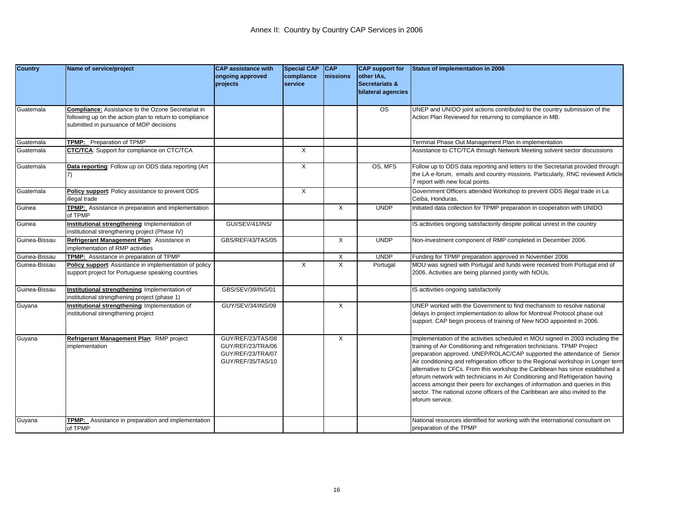| <b>Country</b> | Name of service/project                                                                                                                                        | <b>CAP assistance with</b><br>ongoing approved<br>projects                       | <b>Special CAP</b><br>compliance<br>service | CAP<br><b>Imissions</b> | <b>CAP</b> support for<br>other IAs,<br>Secretariats &<br>bilateral agencies | <b>Status of implementation in 2006</b>                                                                                                                                                                                                                                                                                                                                                                                                                                                                                                                                                                                                                                        |
|----------------|----------------------------------------------------------------------------------------------------------------------------------------------------------------|----------------------------------------------------------------------------------|---------------------------------------------|-------------------------|------------------------------------------------------------------------------|--------------------------------------------------------------------------------------------------------------------------------------------------------------------------------------------------------------------------------------------------------------------------------------------------------------------------------------------------------------------------------------------------------------------------------------------------------------------------------------------------------------------------------------------------------------------------------------------------------------------------------------------------------------------------------|
| Guatemala      | <b>Compliance:</b> Assistance to the Ozone Secretariat in<br>ollowing up on the action plan to return to compliance<br>submitted in pursuance of MOP decisions |                                                                                  |                                             |                         | $\overline{\text{os}}$                                                       | UNEP and UNIDO joint actions contributed to the country submission of the<br>Action Plan Reviewed for returning to compliance in MB.                                                                                                                                                                                                                                                                                                                                                                                                                                                                                                                                           |
| Guatemala      | <b>FPMP:</b> Preparation of TPMP                                                                                                                               |                                                                                  |                                             |                         |                                                                              | Terminal Phase Out Management Plan in implementation                                                                                                                                                                                                                                                                                                                                                                                                                                                                                                                                                                                                                           |
| Guatemala      | CTC/TCA: Support for compliance on CTC/TCA                                                                                                                     |                                                                                  | X                                           |                         |                                                                              | Assistance to CTC/TCA through Network Meeting solvent sector discussions                                                                                                                                                                                                                                                                                                                                                                                                                                                                                                                                                                                                       |
| Guatemala      | Data reporting: Follow up on ODS data reporting (Art                                                                                                           |                                                                                  | $\overline{X}$                              |                         | OS, MFS                                                                      | Follow up to ODS data reporting and letters to the Secretariat provided through<br>the LA e-forum, emails and country missions. Particularly, RNC reviewed Article<br>7 report with new focal points.                                                                                                                                                                                                                                                                                                                                                                                                                                                                          |
| Guatemala      | Policy support: Policy assistance to prevent ODS<br>llegal trade                                                                                               |                                                                                  | X                                           |                         |                                                                              | Government Officers attended Workshop to prevent ODS illegal trade in La<br>Ceiba, Honduras.                                                                                                                                                                                                                                                                                                                                                                                                                                                                                                                                                                                   |
| Guinea         | TPMP: Assistance in preparation and implementation<br>of TPMP                                                                                                  |                                                                                  |                                             | $\times$                | <b>UNDP</b>                                                                  | Initiated data collection for TPMP preparation in cooperation with UNIDO                                                                                                                                                                                                                                                                                                                                                                                                                                                                                                                                                                                                       |
| Guinea         | Institutional strengthening: Implementation of<br>institutional strengthening project (Phase IV)                                                               | GUI/SEV/41/INS/                                                                  |                                             |                         |                                                                              | IS acttivities ongoing satisfactorily despite pollical unrest in the country                                                                                                                                                                                                                                                                                                                                                                                                                                                                                                                                                                                                   |
| Guinea-Bissau  | Refrigerant Management Plan: Assistance in<br>implementation of RMP activities                                                                                 | GBS/REF/43/TAS/05                                                                |                                             | X                       | <b>UNDP</b>                                                                  | Non-investment component of RMP completed in December 2006.                                                                                                                                                                                                                                                                                                                                                                                                                                                                                                                                                                                                                    |
| Guinea-Bissau  | TPMP: Assistance in preparation of TPMP                                                                                                                        |                                                                                  |                                             | X                       | <b>UNDP</b>                                                                  | Funding for TPMP preparation approved in November 2006                                                                                                                                                                                                                                                                                                                                                                                                                                                                                                                                                                                                                         |
| Guinea-Bissau  | Policy support: Assistance in implementation of policy<br>support project for Portuguese speaking countries                                                    |                                                                                  | X                                           | X                       | Portugal                                                                     | MOU was signed with Portugal and funds were received from Portugal end of<br>2006. Activities are being planned jointly with NOUs.                                                                                                                                                                                                                                                                                                                                                                                                                                                                                                                                             |
| Guinea-Bissau  | Institutional strengthening: Implementation of<br>nstitutional strengthening project (phase 1)                                                                 | GBS/SEV/39/INS/01                                                                |                                             |                         |                                                                              | IS acttivities ongoing satisfactorily                                                                                                                                                                                                                                                                                                                                                                                                                                                                                                                                                                                                                                          |
| Guyana         | nstitutional strengthening Implementation of<br>nstitutional strengthening project                                                                             | GUY/SEV/34/INS/09                                                                |                                             | X                       |                                                                              | UNEP worked with the Government to find mechanism to resolve national<br>delays in project implementation to allow for Montreal Protocol phase out<br>support. CAP begin process of training of New NOO appointed in 2006.                                                                                                                                                                                                                                                                                                                                                                                                                                                     |
| Guyana         | Refrigerant Management Plan: RMP project<br>mplementation                                                                                                      | GUY/REF/23/TAS/08<br>GUY/REF/23/TRA/06<br>GUY/REF/23/TRA/07<br>GUY/REF/35/TAS/10 |                                             | X                       |                                                                              | Implementation of the activities scheduled in MOU signed in 2003 including the<br>training of Air Conditioning and refrigeration technicians. TPMP Project<br>preparation approved. UNEP/ROLAC/CAP supported the attendance of Senior<br>Air conditioning and refrigeration officer to the Regional workshop in Longer term<br>alternative to CFCs. From this workshop the Caribbean has since established a<br>eforum network with technicians in Air Conditioning and Refrigeration having<br>access amongst their peers for exchanges of information and queries in this<br>sector. The national ozone officers of the Caribbean are also invited to the<br>eforum service. |
| Guyana         | <b>FPMP:</b> Assistance in preparation and implementation<br>of TPMP                                                                                           |                                                                                  |                                             |                         |                                                                              | National resources identified for working with the international consultant on<br>preparation of the TPMP                                                                                                                                                                                                                                                                                                                                                                                                                                                                                                                                                                      |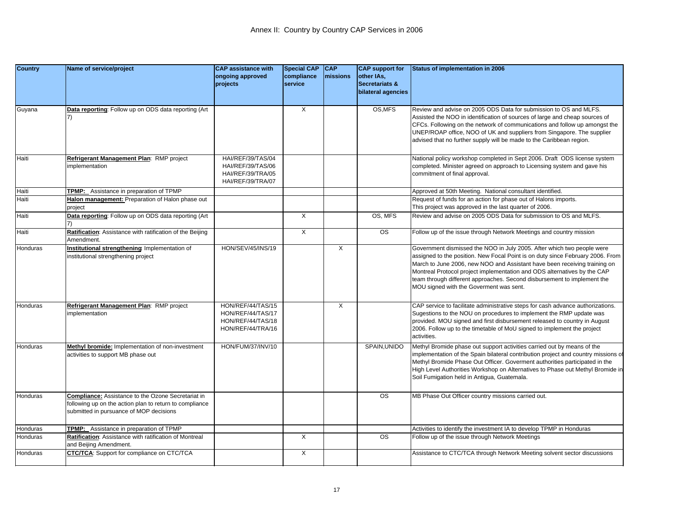| <b>Country</b> | Name of service/project                                                                                                                                         | <b>CAP assistance with</b><br>ongoing approved<br>projects                       | <b>Special CAP</b><br>compliance<br>service | <b>CAP</b><br><b>Imissions</b> | <b>CAP</b> support for<br>other IAs,<br>Secretariats &<br>bilateral agencies | Status of implementation in 2006                                                                                                                                                                                                                                                                                                                                                                                                        |
|----------------|-----------------------------------------------------------------------------------------------------------------------------------------------------------------|----------------------------------------------------------------------------------|---------------------------------------------|--------------------------------|------------------------------------------------------------------------------|-----------------------------------------------------------------------------------------------------------------------------------------------------------------------------------------------------------------------------------------------------------------------------------------------------------------------------------------------------------------------------------------------------------------------------------------|
| Guyana         | Data reporting: Follow up on ODS data reporting (Art                                                                                                            |                                                                                  | $\overline{\mathsf{x}}$                     |                                | OS, MFS                                                                      | Review and advise on 2005 ODS Data for submission to OS and MLFS.<br>Assisted the NOO in identification of sources of large and cheap sources of<br>CFCs. Following on the network of communications and follow up amongst the<br>UNEP/ROAP office, NOO of UK and suppliers from Singapore. The supplier<br>advised that no further supply will be made to the Caribbean region.                                                        |
| Haiti          | Refrigerant Management Plan: RMP project<br>mplementation                                                                                                       | HAI/REF/39/TAS/04<br>HAI/REF/39/TAS/06<br>HAI/REF/39/TRA/05<br>HAI/REF/39/TRA/07 |                                             |                                |                                                                              | National policy workshop completed in Sept 2006. Draft ODS license system<br>completed. Minister agreed on approach to Licensing system and gave his<br>commitment of final approval.                                                                                                                                                                                                                                                   |
| Haiti          | TPMP: Assistance in preparation of TPMP                                                                                                                         |                                                                                  |                                             |                                |                                                                              | Approved at 50th Meeting. National consultant identified.                                                                                                                                                                                                                                                                                                                                                                               |
| Haiti          | Halon management: Preparation of Halon phase out<br>project                                                                                                     |                                                                                  |                                             |                                |                                                                              | Request of funds for an action for phase out of Halons imports.<br>This project was approved in the last quarter of 2006.                                                                                                                                                                                                                                                                                                               |
| Haiti          | Data reporting: Follow up on ODS data reporting (Art                                                                                                            |                                                                                  | X                                           |                                | OS, MFS                                                                      | Review and advise on 2005 ODS Data for submission to OS and MLFS.                                                                                                                                                                                                                                                                                                                                                                       |
| Haiti          | Ratification: Assistance with ratification of the Beijing<br>Amendment.                                                                                         |                                                                                  | $\times$                                    |                                | $\overline{\text{os}}$                                                       | Follow up of the issue through Network Meetings and country mission                                                                                                                                                                                                                                                                                                                                                                     |
| Honduras       | Institutional strengthening: Implementation of<br>nstitutional strengthening project                                                                            | HON/SEV/45/INS/19                                                                |                                             | X                              |                                                                              | Government dismissed the NOO in July 2005. After which two people were<br>assigned to the position. New Focal Point is on duty since February 2006. From<br>March to June 2006, new NOO and Assistant have been receiving training on<br>Montreal Protocol project implementation and ODS alternatives by the CAP<br>team through different approaches. Second disbursement to implement the<br>MOU signed with the Goverment was sent. |
| Honduras       | Refrigerant Management Plan: RMP project<br>mplementation                                                                                                       | HON/REF/44/TAS/15<br>HON/REF/44/TAS/17<br>HON/REF/44/TAS/18<br>HON/REF/44/TRA/16 |                                             | X                              |                                                                              | CAP service to facilitate administrative steps for cash advance authorizations.<br>Sugestions to the NOU on procedures to implement the RMP update was<br>provided. MOU signed and first disbursement released to country in August<br>2006. Follow up to the timetable of MoU signed to implement the project<br>activities.                                                                                                           |
| Honduras       | Methyl bromide: Implementation of non-investment<br>activities to support MB phase out                                                                          | HON/FUM/37/INV/10                                                                |                                             |                                | SPAIN, UNIDO                                                                 | Methyl Bromide phase out support activities carried out by means of the<br>implementation of the Spain bilateral contribution project and country missions of<br>Methyl Bromide Phase Out Officer. Goverment authorities participated in the<br>High Level Authorities Workshop on Alternatives to Phase out Methyl Bromide in<br>Soil Fumigation held in Antigua, Guatemala.                                                           |
| Honduras       | <b>Compliance:</b> Assistance to the Ozone Secretariat in<br>following up on the action plan to return to compliance<br>submitted in pursuance of MOP decisions |                                                                                  |                                             |                                | <b>OS</b>                                                                    | MB Phase Out Officer country missions carried out.                                                                                                                                                                                                                                                                                                                                                                                      |
| Honduras       | TPMP: Assistance in preparation of TPMP                                                                                                                         |                                                                                  |                                             |                                |                                                                              | Activities to identify the investment IA to develop TPMP in Honduras                                                                                                                                                                                                                                                                                                                                                                    |
| Honduras       | Ratification: Assistance with ratification of Montreal<br>and Beijing Amendment.                                                                                |                                                                                  | X                                           |                                | $\overline{\text{os}}$                                                       | Follow up of the issue through Network Meetings                                                                                                                                                                                                                                                                                                                                                                                         |
| Honduras       | <b>CTC/TCA:</b> Support for compliance on CTC/TCA                                                                                                               |                                                                                  | $\times$                                    |                                |                                                                              | Assistance to CTC/TCA through Network Meeting solvent sector discussions                                                                                                                                                                                                                                                                                                                                                                |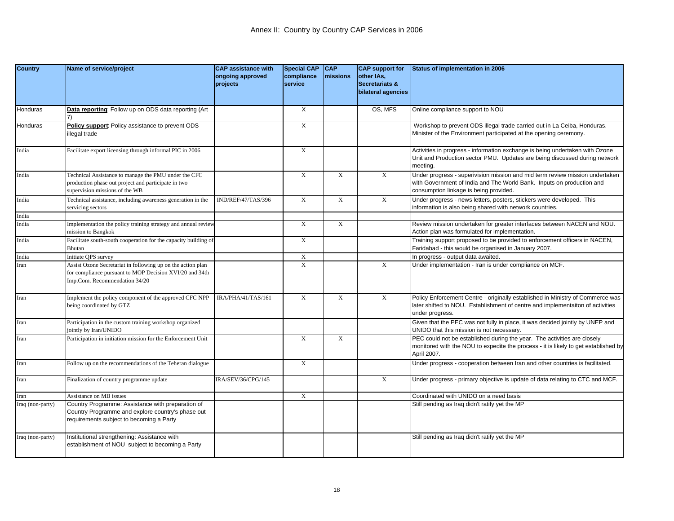| <b>Country</b>   | Name of service/project                                                                                                                                 | <b>CAP assistance with</b><br>ongoing approved<br>projects | <b>Special CAP</b><br>compliance<br>service | <b>CAP</b><br>missions | <b>CAP</b> support for<br>other IAs,<br>Secretariats &<br>bilateral agencies | Status of implementation in 2006                                                                                                                                                                |
|------------------|---------------------------------------------------------------------------------------------------------------------------------------------------------|------------------------------------------------------------|---------------------------------------------|------------------------|------------------------------------------------------------------------------|-------------------------------------------------------------------------------------------------------------------------------------------------------------------------------------------------|
| Honduras         | Data reporting: Follow up on ODS data reporting (Art                                                                                                    |                                                            | $\times$                                    |                        | OS, MFS                                                                      | Online compliance support to NOU                                                                                                                                                                |
| Honduras         | Policy support: Policy assistance to prevent ODS<br>llegal trade                                                                                        |                                                            | X                                           |                        |                                                                              | Workshop to prevent ODS illegal trade carried out in La Ceiba, Honduras.<br>Minister of the Environment participated at the opening ceremony.                                                   |
| India            | Facilitate export licensing through informal PIC in 2006                                                                                                |                                                            | X                                           |                        |                                                                              | Activities in progress - information exchange is being undertaken with Ozone<br>Unit and Production sector PMU. Updates are being discussed during network<br>meeting.                          |
| India            | Technical Assistance to manage the PMU under the CFC<br>production phase out project and participate in two<br>supervision missions of the WB           |                                                            | $\mathbf X$                                 | $\mathbf X$            | $\mathbf X$                                                                  | Under progress - superivision mission and mid term review mission undertaken<br>with Government of India and The World Bank. Inputs on production and<br>consumption linkage is being provided. |
| India            | Fechnical assistance, including awareness generation in the<br>servicing sectors                                                                        | IND/REF/47/TAS/396                                         | $\overline{\text{X}}$                       | $\mathbf X$            | $\mathbf X$                                                                  | Under progress - news letters, posters, stickers were developed. This<br>information is also being shared with network countries.                                                               |
| India            |                                                                                                                                                         |                                                            |                                             |                        |                                                                              |                                                                                                                                                                                                 |
| India            | Implementation the policy training strategy and annual review<br>mission to Bangkok                                                                     |                                                            | X                                           | X                      |                                                                              | Review mission undertaken for greater interfaces between NACEN and NOU.<br>Action plan was formulated for implementation.                                                                       |
| India            | Facilitate south-south cooperation for the capacity building of<br>Bhutan                                                                               |                                                            | X                                           |                        |                                                                              | Training support proposed to be provided to enforcement officers in NACEN,<br>Faridabad - this would be organised in January 2007.                                                              |
| India            | Initiate QPS survey                                                                                                                                     |                                                            | $\mathbf X$                                 |                        |                                                                              | In progress - output data awaited.                                                                                                                                                              |
| Iran             | Assist Ozone Secretariat in following up on the action plan<br>for compliance pursuant to MOP Decision XVI/20 and 34th<br>Imp.Com. Recommendation 34/20 |                                                            | $\overline{X}$                              |                        | $\mathbf X$                                                                  | Under implementation - Iran is under compliance on MCF.                                                                                                                                         |
| Iran             | Implement the policy component of the approved CFC NPP<br>being coordinated by GTZ                                                                      | IRA/PHA/41/TAS/161                                         | $\mathbf X$                                 | $\mathbf X$            | $\mathbf X$                                                                  | Policy Enforcement Centre - originally established in Ministry of Commerce was<br>later shifted to NOU. Establishment of centre and implementaiton of activities<br>under progress.             |
| Iran             | Participation in the custom training workshop organized<br>ointly by Iran/UNIDO                                                                         |                                                            |                                             |                        |                                                                              | Given that the PEC was not fully in place, it was decided jointly by UNEP and<br>UNIDO that this mission is not necessary.                                                                      |
| Iran             | Participation in initiation mission for the Enforcement Unit                                                                                            |                                                            | $\mathbf X$                                 | $\mathbf X$            |                                                                              | PEC could not be established during the year. The activities are closely<br>monitored with the NOU to expedite the process - it is likely to get established by<br>April 2007.                  |
| Iran             | Follow up on the recommendations of the Teheran dialogue                                                                                                |                                                            | X                                           |                        |                                                                              | Under progress - cooperation between Iran and other countries is facilitated.                                                                                                                   |
| Iran             | Finalization of country programme update                                                                                                                | IRA/SEV/36/CPG/145                                         |                                             |                        | $\mathbf X$                                                                  | Under progress - primary objective is update of data relating to CTC and MCF.                                                                                                                   |
| Iran             | Assistance on MB issues                                                                                                                                 |                                                            | X                                           |                        |                                                                              | Coordinated with UNIDO on a need basis                                                                                                                                                          |
| Iraq (non-party) | Country Programme: Assistance with preparation of<br>Country Programme and explore country's phase out<br>requirements subject to becoming a Party      |                                                            |                                             |                        |                                                                              | Still pending as Iraq didn't ratify yet the MP                                                                                                                                                  |
| Iraq (non-party) | Institutional strengthening: Assistance with<br>establishment of NOU subject to becoming a Party                                                        |                                                            |                                             |                        |                                                                              | Still pending as Iraq didn't ratify yet the MP                                                                                                                                                  |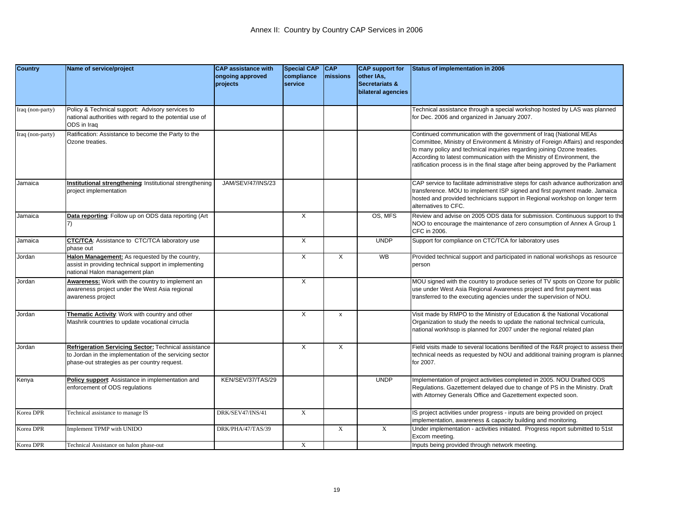| <b>Country</b>   | Name of service/project                                                                                                                                         | <b>CAP</b> assistance with   | <b>Special CAP</b>    | <b>CAP</b>         | <b>CAP</b> support for                  | Status of implementation in 2006                                                                                                                                                                                                                                                                                                                                                                  |
|------------------|-----------------------------------------------------------------------------------------------------------------------------------------------------------------|------------------------------|-----------------------|--------------------|-----------------------------------------|---------------------------------------------------------------------------------------------------------------------------------------------------------------------------------------------------------------------------------------------------------------------------------------------------------------------------------------------------------------------------------------------------|
|                  |                                                                                                                                                                 | ongoing approved<br>projects | compliance<br>service | missions           | other IAs,<br><b>Secretariats &amp;</b> |                                                                                                                                                                                                                                                                                                                                                                                                   |
|                  |                                                                                                                                                                 |                              |                       |                    | bilateral agencies                      |                                                                                                                                                                                                                                                                                                                                                                                                   |
| Iraq (non-party) | Policy & Technical support: Advisory services to                                                                                                                |                              |                       |                    |                                         | Technical assistance through a special workshop hosted by LAS was planned                                                                                                                                                                                                                                                                                                                         |
|                  | national authorities with regard to the potential use of<br>ODS in Iraq                                                                                         |                              |                       |                    |                                         | for Dec. 2006 and organized in January 2007.                                                                                                                                                                                                                                                                                                                                                      |
| Iraq (non-party) | Ratification: Assistance to become the Party to the<br>Ozone treaties.                                                                                          |                              |                       |                    |                                         | Continued communication with the government of Iraq (National MEAs<br>Committee, Ministry of Environment & Ministry of Foreign Affairs) and responded<br>to many policy and technical inquiries regarding joining Ozone treaties.<br>According to latest communication with the Ministry of Environment, the<br>ratification process is in the final stage after being approved by the Parliament |
| Jamaica          | Institutional strengthening: Institutional strengthening<br>project implementation                                                                              | JAM/SEV/47/INS/23            |                       |                    |                                         | CAP service to facilitate administrative steps for cash advance authorization and<br>transference. MOU to implement ISP signed and first payment made. Jamaica<br>hosted and provided technicians support in Regional workshop on longer term<br>alternatives to CFC.                                                                                                                             |
| Jamaica          | Data reporting: Follow up on ODS data reporting (Art                                                                                                            |                              | $\times$              |                    | OS, MFS                                 | Review and advise on 2005 ODS data for submission. Continuous support to the<br>NOO to encourage the maintenance of zero consumption of Annex A Group 1<br>CFC in 2006.                                                                                                                                                                                                                           |
| Jamaica          | <b>CTC/TCA: Assistance to CTC/TCA laboratory use</b><br>phase out                                                                                               |                              | X                     |                    | <b>UNDP</b>                             | Support for compliance on CTC/TCA for laboratory uses                                                                                                                                                                                                                                                                                                                                             |
| Jordan           | Halon Management: As requested by the country,<br>assist in providing technical support in implementing<br>national Halon management plan                       |                              | $\overline{X}$        | X                  | WB                                      | Provided technical support and participated in national workshops as resource<br>person                                                                                                                                                                                                                                                                                                           |
| Jordan           | Awareness: Work with the country to implement an<br>awareness project under the West Asia regional<br>awareness project                                         |                              | X                     |                    |                                         | MOU signed with the country to produce series of TV spots on Ozone for public<br>use under West Asia Regional Awareness project and first payment was<br>transferred to the executing agencies under the supervision of NOU.                                                                                                                                                                      |
| Jordan           | Thematic Activity: Work with country and other<br>Mashrik countries to update vocational cirrucla                                                               |                              | $\mathsf{X}$          | $\pmb{\mathsf{x}}$ |                                         | Visit made by RMPO to the Ministry of Education & the National Vocational<br>Organization to study the needs to update the national technical curricula,<br>national workhsop is planned for 2007 under the regional related plan                                                                                                                                                                 |
| Jordan           | Refrigeration Servicing Sector: Technical assistance<br>to Jordan in the implementation of the servicing sector<br>phase-out strategies as per country request. |                              | X                     | X                  |                                         | Field visits made to several locations benifited of the R&R project to assess their<br>technical needs as requested by NOU and additional training program is planned<br>for 2007.                                                                                                                                                                                                                |
| Kenya            | Policy support: Assistance in implementation and<br>enforcement of ODS regulations                                                                              | KEN/SEV/37/TAS/29            |                       |                    | <b>UNDP</b>                             | Implementation of project activities completed in 2005. NOU Drafted ODS<br>Regulations. Gazettement delayed due to change of PS in the Ministry. Draft<br>with Attorney Generals Office and Gazettement expected soon.                                                                                                                                                                            |
| Korea DPR        | Technical assistance to manage IS                                                                                                                               | DRK/SEV47/INS/41             | X                     |                    |                                         | IS project activities under progress - inputs are being provided on project<br>implementation, awareness & capacity building and monitoring.                                                                                                                                                                                                                                                      |
| Korea DPR        | Implement TPMP with UNIDO                                                                                                                                       | DRK/PHA/47/TAS/39            |                       | $\mathbf X$        | $\mathbf X$                             | Under implementation - activities initiated. Progress report submitted to 51st<br>Excom meeting.                                                                                                                                                                                                                                                                                                  |
| Korea DPR        | Technical Assistance on halon phase-out                                                                                                                         |                              | X                     |                    |                                         | Inputs being provided through network meeting.                                                                                                                                                                                                                                                                                                                                                    |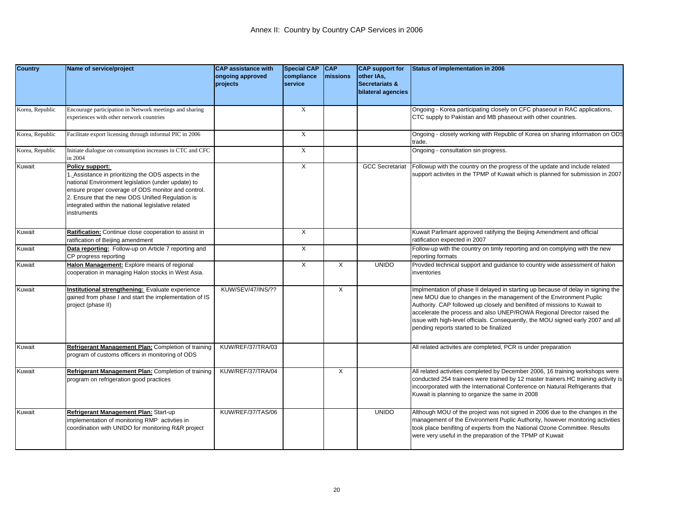| <b>Country</b>  | Name of service/project                                                                                                                                                                                                                                                                                    | <b>CAP assistance with</b><br>ongoing approved | <b>Special CAP</b><br>compliance | <b>CAP</b><br>missions | <b>CAP</b> support for<br>other IAs,            | Status of implementation in 2006                                                                                                                                                                                                                                                                                                                                                                                                             |
|-----------------|------------------------------------------------------------------------------------------------------------------------------------------------------------------------------------------------------------------------------------------------------------------------------------------------------------|------------------------------------------------|----------------------------------|------------------------|-------------------------------------------------|----------------------------------------------------------------------------------------------------------------------------------------------------------------------------------------------------------------------------------------------------------------------------------------------------------------------------------------------------------------------------------------------------------------------------------------------|
|                 |                                                                                                                                                                                                                                                                                                            | projects                                       | service                          |                        | <b>Secretariats &amp;</b><br>bilateral agencies |                                                                                                                                                                                                                                                                                                                                                                                                                                              |
| Korea, Republic | Encourage participation in Network meetings and sharing<br>experiences with other network countries                                                                                                                                                                                                        |                                                | X                                |                        |                                                 | Ongoing - Korea participating closely on CFC phaseout in RAC applications,<br>CTC supply to Pakistan and MB phaseout with other countries.                                                                                                                                                                                                                                                                                                   |
| Korea, Republic | Facilitate export licensing through informal PIC in 2006                                                                                                                                                                                                                                                   |                                                | $\mathbf X$                      |                        |                                                 | Ongoing - closely working with Republic of Korea on sharing information on ODS<br>trade.                                                                                                                                                                                                                                                                                                                                                     |
| Korea, Republic | Initiate dialogue on consumption increases in CTC and CFC<br>n 2004                                                                                                                                                                                                                                        |                                                | $\mathbf X$                      |                        |                                                 | Ongoing - consultation sin progress.                                                                                                                                                                                                                                                                                                                                                                                                         |
| Kuwait          | Policy support:<br>. Assistance in prioritizing the ODS aspects in the<br>national Environment legislation (under update) to<br>ensure proper coverage of ODS monitor and control.<br>2. Ensure that the new ODS Unified Regulation is<br>integrated within the national legislative related<br>nstruments |                                                | X                                |                        | <b>GCC Secretariat</b>                          | Followup with the country on the progress of the update and include related<br>support activites in the TPMP of Kuwait which is planned for submission in 2007                                                                                                                                                                                                                                                                               |
| Kuwait          | Ratification: Continue close cooperation to assist in<br>ratification of Beijing amendment                                                                                                                                                                                                                 |                                                | $\overline{X}$                   |                        |                                                 | Kuwait Parlimant approved ratifying the Beijing Amendment and official<br>ratification expected in 2007                                                                                                                                                                                                                                                                                                                                      |
| Kuwait          | Data reporting: Follow-up on Article 7 reporting and<br>CP progress reporting                                                                                                                                                                                                                              |                                                | X                                |                        |                                                 | Follow-up with the country on timly reporting and on complying with the new<br>reporting formats                                                                                                                                                                                                                                                                                                                                             |
| Kuwait          | Halon Management: Explore means of regional<br>cooperation in managing Halon stocks in West Asia.                                                                                                                                                                                                          |                                                | X                                | X                      | <b>UNIDO</b>                                    | Provded technical support and guidance to country wide assessment of halon<br>inventories                                                                                                                                                                                                                                                                                                                                                    |
| Kuwait          | nstitutional strengthening: Evaluate experience<br>gained from phase I and start the implementation of IS<br>project (phase II)                                                                                                                                                                            | KUW/SEV/47/INS/??                              |                                  | X                      |                                                 | Implmentation of phase II delayed in starting up because of delay in signing the<br>new MOU due to changes in the management of the Environment Puplic<br>Authority. CAP followed up closely and benifited of missions to Kuwait to<br>accelerate the process and also UNEP/ROWA Regional Director raised the<br>issue with high-level officials. Consequently, the MOU signed early 2007 and all<br>pending reports started to be finalized |
| Kuwait          | Refrigerant Management Plan: Completion of training<br>program of customs officers in monitoring of ODS                                                                                                                                                                                                    | KUW/REF/37/TRA/03                              |                                  |                        |                                                 | All related activites are completed, PCR is under preparation                                                                                                                                                                                                                                                                                                                                                                                |
| Kuwait          | Refrigerant Management Plan: Completion of training<br>program on refrigeration good practices                                                                                                                                                                                                             | KUW/REF/37/TRA/04                              |                                  | X                      |                                                 | All related activities completed by December 2006, 16 training workshops were<br>conducted 254 trainees were trained by 12 master trainers. HC training activity is<br>incoorporated with the International Conference on Natural Refrigerants that<br>Kuwait is planning to organize the same in 2008                                                                                                                                       |
| Kuwait          | Refrigerant Management Plan: Start-up<br>implementation of monitoring RMP activties in<br>coordination with UNIDO for monitoring R&R project                                                                                                                                                               | KUW/REF/37/TAS/06                              |                                  |                        | <b>UNIDO</b>                                    | Although MOU of the project was not signed in 2006 due to the changes in the<br>management of the Environment Puplic Authority, however monitoring activities<br>took place benifitng of experts from the National Ozone Committee. Results<br>were very useful in the preparation of the TPMP of Kuwait                                                                                                                                     |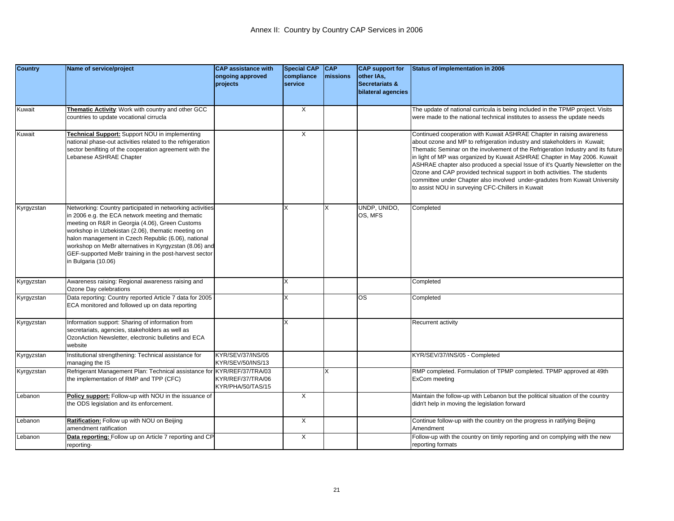| <b>Country</b> | Name of service/project                                                                                                                                                                                                                                                                                                                                                                                                   | <b>CAP</b> assistance with             | <b>Special CAP</b>    | CAP      | <b>CAP</b> support for                  | Status of implementation in 2006                                                                                                                                                                                                                                                                                                                                                                                                                                                                                                                                                                                      |
|----------------|---------------------------------------------------------------------------------------------------------------------------------------------------------------------------------------------------------------------------------------------------------------------------------------------------------------------------------------------------------------------------------------------------------------------------|----------------------------------------|-----------------------|----------|-----------------------------------------|-----------------------------------------------------------------------------------------------------------------------------------------------------------------------------------------------------------------------------------------------------------------------------------------------------------------------------------------------------------------------------------------------------------------------------------------------------------------------------------------------------------------------------------------------------------------------------------------------------------------------|
|                |                                                                                                                                                                                                                                                                                                                                                                                                                           | ongoing approved<br>projects           | compliance<br>service | missions | other IAs,<br><b>Secretariats &amp;</b> |                                                                                                                                                                                                                                                                                                                                                                                                                                                                                                                                                                                                                       |
|                |                                                                                                                                                                                                                                                                                                                                                                                                                           |                                        |                       |          | bilateral agencies                      |                                                                                                                                                                                                                                                                                                                                                                                                                                                                                                                                                                                                                       |
| Kuwait         | Thematic Activity: Work with country and other GCC                                                                                                                                                                                                                                                                                                                                                                        |                                        | $\overline{X}$        |          |                                         | The update of national curricula is being included in the TPMP project. Visits                                                                                                                                                                                                                                                                                                                                                                                                                                                                                                                                        |
|                | countries to update vocational cirrucla                                                                                                                                                                                                                                                                                                                                                                                   |                                        |                       |          |                                         | were made to the national technical institutes to assess the update needs                                                                                                                                                                                                                                                                                                                                                                                                                                                                                                                                             |
| Kuwait         | Technical Support: Support NOU in implementing<br>national phase-out activities related to the refrigeration<br>sector benifiting of the cooperation agreement with the<br>ebanese ASHRAE Chapter                                                                                                                                                                                                                         |                                        | X                     |          |                                         | Continued cooperation with Kuwait ASHRAE Chapter in raising awareness<br>about ozone and MP to refrigeration industry and stakeholders in Kuwait;<br>Thematic Seminar on the involvement of the Refrigeration Industry and its future<br>in light of MP was organized by Kuwait ASHRAE Chapter in May 2006. Kuwait<br>ASHRAE chapter also produced a special Issue of it's Quartly Newsletter on the<br>Ozone and CAP provided technical support in both activities. The students<br>committee under Chapter also involved under-gradutes from Kuwait University<br>to assist NOU in surveying CFC-Chillers in Kuwait |
| Kyrgyzstan     | Networking: Country participated in networking activities<br>in 2006 e.g. the ECA network meeting and thematic<br>meeting on R&R in Georgia (4.06), Green Customs<br>workshop in Uzbekistan (2.06), thematic meeting on<br>halon management in Czech Republic (6.06), national<br>workshop on MeBr alternatives in Kyrgyzstan (8.06) and<br>GEF-supported MeBr training in the post-harvest sector<br>in Bulgaria (10.06) |                                        | X                     | X        | UNDP, UNIDO,<br>OS, MFS                 | Completed                                                                                                                                                                                                                                                                                                                                                                                                                                                                                                                                                                                                             |
| Kyrgyzstan     | Awareness raising: Regional awareness raising and<br>Ozone Day celebrations                                                                                                                                                                                                                                                                                                                                               |                                        | X                     |          |                                         | Completed                                                                                                                                                                                                                                                                                                                                                                                                                                                                                                                                                                                                             |
| Kyrgyzstan     | Data reporting: Country reported Article 7 data for 2005<br>ECA monitored and followed up on data reporting                                                                                                                                                                                                                                                                                                               |                                        | X                     |          | <b>OS</b>                               | Completed                                                                                                                                                                                                                                                                                                                                                                                                                                                                                                                                                                                                             |
| Kyrgyzstan     | Information support: Sharing of information from<br>secretariats, agencies, stakeholders as well as<br>OzonAction Newsletter, electronic bulletins and ECA<br>website                                                                                                                                                                                                                                                     |                                        | X                     |          |                                         | Recurrent activity                                                                                                                                                                                                                                                                                                                                                                                                                                                                                                                                                                                                    |
| Kyrgyzstan     | Institutional strengthening: Technical assistance for<br>managing the IS                                                                                                                                                                                                                                                                                                                                                  | KYR/SEV/37/INS/05<br>KYR/SEV/50/INS/13 |                       |          |                                         | KYR/SEV/37/INS/05 - Completed                                                                                                                                                                                                                                                                                                                                                                                                                                                                                                                                                                                         |
| Kyrgyzstan     | Refrigerant Management Plan: Technical assistance for KYR/REF/37/TRA/03<br>the implementation of RMP and TPP (CFC)                                                                                                                                                                                                                                                                                                        | KYR/REF/37/TRA/06<br>KYR/PHA/50/TAS/15 |                       | X        |                                         | RMP completed. Formulation of TPMP completed. TPMP approved at 49th<br>ExCom meeting                                                                                                                                                                                                                                                                                                                                                                                                                                                                                                                                  |
| Lebanon        | Policy support: Follow-up with NOU in the issuance of<br>the ODS legislation and its enforcement.                                                                                                                                                                                                                                                                                                                         |                                        | X                     |          |                                         | Maintain the follow-up with Lebanon but the political situation of the country<br>didn't help in moving the legislation forward                                                                                                                                                                                                                                                                                                                                                                                                                                                                                       |
| Lebanon        | Ratification: Follow up with NOU on Beijing<br>amendment ratification                                                                                                                                                                                                                                                                                                                                                     |                                        | $\times$              |          |                                         | Continue follow-up with the country on the progress in ratifying Beijing<br>Amendment                                                                                                                                                                                                                                                                                                                                                                                                                                                                                                                                 |
| Lebanon        | Data reporting: Follow up on Article 7 reporting and CP<br>reporting-                                                                                                                                                                                                                                                                                                                                                     |                                        | $\times$              |          |                                         | Follow-up with the country on timly reporting and on complying with the new<br>reporting formats                                                                                                                                                                                                                                                                                                                                                                                                                                                                                                                      |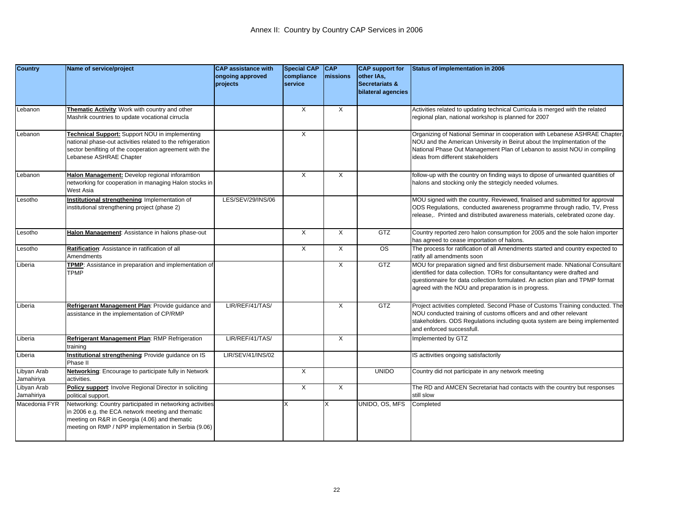| <b>Country</b>              | Name of service/project                                                                                               | <b>CAP assistance with</b><br>ongoing approved | <b>Special CAP</b><br>compliance | <b>CAP</b><br>missions | <b>CAP</b> support for<br>other IAs, | <b>Status of implementation in 2006</b>                                                                                                                                                                                                                                                         |
|-----------------------------|-----------------------------------------------------------------------------------------------------------------------|------------------------------------------------|----------------------------------|------------------------|--------------------------------------|-------------------------------------------------------------------------------------------------------------------------------------------------------------------------------------------------------------------------------------------------------------------------------------------------|
|                             |                                                                                                                       | projects                                       | service                          |                        | Secretariats &                       |                                                                                                                                                                                                                                                                                                 |
|                             |                                                                                                                       |                                                |                                  |                        | bilateral agencies                   |                                                                                                                                                                                                                                                                                                 |
| _ebanon                     | Thematic Activity: Work with country and other                                                                        |                                                | X                                | Χ                      |                                      | Activities related to updating technical Curricula is merged with the related                                                                                                                                                                                                                   |
|                             | Mashrik countries to update vocational cirrucla                                                                       |                                                |                                  |                        |                                      | regional plan, national workshop is planned for 2007                                                                                                                                                                                                                                            |
| _ebanon                     | Technical Support: Support NOU in implementing                                                                        |                                                | X                                |                        |                                      | Organizing of National Seminar in cooperation with Lebanese ASHRAE Chapter,                                                                                                                                                                                                                     |
|                             | national phase-out activities related to the refrigeration<br>sector benifiting of the cooperation agreement with the |                                                |                                  |                        |                                      | NOU and the American University in Beirut about the Implmentation of the<br>National Phase Out Management Plan of Lebanon to assist NOU in compiling                                                                                                                                            |
|                             | Lebanese ASHRAE Chapter                                                                                               |                                                |                                  |                        |                                      | ideas from different stakeholders                                                                                                                                                                                                                                                               |
| _ebanon                     | Halon Management: Develop regional inforamtion                                                                        |                                                | X                                | $\times$               |                                      | follow-up with the country on finding ways to dipose of unwanted quantities of                                                                                                                                                                                                                  |
|                             | networking for cooperation in managing Halon stocks in<br>West Asia                                                   |                                                |                                  |                        |                                      | halons and stocking only the strtegicly needed volumes.                                                                                                                                                                                                                                         |
| Lesotho                     | Institutional strengthening: Implementation of                                                                        | LES/SEV/29/INS/06                              |                                  |                        |                                      | MOU signed with the country. Reviewed, finalised and submitted for approval                                                                                                                                                                                                                     |
|                             | institutional strengthening project (phase 2)                                                                         |                                                |                                  |                        |                                      | ODS Regulations, conducted awareness programme through radio, TV, Press<br>release,. Printed and distributed awareness materials, celebrated ozone day.                                                                                                                                         |
|                             |                                                                                                                       |                                                |                                  |                        |                                      |                                                                                                                                                                                                                                                                                                 |
| Lesotho                     | Halon Management: Assistance in halons phase-out                                                                      |                                                | $\times$                         | $\times$               | GTZ                                  | Country reported zero halon consumption for 2005 and the sole halon importer<br>has agreed to cease importation of halons.                                                                                                                                                                      |
| _esotho                     | Ratification: Assistance in ratification of all                                                                       |                                                | X                                | X                      | <b>OS</b>                            | The process for ratification of all Amendments started and country expected to                                                                                                                                                                                                                  |
|                             | Amendments                                                                                                            |                                                |                                  |                        |                                      | ratify all amendments soon                                                                                                                                                                                                                                                                      |
| Liberia                     | TPMP: Assistance in preparation and implementation of<br><b>TPMP</b>                                                  |                                                |                                  | X                      | GTZ                                  | MOU for preparation signed and first disbursement made. NNational Consultant<br>identified for data collection. TORs for consultantancy were drafted and<br>questionnaire for data collection formulated. An action plan and TPMP format<br>agreed with the NOU and preparation is in progress. |
| Liberia                     | Refrigerant Management Plan: Provide guidance and                                                                     | LIR/REF/41/TAS/                                |                                  | X                      | <b>GTZ</b>                           | Project activities completed. Second Phase of Customs Training conducted. The                                                                                                                                                                                                                   |
|                             | assistance in the implementation of CP/RMP                                                                            |                                                |                                  |                        |                                      | NOU conducted training of customs officers and and other relevant                                                                                                                                                                                                                               |
|                             |                                                                                                                       |                                                |                                  |                        |                                      | stakeholders. ODS Regulations including quota system are being implemented<br>and enforced successfull.                                                                                                                                                                                         |
| Liberia                     | Refrigerant Management Plan: RMP Refrigeration<br>training                                                            | LIR/REF/41/TAS/                                |                                  | X                      |                                      | Implemented by GTZ                                                                                                                                                                                                                                                                              |
| Liberia                     | Institutional strengthening Provide guidance on IS<br>Phase II                                                        | LIR/SEV/41/INS/02                              |                                  |                        |                                      | IS acttivities ongoing satisfactorily                                                                                                                                                                                                                                                           |
| Libyan Arab<br>Jamahiriya   | Networking: Encourage to participate fully in Network<br>activities.                                                  |                                                | X                                |                        | <b>UNIDO</b>                         | Country did not participate in any network meeting                                                                                                                                                                                                                                              |
| Libyan Arab                 | Policy support: Involve Regional Director in soliciting                                                               |                                                | X                                | Χ                      |                                      | The RD and AMCEN Secretariat had contacts with the country but responses                                                                                                                                                                                                                        |
| Jamahiriya<br>Macedonia FYR | political support.<br>Networking: Country participated in networking activities                                       |                                                |                                  | X                      | UNIDO, OS, MFS                       | still slow<br>Completed                                                                                                                                                                                                                                                                         |
|                             | n 2006 e.g. the ECA network meeting and thematic                                                                      |                                                |                                  |                        |                                      |                                                                                                                                                                                                                                                                                                 |
|                             | meeting on R&R in Georgia (4.06) and thematic                                                                         |                                                |                                  |                        |                                      |                                                                                                                                                                                                                                                                                                 |
|                             | meeting on RMP / NPP implementation in Serbia (9.06)                                                                  |                                                |                                  |                        |                                      |                                                                                                                                                                                                                                                                                                 |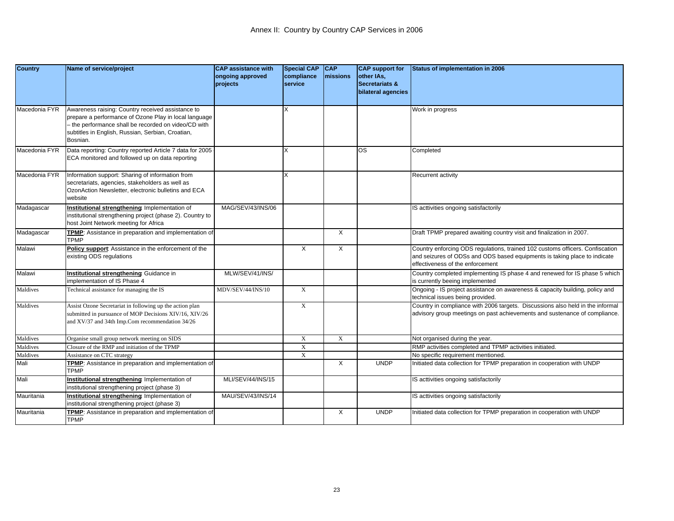| <b>Country</b> | Name of service/project                                                                                                                                                                                                           | <b>CAP</b> assistance with<br>ongoing approved<br>projects | Special CAP CAP<br>compliance<br><b>Iservice</b> | <b>Imissions</b> | <b>CAP</b> support for<br>other IAs,<br><b>Secretariats &amp;</b><br>bilateral agencies | Status of implementation in 2006                                                                                                                                                               |
|----------------|-----------------------------------------------------------------------------------------------------------------------------------------------------------------------------------------------------------------------------------|------------------------------------------------------------|--------------------------------------------------|------------------|-----------------------------------------------------------------------------------------|------------------------------------------------------------------------------------------------------------------------------------------------------------------------------------------------|
| Macedonia FYR  | Awareness raising: Country received assistance to<br>prepare a performance of Ozone Play in local language<br>the performance shall be recorded on video/CD with<br>subtitles in English, Russian, Serbian, Croatian,<br>Bosnian. |                                                            |                                                  |                  |                                                                                         | Work in progress                                                                                                                                                                               |
| Macedonia FYR  | Data reporting: Country reported Article 7 data for 2005<br>ECA monitored and followed up on data reporting                                                                                                                       |                                                            |                                                  |                  | <b>OS</b>                                                                               | Completed                                                                                                                                                                                      |
| Macedonia FYR  | Information support: Sharing of information from<br>secretariats, agencies, stakeholders as well as<br>OzonAction Newsletter, electronic bulletins and ECA<br>website                                                             |                                                            | X                                                |                  |                                                                                         | Recurrent activity                                                                                                                                                                             |
| Madagascar     | Institutional strengthening: Implementation of<br>nstitutional strengthening project (phase 2). Country to<br>nost Joint Network meeting for Africa                                                                               | MAG/SEV/43/INS/06                                          |                                                  |                  |                                                                                         | IS acttivities ongoing satisfactorily                                                                                                                                                          |
| Madagascar     | TPMP: Assistance in preparation and implementation of<br><b>TPMP</b>                                                                                                                                                              |                                                            |                                                  | X                |                                                                                         | Draft TPMP prepared awaiting country visit and finalization in 2007.                                                                                                                           |
| Malawi         | Policy support: Assistance in the enforcement of the<br>existing ODS regulations                                                                                                                                                  |                                                            | X                                                | Χ                |                                                                                         | Country enforcing ODS regulations, trained 102 customs officers. Confiscation<br>and seizures of ODSs and ODS based equipments is taking place to indicate<br>effectiveness of the enforcement |
| Malawi         | Institutional strengthening: Guidance in<br>mplementation of IS Phase 4                                                                                                                                                           | MLW/SEV/41/INS/                                            |                                                  |                  |                                                                                         | Country completed implementing IS phase 4 and renewed for IS phase 5 which<br>is currently beeing implemented                                                                                  |
| Maldives       | Technical assistance for managing the IS                                                                                                                                                                                          | MDV/SEV/44/INS/10                                          | $\mathbf X$                                      |                  |                                                                                         | Ongoing - IS project assistance on awareness & capacity building, policy and<br>technical issues being provided.                                                                               |
| Maldives       | Assist Ozone Secretariat in following up the action plan<br>submitted in pursuance of MOP Decisions XIV/16, XIV/26<br>and XV/37 and 34th Imp.Com recommendation 34/26                                                             |                                                            | X                                                |                  |                                                                                         | Country in compliance with 2006 targets. Discussions also held in the informal<br>advisory group meetings on past achievements and sustenance of compliance.                                   |
| Maldives       | Organise small group network meeting on SIDS                                                                                                                                                                                      |                                                            | $\mathbf X$                                      | $\mathbf X$      |                                                                                         | Not organised during the year.                                                                                                                                                                 |
| Maldives       | Closure of the RMP and initiation of the TPMP                                                                                                                                                                                     |                                                            | $\mathbf X$                                      |                  |                                                                                         | RMP activities completed and TPMP activities initiated.                                                                                                                                        |
| Maldives       | Assistance on CTC strategy                                                                                                                                                                                                        |                                                            | $\mathbf X$                                      |                  |                                                                                         | No specific requirement mentioned.                                                                                                                                                             |
| Mali           | FPMP: Assistance in preparation and implementation of<br><b>TPMP</b>                                                                                                                                                              |                                                            |                                                  | $\times$         | <b>UNDP</b>                                                                             | Initiated data collection for TPMP preparation in cooperation with UNDP                                                                                                                        |
| Mali           | Institutional strengthening: Implementation of<br>nstitutional strengthening project (phase 3)                                                                                                                                    | MLI/SEV/44/INS/15                                          |                                                  |                  |                                                                                         | IS acttivities ongoing satisfactorily                                                                                                                                                          |
| Mauritania     | Institutional strengthening: Implementation of<br>nstitutional strengthening project (phase 3)                                                                                                                                    | MAU/SEV/43/INS/14                                          |                                                  |                  |                                                                                         | IS acttivities ongoing satisfactorily                                                                                                                                                          |
| Mauritania     | <b>FPMP:</b> Assistance in preparation and implementation of<br><b>TPMP</b>                                                                                                                                                       |                                                            |                                                  | $\times$         | <b>UNDP</b>                                                                             | Initiated data collection for TPMP preparation in cooperation with UNDP                                                                                                                        |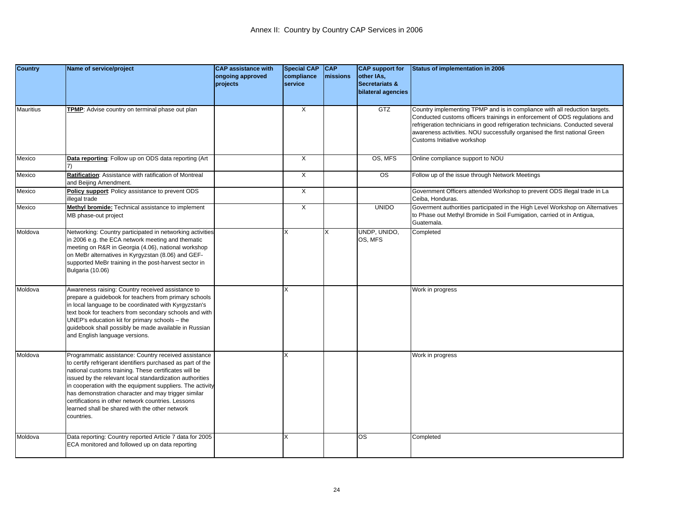| <b>Country</b> | Name of service/project                                                                                                                                                                                                                                                                                                                                                                                                                                                           | <b>CAP assistance with</b><br>ongoing approved<br>projects | <b>Special CAP</b><br>compliance<br>service | <b>CAP</b><br>missions | <b>CAP</b> support for<br>other IAs,<br>Secretariats &<br>bilateral agencies | Status of implementation in 2006                                                                                                                                                                                                                                                                                                                       |
|----------------|-----------------------------------------------------------------------------------------------------------------------------------------------------------------------------------------------------------------------------------------------------------------------------------------------------------------------------------------------------------------------------------------------------------------------------------------------------------------------------------|------------------------------------------------------------|---------------------------------------------|------------------------|------------------------------------------------------------------------------|--------------------------------------------------------------------------------------------------------------------------------------------------------------------------------------------------------------------------------------------------------------------------------------------------------------------------------------------------------|
| Mauritius      | TPMP: Advise country on terminal phase out plan                                                                                                                                                                                                                                                                                                                                                                                                                                   |                                                            | X                                           |                        | <b>GTZ</b>                                                                   | Country implementing TPMP and is in compliance with all reduction targets.<br>Conducted customs officers trainings in enforcement of ODS regulations and<br>refrigeration technicians in good refrigeration technicians. Conducted several<br>awareness activities. NOU successfully organised the first national Green<br>Customs Initiative workshop |
| Mexico         | Data reporting: Follow up on ODS data reporting (Art                                                                                                                                                                                                                                                                                                                                                                                                                              |                                                            | X                                           |                        | OS, MFS                                                                      | Online compliance support to NOU                                                                                                                                                                                                                                                                                                                       |
| Mexico         | Ratification: Assistance with ratification of Montreal<br>and Beijing Amendment.                                                                                                                                                                                                                                                                                                                                                                                                  |                                                            | X                                           |                        | <b>OS</b>                                                                    | Follow up of the issue through Network Meetings                                                                                                                                                                                                                                                                                                        |
| Mexico         | Policy support: Policy assistance to prevent ODS<br>llegal trade                                                                                                                                                                                                                                                                                                                                                                                                                  |                                                            | X                                           |                        |                                                                              | Government Officers attended Workshop to prevent ODS illegal trade in La<br>Ceiba, Honduras.                                                                                                                                                                                                                                                           |
| Mexico         | Methyl bromide: Technical assistance to implement<br><b>MB</b> phase-out project                                                                                                                                                                                                                                                                                                                                                                                                  |                                                            | $\overline{X}$                              |                        | <b>UNIDO</b>                                                                 | Goverment authorities participated in the High Level Workshop on Alternatives<br>to Phase out Methyl Bromide in Soil Fumigation, carried ot in Antigua,<br>Guatemala.                                                                                                                                                                                  |
| Moldova        | Networking: Country participated in networking activities<br>n 2006 e.g. the ECA network meeting and thematic<br>meeting on R&R in Georgia (4.06), national workshop<br>on MeBr alternatives in Kyrgyzstan (8.06) and GEF-<br>supported MeBr training in the post-harvest sector in<br>Bulgaria (10.06)                                                                                                                                                                           |                                                            | X                                           | X                      | UNDP, UNIDO,<br>OS, MFS                                                      | Completed                                                                                                                                                                                                                                                                                                                                              |
| Moldova        | Awareness raising: Country received assistance to<br>prepare a guidebook for teachers from primary schools<br>n local language to be coordinated with Kyrgyzstan's<br>text book for teachers from secondary schools and with<br>UNEP's education kit for primary schools - the<br>guidebook shall possibly be made available in Russian<br>and English language versions.                                                                                                         |                                                            | X                                           |                        |                                                                              | Work in progress                                                                                                                                                                                                                                                                                                                                       |
| Moldova        | Programmatic assistance: Country received assistance<br>to certify refrigerant identifiers purchased as part of the<br>national customs training. These certificates will be<br>ssued by the relevant local standardization authorities<br>in cooperation with the equipment suppliers. The activity<br>has demonstration character and may trigger similar<br>certifications in other network countries. Lessons<br>learned shall be shared with the other network<br>countries. |                                                            | X                                           |                        |                                                                              | Work in progress                                                                                                                                                                                                                                                                                                                                       |
| Moldova        | Data reporting: Country reported Article 7 data for 2005<br>ECA monitored and followed up on data reporting                                                                                                                                                                                                                                                                                                                                                                       |                                                            | X                                           |                        | <b>OS</b>                                                                    | Completed                                                                                                                                                                                                                                                                                                                                              |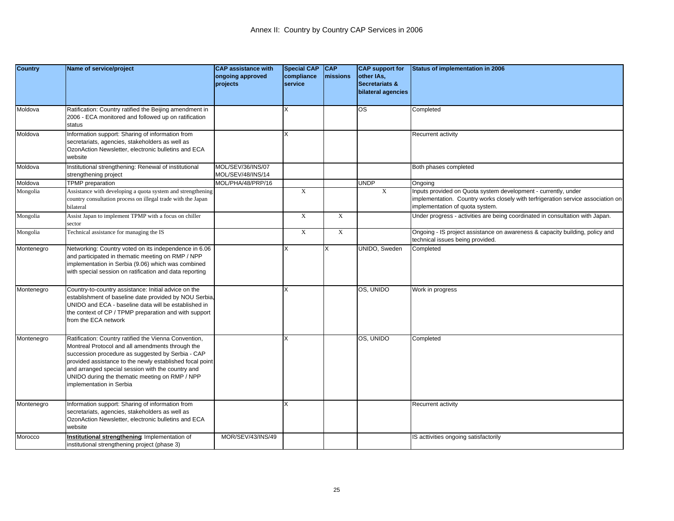| <b>Country</b> | Name of service/project                                                                                                                                                                                                                                                                                                                                      | <b>CAP</b> assistance with<br>ongoing approved<br>projects | <b>Special CAP</b><br>compliance<br>service | $ _{CAP}$<br>missions | <b>CAP support for</b><br>other IAs,<br>Secretariats &<br>bilateral agencies | Status of implementation in 2006                                                                                                                                                      |
|----------------|--------------------------------------------------------------------------------------------------------------------------------------------------------------------------------------------------------------------------------------------------------------------------------------------------------------------------------------------------------------|------------------------------------------------------------|---------------------------------------------|-----------------------|------------------------------------------------------------------------------|---------------------------------------------------------------------------------------------------------------------------------------------------------------------------------------|
| Moldova        | Ratification: Country ratified the Beijing amendment in<br>2006 - ECA monitored and followed up on ratification<br>status                                                                                                                                                                                                                                    |                                                            | х                                           |                       | <b>OS</b>                                                                    | Completed                                                                                                                                                                             |
| Moldova        | Information support: Sharing of information from<br>secretariats, agencies, stakeholders as well as<br>OzonAction Newsletter, electronic bulletins and ECA<br>website                                                                                                                                                                                        |                                                            |                                             |                       |                                                                              | Recurrent activity                                                                                                                                                                    |
| Moldova        | Institutional strengthening: Renewal of institutional<br>strengthening project                                                                                                                                                                                                                                                                               | MOL/SEV/36/INS/07<br>MOL/SEV/48/INS/14                     |                                             |                       |                                                                              | Both phases completed                                                                                                                                                                 |
| Moldova        | <b>TPMP</b> preparation                                                                                                                                                                                                                                                                                                                                      | MOL/PHA/48/PRP/16                                          |                                             |                       | <b>UNDP</b>                                                                  | Ongoing                                                                                                                                                                               |
| Mongolia       | Assistance with developing a quota system and strengthening<br>country consultation process on illegal trade with the Japan<br>bilateral                                                                                                                                                                                                                     |                                                            | X                                           |                       | $\boldsymbol{\mathrm{X}}$                                                    | Inputs provided on Quota system development - currently, under<br>implementation. Country works closely with terfrigeration service association on<br>implementation of quota system. |
| Mongolia       | Assist Japan to implement TPMP with a focus on chiller<br>sector                                                                                                                                                                                                                                                                                             |                                                            | X                                           | X                     |                                                                              | Under progress - activities are being coordinated in consultation with Japan.                                                                                                         |
| Mongolia       | Technical assistance for managing the IS                                                                                                                                                                                                                                                                                                                     |                                                            | $\mathbf X$                                 | $\mathbf X$           |                                                                              | Ongoing - IS project assistance on awareness & capacity building, policy and<br>technical issues being provided.                                                                      |
| Montenegro     | Networking: Country voted on its independence in 6.06<br>and participated in thematic meeting on RMP / NPP<br>implementation in Serbia (9.06) which was combined<br>with special session on ratification and data reporting                                                                                                                                  |                                                            |                                             | x                     | UNIDO, Sweden                                                                | Completed                                                                                                                                                                             |
| Montenegro     | Country-to-country assistance: Initial advice on the<br>establishment of baseline date provided by NOU Serbia.<br>JNIDO and ECA - baseline data will be established in<br>the context of CP / TPMP preparation and with support<br>from the ECA network                                                                                                      |                                                            |                                             |                       | OS, UNIDO                                                                    | Work in progress                                                                                                                                                                      |
| Montenegro     | Ratification: Country ratified the Vienna Convention,<br>Montreal Protocol and all amendments through the<br>succession procedure as suggested by Serbia - CAP<br>provided assistance to the newly established focal point<br>and arranged special session with the country and<br>UNIDO during the thematic meeting on RMP / NPP<br>mplementation in Serbia |                                                            |                                             |                       | OS, UNIDO                                                                    | Completed                                                                                                                                                                             |
| Montenegro     | Information support: Sharing of information from<br>secretariats, agencies, stakeholders as well as<br>OzonAction Newsletter, electronic bulletins and ECA<br>website                                                                                                                                                                                        |                                                            |                                             |                       |                                                                              | Recurrent activity                                                                                                                                                                    |
| Morocco        | Institutional strengthening: Implementation of<br>institutional strengthening project (phase 3)                                                                                                                                                                                                                                                              | MOR/SEV/43/INS/49                                          |                                             |                       |                                                                              | IS acttivities ongoing satisfactorily                                                                                                                                                 |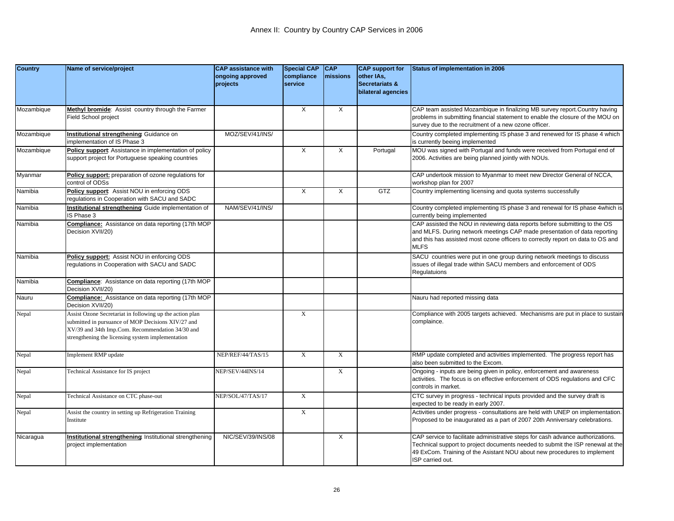| <b>Country</b> | Name of service/project                                                                                                                                                                                                 | <b>CAP assistance with</b>   | <b>Special CAP</b>    | <b>CAP</b>  | <b>CAP</b> support for                             | Status of implementation in 2006                                                                                                                                                                                                                                  |
|----------------|-------------------------------------------------------------------------------------------------------------------------------------------------------------------------------------------------------------------------|------------------------------|-----------------------|-------------|----------------------------------------------------|-------------------------------------------------------------------------------------------------------------------------------------------------------------------------------------------------------------------------------------------------------------------|
|                |                                                                                                                                                                                                                         | ongoing approved<br>projects | compliance<br>service | missions    | other IAs,<br>Secretariats &<br>bilateral agencies |                                                                                                                                                                                                                                                                   |
|                |                                                                                                                                                                                                                         |                              |                       |             |                                                    |                                                                                                                                                                                                                                                                   |
| Mozambique     | Methyl bromide: Assist country through the Farmer<br>Field School project                                                                                                                                               |                              | X                     | X           |                                                    | CAP team assisted Mozambique in finalizing MB survey report. Country having<br>problems in submitting financial statement to enable the closure of the MOU on<br>survey due to the recruitment of a new ozone officer.                                            |
| Mozambique     | Institutional strengthening: Guidance on<br>mplementation of IS Phase 3                                                                                                                                                 | MOZ/SEV/41/INS/              |                       |             |                                                    | Country completed implementing IS phase 3 and renewed for IS phase 4 which<br>is currently beeing implemented                                                                                                                                                     |
| Mozambique     | Policy support: Assistance in implementation of policy<br>support project for Portuguese speaking countries                                                                                                             |                              | X                     | Χ           | Portugal                                           | MOU was signed with Portugal and funds were received from Portugal end of<br>2006. Activities are being planned jointly with NOUs.                                                                                                                                |
| Myanmar        | Policy support: preparation of ozone regulations for<br>control of ODSs                                                                                                                                                 |                              |                       |             |                                                    | CAP undertook mission to Myanmar to meet new Director General of NCCA,<br>workshop plan for 2007                                                                                                                                                                  |
| Namibia        | Policy support: Assist NOU in enforcing ODS<br>regulations in Cooperation with SACU and SADC                                                                                                                            |                              | X                     | X           | GTZ                                                | Country implementing licensing and quota systems successfully                                                                                                                                                                                                     |
| Namibia        | Institutional strengthening: Guide implementation of<br>IS Phase 3                                                                                                                                                      | NAM/SEV/41/INS/              |                       |             |                                                    | Country completed implementing IS phase 3 and renewal for IS phase 4which is<br>currently being implemented                                                                                                                                                       |
| Namibia        | <b>Compliance:</b> Assistance on data reporting (17th MOP<br>Decision XVII/20)                                                                                                                                          |                              |                       |             |                                                    | CAP assisted the NOU in reviewing data reports before submitting to the OS<br>and MLFS. During network meetings CAP made presentation of data reporting<br>and this has assisted most ozone officers to correctly report on data to OS and<br><b>MLFS</b>         |
| Namibia        | Policy support: Assist NOU in enforcing ODS<br>egulations in Cooperation with SACU and SADC                                                                                                                             |                              |                       |             |                                                    | SACU countries were put in one group during network meetings to discuss<br>issues of illegal trade within SACU members and enforcement of ODS<br>Regulatuions                                                                                                     |
| Namibia        | Compliance: Assistance on data reporting (17th MOP<br>Decision XVII/20)                                                                                                                                                 |                              |                       |             |                                                    |                                                                                                                                                                                                                                                                   |
| Nauru          | <b>Compliance:</b> Assistance on data reporting (17th MOP<br>Decision XVII/20)                                                                                                                                          |                              |                       |             |                                                    | Nauru had reported missing data                                                                                                                                                                                                                                   |
| Nepal          | Assist Ozone Secretariat in following up the action plan<br>submitted in pursuance of MOP Decisions XIV/27 and<br>XV/39 and 34th Imp.Com. Recommendation 34/30 and<br>strengthening the licensing system implementation |                              | $\mathbf X$           |             |                                                    | Compliance with 2005 targets achieved. Mechanisms are put in place to sustain<br>complaince.                                                                                                                                                                      |
| Nepal          | Implement RMP update                                                                                                                                                                                                    | NEP/REF/44/TAS/15            | $\mathbf X$           | $\mathbf X$ |                                                    | RMP update completed and activities implemented. The progress report has<br>also been submitted to the Excom.                                                                                                                                                     |
| Nepal          | <b>Fechnical Assistance for IS project</b>                                                                                                                                                                              | NEP/SEV/44INS/14             |                       | X           |                                                    | Ongoing - inputs are being given in policy, enforcement and awareness<br>activities. The focus is on effective enforcement of ODS regulations and CFC<br>controls in market.                                                                                      |
| Nepal          | <b>Fechnical Assistance on CTC phase-out</b>                                                                                                                                                                            | NEP/SOL/47/TAS/17            | $\mathbf X$           |             |                                                    | CTC survey in progress - technical inputs provided and the survey draft is<br>expected to be ready in early 2007.                                                                                                                                                 |
| Nepal          | Assist the country in setting up Refrigeration Training<br>Institute                                                                                                                                                    |                              | $\mathbf x$           |             |                                                    | Activities under progress - consultations are held with UNEP on implementation.<br>Proposed to be inaugurated as a part of 2007 20th Anniversary celebrations.                                                                                                    |
| Nicaragua      | Institutional strengthening Institutional strengthening<br>project implementation                                                                                                                                       | NIC/SEV/39/INS/08            |                       | X           |                                                    | CAP service to facilitate administrative steps for cash advance authorizations.<br>Technical support to project documents needed to submit the ISP renewal at the<br>49 ExCom. Training of the Asistant NOU about new procedures to implement<br>ISP carried out. |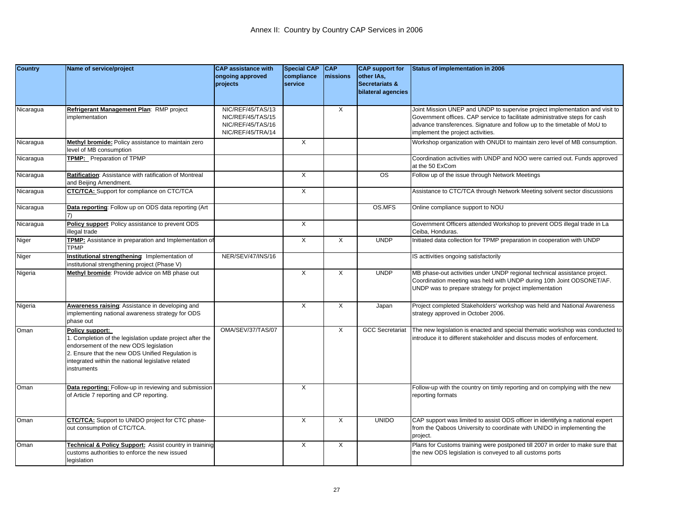| <b>Country</b> | Name of service/project                                                                                                                                                                                                                         | <b>CAP assistance with</b><br>ongoing approved<br>projects                       | <b>Special CAP</b><br>compliance<br>service | <b>CAP</b><br>missions | <b>CAP</b> support for<br>other IAs,<br>Secretariats &<br>bilateral agencies | Status of implementation in 2006                                                                                                                                                                                                                                              |
|----------------|-------------------------------------------------------------------------------------------------------------------------------------------------------------------------------------------------------------------------------------------------|----------------------------------------------------------------------------------|---------------------------------------------|------------------------|------------------------------------------------------------------------------|-------------------------------------------------------------------------------------------------------------------------------------------------------------------------------------------------------------------------------------------------------------------------------|
| Nicaragua      | Refrigerant Management Plan: RMP project<br>mplementation                                                                                                                                                                                       | NIC/REF/45/TAS/13<br>NIC/REF/45/TAS/15<br>NIC/REF/45/TAS/16<br>NIC/REF/45/TRA/14 |                                             | X                      |                                                                              | Joint Mission UNEP and UNDP to supervise project implementation and visit to<br>Government offices. CAP service to facilitate administrative steps for cash<br>advance transferences. Signature and follow up to the timetable of MoU to<br>implement the project activities. |
| Nicaragua      | Methyl bromide: Policy assistance to maintain zero<br>level of MB consumption                                                                                                                                                                   |                                                                                  | $\times$                                    |                        |                                                                              | Workshop organization with ONUDI to maintain zero level of MB consumption.                                                                                                                                                                                                    |
| Nicaragua      | <b>TPMP:</b> Preparation of TPMP                                                                                                                                                                                                                |                                                                                  |                                             |                        |                                                                              | Coordination activities with UNDP and NOO were carried out. Funds approved<br>at the 50 ExCom                                                                                                                                                                                 |
| Nicaragua      | Ratification: Assistance with ratification of Montreal<br>and Beijing Amendment.                                                                                                                                                                |                                                                                  | $\overline{X}$                              |                        | $\overline{\text{os}}$                                                       | Follow up of the issue through Network Meetings                                                                                                                                                                                                                               |
| Nicaragua      | <b>CTC/TCA:</b> Support for compliance on CTC/TCA                                                                                                                                                                                               |                                                                                  | X                                           |                        |                                                                              | Assistance to CTC/TCA through Network Meeting solvent sector discussions                                                                                                                                                                                                      |
| Nicaragua      | Data reporting: Follow up on ODS data reporting (Art                                                                                                                                                                                            |                                                                                  |                                             |                        | OS.MFS                                                                       | Online compliance support to NOU                                                                                                                                                                                                                                              |
| Nicaragua      | Policy support: Policy assistance to prevent ODS<br>illegal trade                                                                                                                                                                               |                                                                                  | $\times$                                    |                        |                                                                              | Government Officers attended Workshop to prevent ODS illegal trade in La<br>Ceiba, Honduras.                                                                                                                                                                                  |
| Niger          | TPMP: Assistance in preparation and Implementation of<br><b>TPMP</b>                                                                                                                                                                            |                                                                                  | X                                           | X                      | <b>UNDP</b>                                                                  | Initiated data collection for TPMP preparation in cooperation with UNDP                                                                                                                                                                                                       |
| Niger          | Institutional strengthening Implementation of<br>institutional strengthening project (Phase V)                                                                                                                                                  | NER/SEV/47/INS/16                                                                |                                             |                        |                                                                              | IS acttivities ongoing satisfactorily                                                                                                                                                                                                                                         |
| Nigeria        | Methyl bromide: Provide advice on MB phase out                                                                                                                                                                                                  |                                                                                  | X                                           | Χ                      | <b>UNDP</b>                                                                  | MB phase-out activities under UNDP regional technical assistance project.<br>Coordination meeting was held with UNDP during 10th Joint ODSONET/AF.<br>UNDP was to prepare strategy for project implementation                                                                 |
| Nigeria        | Awareness raising: Assistance in developing and<br>implementing national awareness strategy for ODS<br>phase out                                                                                                                                |                                                                                  | $\times$                                    | X                      | Japan                                                                        | Project completed Stakeholders' workshop was held and National Awareness<br>strategy approved in October 2006.                                                                                                                                                                |
| Oman           | Policy support:<br>I. Completion of the legislation update project after the<br>endorsement of the new ODS legislation<br>2. Ensure that the new ODS Unified Regulation is<br>integrated within the national legislative related<br>instruments | OMA/SEV/37/TAS/07                                                                |                                             | $\times$               | <b>GCC Secretariat</b>                                                       | The new legislation is enacted and special thematic workshop was conducted to<br>introduce it to different stakeholder and discuss modes of enforcement.                                                                                                                      |
| Oman           | Data reporting: Follow-up in reviewing and submission<br>of Article 7 reporting and CP reporting.                                                                                                                                               |                                                                                  | X                                           |                        |                                                                              | Follow-up with the country on timly reporting and on complying with the new<br>reporting formats                                                                                                                                                                              |
| Oman           | <b>CTC/TCA:</b> Support to UNIDO project for CTC phase-<br>out consumption of CTC/TCA.                                                                                                                                                          |                                                                                  | X                                           | X                      | <b>UNIDO</b>                                                                 | CAP support was limited to assist ODS officer in identifying a national expert<br>from the Qaboos University to coordinate with UNIDO in implementing the<br>project.                                                                                                         |
| Oman           | Technical & Policy Support: Assist country in traininig<br>customs authorities to enforce the new issued<br>legislation                                                                                                                         |                                                                                  | X                                           | Χ                      |                                                                              | Plans for Customs training were postponed till 2007 in order to make sure that<br>the new ODS legislation is conveyed to all customs ports                                                                                                                                    |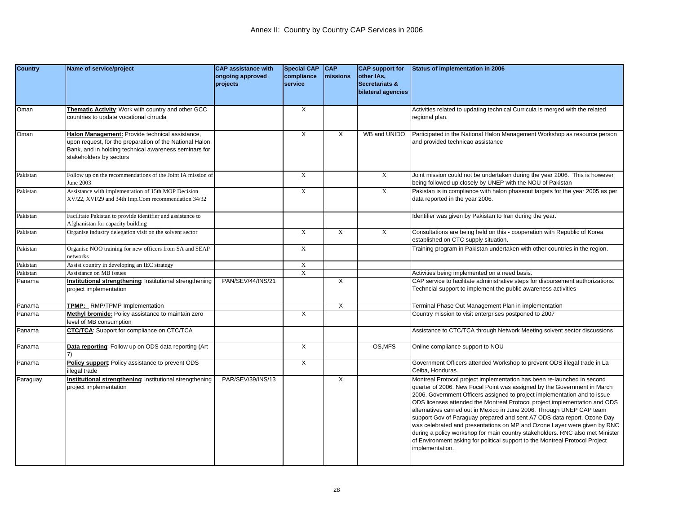| <b>Country</b> | Name of service/project                                                                                                                                                                        | <b>CAP assistance with</b><br>ongoing approved<br>projects | <b>Special CAP</b><br>compliance<br>service | <b>CAP</b><br>missions | <b>CAP</b> support for<br>other IAs,<br>Secretariats & | Status of implementation in 2006                                                                                                                                                                                                                                                                                                                                                                                                                                                                                                                                                                                                                                                                                                    |
|----------------|------------------------------------------------------------------------------------------------------------------------------------------------------------------------------------------------|------------------------------------------------------------|---------------------------------------------|------------------------|--------------------------------------------------------|-------------------------------------------------------------------------------------------------------------------------------------------------------------------------------------------------------------------------------------------------------------------------------------------------------------------------------------------------------------------------------------------------------------------------------------------------------------------------------------------------------------------------------------------------------------------------------------------------------------------------------------------------------------------------------------------------------------------------------------|
|                |                                                                                                                                                                                                |                                                            |                                             |                        | bilateral agencies                                     |                                                                                                                                                                                                                                                                                                                                                                                                                                                                                                                                                                                                                                                                                                                                     |
| Oman           | Thematic Activity: Work with country and other GCC<br>countries to update vocational cirrucla                                                                                                  |                                                            | X                                           |                        |                                                        | Activities related to updating technical Curricula is merged with the related<br>regional plan.                                                                                                                                                                                                                                                                                                                                                                                                                                                                                                                                                                                                                                     |
| Oman           | Halon Management: Provide technical assistance,<br>upon request, for the preparation of the National Halon<br>Bank, and in holding technical awareness seminars for<br>stakeholders by sectors |                                                            | X                                           | Χ                      | WB and UNIDO                                           | Participated in the National Halon Management Workshop as resource person<br>and provided technicao assistance                                                                                                                                                                                                                                                                                                                                                                                                                                                                                                                                                                                                                      |
| Pakistan       | Follow up on the recommendations of the Joint IA mission of<br>June 2003                                                                                                                       |                                                            | $\mathbf X$                                 |                        | $\mathbf X$                                            | Joint mission could not be undertaken during the year 2006. This is however<br>being followed up closely by UNEP with the NOU of Pakistan                                                                                                                                                                                                                                                                                                                                                                                                                                                                                                                                                                                           |
| Pakistan       | Assistance with implementation of 15th MOP Decision<br>XV/22, XVI/29 and 34th Imp.Com recommendation 34/32                                                                                     |                                                            | $\mathbf X$                                 |                        | $\mathbf X$                                            | Pakistan is in compliance with halon phaseout targets for the year 2005 as per<br>data reported in the year 2006.                                                                                                                                                                                                                                                                                                                                                                                                                                                                                                                                                                                                                   |
| Pakistan       | Facilitate Pakistan to provide identifier and assistance to<br>Afghanistan for capacity building                                                                                               |                                                            |                                             |                        |                                                        | Identifier was given by Pakistan to Iran during the year.                                                                                                                                                                                                                                                                                                                                                                                                                                                                                                                                                                                                                                                                           |
| Pakistan       | Organise industry delegation visit on the solvent sector                                                                                                                                       |                                                            | X                                           | X                      | $\mathbf x$                                            | Consultations are being held on this - cooperation with Republic of Korea<br>established on CTC supply situation.                                                                                                                                                                                                                                                                                                                                                                                                                                                                                                                                                                                                                   |
| Pakistan       | Organise NOO training for new officers from SA and SEAP<br>networks                                                                                                                            |                                                            | $\mathbf X$                                 |                        |                                                        | Training program in Pakistan undertaken with other countries in the region.                                                                                                                                                                                                                                                                                                                                                                                                                                                                                                                                                                                                                                                         |
| Pakistan       | Assist country in developing an IEC strategy                                                                                                                                                   |                                                            | $\mathbf{X}$                                |                        |                                                        |                                                                                                                                                                                                                                                                                                                                                                                                                                                                                                                                                                                                                                                                                                                                     |
| Pakistan       | Assistance on MB issues                                                                                                                                                                        |                                                            | $\boldsymbol{\mathrm{X}}$                   |                        |                                                        | Activities being implemented on a need basis.                                                                                                                                                                                                                                                                                                                                                                                                                                                                                                                                                                                                                                                                                       |
| Panama         | Institutional strengthening: Institutional strengthening<br>project implementation                                                                                                             | PAN/SEV/44/INS/21                                          |                                             | Χ                      |                                                        | CAP service to facilitate administrative steps for disbursement authorizations.<br>Techncial support to implement the public awareness activities                                                                                                                                                                                                                                                                                                                                                                                                                                                                                                                                                                                   |
| Panama         | TPMP: RMP/TPMP Implementation                                                                                                                                                                  |                                                            |                                             | X                      |                                                        | Terminal Phase Out Management Plan in implementation                                                                                                                                                                                                                                                                                                                                                                                                                                                                                                                                                                                                                                                                                |
| Panama         | Methyl bromide: Policy assistance to maintain zero<br>evel of MB consumption                                                                                                                   |                                                            | $\overline{X}$                              |                        |                                                        | Country mission to visit enterprises postponed to 2007                                                                                                                                                                                                                                                                                                                                                                                                                                                                                                                                                                                                                                                                              |
| Panama         | <b>CTC/TCA:</b> Support for compliance on CTC/TCA                                                                                                                                              |                                                            |                                             |                        |                                                        | Assistance to CTC/TCA through Network Meeting solvent sector discussions                                                                                                                                                                                                                                                                                                                                                                                                                                                                                                                                                                                                                                                            |
| Panama         | Data reporting: Follow up on ODS data reporting (Art                                                                                                                                           |                                                            | $\times$                                    |                        | OS, MFS                                                | Online compliance support to NOU                                                                                                                                                                                                                                                                                                                                                                                                                                                                                                                                                                                                                                                                                                    |
| Panama         | Policy support: Policy assistance to prevent ODS<br>llegal trade                                                                                                                               |                                                            | X                                           |                        |                                                        | Government Officers attended Workshop to prevent ODS illegal trade in La<br>Ceiba, Honduras.                                                                                                                                                                                                                                                                                                                                                                                                                                                                                                                                                                                                                                        |
| Paraguay       | Institutional strengthening Institutional strengthening<br>project implementation                                                                                                              | PAR/SEV/39/INS/13                                          |                                             | X                      |                                                        | Montreal Protocol project implementation has been re-launched in second<br>quarter of 2006. New Focal Point was assigned by the Government in March<br>2006. Government Officers assigned to project implementation and to issue<br>ODS licenses attended the Montreal Protocol project implementation and ODS<br>alternatives carried out in Mexico in June 2006. Through UNEP CAP team<br>support Gov of Paraguay prepared and sent A7 ODS data report. Ozone Day<br>was celebrated and presentations on MP and Ozone Layer were given by RNC<br>during a policy workshop for main country stakeholders. RNC also met Minister<br>of Environment asking for political support to the Montreal Protocol Project<br>implementation. |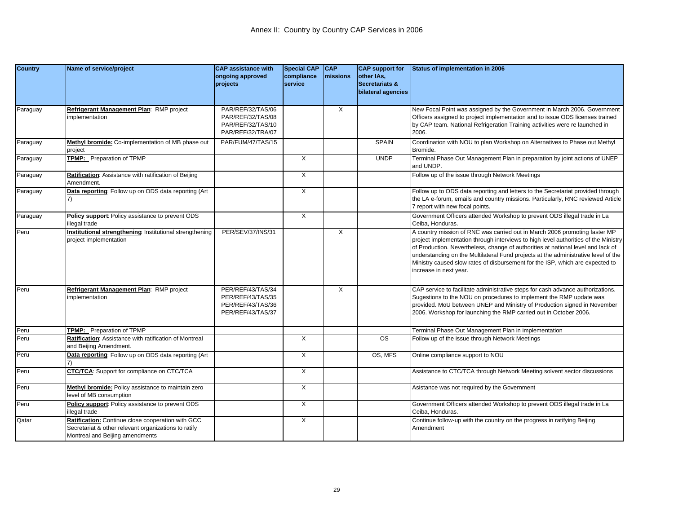| <b>Country</b> | Name of service/project                                                                                   | <b>CAP assistance with</b>             | <b>Special CAP</b>    | <b>CAP</b> | <b>CAP</b> support for                  | Status of implementation in 2006                                                                                                                                        |
|----------------|-----------------------------------------------------------------------------------------------------------|----------------------------------------|-----------------------|------------|-----------------------------------------|-------------------------------------------------------------------------------------------------------------------------------------------------------------------------|
|                |                                                                                                           | ongoing approved<br>projects           | compliance<br>service | missions   | other IAs,<br><b>Secretariats &amp;</b> |                                                                                                                                                                         |
|                |                                                                                                           |                                        |                       |            | bilateral agencies                      |                                                                                                                                                                         |
| Paraguay       | Refrigerant Management Plan: RMP project                                                                  | PAR/REF/32/TAS/06                      |                       | X          |                                         | New Focal Point was assigned by the Government in March 2006. Government                                                                                                |
|                | mplementation                                                                                             | PAR/REF/32/TAS/08                      |                       |            |                                         | Officers assigned to project implementation and to issue ODS licenses trained                                                                                           |
|                |                                                                                                           | PAR/REF/32/TAS/10<br>PAR/REF/32/TRA/07 |                       |            |                                         | by CAP team. National Refrigeration Training activities were re launched in<br>2006.                                                                                    |
| Paraguay       | Methyl bromide: Co-implementation of MB phase out                                                         | PAR/FUM/47/TAS/15                      |                       |            | <b>SPAIN</b>                            | Coordination with NOU to plan Workshop on Alternatives to Phase out Methyl                                                                                              |
|                | project                                                                                                   |                                        |                       |            |                                         | Bromide.                                                                                                                                                                |
| Paraguay       | TPMP: Preparation of TPMP                                                                                 |                                        | X                     |            | <b>UNDP</b>                             | Terminal Phase Out Management Plan in preparation by joint actions of UNEP<br>and UNDP.                                                                                 |
| Paraguay       | Ratification: Assistance with ratification of Beijing<br>Amendment.                                       |                                        | X                     |            |                                         | Follow up of the issue through Network Meetings                                                                                                                         |
| Paraguay       | Data reporting: Follow up on ODS data reporting (Art                                                      |                                        | X                     |            |                                         | Follow up to ODS data reporting and letters to the Secretariat provided through                                                                                         |
|                |                                                                                                           |                                        |                       |            |                                         | the LA e-forum, emails and country missions. Particularly, RNC reviewed Article<br>7 report with new focal points.                                                      |
| Paraguay       | <b>Policy support: Policy assistance to prevent ODS</b>                                                   |                                        | X                     |            |                                         | Government Officers attended Workshop to prevent ODS illegal trade in La                                                                                                |
|                | llegal trade                                                                                              |                                        |                       |            |                                         | Ceiba, Honduras.                                                                                                                                                        |
| Peru           | Institutional strengthening Institutional strengthening                                                   | PER/SEV/37/INS/31                      |                       | X          |                                         | A country mission of RNC was carried out in March 2006 promoting faster MP                                                                                              |
|                | project implementation                                                                                    |                                        |                       |            |                                         | project implementation through interviews to high level authorities of the Ministry<br>of Production. Nevertheless, change of authorities at national level and lack of |
|                |                                                                                                           |                                        |                       |            |                                         | understanding on the Multilateral Fund projects at the administrative level of the                                                                                      |
|                |                                                                                                           |                                        |                       |            |                                         | Ministry caused slow rates of disbursement for the ISP, which are expected to                                                                                           |
|                |                                                                                                           |                                        |                       |            |                                         | increase in next year.                                                                                                                                                  |
|                |                                                                                                           |                                        |                       |            |                                         |                                                                                                                                                                         |
| Peru           | Refrigerant Management Plan: RMP project                                                                  | PER/REF/43/TAS/34                      |                       | X          |                                         | CAP service to facilitate administrative steps for cash advance authorizations.                                                                                         |
|                | mplementation                                                                                             | PER/REF/43/TAS/35                      |                       |            |                                         | Sugestions to the NOU on procedures to implement the RMP update was                                                                                                     |
|                |                                                                                                           | PER/REF/43/TAS/36<br>PER/REF/43/TAS/37 |                       |            |                                         | provided. MoU between UNEP and Ministry of Production signed in November<br>2006. Workshop for launching the RMP carried out in October 2006.                           |
|                |                                                                                                           |                                        |                       |            |                                         |                                                                                                                                                                         |
| Peru           | TPMP: Preparation of TPMP                                                                                 |                                        |                       |            |                                         | Terminal Phase Out Management Plan in implementation                                                                                                                    |
| Peru           | Ratification: Assistance with ratification of Montreal<br>and Beijing Amendment.                          |                                        | X                     |            | $\overline{\text{os}}$                  | Follow up of the issue through Network Meetings                                                                                                                         |
| Peru           | Data reporting: Follow up on ODS data reporting (Art                                                      |                                        | $\overline{X}$        |            | OS, MFS                                 | Online compliance support to NOU                                                                                                                                        |
| Peru           | <b>CTC/TCA:</b> Support for compliance on CTC/TCA                                                         |                                        | $\times$              |            |                                         | Assistance to CTC/TCA through Network Meeting solvent sector discussions                                                                                                |
| Peru           | Methyl bromide: Policy assistance to maintain zero                                                        |                                        | X                     |            |                                         | Asistance was not required by the Government                                                                                                                            |
|                | evel of MB consumption                                                                                    |                                        |                       |            |                                         |                                                                                                                                                                         |
| Peru           | Policy support: Policy assistance to prevent ODS                                                          |                                        | $\overline{X}$        |            |                                         | Government Officers attended Workshop to prevent ODS illegal trade in La                                                                                                |
|                | llegal trade                                                                                              |                                        |                       |            |                                         | Ceiba, Honduras.                                                                                                                                                        |
| Qatar          | Ratification: Continue close cooperation with GCC<br>Secretariat & other relevant organizations to ratify |                                        | X                     |            |                                         | Continue follow-up with the country on the progress in ratifying Beijing                                                                                                |
|                | Montreal and Beijing amendments                                                                           |                                        |                       |            |                                         | Amendment                                                                                                                                                               |
|                |                                                                                                           |                                        |                       |            |                                         |                                                                                                                                                                         |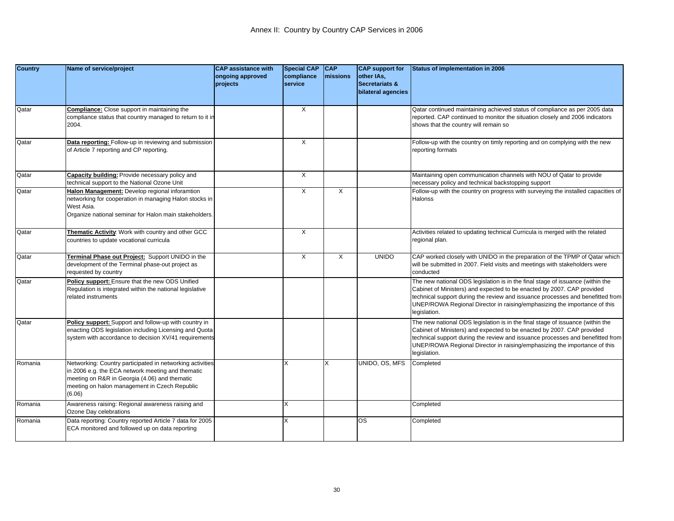| <b>Country</b> | Name of service/project                                                                                                                                                                                                    | <b>CAP</b> assistance with<br>ongoing approved<br>projects | <b>Special CAP</b><br>compliance<br>service | <b>CAP</b><br>missions | <b>CAP</b> support for<br>other IAs,<br><b>Secretariats &amp;</b><br>bilateral agencies | <b>Status of implementation in 2006</b>                                                                                                                                                                                                                                                                                                 |
|----------------|----------------------------------------------------------------------------------------------------------------------------------------------------------------------------------------------------------------------------|------------------------------------------------------------|---------------------------------------------|------------------------|-----------------------------------------------------------------------------------------|-----------------------------------------------------------------------------------------------------------------------------------------------------------------------------------------------------------------------------------------------------------------------------------------------------------------------------------------|
| Qatar          | <b>Compliance:</b> Close support in maintaining the<br>compliance status that country managed to return to it in<br>2004.                                                                                                  |                                                            | $\times$                                    |                        |                                                                                         | Qatar continued maintaining achieved status of compliance as per 2005 data<br>reported. CAP continued to monitor the situation closely and 2006 indicators<br>shows that the country will remain so                                                                                                                                     |
| Qatar          | Data reporting: Follow-up in reviewing and submission<br>of Article 7 reporting and CP reporting.                                                                                                                          |                                                            | X                                           |                        |                                                                                         | Follow-up with the country on timly reporting and on complying with the new<br>reporting formats                                                                                                                                                                                                                                        |
| Qatar          | Capacity building: Provide necessary policy and<br>technical support to the National Ozone Unit                                                                                                                            |                                                            | X                                           |                        |                                                                                         | Maintaining open communication channels with NOU of Qatar to provide<br>necessary policy and technical backstopping support                                                                                                                                                                                                             |
| Qatar          | Halon Management: Develop regional inforamtion<br>networking for cooperation in managing Halon stocks in<br>West Asia.<br>Organize national seminar for Halon main stakeholders.                                           |                                                            | X                                           | X                      |                                                                                         | Follow-up with the country on progress with surveying the installed capacities of<br>Halonss                                                                                                                                                                                                                                            |
| Qatar          | Thematic Activity: Work with country and other GCC<br>countries to update vocational curricula                                                                                                                             |                                                            | X                                           |                        |                                                                                         | Activities related to updating technical Curricula is merged with the related<br>regional plan.                                                                                                                                                                                                                                         |
| Qatar          | Terminal Phase out Project: Support UNIDO in the<br>development of the Terminal phase-out project as<br>equested by country                                                                                                |                                                            | $\overline{X}$                              | X                      | <b>UNIDO</b>                                                                            | CAP worked closely with UNIDO in the preparation of the TPMP of Qatar which<br>will be submitted in 2007. Field visits and meetings with stakeholders were<br>conducted                                                                                                                                                                 |
| Qatar          | Policy support: Ensure that the new ODS Unified<br>Regulation is integrated within the national legislative<br>related instruments                                                                                         |                                                            |                                             |                        |                                                                                         | The new national ODS legislation is in the final stage of issuance (within the<br>Cabinet of Ministers) and expected to be enacted by 2007. CAP provided<br>technical support during the review and issuance processes and benefitted from<br>UNEP/ROWA Regional Director in raising/emphasizing the importance of this<br>legislation. |
| Qatar          | Policy support: Support and follow-up with country in<br>enacting ODS legislation including Licensing and Quota<br>system with accordance to decision XV/41 requirements                                                   |                                                            |                                             |                        |                                                                                         | The new national ODS legislation is in the final stage of issuance (within the<br>Cabinet of Ministers) and expected to be enacted by 2007. CAP provided<br>technical support during the review and issuance processes and benefitted from<br>UNEP/ROWA Regional Director in raising/emphasizing the importance of this<br>legislation. |
| Romania        | Networking: Country participated in networking activities<br>in 2006 e.g. the ECA network meeting and thematic<br>meeting on R&R in Georgia (4.06) and thematic<br>meeting on halon management in Czech Republic<br>(6.06) |                                                            | X                                           | X                      | UNIDO, OS, MFS                                                                          | Completed                                                                                                                                                                                                                                                                                                                               |
| Romania        | Awareness raising: Regional awareness raising and<br>Ozone Day celebrations                                                                                                                                                |                                                            | X                                           |                        |                                                                                         | Completed                                                                                                                                                                                                                                                                                                                               |
| Romania        | Data reporting: Country reported Article 7 data for 2005<br>ECA monitored and followed up on data reporting                                                                                                                |                                                            | ΙX                                          |                        | OS                                                                                      | Completed                                                                                                                                                                                                                                                                                                                               |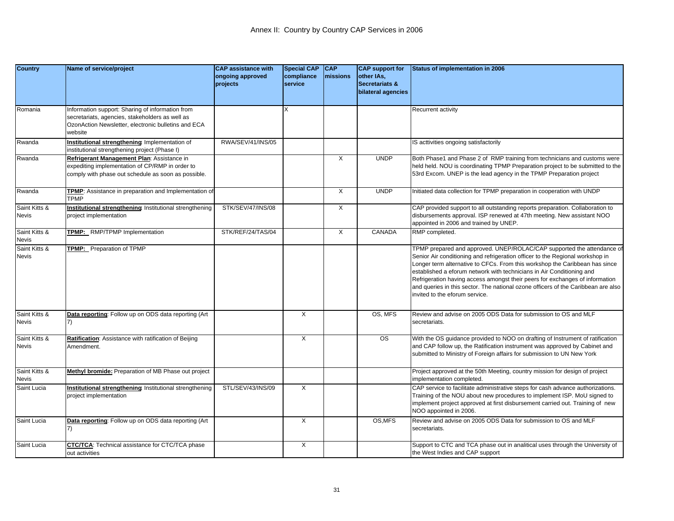| <b>Country</b>                | Name of service/project                                                                                                                                               | <b>CAP assistance with</b><br>ongoing approved<br>projects | <b>Special CAP</b><br>compliance<br>service | CAP<br>missions | <b>CAP</b> support for<br>other IAs,<br>Secretariats &<br>bilateral agencies | Status of implementation in 2006                                                                                                                                                                                                                                                                                                                                                                                                                                                                                       |
|-------------------------------|-----------------------------------------------------------------------------------------------------------------------------------------------------------------------|------------------------------------------------------------|---------------------------------------------|-----------------|------------------------------------------------------------------------------|------------------------------------------------------------------------------------------------------------------------------------------------------------------------------------------------------------------------------------------------------------------------------------------------------------------------------------------------------------------------------------------------------------------------------------------------------------------------------------------------------------------------|
| Romania                       | Information support: Sharing of information from<br>secretariats, agencies, stakeholders as well as<br>OzonAction Newsletter, electronic bulletins and ECA<br>website |                                                            |                                             |                 |                                                                              | Recurrent activity                                                                                                                                                                                                                                                                                                                                                                                                                                                                                                     |
| Rwanda                        | Institutional strengthening: Implementation of<br>institutional strengthening project (Phase I)                                                                       | RWA/SEV/41/INS/05                                          |                                             |                 |                                                                              | IS acttivities ongoing satisfactorily                                                                                                                                                                                                                                                                                                                                                                                                                                                                                  |
| Rwanda                        | Refrigerant Management Plan: Assistance in<br>expediting implementation of CP/RMP in order to<br>comply with phase out schedule as soon as possible.                  |                                                            |                                             | $\times$        | <b>UNDP</b>                                                                  | Both Phase1 and Phase 2 of RMP training from technicians and customs were<br>held held. NOU is coordinating TPMP Preparation project to be submitted to the<br>53rd Excom. UNEP is the lead agency in the TPMP Preparation project                                                                                                                                                                                                                                                                                     |
| Rwanda                        | TPMP: Assistance in preparation and Implementation of<br><b>TPMP</b>                                                                                                  |                                                            |                                             | X               | <b>UNDP</b>                                                                  | Initiated data collection for TPMP preparation in cooperation with UNDP                                                                                                                                                                                                                                                                                                                                                                                                                                                |
| Saint Kitts &<br><b>Nevis</b> | <b>Institutional strengthening:</b> Institutional strengthening<br>project implementation                                                                             | STK/SEV/47/INS/08                                          |                                             | $\times$        |                                                                              | CAP provided support to all outstanding reports preparation. Collaboration to<br>disbursements approval. ISP renewed at 47th meeting. New assistant NOO<br>appointed in 2006 and trained by UNEP.                                                                                                                                                                                                                                                                                                                      |
| Saint Kitts &<br><b>Nevis</b> | TPMP: RMP/TPMP Implementation                                                                                                                                         | STK/REF/24/TAS/04                                          |                                             | $\times$        | <b>CANADA</b>                                                                | RMP completed.                                                                                                                                                                                                                                                                                                                                                                                                                                                                                                         |
| Saint Kitts &<br><b>Nevis</b> | TPMP: Preparation of TPMP                                                                                                                                             |                                                            |                                             |                 |                                                                              | TPMP prepared and approved. UNEP/ROLAC/CAP supported the attendance of<br>Senior Air conditioning and refrigeration officer to the Regional workshop in<br>Longer term alternative to CFCs. From this workshop the Caribbean has since<br>established a eforum network with technicians in Air Conditioning and<br>Refrigeration having access amongst their peers for exchanges of information<br>and queries in this sector. The national ozone officers of the Caribbean are also<br>invited to the eforum service. |
| Saint Kitts &<br><b>Nevis</b> | Data reporting: Follow up on ODS data reporting (Art                                                                                                                  |                                                            | X                                           |                 | OS. MFS                                                                      | Review and advise on 2005 ODS Data for submission to OS and MLF<br>secretariats.                                                                                                                                                                                                                                                                                                                                                                                                                                       |
| Saint Kitts &<br><b>Nevis</b> | Ratification: Assistance with ratification of Beijing<br>Amendment.                                                                                                   |                                                            | X                                           |                 | $\overline{\text{os}}$                                                       | With the OS guidance provided to NOO on drafting of Instrument of ratification<br>and CAP follow up, the Ratification instrument was approved by Cabinet and<br>submitted to Ministry of Foreign affairs for submission to UN New York                                                                                                                                                                                                                                                                                 |
| Saint Kitts &<br><b>Nevis</b> | Methyl bromide: Preparation of MB Phase out project                                                                                                                   |                                                            |                                             |                 |                                                                              | Project approved at the 50th Meeting, country mission for design of project<br>implementation completed.                                                                                                                                                                                                                                                                                                                                                                                                               |
| Saint Lucia                   | <b>Institutional strengthening</b> Institutional strengthening<br>project implementation                                                                              | STL/SEV/43/INS/09                                          | X                                           |                 |                                                                              | CAP service to facilitate administrative steps for cash advance authorizations.<br>Training of the NOU about new procedures to implement ISP. MoU signed to<br>implement project approved at first disbursement carried out. Training of new<br>NOO appointed in 2006.                                                                                                                                                                                                                                                 |
| Saint Lucia                   | Data reporting: Follow up on ODS data reporting (Art                                                                                                                  |                                                            | X                                           |                 | OS, MFS                                                                      | Review and advise on 2005 ODS Data for submission to OS and MLF<br>secretariats.                                                                                                                                                                                                                                                                                                                                                                                                                                       |
| Saint Lucia                   | CTC/TCA: Technical assistance for CTC/TCA phase<br>out activities                                                                                                     |                                                            | X                                           |                 |                                                                              | Support to CTC and TCA phase out in analitical uses through the University of<br>the West Indies and CAP support                                                                                                                                                                                                                                                                                                                                                                                                       |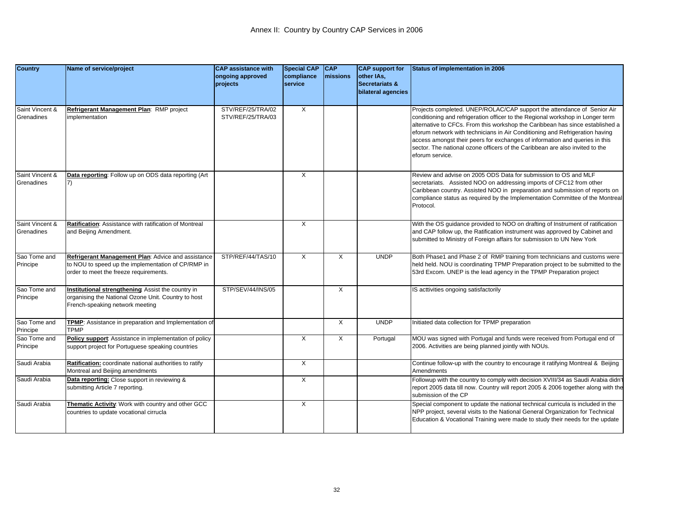| <b>Country</b>                | Name of service/project                                                                                                                            | <b>CAP assistance with</b><br>ongoing approved<br>projects | <b>Special CAP</b><br>compliance<br>service | <b>CAP</b><br><b>Imissions</b> | <b>CAP</b> support for<br>other IAs,<br><b>Secretariats &amp;</b><br>bilateral agencies | <b>Status of implementation in 2006</b>                                                                                                                                                                                                                                                                                                                                                                                                                                                                      |
|-------------------------------|----------------------------------------------------------------------------------------------------------------------------------------------------|------------------------------------------------------------|---------------------------------------------|--------------------------------|-----------------------------------------------------------------------------------------|--------------------------------------------------------------------------------------------------------------------------------------------------------------------------------------------------------------------------------------------------------------------------------------------------------------------------------------------------------------------------------------------------------------------------------------------------------------------------------------------------------------|
| Saint Vincent &<br>Grenadines | Refrigerant Management Plan: RMP project<br>implementation                                                                                         | STV/REF/25/TRA/02<br>STV/REF/25/TRA/03                     | X                                           |                                |                                                                                         | Projects completed. UNEP/ROLAC/CAP support the attendance of Senior Air<br>conditioning and refrigeration officer to the Regional workshop in Longer term<br>alternative to CFCs. From this workshop the Caribbean has since established a<br>eforum network with technicians in Air Conditioning and Refrigeration having<br>access amongst their peers for exchanges of information and queries in this<br>sector. The national ozone officers of the Caribbean are also invited to the<br>eforum service. |
| Saint Vincent &<br>Grenadines | Data reporting: Follow up on ODS data reporting (Art<br>7)                                                                                         |                                                            | X                                           |                                |                                                                                         | Review and advise on 2005 ODS Data for submission to OS and MLF<br>secretariats. Assisted NOO on addressing imports of CFC12 from other<br>Caribbean country. Assisted NOO in preparation and submission of reports on<br>compliance status as required by the Implementation Committee of the Montreal<br>Protocol.                                                                                                                                                                                         |
| Saint Vincent &<br>Grenadines | Ratification: Assistance with ratification of Montreal<br>and Beijing Amendment.                                                                   |                                                            | X                                           |                                |                                                                                         | With the OS guidance provided to NOO on drafting of Instrument of ratification<br>and CAP follow up, the Ratification instrument was approved by Cabinet and<br>submitted to Ministry of Foreign affairs for submission to UN New York                                                                                                                                                                                                                                                                       |
| Sao Tome and<br>Principe      | Refrigerant Management Plan: Advice and assistance<br>to NOU to speed up the implementation of CP/RMP in<br>order to meet the freeze requirements. | STP/REF/44/TAS/10                                          | X                                           | $\times$                       | <b>UNDP</b>                                                                             | Both Phase1 and Phase 2 of RMP training from technicians and customs were<br>held held. NOU is coordinating TPMP Preparation project to be submitted to the<br>53rd Excom. UNEP is the lead agency in the TPMP Preparation project                                                                                                                                                                                                                                                                           |
| Sao Tome and<br>Principe      | Institutional strengthening: Assist the country in<br>organising the National Ozone Unit. Country to host<br>French-speaking network meeting       | STP/SEV/44/INS/05                                          |                                             | $\times$                       |                                                                                         | IS acttivities ongoing satisfactorily                                                                                                                                                                                                                                                                                                                                                                                                                                                                        |
| Sao Tome and<br>Principe      | TPMP: Assistance in preparation and Implementation of<br><b>TPMP</b>                                                                               |                                                            |                                             | X                              | <b>UNDP</b>                                                                             | Initiated data collection for TPMP preparation                                                                                                                                                                                                                                                                                                                                                                                                                                                               |
| Sao Tome and<br>Principe      | Policy support: Assistance in implementation of policy<br>support project for Portuguese speaking countries                                        |                                                            | X                                           | $\times$                       | Portugal                                                                                | MOU was signed with Portugal and funds were received from Portugal end of<br>2006. Activities are being planned jointly with NOUs.                                                                                                                                                                                                                                                                                                                                                                           |
| Saudi Arabia                  | Ratification: coordinate national authorities to ratify<br>Montreal and Beijing amendments                                                         |                                                            | X                                           |                                |                                                                                         | Continue follow-up with the country to encourage it ratifying Montreal & Beijing<br>Amendments                                                                                                                                                                                                                                                                                                                                                                                                               |
| Saudi Arabia                  | Data reporting: Close support in reviewing &<br>submitting Article 7 reporting.                                                                    |                                                            | X                                           |                                |                                                                                         | Followup with the country to comply with decision XVIII/34 as Saudi Arabia didn't<br>report 2005 data till now. Country will report 2005 & 2006 together along with the<br>submission of the CP                                                                                                                                                                                                                                                                                                              |
| Saudi Arabia                  | Thematic Activity: Work with country and other GCC<br>countries to update vocational cirrucla                                                      |                                                            | X                                           |                                |                                                                                         | Special component to update the national technical curricula is included in the<br>NPP project, several visits to the National General Organization for Technical<br>Education & Vocational Training were made to study their needs for the update                                                                                                                                                                                                                                                           |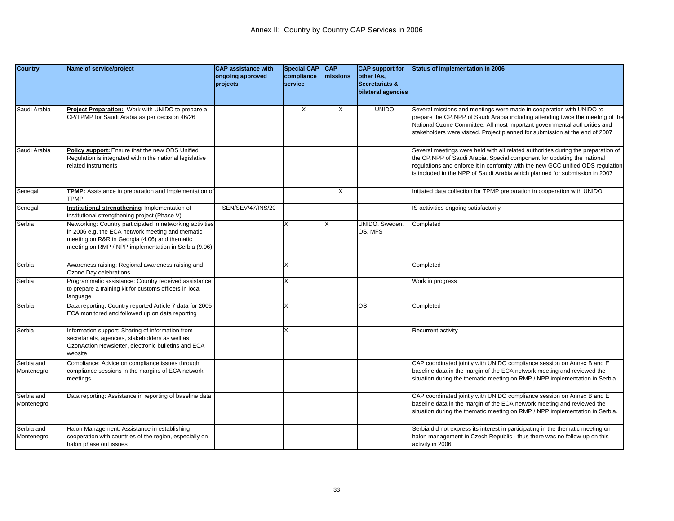| <b>Country</b>           | Name of service/project                                                                                                                                                                                                 | <b>CAP</b> assistance with<br>ongoing approved<br>projects | <b>Special CAP</b><br>compliance<br>service | CAP<br>missions | <b>CAP</b> support for<br>other IAs,<br><b>Secretariats &amp;</b><br>bilateral agencies | Status of implementation in 2006                                                                                                                                                                                                                                                                                               |
|--------------------------|-------------------------------------------------------------------------------------------------------------------------------------------------------------------------------------------------------------------------|------------------------------------------------------------|---------------------------------------------|-----------------|-----------------------------------------------------------------------------------------|--------------------------------------------------------------------------------------------------------------------------------------------------------------------------------------------------------------------------------------------------------------------------------------------------------------------------------|
| Saudi Arabia             | Project Preparation: Work with UNIDO to prepare a<br>CP/TPMP for Saudi Arabia as per decision 46/26                                                                                                                     |                                                            | X                                           | X               | <b>UNIDO</b>                                                                            | Several missions and meetings were made in cooperation with UNIDO to<br>prepare the CP.NPP of Saudi Arabia including attending twice the meeting of the<br>National Ozone Committee. All most important governmental authorities and<br>stakeholders were visited. Project planned for submission at the end of 2007           |
| Saudi Arabia             | Policy support: Ensure that the new ODS Unified<br>Regulation is integrated within the national legislative<br>related instruments                                                                                      |                                                            |                                             |                 |                                                                                         | Several meetings were held with all related authorities during the preparation of<br>the CP.NPP of Saudi Arabia. Special component for updating the national<br>regulations and enforce it in confomity with the new GCC unified ODS regulation<br>is included in the NPP of Saudi Arabia which planned for submission in 2007 |
| Senegal                  | TPMP: Assistance in preparation and Implementation of<br><b>TPMP</b>                                                                                                                                                    |                                                            |                                             | X               |                                                                                         | Initiated data collection for TPMP preparation in cooperation with UNIDO                                                                                                                                                                                                                                                       |
| Senegal                  | Institutional strengthening: Implementation of<br>institutional strengthening project (Phase V)                                                                                                                         | SEN/SEV/47/INS/20                                          |                                             |                 |                                                                                         | S acttivities ongoing satisfactorily                                                                                                                                                                                                                                                                                           |
| Serbia                   | Networking: Country participated in networking activities<br>in 2006 e.g. the ECA network meeting and thematic<br>meeting on R&R in Georgia (4.06) and thematic<br>meeting on RMP / NPP implementation in Serbia (9.06) |                                                            | X                                           | X               | UNIDO, Sweden,<br>OS, MFS                                                               | Completed                                                                                                                                                                                                                                                                                                                      |
| Serbia                   | Awareness raising: Regional awareness raising and<br>Ozone Day celebrations                                                                                                                                             |                                                            | X                                           |                 |                                                                                         | Completed                                                                                                                                                                                                                                                                                                                      |
| Serbia                   | Programmatic assistance: Country received assistance<br>to prepare a training kit for customs officers in local<br>language                                                                                             |                                                            | X                                           |                 |                                                                                         | Work in progress                                                                                                                                                                                                                                                                                                               |
| Serbia                   | Data reporting: Country reported Article 7 data for 2005<br>ECA monitored and followed up on data reporting                                                                                                             |                                                            | ΙX.                                         |                 | OS                                                                                      | Completed                                                                                                                                                                                                                                                                                                                      |
| Serbia                   | Information support: Sharing of information from<br>secretariats, agencies, stakeholders as well as<br>OzonAction Newsletter, electronic bulletins and ECA<br>website                                                   |                                                            | X                                           |                 |                                                                                         | Recurrent activity                                                                                                                                                                                                                                                                                                             |
| Serbia and<br>Montenegro | Compliance: Advice on compliance issues through<br>compliance sessions in the margins of ECA network<br>meetings                                                                                                        |                                                            |                                             |                 |                                                                                         | CAP coordinated jointly with UNIDO compliance session on Annex B and E<br>baseline data in the margin of the ECA network meeting and reviewed the<br>situation during the thematic meeting on RMP / NPP implementation in Serbia.                                                                                              |
| Serbia and<br>Montenegro | Data reporting: Assistance in reporting of baseline data                                                                                                                                                                |                                                            |                                             |                 |                                                                                         | CAP coordinated jointly with UNIDO compliance session on Annex B and E<br>baseline data in the margin of the ECA network meeting and reviewed the<br>situation during the thematic meeting on RMP / NPP implementation in Serbia.                                                                                              |
| Serbia and<br>Montenegro | Halon Management: Assistance in establishing<br>cooperation with countries of the region, especially on<br>halon phase out issues                                                                                       |                                                            |                                             |                 |                                                                                         | Serbia did not express its interest in participating in the thematic meeting on<br>halon management in Czech Republic - thus there was no follow-up on this<br>activity in 2006.                                                                                                                                               |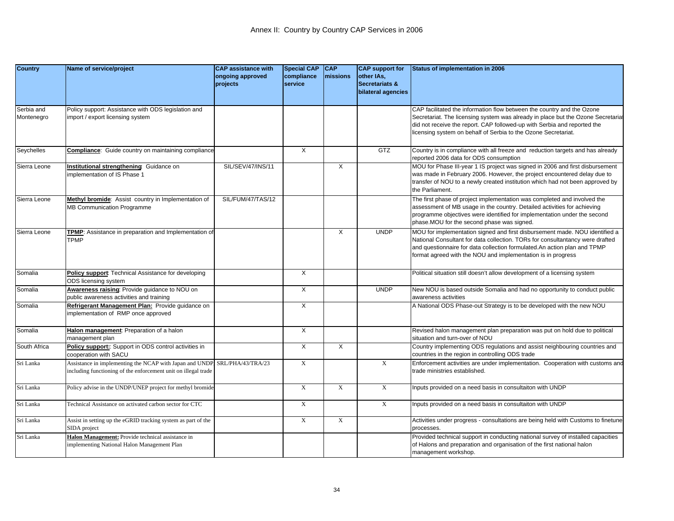| <b>Country</b>           | Name of service/project                                                                                                                    | <b>CAP assistance with</b><br>ongoing approved | <b>Special CAP</b><br>compliance | <b>CAP</b><br>missions | <b>CAP</b> support for<br>other IAs,            | Status of implementation in 2006                                                                                                                                                                                                                                                                          |
|--------------------------|--------------------------------------------------------------------------------------------------------------------------------------------|------------------------------------------------|----------------------------------|------------------------|-------------------------------------------------|-----------------------------------------------------------------------------------------------------------------------------------------------------------------------------------------------------------------------------------------------------------------------------------------------------------|
|                          |                                                                                                                                            | projects                                       | service                          |                        | <b>Secretariats &amp;</b><br>bilateral agencies |                                                                                                                                                                                                                                                                                                           |
| Serbia and<br>Montenegro | Policy support: Assistance with ODS legislation and<br>mport / export licensing system                                                     |                                                |                                  |                        |                                                 | CAP facilitated the information flow between the country and the Ozone<br>Secretariat. The licensing system was already in place but the Ozone Secretariat<br>did not receive the report. CAP followed-up with Serbia and reported the<br>icensing system on behalf of Serbia to the Ozone Secretariat.   |
| Seychelles               | <b>Compliance:</b> Guide country on maintaining compliance                                                                                 |                                                | $\times$                         |                        | GTZ                                             | Country is in compliance with all freeze and reduction targets and has already<br>reported 2006 data for ODS consumption                                                                                                                                                                                  |
| Sierra Leone             | nstitutional strengthening Guidance on<br>mplementation of IS Phase 1                                                                      | SIL/SEV/47/INS/11                              |                                  | X                      |                                                 | MOU for Phase III-year 1 IS project was signed in 2006 and first disbursement<br>was made in February 2006. However, the project encountered delay due to<br>transfer of NOU to a newly created institution which had not been approved by<br>the Parliament.                                             |
| Sierra Leone             | <b>Methyl bromide:</b> Assist country in Implementation of<br><b>MB Communication Programme</b>                                            | SIL/FUM/47/TAS/12                              |                                  |                        |                                                 | The first phase of project implementation was completed and involved the<br>assessment of MB usage in the country. Detailed activities for achieving<br>programme objectives were identified for implementation under the second<br>phase.MOU for the second phase was signed.                            |
| Sierra Leone             | <b>FPMP:</b> Assistance in preparation and Implementation of<br><b>TPMP</b>                                                                |                                                |                                  | X                      | <b>UNDP</b>                                     | MOU for implementation signed and first disbursement made. NOU identified a<br>National Consultant for data collection. TORs for consultantancy were drafted<br>and questionnaire for data collection formulated. An action plan and TPMP<br>format agreed with the NOU and implementation is in progress |
| Somalia                  | Policy support: Technical Assistance for developing<br>ODS licensing system                                                                |                                                | X                                |                        |                                                 | Political situation still doesn't allow development of a licensing system                                                                                                                                                                                                                                 |
| Somalia                  | Awareness raising: Provide guidance to NOU on<br>public awareness activities and training                                                  |                                                | X                                |                        | <b>UNDP</b>                                     | New NOU is based outside Somalia and had no opportunity to conduct public<br>awareness activities                                                                                                                                                                                                         |
| Somalia                  | Refrigerant Management Plan: Provide guidance on<br>mplementation of RMP once approved                                                     |                                                | X                                |                        |                                                 | A National ODS Phase-out Strategy is to be developed with the new NOU                                                                                                                                                                                                                                     |
| Somalia                  | Halon management: Preparation of a halon<br>management plan                                                                                |                                                | $\times$                         |                        |                                                 | Revised halon management plan preparation was put on hold due to political<br>situation and turn-over of NOU                                                                                                                                                                                              |
| South Africa             | Policy support: Support in ODS control activities in<br>cooperation with SACU                                                              |                                                | X                                | X                      |                                                 | Country implementing ODS regulations and assist neighbouring countries and<br>countries in the region in controlling ODS trade                                                                                                                                                                            |
| Sri Lanka                | Assistance in implementing the NCAP with Japan and UNDP SRL/PHA/43/TRA/23<br>ncluding functioning of the enforcement unit on illegal trade |                                                | $\mathbf X$                      |                        | $\mathbf X$                                     | Enforcement activities are under implementation. Cooperation with customs and<br>trade ministries established.                                                                                                                                                                                            |
| Sri Lanka                | Policy advise in the UNDP/UNEP project for methyl bromide                                                                                  |                                                | $\mathbf{X}$                     | X                      | X                                               | nputs provided on a need basis in consultaiton with UNDP                                                                                                                                                                                                                                                  |
| Sri Lanka                | Technical Assistance on activated carbon sector for CTC                                                                                    |                                                | X                                |                        | $\mathbf x$                                     | nputs provided on a need basis in consultaiton with UNDP                                                                                                                                                                                                                                                  |
| Sri Lanka                | Assist in setting up the eGRID tracking system as part of the<br><b>SIDA</b> project                                                       |                                                | $\mathbf X$                      | X                      |                                                 | Activities under progress - consultations are being held with Customs to finetune<br>processes.                                                                                                                                                                                                           |
| Sri Lanka                | Halon Management: Provide technical assistance in<br>mplementing National Halon Management Plan                                            |                                                |                                  |                        |                                                 | Provided technical support in conducting national survey of installed capacities<br>of Halons and preparation and organisation of the first national halon<br>management workshop.                                                                                                                        |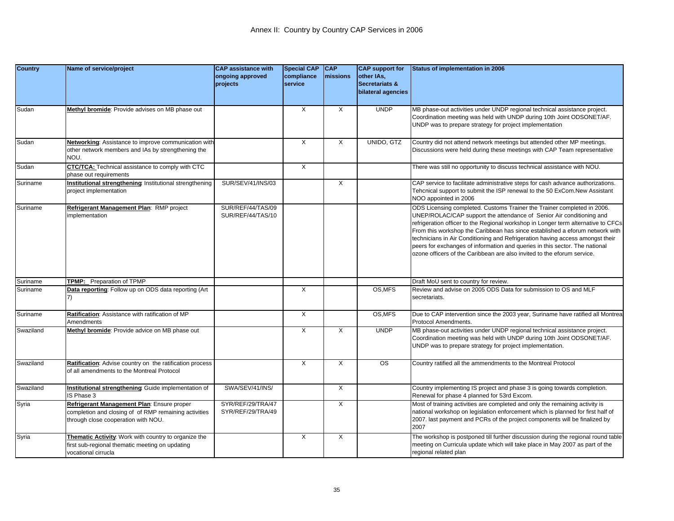| <b>Country</b> | Name of service/project                                                                                                                    | <b>CAP assistance with</b><br>ongoing approved<br>projects | <b>Special CAP</b><br>compliance<br>service | <b>CAP</b><br>missions | <b>CAP</b> support for<br>other IAs,<br>Secretariats & | Status of implementation in 2006                                                                                                                                                                                                                                                                                                                                                                                                                                                                                                                                 |
|----------------|--------------------------------------------------------------------------------------------------------------------------------------------|------------------------------------------------------------|---------------------------------------------|------------------------|--------------------------------------------------------|------------------------------------------------------------------------------------------------------------------------------------------------------------------------------------------------------------------------------------------------------------------------------------------------------------------------------------------------------------------------------------------------------------------------------------------------------------------------------------------------------------------------------------------------------------------|
|                |                                                                                                                                            |                                                            |                                             |                        | bilateral agencies                                     |                                                                                                                                                                                                                                                                                                                                                                                                                                                                                                                                                                  |
| Sudan          | Methyl bromide: Provide advises on MB phase out                                                                                            |                                                            | X                                           | X                      | <b>UNDP</b>                                            | MB phase-out activities under UNDP regional technical assistance project.<br>Coordination meeting was held with UNDP during 10th Joint ODSONET/AF.<br>UNDP was to prepare strategy for project implementation                                                                                                                                                                                                                                                                                                                                                    |
| Sudan          | Networking: Assistance to improve communication with<br>other network members and IAs by strengthening the<br>NOU.                         |                                                            | $\times$                                    | X                      | UNIDO, GTZ                                             | Country did not attend network meetings but attended other MP meetings.<br>Discussions were held during these meetings with CAP Team representative                                                                                                                                                                                                                                                                                                                                                                                                              |
| Sudan          | <b>CTC/TCA:</b> Technical assistance to comply with CTC<br>phase out requirements                                                          |                                                            | $\times$                                    |                        |                                                        | There was still no opportunity to discuss technical assistance with NOU.                                                                                                                                                                                                                                                                                                                                                                                                                                                                                         |
| Suriname       | Institutional strengthening: Institutional strengthening<br>project implementation                                                         | SUR/SEV/41/INS/03                                          |                                             | X                      |                                                        | CAP service to facilitate administrative steps for cash advance authorizations.<br>Tehcnical support to submit the ISP renewal to the 50 ExCom.New Assistant<br>NOO appointed in 2006                                                                                                                                                                                                                                                                                                                                                                            |
| Suriname       | Refrigerant Management Plan: RMP project<br>mplementation                                                                                  | SUR/REF/44/TAS/09<br>SUR/REF/44/TAS/10                     |                                             |                        |                                                        | ODS Licensing completed. Customs Trainer the Trainer completed in 2006.<br>UNEP/ROLAC/CAP support the attendance of Senior Air conditioning and<br>refrigeration officer to the Regional workshop in Longer term alternative to CFCs.<br>From this workshop the Caribbean has since established a eforum network with<br>technicians in Air Conditioning and Refrigeration having access amongst their<br>peers for exchanges of information and queries in this sector. The national<br>ozone officers of the Caribbean are also invited to the eforum service. |
| Suriname       | TPMP: Preparation of TPMP                                                                                                                  |                                                            |                                             |                        |                                                        | Draft MoU sent to country for review.                                                                                                                                                                                                                                                                                                                                                                                                                                                                                                                            |
| Suriname       | Data reporting: Follow up on ODS data reporting (Art                                                                                       |                                                            | $\times$                                    |                        | OS, MFS                                                | Review and advise on 2005 ODS Data for submission to OS and MLF<br>secretariats.                                                                                                                                                                                                                                                                                                                                                                                                                                                                                 |
| Suriname       | Ratification: Assistance with ratification of MP<br>Amendments                                                                             |                                                            | X                                           |                        | OS, MFS                                                | Due to CAP intervention since the 2003 year, Suriname have ratified all Montrea<br>Protocol Amendments.                                                                                                                                                                                                                                                                                                                                                                                                                                                          |
| Swaziland      | Methyl bromide: Provide advice on MB phase out                                                                                             |                                                            | X                                           | X                      | <b>UNDP</b>                                            | MB phase-out activities under UNDP regional technical assistance project.<br>Coordination meeting was held with UNDP during 10th Joint ODSONET/AF.<br>UNDP was to prepare strategy for project implementation.                                                                                                                                                                                                                                                                                                                                                   |
| Swaziland      | Ratification: Advise country on the ratification process<br>of all amendments to the Montreal Protocol                                     |                                                            | X                                           | X                      | <b>OS</b>                                              | Country ratified all the ammendments to the Montreal Protocol                                                                                                                                                                                                                                                                                                                                                                                                                                                                                                    |
| Swaziland      | Institutional strengthening Guide implementation of<br>IS Phase 3                                                                          | SWA/SEV/41/INS/                                            |                                             | X                      |                                                        | Country implementing IS project and phase 3 is going towards completion.<br>Renewal for phase 4 planned for 53rd Excom.                                                                                                                                                                                                                                                                                                                                                                                                                                          |
| Syria          | Refrigerant Management Plan: Ensure proper<br>completion and closing of of RMP remaining activities<br>through close cooperation with NOU. | SYR/REF/29/TRA/47<br>SYR/REF/29/TRA/49                     |                                             | X                      |                                                        | Most of training activities are completed and only the remaining activity is<br>national workshop on legislation enforcement which is planned for first half of<br>2007. last payment and PCRs of the project components will be finalized by<br>2007                                                                                                                                                                                                                                                                                                            |
| Syria          | Thematic Activity: Work with country to organize the<br>first sub-regional thematic meeting on updating<br>vocational cirrucla             |                                                            | $\times$                                    | X                      |                                                        | The workshop is postponed till further discussion during the regional round table<br>meeting on Curricula update which will take place in May 2007 as part of the<br>regional related plan                                                                                                                                                                                                                                                                                                                                                                       |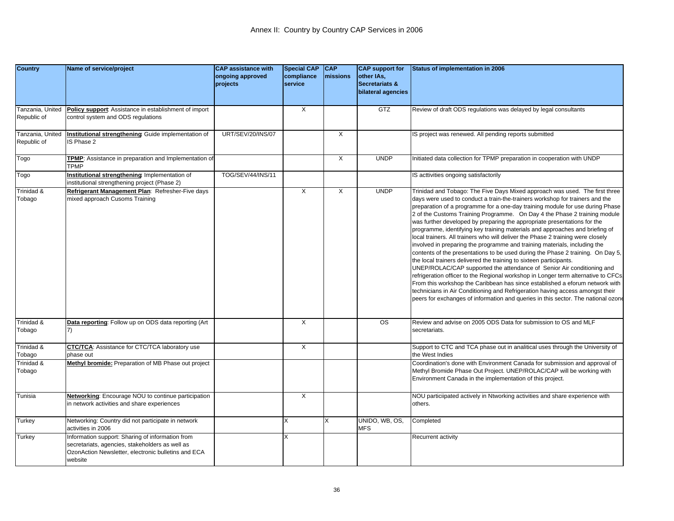| <b>Country</b>                  | Name of service/project                                                                                                                                               | <b>CAP assistance with</b><br>ongoing approved<br>projects | <b>Special CAP</b><br>compliance<br>service | <b>CAP</b><br>missions | <b>CAP</b> support for<br>other IAs,<br>Secretariats &<br>bilateral agencies | Status of implementation in 2006                                                                                                                                                                                                                                                                                                                                                                                                                                                                                                                                                                                                                                                                                                                                                                                                                                                                                                                                                                                                                                                                                                                                                                                                     |
|---------------------------------|-----------------------------------------------------------------------------------------------------------------------------------------------------------------------|------------------------------------------------------------|---------------------------------------------|------------------------|------------------------------------------------------------------------------|--------------------------------------------------------------------------------------------------------------------------------------------------------------------------------------------------------------------------------------------------------------------------------------------------------------------------------------------------------------------------------------------------------------------------------------------------------------------------------------------------------------------------------------------------------------------------------------------------------------------------------------------------------------------------------------------------------------------------------------------------------------------------------------------------------------------------------------------------------------------------------------------------------------------------------------------------------------------------------------------------------------------------------------------------------------------------------------------------------------------------------------------------------------------------------------------------------------------------------------|
| Tanzania, United<br>Republic of | Policy support: Assistance in establishment of import<br>control system and ODS regulations                                                                           |                                                            | X                                           |                        | GTZ                                                                          | Review of draft ODS regulations was delayed by legal consultants                                                                                                                                                                                                                                                                                                                                                                                                                                                                                                                                                                                                                                                                                                                                                                                                                                                                                                                                                                                                                                                                                                                                                                     |
| Tanzania, United<br>Republic of | Institutional strengthening: Guide implementation of<br>S Phase 2                                                                                                     | URT/SEV/20/INS/07                                          |                                             | X                      |                                                                              | IS project was renewed. All pending reports submitted                                                                                                                                                                                                                                                                                                                                                                                                                                                                                                                                                                                                                                                                                                                                                                                                                                                                                                                                                                                                                                                                                                                                                                                |
| Togo                            | TPMP: Assistance in preparation and Implementation of<br>TPMP                                                                                                         |                                                            |                                             | X                      | <b>UNDP</b>                                                                  | Initiated data collection for TPMP preparation in cooperation with UNDP                                                                                                                                                                                                                                                                                                                                                                                                                                                                                                                                                                                                                                                                                                                                                                                                                                                                                                                                                                                                                                                                                                                                                              |
| Togo                            | Institutional strengthening Implementation of<br>nstitutional strengthening project (Phase 2)                                                                         | TOG/SEV/44/INS/11                                          |                                             |                        |                                                                              | IS acttivities ongoing satisfactorily                                                                                                                                                                                                                                                                                                                                                                                                                                                                                                                                                                                                                                                                                                                                                                                                                                                                                                                                                                                                                                                                                                                                                                                                |
| Trinidad &<br>Tobago            | Refrigerant Management Plan: Refresher-Five days<br>mixed approach Cusoms Training                                                                                    |                                                            | $\overline{X}$                              | $\times$               | <b>UNDP</b>                                                                  | Trinidad and Tobago: The Five Days Mixed approach was used. The first three<br>days were used to conduct a train-the-trainers workshop for trainers and the<br>preparation of a programme for a one-day training module for use during Phase<br>2 of the Customs Training Programme. On Day 4 the Phase 2 training module<br>was further developed by preparing the appropriate presentations for the<br>programme, identifying key training materials and approaches and briefing of<br>local trainers. All trainers who will deliver the Phase 2 training were closely<br>involved in preparing the programme and training materials, including the<br>contents of the presentations to be used during the Phase 2 training. On Day 5,<br>the local trainers delivered the training to sixteen participants.<br>UNEP/ROLAC/CAP supported the attendance of Senior Air conditioning and<br>refrigeration officer to the Regional workshop in Longer term alternative to CFCs.<br>From this workshop the Caribbean has since established a eforum network with<br>technicians in Air Conditioning and Refrigeration having access amongst their<br>peers for exchanges of information and queries in this sector. The national ozone |
| Trinidad &<br>Tobago            | Data reporting: Follow up on ODS data reporting (Art<br>7)                                                                                                            |                                                            | X                                           |                        | $\overline{\text{os}}$                                                       | Review and advise on 2005 ODS Data for submission to OS and MLF<br>secretariats.                                                                                                                                                                                                                                                                                                                                                                                                                                                                                                                                                                                                                                                                                                                                                                                                                                                                                                                                                                                                                                                                                                                                                     |
| Trinidad &<br>Tobago            | CTC/TCA: Assistance for CTC/TCA laboratory use<br>phase out                                                                                                           |                                                            | $\overline{X}$                              |                        |                                                                              | Support to CTC and TCA phase out in analitical uses through the University of<br>the West Indies                                                                                                                                                                                                                                                                                                                                                                                                                                                                                                                                                                                                                                                                                                                                                                                                                                                                                                                                                                                                                                                                                                                                     |
| Trinidad &<br>Tobago            | Methyl bromide: Preparation of MB Phase out project                                                                                                                   |                                                            |                                             |                        |                                                                              | Coordination's done with Environment Canada for submission and approval of<br>Methyl Bromide Phase Out Project. UNEP/ROLAC/CAP will be working with<br>Environment Canada in the implementation of this project.                                                                                                                                                                                                                                                                                                                                                                                                                                                                                                                                                                                                                                                                                                                                                                                                                                                                                                                                                                                                                     |
| Tunisia                         | Networking: Encourage NOU to continue participation<br>n network activities and share experiences                                                                     |                                                            | X                                           |                        |                                                                              | NOU particiipated actively in Ntworking activities and share experience with<br>others.                                                                                                                                                                                                                                                                                                                                                                                                                                                                                                                                                                                                                                                                                                                                                                                                                                                                                                                                                                                                                                                                                                                                              |
| Turkey                          | Networking: Country did not participate in network<br>activities in 2006                                                                                              |                                                            | X                                           | X                      | UNIDO, WB, OS,<br><b>MFS</b>                                                 | Completed                                                                                                                                                                                                                                                                                                                                                                                                                                                                                                                                                                                                                                                                                                                                                                                                                                                                                                                                                                                                                                                                                                                                                                                                                            |
| Turkey                          | Information support: Sharing of information from<br>secretariats, agencies, stakeholders as well as<br>OzonAction Newsletter, electronic bulletins and ECA<br>website |                                                            | X                                           |                        |                                                                              | <b>Recurrent activity</b>                                                                                                                                                                                                                                                                                                                                                                                                                                                                                                                                                                                                                                                                                                                                                                                                                                                                                                                                                                                                                                                                                                                                                                                                            |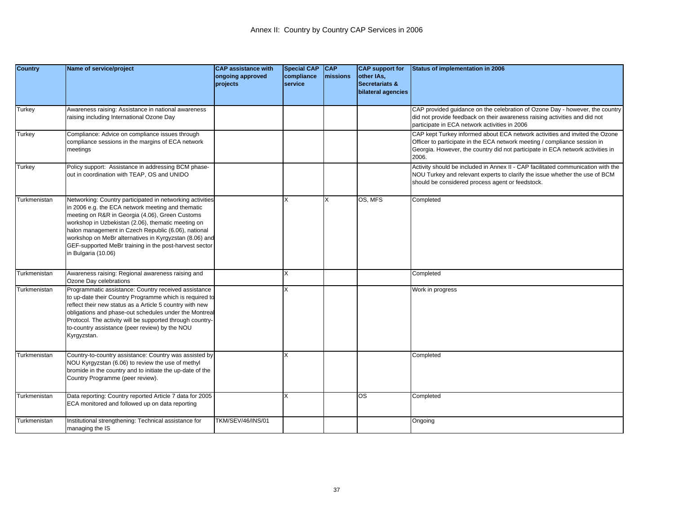| <b>Country</b> | Name of service/project                                                                                                                                                                                                                                                                                                                                                                                                   | <b>CAP</b> assistance with<br>ongoing approved | <b>Special CAP</b><br>compliance | <b>CAP</b><br>missions | <b>CAP</b> support for<br>other IAs,            | <b>Status of implementation in 2006</b>                                                                                                                                                                                                             |
|----------------|---------------------------------------------------------------------------------------------------------------------------------------------------------------------------------------------------------------------------------------------------------------------------------------------------------------------------------------------------------------------------------------------------------------------------|------------------------------------------------|----------------------------------|------------------------|-------------------------------------------------|-----------------------------------------------------------------------------------------------------------------------------------------------------------------------------------------------------------------------------------------------------|
|                |                                                                                                                                                                                                                                                                                                                                                                                                                           | projects                                       | service                          |                        | <b>Secretariats &amp;</b><br>bilateral agencies |                                                                                                                                                                                                                                                     |
| Turkey         | Awareness raising: Assistance in national awareness<br>raising including International Ozone Day                                                                                                                                                                                                                                                                                                                          |                                                |                                  |                        |                                                 | CAP provided guidance on the celebration of Ozone Day - however, the country<br>did not provide feedback on their awareness raising activities and did not<br>participate in ECA network activities in 2006                                         |
| Turkey         | Compliance: Advice on compliance issues through<br>compliance sessions in the margins of ECA network<br>meetings                                                                                                                                                                                                                                                                                                          |                                                |                                  |                        |                                                 | CAP kept Turkey informed about ECA network activities and invited the Ozone<br>Officer to participate in the ECA network meeting / compliance session in<br>Georgia. However, the country did not participate in ECA network activities in<br>2006. |
| Turkey         | Policy support: Assistance in addressing BCM phase-<br>out in coordination with TEAP, OS and UNIDO                                                                                                                                                                                                                                                                                                                        |                                                |                                  |                        |                                                 | Activity should be included in Annex II - CAP facilitated communication with the<br>NOU Turkey and relevant experts to clarify the issue whether the use of BCM<br>should be considered process agent or feedstock.                                 |
| Turkmenistan   | Networking: Country participated in networking activities<br>in 2006 e.g. the ECA network meeting and thematic<br>meeting on R&R in Georgia (4.06), Green Customs<br>workshop in Uzbekistan (2.06), thematic meeting on<br>halon management in Czech Republic (6.06), national<br>workshop on MeBr alternatives in Kyrgyzstan (8.06) and<br>GEF-supported MeBr training in the post-harvest sector<br>in Bulgaria (10.06) |                                                | X                                | X                      | OS, MFS                                         | Completed                                                                                                                                                                                                                                           |
| Turkmenistan   | Awareness raising: Regional awareness raising and<br>Ozone Day celebrations                                                                                                                                                                                                                                                                                                                                               |                                                | X                                |                        |                                                 | Completed                                                                                                                                                                                                                                           |
| Turkmenistan   | Programmatic assistance: Country received assistance<br>to up-date their Country Programme which is required to<br>reflect their new status as a Article 5 country with new<br>obligations and phase-out schedules under the Montreal<br>Protocol. The activity will be supported through country-<br>to-country assistance (peer review) by the NOU<br>Kyrgyzstan.                                                       |                                                | X                                |                        |                                                 | Work in progress                                                                                                                                                                                                                                    |
| Turkmenistan   | Country-to-country assistance: Country was assisted by<br>NOU Kyrgyzstan (6.06) to review the use of methyl<br>bromide in the country and to initiate the up-date of the<br>Country Programme (peer review).                                                                                                                                                                                                              |                                                | X                                |                        |                                                 | Completed                                                                                                                                                                                                                                           |
| Turkmenistan   | Data reporting: Country reported Article 7 data for 2005<br>ECA monitored and followed up on data reporting                                                                                                                                                                                                                                                                                                               |                                                | X                                |                        | OS                                              | Completed                                                                                                                                                                                                                                           |
| Turkmenistan   | Institutional strengthening: Technical assistance for<br>managing the IS                                                                                                                                                                                                                                                                                                                                                  | TKM/SEV/46/INS/01                              |                                  |                        |                                                 | Ongoing                                                                                                                                                                                                                                             |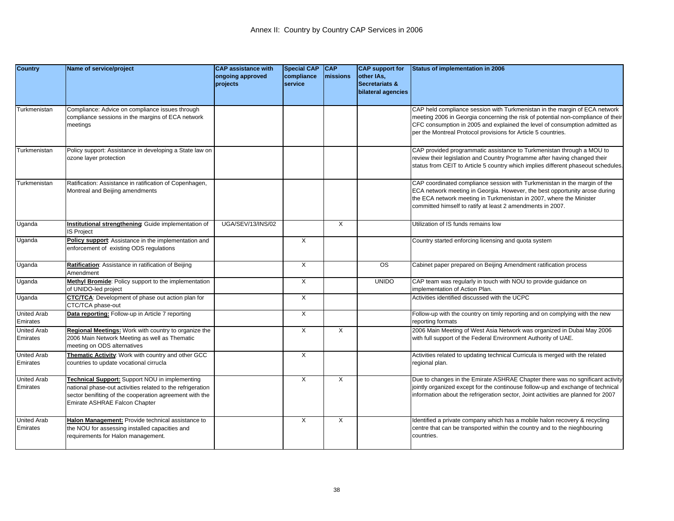| <b>Country</b>                 | Name of service/project                                                                                                                                                                                  | <b>CAP assistance with</b><br>ongoing approved<br>projects | <b>Special CAP</b><br>compliance<br>service | <b>CAP</b><br><b>Imissions</b> | <b>CAP</b> support for<br>other IAs,<br><b>Secretariats &amp;</b> | Status of implementation in 2006                                                                                                                                                                                                                                                                              |
|--------------------------------|----------------------------------------------------------------------------------------------------------------------------------------------------------------------------------------------------------|------------------------------------------------------------|---------------------------------------------|--------------------------------|-------------------------------------------------------------------|---------------------------------------------------------------------------------------------------------------------------------------------------------------------------------------------------------------------------------------------------------------------------------------------------------------|
|                                |                                                                                                                                                                                                          |                                                            |                                             |                                | bilateral agencies                                                |                                                                                                                                                                                                                                                                                                               |
| Turkmenistan                   | Compliance: Advice on compliance issues through<br>compliance sessions in the margins of ECA network<br>meetings                                                                                         |                                                            |                                             |                                |                                                                   | CAP held compliance session with Turkmenistan in the margin of ECA network<br>meeting 2006 in Georgia concerning the risk of potential non-compliance of their<br>CFC consumption in 2005 and explained the level of consumption admitted as<br>per the Montreal Protocol provisions for Article 5 countries. |
| Turkmenistan                   | Policy support: Assistance in developing a State law on<br>ozone layer protection                                                                                                                        |                                                            |                                             |                                |                                                                   | CAP provided programmatic assistance to Turkmenistan through a MOU to<br>review their legislation and Country Programme after having changed their<br>status from CEIT to Article 5 country which implies different phaseout schedules.                                                                       |
| Turkmenistan                   | Ratification: Assistance in ratification of Copenhagen,<br>Montreal and Beijing amendments                                                                                                               |                                                            |                                             |                                |                                                                   | CAP coordinated compliance session with Turkmenistan in the margin of the<br>ECA network meeting in Georgia. However, the best opportunity arose during<br>the ECA network meeting in Turkmenistan in 2007, where the Minister<br>committed himself to ratify at least 2 amendments in 2007.                  |
| Uganda                         | Institutional strengthening: Guide implementation of<br>S Project                                                                                                                                        | UGA/SEV/13/INS/02                                          |                                             | X                              |                                                                   | Utilization of IS funds remains low                                                                                                                                                                                                                                                                           |
| Uganda                         | Policy support: Assistance in the implementation and<br>enforcement of existing ODS regulations                                                                                                          |                                                            | $\overline{X}$                              |                                |                                                                   | Country started enforcing licensing and quota system                                                                                                                                                                                                                                                          |
| Uganda                         | Ratification: Assistance in ratification of Beijing<br>Amendment                                                                                                                                         |                                                            | $\times$                                    |                                | $\overline{\text{os}}$                                            | Cabinet paper prepared on Beijing Amendment ratification process                                                                                                                                                                                                                                              |
| Uganda                         | Methyl Bromide: Policy support to the implementation<br>of UNIDO-led project                                                                                                                             |                                                            | X                                           |                                | <b>UNIDO</b>                                                      | CAP team was regularly in touch with NOU to provide guidance on<br>implementation of Action Plan.                                                                                                                                                                                                             |
| Uganda                         | CTC/TCA: Development of phase out action plan for<br>CTC/TCA phase-out                                                                                                                                   |                                                            | $\overline{X}$                              |                                |                                                                   | Activities identified discussed with the UCPC                                                                                                                                                                                                                                                                 |
| <b>United Arab</b><br>Emirates | Data reporting: Follow-up in Article 7 reporting                                                                                                                                                         |                                                            | $\times$                                    |                                |                                                                   | Follow-up with the country on timly reporting and on complying with the new<br>reporting formats                                                                                                                                                                                                              |
| <b>United Arab</b><br>Emirates | Regional Meetings: Work with country to organize the<br>2006 Main Network Meeting as well as Thematic<br>meeting on ODS alternatives                                                                     |                                                            | X                                           | X                              |                                                                   | 2006 Main Meeting of West Asia Network was organized in Dubai May 2006<br>with full support of the Federal Environment Authority of UAE.                                                                                                                                                                      |
| <b>United Arab</b><br>Emirates | Thematic Activity: Work with country and other GCC<br>countries to update vocational cirrucla                                                                                                            |                                                            | $\overline{X}$                              |                                |                                                                   | Activities related to updating technical Curricula is merged with the related<br>regional plan.                                                                                                                                                                                                               |
| <b>United Arab</b><br>Emirates | Technical Support: Support NOU in implementing<br>national phase-out activities related to the refrigeration<br>sector benifiting of the cooperation agreement with the<br>Emirate ASHRAE Falcon Chapter |                                                            | $\overline{X}$                              | X                              |                                                                   | Due to changes in the Emirate ASHRAE Chapter there was no sgnificant activity<br>jointly organized except for the continouse follow-up and exchange of technical<br>information about the refrigeration sector, Joint activities are planned for 2007                                                         |
| <b>United Arab</b><br>Emirates | Halon Management: Provide technical assistance to<br>the NOU for assessing installed capacities and<br>requirements for Halon management.                                                                |                                                            | X                                           | X                              |                                                                   | Identified a private company which has a mobile halon recovery & recycling<br>centre that can be transported within the country and to the nieghbouring<br>countries.                                                                                                                                         |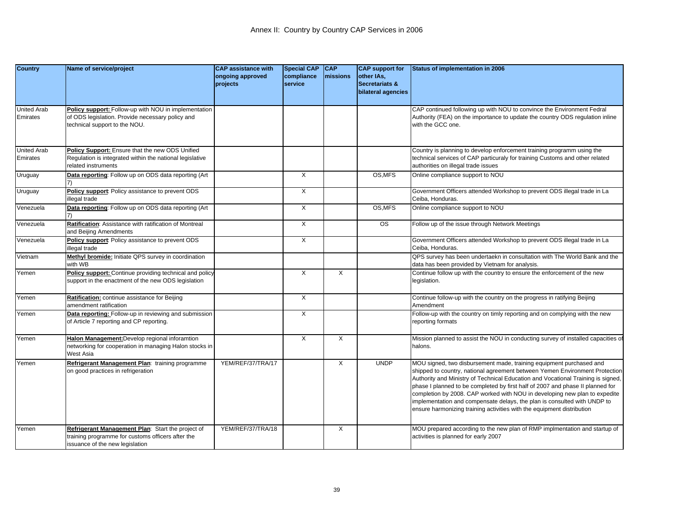| <b>Country</b>                 | Name of service/project                                                                                                                  | <b>CAP assistance with</b><br>ongoing approved | <b>Special CAP</b><br>compliance | <b>CAP</b><br><b>Imissions</b> | <b>CAP</b> support for<br>other IAs,            | Status of implementation in 2006                                                                                                                                                                                                                                                                                                                                                                                                                                                                                                                             |
|--------------------------------|------------------------------------------------------------------------------------------------------------------------------------------|------------------------------------------------|----------------------------------|--------------------------------|-------------------------------------------------|--------------------------------------------------------------------------------------------------------------------------------------------------------------------------------------------------------------------------------------------------------------------------------------------------------------------------------------------------------------------------------------------------------------------------------------------------------------------------------------------------------------------------------------------------------------|
|                                |                                                                                                                                          | projects                                       | service                          |                                | <b>Secretariats &amp;</b><br>bilateral agencies |                                                                                                                                                                                                                                                                                                                                                                                                                                                                                                                                                              |
| <b>United Arab</b><br>Emirates | Policy support: Follow-up with NOU in implementation<br>of ODS legislation. Provide necessary policy and<br>echnical support to the NOU. |                                                |                                  |                                |                                                 | CAP continued following up with NOU to convince the Environment Fedral<br>Authority (FEA) on the importance to update the country ODS regulation inline<br>with the GCC one.                                                                                                                                                                                                                                                                                                                                                                                 |
| <b>United Arab</b><br>Emirates | Policy Support: Ensure that the new ODS Unified<br>Regulation is integrated within the national legislative<br>elated instruments        |                                                |                                  |                                |                                                 | Country is planning to develop enforcement training programm using the<br>technical services of CAP particuraly for training Customs and other related<br>authorities on illegal trade issues                                                                                                                                                                                                                                                                                                                                                                |
| Uruguay                        | Data reporting: Follow up on ODS data reporting (Art                                                                                     |                                                | $\times$                         |                                | OS, MFS                                         | Online compliance support to NOU                                                                                                                                                                                                                                                                                                                                                                                                                                                                                                                             |
| Uruguay                        | Policy support: Policy assistance to prevent ODS<br>llegal trade                                                                         |                                                | X                                |                                |                                                 | Government Officers attended Workshop to prevent ODS illegal trade in La<br>Ceiba, Honduras.                                                                                                                                                                                                                                                                                                                                                                                                                                                                 |
| Venezuela                      | Data reporting: Follow up on ODS data reporting (Art                                                                                     |                                                | X                                |                                | OS, MFS                                         | Online compliance support to NOU                                                                                                                                                                                                                                                                                                                                                                                                                                                                                                                             |
| Venezuela                      | Ratification: Assistance with ratification of Montreal<br>and Beijing Amendments                                                         |                                                | X                                |                                | $\overline{\text{os}}$                          | Follow up of the issue through Network Meetings                                                                                                                                                                                                                                                                                                                                                                                                                                                                                                              |
| Venezuela                      | Policy support: Policy assistance to prevent ODS<br>llegal trade                                                                         |                                                | $\overline{X}$                   |                                |                                                 | Government Officers attended Workshop to prevent ODS illegal trade in La<br>Ceiba, Honduras.                                                                                                                                                                                                                                                                                                                                                                                                                                                                 |
| Vietnam                        | Methyl bromide: Initiate QPS survey in coordination<br>with WB                                                                           |                                                |                                  |                                |                                                 | QPS survey has been undertaekn in consultation with The World Bank and the<br>data has been provided by Vietnam for analysis.                                                                                                                                                                                                                                                                                                                                                                                                                                |
| Yemen                          | Policy support: Continue providing technical and policy<br>support in the enactment of the new ODS legislation                           |                                                | $\times$                         | X                              |                                                 | Continue follow up with the country to ensure the enforcement of the new<br>egislation.                                                                                                                                                                                                                                                                                                                                                                                                                                                                      |
| Yemen                          | Ratification: continue assistance for Beijing<br>amendment ratification                                                                  |                                                | $\times$                         |                                |                                                 | Continue follow-up with the country on the progress in ratifying Beijing<br>Amendment                                                                                                                                                                                                                                                                                                                                                                                                                                                                        |
| Yemen                          | Data reporting: Follow-up in reviewing and submission<br>of Article 7 reporting and CP reporting.                                        |                                                | $\overline{X}$                   |                                |                                                 | Follow-up with the country on timly reporting and on complying with the new<br>reporting formats                                                                                                                                                                                                                                                                                                                                                                                                                                                             |
| Yemen                          | Halon Management:Develop regional inforamtion<br>networking for cooperation in managing Halon stocks in<br>West Asia                     |                                                | $\overline{X}$                   | X                              |                                                 | Mission planned to assist the NOU in conducting survey of installed capacities of<br>halons.                                                                                                                                                                                                                                                                                                                                                                                                                                                                 |
| Yemen                          | Refrigerant Management Plan: training programme<br>on good practices in refrigeration                                                    | YEM/REF/37/TRA/17                              |                                  | Χ                              | <b>UNDP</b>                                     | MOU signed, two disbursement made, training equipment purchased and<br>shipped to country, national agreement between Yemen Environment Protection<br>Authority and Ministry of Technical Education and Vocational Training is signed,<br>phase I planned to be completed by first half of 2007 and phase II planned for<br>completion by 2008. CAP worked with NOU in developing new plan to expedite<br>implementation and compensate delays, the plan is consulted with UNDP to<br>ensure harmonizing training activities with the equipment distribution |
| Yemen                          | Refrigerant Management Plan: Start the project of<br>raining programme for customs officers after the<br>issuance of the new legislation | YEM/REF/37/TRA/18                              |                                  | Χ                              |                                                 | MOU prepared according to the new plan of RMP implmentation and startup of<br>activities is planned for early 2007                                                                                                                                                                                                                                                                                                                                                                                                                                           |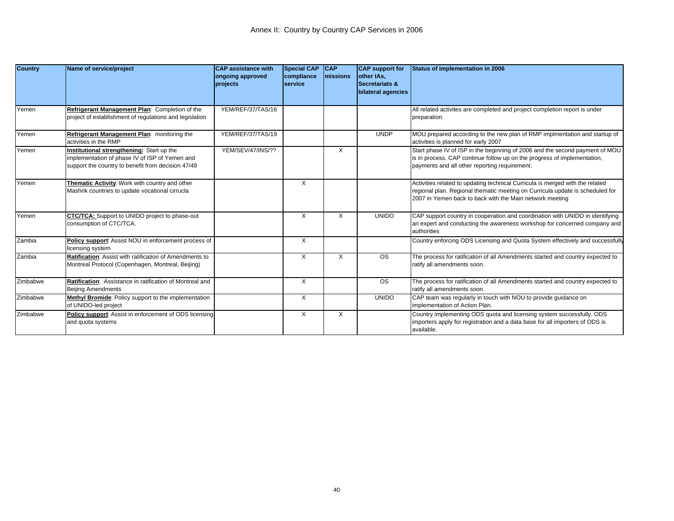| <b>Country</b> | Name of service/project                                                                                                                          | <b>CAP</b> assistance with<br>ongoing approved<br>projects | <b>Special CAP</b><br>compliance<br><b>Iservice</b> | <b>CAP</b><br><b>Imissions</b> | <b>CAP</b> support for<br>lother IAs.<br><b>Secretariats &amp;</b><br>bilateral agencies | Status of implementation in 2006                                                                                                                                                                                           |
|----------------|--------------------------------------------------------------------------------------------------------------------------------------------------|------------------------------------------------------------|-----------------------------------------------------|--------------------------------|------------------------------------------------------------------------------------------|----------------------------------------------------------------------------------------------------------------------------------------------------------------------------------------------------------------------------|
| Yemen          | Refrigerant Management Plan: Completion of the<br>project of establishment of regulations and legislation                                        | YEM/REF/37/TAS/16                                          |                                                     |                                |                                                                                          | All related activites are completed and project completion report is under<br>preparation.                                                                                                                                 |
| Yemen          | Refrigerant Management Plan: monitoring the<br>activities in the RMP                                                                             | YEM/REF/37/TAS/19                                          |                                                     |                                | <b>UNDP</b>                                                                              | MOU prepared according to the new plan of RMP implmentation and startup of<br>activities is planned for early 2007                                                                                                         |
| Yemen          | Institutional strengthening: Start up the<br>mplementation of phase IV of ISP of Yemen and<br>support the country to benefit from decision 47/49 | YEM/SEV/47/INS/??                                          |                                                     | X                              |                                                                                          | Start phase IV of ISP in the beginning of 2006 and the second payment of MOU<br>is in process. CAP continue follow up on the progress of implementation,<br>payments and all other reporting requirement.                  |
| Yemen          | Thematic Activity: Work with country and other<br>Mashrik countries to update vocational cirrucla                                                |                                                            | X                                                   |                                |                                                                                          | Activities related to updating technical Curricula is merged with the related<br>regional plan. Regional thematic meeting on Curricula update is scheduled for<br>2007 in Yemen back to back with the Main network meeting |
| Yemen          | <b>CTC/TCA:</b> Support to UNIDO project to phase-out<br>consumption of CTC/TCA.                                                                 |                                                            | X                                                   | X                              | <b>UNIDO</b>                                                                             | CAP support country in cooperation and coordination with UNIDO in identifying<br>an expert and conducting the awareness workshop for concerned company and<br>authorities                                                  |
| Zambia         | Policy support: Assist NOU in enforcement process of<br>icensing system                                                                          |                                                            | X                                                   |                                |                                                                                          | Country enforcing ODS Licensing and Quota System effectively and successfully                                                                                                                                              |
| Zambia         | Ratification: Assist with ratification of Amendments to<br>Montreal Protocol (Copenhagen, Montreal, Beijing)                                     |                                                            | X                                                   | X                              | <b>OS</b>                                                                                | The process for ratification of all Amendments started and country expected to<br>ratify all amendments soon.                                                                                                              |
| Zimbabwe       | Ratification: Assistance in ratification of Montreal and<br><b>Beijing Amendments</b>                                                            |                                                            | X                                                   |                                | <b>OS</b>                                                                                | The process for ratification of all Amendments started and country expected to<br>ratify all amendments soon.                                                                                                              |
| Zimbabwe       | Methyl Bromide: Policy support to the implementation<br>of UNIDO-led project                                                                     |                                                            | X                                                   |                                | <b>UNIDO</b>                                                                             | CAP team was regularly in touch with NOU to provide guidance on<br>implementation of Action Plan.                                                                                                                          |
| Zimbabwe       | Policy support: Assist in enforcement of ODS licensing<br>and quota systems                                                                      |                                                            | X                                                   | X                              |                                                                                          | Country implementing ODS quota and licensing system successfully. ODS<br>importers apply for registration and a data base for all importers of ODS is<br>available.                                                        |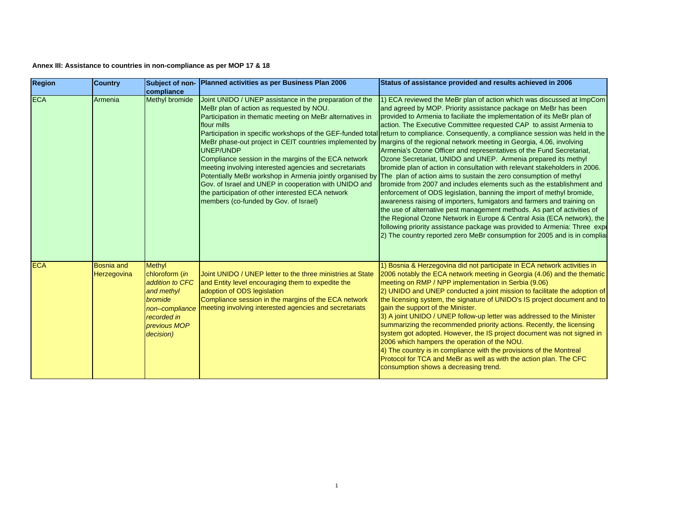| <b>Region</b> | <b>Country</b>                   | compliance                                                                                                                                | Subject of non- Planned activities as per Business Plan 2006                                                                                                                                                                                                                                                                                                                                                                                                                                                                            | Status of assistance provided and results achieved in 2006                                                                                                                                                                                                                                                                                                                                                                                                                                                                                                                                                                                                                                                                                                                                                                                                                                                                                                                                                                                                                                                                                                                                                                                                                                                                                                                                                   |
|---------------|----------------------------------|-------------------------------------------------------------------------------------------------------------------------------------------|-----------------------------------------------------------------------------------------------------------------------------------------------------------------------------------------------------------------------------------------------------------------------------------------------------------------------------------------------------------------------------------------------------------------------------------------------------------------------------------------------------------------------------------------|--------------------------------------------------------------------------------------------------------------------------------------------------------------------------------------------------------------------------------------------------------------------------------------------------------------------------------------------------------------------------------------------------------------------------------------------------------------------------------------------------------------------------------------------------------------------------------------------------------------------------------------------------------------------------------------------------------------------------------------------------------------------------------------------------------------------------------------------------------------------------------------------------------------------------------------------------------------------------------------------------------------------------------------------------------------------------------------------------------------------------------------------------------------------------------------------------------------------------------------------------------------------------------------------------------------------------------------------------------------------------------------------------------------|
| <b>ECA</b>    | Armenia                          | Methyl bromide                                                                                                                            | Joint UNIDO / UNEP assistance in the preparation of the<br>MeBr plan of action as requested by NOU.<br>Participation in thematic meeting on MeBr alternatives in<br>flour mills<br>MeBr phase-out project in CEIT countries implemented by<br><b>UNEP/UNDP</b><br>Compliance session in the margins of the ECA network<br>meeting involving interested agencies and secretariats<br>Gov. of Israel and UNEP in cooperation with UNIDO and<br>the participation of other interested ECA network<br>members (co-funded by Gov. of Israel) | 1) ECA reviewed the MeBr plan of action which was discussed at ImpCom<br>and agreed by MOP. Priority assistance package on MeBr has been<br>provided to Armenia to faciliate the implementation of its MeBr plan of<br>action. The Executive Committee requested CAP to assist Armenia to<br>Participation in specific workshops of the GEF-funded total return to compliance. Consequently, a compliance session was held in the<br>margins of the regional network meeting in Georgia, 4.06, involving<br>Armenia's Ozone Officer and representatives of the Fund Secretariat,<br>Ozone Secretariat, UNIDO and UNEP. Armenia prepared its methyl<br>bromide plan of action in consultation with relevant stakeholders in 2006.<br>Potentially MeBr workshop in Armenia jointly organised by The plan of action aims to sustain the zero consumption of methyl<br>bromide from 2007 and includes elements such as the establishment and<br>enforcement of ODS legislation, banning the import of methyl bromide,<br>awareness raising of importers, fumigators and farmers and training on<br>the use of alternative pest management methods. As part of activities of<br>the Regional Ozone Network in Europe & Central Asia (ECA network), the<br>following priority assistance package was provided to Armenia: Three expert<br>2) The country reported zero MeBr consumption for 2005 and is in complia |
| <b>ECA</b>    | <b>Bosnia and</b><br>Herzegovina | <b>Methyl</b><br>chloroform (in<br>addition to CFC<br>and methyl<br>bromide<br>non-compliance<br>recorded in<br>previous MOP<br>decision) | Joint UNIDO / UNEP letter to the three ministries at State<br>and Entity level encouraging them to expedite the<br>adoption of ODS legislation<br>Compliance session in the margins of the ECA network<br>meeting involving interested agencies and secretariats                                                                                                                                                                                                                                                                        | 1) Bosnia & Herzegovina did not participate in ECA network activities in<br>2006 notably the ECA network meeting in Georgia (4.06) and the thematic<br>meeting on RMP / NPP implementation in Serbia (9.06)<br>2) UNIDO and UNEP conducted a joint mission to facilitate the adoption of<br>the licensing system, the signature of UNIDO's IS project document and to<br>gain the support of the Minister.<br>3) A joint UNIDO / UNEP follow-up letter was addressed to the Minister<br>summarizing the recommended priority actions. Recently, the licensing<br>system got adopted. However, the IS project document was not signed in<br>2006 which hampers the operation of the NOU.<br>4) The country is in compliance with the provisions of the Montreal<br>Protocol for TCA and MeBr as well as with the action plan. The CFC<br>consumption shows a decreasing trend.                                                                                                                                                                                                                                                                                                                                                                                                                                                                                                                                |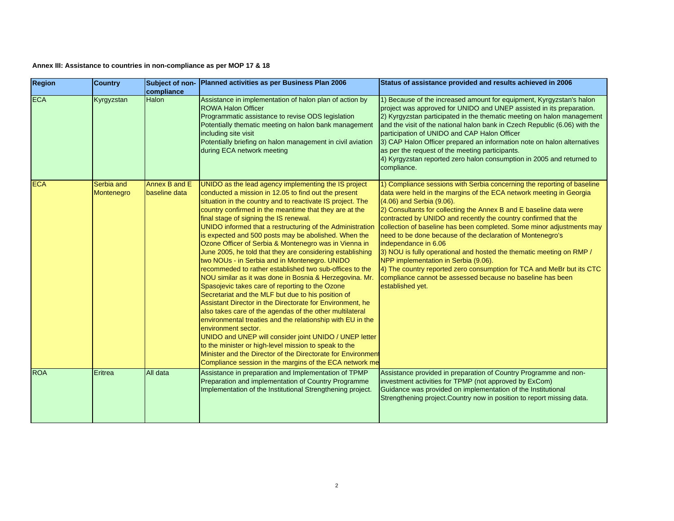| <b>Region</b> | <b>Country</b>           | Subject of non-<br>compliance  | Planned activities as per Business Plan 2006                                                                                                                                                                                                                                                                                                                                                                                                                                                                                                                                                                                                                                                                                                                                                                                                                                                                                                                                                                                                                                                                                                                                                                                                                          | Status of assistance provided and results achieved in 2006                                                                                                                                                                                                                                                                                                                                                                                                                                                                                                                                                                                                                                                                                                     |
|---------------|--------------------------|--------------------------------|-----------------------------------------------------------------------------------------------------------------------------------------------------------------------------------------------------------------------------------------------------------------------------------------------------------------------------------------------------------------------------------------------------------------------------------------------------------------------------------------------------------------------------------------------------------------------------------------------------------------------------------------------------------------------------------------------------------------------------------------------------------------------------------------------------------------------------------------------------------------------------------------------------------------------------------------------------------------------------------------------------------------------------------------------------------------------------------------------------------------------------------------------------------------------------------------------------------------------------------------------------------------------|----------------------------------------------------------------------------------------------------------------------------------------------------------------------------------------------------------------------------------------------------------------------------------------------------------------------------------------------------------------------------------------------------------------------------------------------------------------------------------------------------------------------------------------------------------------------------------------------------------------------------------------------------------------------------------------------------------------------------------------------------------------|
| <b>ECA</b>    | Kyrgyzstan               | <b>Halon</b>                   | Assistance in implementation of halon plan of action by<br><b>ROWA Halon Officer</b><br>Programmatic assistance to revise ODS legislation<br>Potentially thematic meeting on halon bank management<br>including site visit<br>Potentially briefing on halon management in civil aviation<br>during ECA network meeting                                                                                                                                                                                                                                                                                                                                                                                                                                                                                                                                                                                                                                                                                                                                                                                                                                                                                                                                                | 1) Because of the increased amount for equipment, Kyrgyzstan's halon<br>project was approved for UNIDO and UNEP assisted in its preparation.<br>2) Kyrgyzstan participated in the thematic meeting on halon management<br>and the visit of the national halon bank in Czech Republic (6.06) with the<br>participation of UNIDO and CAP Halon Officer<br>3) CAP Halon Officer prepared an information note on halon alternatives<br>as per the request of the meeting participants.<br>4) Kyrgyzstan reported zero halon consumption in 2005 and returned to<br>compliance.                                                                                                                                                                                     |
| <b>ECA</b>    | Serbia and<br>Montenegro | Annex B and E<br>baseline data | UNIDO as the lead agency implementing the IS project<br>conducted a mission in 12.05 to find out the present<br>situation in the country and to reactivate IS project. The<br>country confirmed in the meantime that they are at the<br>final stage of signing the IS renewal.<br>UNIDO informed that a restructuring of the Administration<br>is expected and 500 posts may be abolished. When the<br>Ozone Officer of Serbia & Montenegro was in Vienna in<br>June 2005, he told that they are considering establishing<br>two NOUs - in Serbia and in Montenegro. UNIDO<br>recommeded to rather established two sub-offices to the<br>NOU similar as it was done in Bosnia & Herzegovina. Mr.<br>Spasojevic takes care of reporting to the Ozone<br>Secretariat and the MLF but due to his position of<br>Assistant Director in the Directorate for Environment, he<br>also takes care of the agendas of the other multilateral<br>environmental treaties and the relationship with EU in the<br>environment sector.<br>UNIDO and UNEP will consider joint UNIDO / UNEP letter<br>to the minister or high-level mission to speak to the<br>Minister and the Director of the Directorate for Environment<br>Compliance session in the margins of the ECA network me | 1) Compliance sessions with Serbia concerning the reporting of baseline<br>data were held in the margins of the ECA network meeting in Georgia<br>(4.06) and Serbia (9.06).<br>2) Consultants for collecting the Annex B and E baseline data were<br>contracted by UNIDO and recently the country confirmed that the<br>collection of baseline has been completed. Some minor adjustments may<br>need to be done because of the declaration of Montenegro's<br>independance in 6.06<br>3) NOU is fully operational and hosted the thematic meeting on RMP /<br>NPP implementation in Serbia (9.06).<br>4) The country reported zero consumption for TCA and MeBr but its CTC<br>compliance cannot be assessed because no baseline has been<br>established yet. |
| <b>ROA</b>    | Eritrea                  | All data                       | Assistance in preparation and Implementation of TPMP<br>Preparation and implementation of Country Programme<br>Implementation of the Institutional Strengthening project.                                                                                                                                                                                                                                                                                                                                                                                                                                                                                                                                                                                                                                                                                                                                                                                                                                                                                                                                                                                                                                                                                             | Assistance provided in preparation of Country Programme and non-<br>investment activities for TPMP (not approved by ExCom)<br>Guidance was provided on implementation of the Institutional<br>Strengthening project. Country now in position to report missing data.                                                                                                                                                                                                                                                                                                                                                                                                                                                                                           |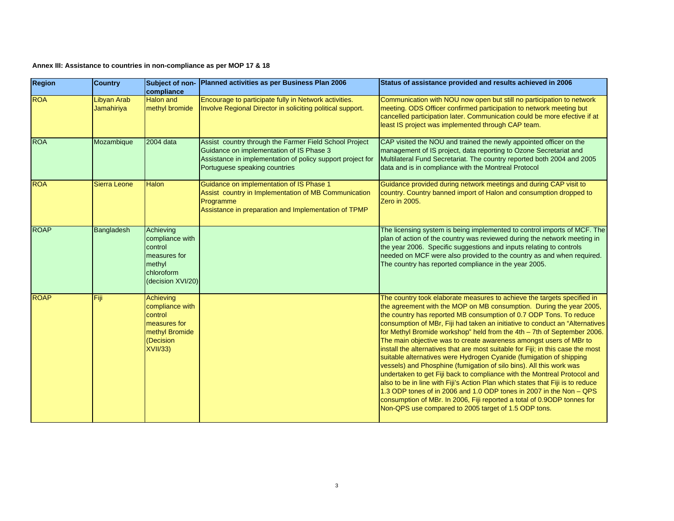| Region      | <b>Country</b>                   | compliance                                                                                                | Subject of non- Planned activities as per Business Plan 2006                                                                                                                                      | Status of assistance provided and results achieved in 2006                                                                                                                                                                                                                                                                                                                                                                                                                                                                                                                                                                                                                                                                                                                                                                                                                                                                                                                                                                                                      |
|-------------|----------------------------------|-----------------------------------------------------------------------------------------------------------|---------------------------------------------------------------------------------------------------------------------------------------------------------------------------------------------------|-----------------------------------------------------------------------------------------------------------------------------------------------------------------------------------------------------------------------------------------------------------------------------------------------------------------------------------------------------------------------------------------------------------------------------------------------------------------------------------------------------------------------------------------------------------------------------------------------------------------------------------------------------------------------------------------------------------------------------------------------------------------------------------------------------------------------------------------------------------------------------------------------------------------------------------------------------------------------------------------------------------------------------------------------------------------|
| <b>ROA</b>  | <b>Libyan Arab</b><br>Jamahiriya | Halon and<br>methyl bromide                                                                               | Encourage to participate fully in Network activities.<br>Involve Regional Director in soliciting political support.                                                                               | Communication with NOU now open but still no participation to network<br>meeting. ODS Officer confirmed participation to network meeting but<br>cancelled participation later. Communication could be more efective if at<br>least IS project was implemented through CAP team.                                                                                                                                                                                                                                                                                                                                                                                                                                                                                                                                                                                                                                                                                                                                                                                 |
| <b>ROA</b>  | Mozambique                       | 2004 data                                                                                                 | Assist country through the Farmer Field School Project<br>Guidance on implementation of IS Phase 3<br>Assistance in implementation of policy support project for<br>Portuguese speaking countries | CAP visited the NOU and trained the newly appointed officer on the<br>management of IS project, data reporting to Ozone Secretariat and<br>Multilateral Fund Secretariat. The country reported both 2004 and 2005<br>data and is in compliance with the Montreal Protocol                                                                                                                                                                                                                                                                                                                                                                                                                                                                                                                                                                                                                                                                                                                                                                                       |
| <b>ROA</b>  | Sierra Leone                     | Halon                                                                                                     | Guidance on implementation of IS Phase 1<br>Assist country in Implementation of MB Communication<br>Programme<br>Assistance in preparation and Implementation of TPMP                             | Guidance provided during network meetings and during CAP visit to<br>country. Country banned import of Halon and consumption dropped to<br>Zero in 2005.                                                                                                                                                                                                                                                                                                                                                                                                                                                                                                                                                                                                                                                                                                                                                                                                                                                                                                        |
| <b>ROAP</b> | Bangladesh                       | Achieving<br>compliance with<br>control<br>measures for<br>methyl<br>chloroform<br>(decision XVI/20)      |                                                                                                                                                                                                   | The licensing system is being implemented to control imports of MCF. The<br>plan of action of the country was reviewed during the network meeting in<br>the year 2006. Specific suggestions and inputs relating to controls<br>needed on MCF were also provided to the country as and when required.<br>The country has reported compliance in the year 2005.                                                                                                                                                                                                                                                                                                                                                                                                                                                                                                                                                                                                                                                                                                   |
| <b>ROAP</b> | Fiji                             | Achieving<br>compliance with<br>control<br>measures for<br>methyl Bromide<br>(Decision<br><b>XVII/33)</b> |                                                                                                                                                                                                   | The country took elaborate measures to achieve the targets specified in<br>the agreement with the MOP on MB consumption. During the year 2005,<br>the country has reported MB consumption of 0.7 ODP Tons. To reduce<br>consumption of MBr, Fiji had taken an initiative to conduct an "Alternatives"<br>for Methyl Bromide workshop" held from the 4th - 7th of September 2006.<br>The main objective was to create awareness amongst users of MBr to<br>install the alternatives that are most suitable for Fiji; in this case the most<br>suitable alternatives were Hydrogen Cyanide (fumigation of shipping<br>vessels) and Phosphine (fumigation of silo bins). All this work was<br>undertaken to get Fiji back to compliance with the Montreal Protocol and<br>also to be in line with Fiji's Action Plan which states that Fiji is to reduce<br>1.3 ODP tones of in 2006 and 1.0 ODP tones in 2007 in the Non - QPS<br>consumption of MBr. In 2006, Fiji reported a total of 0.9ODP tonnes for<br>Non-QPS use compared to 2005 target of 1.5 ODP tons. |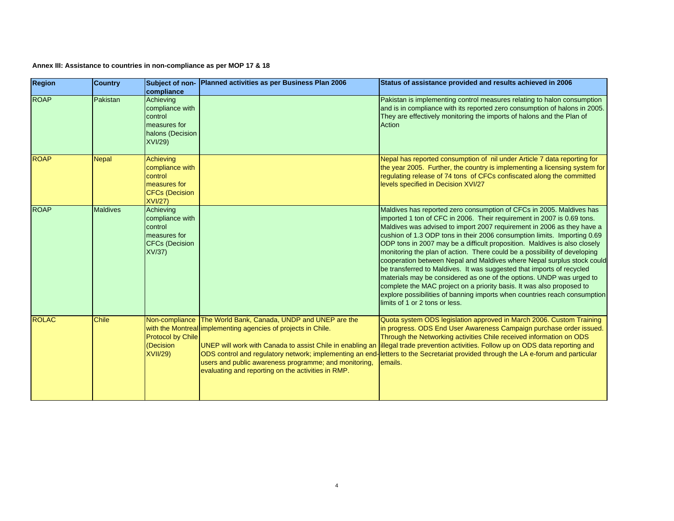| <b>Region</b> | <b>Country</b>  | compliance                                                                                         | Subject of non- Planned activities as per Business Plan 2006                                                                                                                                                                                                                                              | Status of assistance provided and results achieved in 2006                                                                                                                                                                                                                                                                                                                                                                                                                                                                                                                                                                                                                                                                                                                                                                                                                        |
|---------------|-----------------|----------------------------------------------------------------------------------------------------|-----------------------------------------------------------------------------------------------------------------------------------------------------------------------------------------------------------------------------------------------------------------------------------------------------------|-----------------------------------------------------------------------------------------------------------------------------------------------------------------------------------------------------------------------------------------------------------------------------------------------------------------------------------------------------------------------------------------------------------------------------------------------------------------------------------------------------------------------------------------------------------------------------------------------------------------------------------------------------------------------------------------------------------------------------------------------------------------------------------------------------------------------------------------------------------------------------------|
| <b>ROAP</b>   | Pakistan        | Achieving<br>compliance with<br>control<br>measures for<br>halons (Decision<br><b>XVI/29)</b>      |                                                                                                                                                                                                                                                                                                           | Pakistan is implementing control measures relating to halon consumption<br>and is in compliance with its reported zero consumption of halons in 2005.<br>They are effectively monitoring the imports of halons and the Plan of<br>Action                                                                                                                                                                                                                                                                                                                                                                                                                                                                                                                                                                                                                                          |
| <b>ROAP</b>   | <b>Nepal</b>    | Achieving<br>compliance with<br>control<br>measures for<br><b>CFCs (Decision</b><br><b>XVI/27)</b> |                                                                                                                                                                                                                                                                                                           | Nepal has reported consumption of nil under Article 7 data reporting for<br>the year 2005. Further, the country is implementing a licensing system for<br>regulating release of 74 tons of CFCs confiscated along the committed<br>levels specified in Decision XVI/27                                                                                                                                                                                                                                                                                                                                                                                                                                                                                                                                                                                                            |
| <b>ROAP</b>   | <b>Maldives</b> | Achieving<br>compliance with<br>control<br>measures for<br><b>CFCs (Decision</b><br>XV/37          |                                                                                                                                                                                                                                                                                                           | Maldives has reported zero consumption of CFCs in 2005. Maldives has<br>imported 1 ton of CFC in 2006. Their requirement in 2007 is 0.69 tons.<br>Maldives was advised to import 2007 requirement in 2006 as they have a<br>cushion of 1.3 ODP tons in their 2006 consumption limits. Importing 0.69<br>ODP tons in 2007 may be a difficult proposition. Maldives is also closely<br>monitoring the plan of action. There could be a possibility of developing<br>cooperation between Nepal and Maldives where Nepal surplus stock could<br>be transferred to Maldives. It was suggested that imports of recycled<br>materials may be considered as one of the options. UNDP was urged to<br>complete the MAC project on a priority basis. It was also proposed to<br>explore possibilities of banning imports when countries reach consumption<br>limits of 1 or 2 tons or less. |
| <b>ROLAC</b>  | <b>Chile</b>    | <b>Protocol by Chile</b><br>(Decision<br><b>XVII/29)</b>                                           | Non-compliance The World Bank, Canada, UNDP and UNEP are the<br>with the Montreal implementing agencies of projects in Chile.<br>UNEP will work with Canada to assist Chile in enabling an<br>users and public awareness programme; and monitoring,<br>evaluating and reporting on the activities in RMP. | Quota system ODS legislation approved in March 2006. Custom Training<br>in progress. ODS End User Awareness Campaign purchase order issued.<br>Through the Networking activities Chile received information on ODS<br>illegal trade prevention activities. Follow up on ODS data reporting and<br>ODS control and regulatory network; implementing an end-letters to the Secretariat provided through the LA e-forum and particular<br>emails.                                                                                                                                                                                                                                                                                                                                                                                                                                    |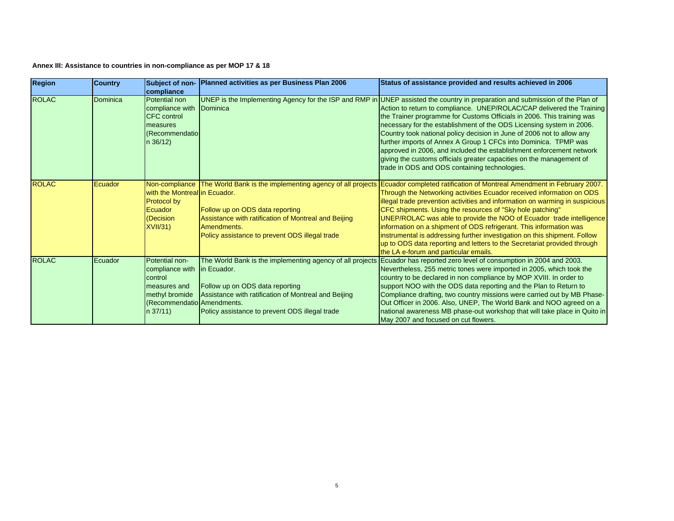| <b>Region</b> | <b>Country</b> | compliance                                                                                                                                           | Subject of non- Planned activities as per Business Plan 2006                                                                                                                                                                         | Status of assistance provided and results achieved in 2006                                                                                                                                                                                                                                                                                                                                                                                                                                                                                                                                                                                                                                             |
|---------------|----------------|------------------------------------------------------------------------------------------------------------------------------------------------------|--------------------------------------------------------------------------------------------------------------------------------------------------------------------------------------------------------------------------------------|--------------------------------------------------------------------------------------------------------------------------------------------------------------------------------------------------------------------------------------------------------------------------------------------------------------------------------------------------------------------------------------------------------------------------------------------------------------------------------------------------------------------------------------------------------------------------------------------------------------------------------------------------------------------------------------------------------|
| <b>ROLAC</b>  | Dominica       | Potential non<br>compliance with Dominica<br><b>CFC</b> control<br>measures<br>(Recommendatio)<br>$n \frac{36}{12}$                                  |                                                                                                                                                                                                                                      | UNEP is the Implementing Agency for the ISP and RMP in UNEP assisted the country in preparation and submission of the Plan of<br>Action to return to compliance. UNEP/ROLAC/CAP delivered the Training<br>the Trainer programme for Customs Officials in 2006. This training was<br>necessary for the establishment of the ODS Licensing system in 2006.<br>Country took national policy decision in June of 2006 not to allow any<br>further imports of Annex A Group 1 CFCs into Dominica. TPMP was<br>approved in 2006, and included the establishment enforcement network<br>giving the customs officials greater capacities on the management of<br>trade in ODS and ODS containing technologies. |
| <b>ROLAC</b>  | Ecuador        | with the Montreal in Ecuador.<br>Protocol by<br>Ecuador<br>(Decision<br>XVII/31                                                                      | Non-compliance The World Bank is the implementing agency of all projects<br>Follow up on ODS data reporting<br>Assistance with ratification of Montreal and Beijing<br>Amendments.<br>Policy assistance to prevent ODS illegal trade | Ecuador completed ratification of Montreal Amendment in February 2007.<br>Through the Networking activities Ecuador received information on ODS<br>illegal trade prevention activities and information on warming in suspicious<br>CFC shipments. Using the resources of "Sky hole patching"<br>UNEP/ROLAC was able to provide the NOO of Ecuador trade intelligence<br>information on a shipment of ODS refrigerant. This information was<br>instrumental is addressing further investigation on this shipment. Follow<br>up to ODS data reporting and letters to the Secretariat provided through<br>the LA e-forum and particular emails.                                                           |
| <b>ROLAC</b>  | Ecuador        | Potential non-<br>compliance with in Ecuador.<br>control<br>Imeasures and<br>methyl bromide<br><b>Recommendatio</b> Amendments.<br>$n \frac{37}{11}$ | The World Bank is the implementing agency of all projects<br>Follow up on ODS data reporting<br>Assistance with ratification of Montreal and Beijing<br>Policy assistance to prevent ODS illegal trade                               | Ecuador has reported zero level of consumption in 2004 and 2003.<br>Nevertheless, 255 metric tones were imported in 2005, which took the<br>country to be declared in non compliance by MOP XVIII. In order to<br>support NOO with the ODS data reporting and the Plan to Return to<br>Compliance drafting, two country missions were carried out by MB Phase-<br>Out Officer in 2006. Also, UNEP, The World Bank and NOO agreed on a<br>national awareness MB phase-out workshop that will take place in Quito in<br>May 2007 and focused on cut flowers.                                                                                                                                             |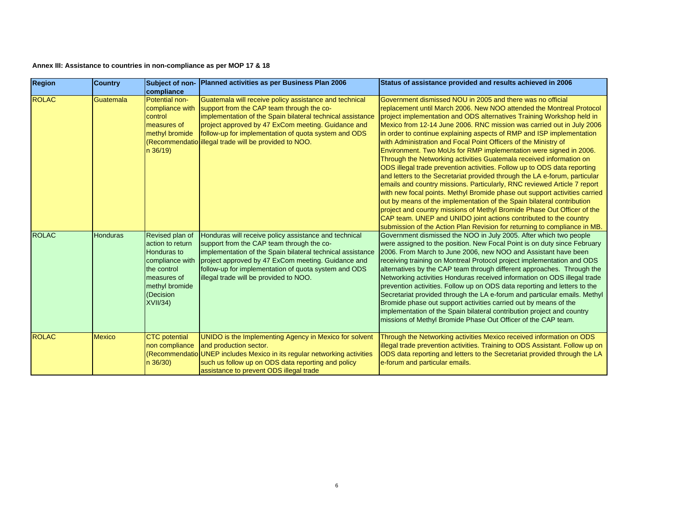| <b>Region</b> | <b>Country</b>  | compliance                                                                                                                                    | Subject of non- Planned activities as per Business Plan 2006                                                                                                                                                                                                                                                                             | Status of assistance provided and results achieved in 2006                                                                                                                                                                                                                                                                                                                                                                                                                                                                                                                                                                                                                                                                                                                                                                                                                                                                                                                                                                                                                                                                                                                                              |
|---------------|-----------------|-----------------------------------------------------------------------------------------------------------------------------------------------|------------------------------------------------------------------------------------------------------------------------------------------------------------------------------------------------------------------------------------------------------------------------------------------------------------------------------------------|---------------------------------------------------------------------------------------------------------------------------------------------------------------------------------------------------------------------------------------------------------------------------------------------------------------------------------------------------------------------------------------------------------------------------------------------------------------------------------------------------------------------------------------------------------------------------------------------------------------------------------------------------------------------------------------------------------------------------------------------------------------------------------------------------------------------------------------------------------------------------------------------------------------------------------------------------------------------------------------------------------------------------------------------------------------------------------------------------------------------------------------------------------------------------------------------------------|
| <b>ROLAC</b>  | Guatemala       | Potential non-<br>compliance with<br>control<br>measures of<br>methyl bromide<br>$n \frac{36}{19}$                                            | Guatemala will receive policy assistance and technical<br>support from the CAP team through the co-<br>implementation of the Spain bilateral technical assistance<br>project approved by 47 ExCom meeting. Guidance and<br>follow-up for implementation of quota system and ODS<br>(Recommendatio illegal trade will be provided to NOO. | Government dismissed NOU in 2005 and there was no official<br>replacement until March 2006. New NOO attended the Montreal Protocol<br>project implementation and ODS alternatives Training Workshop held in<br>Mexico from 12-14 June 2006. RNC mission was carried out in July 2006<br>in order to continue explaining aspects of RMP and ISP implementation<br>with Administration and Focal Point Officers of the Ministry of<br>Environment. Two MoUs for RMP implementation were signed in 2006.<br>Through the Networking activities Guatemala received information on<br>ODS illegal trade prevention activities. Follow up to ODS data reporting<br>and letters to the Secretariat provided through the LA e-forum, particular<br>emails and country missions. Particularly, RNC reviewed Article 7 report<br>with new focal points. Methyl Bromide phase out support activities carried<br>out by means of the implementation of the Spain bilateral contribution<br>project and country missions of Methyl Bromide Phase Out Officer of the<br>CAP team. UNEP and UNIDO joint actions contributed to the country<br>submission of the Action Plan Revision for returning to compliance in MB. |
| <b>ROLAC</b>  | <b>Honduras</b> | Revised plan of<br>action to return<br>Honduras to<br>compliance with<br>the control<br>measures of<br>methyl bromide<br>(Decision<br>XVII/34 | Honduras will receive policy assistance and technical<br>support from the CAP team through the co-<br>implementation of the Spain bilateral technical assistance<br>project approved by 47 ExCom meeting. Guidance and<br>follow-up for implementation of quota system and ODS<br>illegal trade will be provided to NOO.                 | Government dismissed the NOO in July 2005. After which two people<br>were assigned to the position. New Focal Point is on duty since February<br>2006. From March to June 2006, new NOO and Assistant have been<br>receiving training on Montreal Protocol project implementation and ODS<br>alternatives by the CAP team through different approaches. Through the<br>Networking activities Honduras received information on ODS illegal trade<br>prevention activities. Follow up on ODS data reporting and letters to the<br>Secretariat provided through the LA e-forum and particular emails. Methyl<br>Bromide phase out support activities carried out by means of the<br>implementation of the Spain bilateral contribution project and country<br>missions of Methyl Bromide Phase Out Officer of the CAP team.                                                                                                                                                                                                                                                                                                                                                                                |
| <b>ROLAC</b>  | <b>Mexico</b>   | <b>CTC</b> potential<br>non compliance<br>$n \frac{36}{30}$                                                                                   | UNIDO is the Implementing Agency in Mexico for solvent<br>and production sector.<br>(Recommendatio UNEP includes Mexico in its regular networking activities<br>such us follow up on ODS data reporting and policy<br>assistance to prevent ODS illegal trade                                                                            | Through the Networking activities Mexico received information on ODS<br>illegal trade prevention activities. Training to ODS Assistant. Follow up on<br>ODS data reporting and letters to the Secretariat provided through the LA<br>e-forum and particular emails.                                                                                                                                                                                                                                                                                                                                                                                                                                                                                                                                                                                                                                                                                                                                                                                                                                                                                                                                     |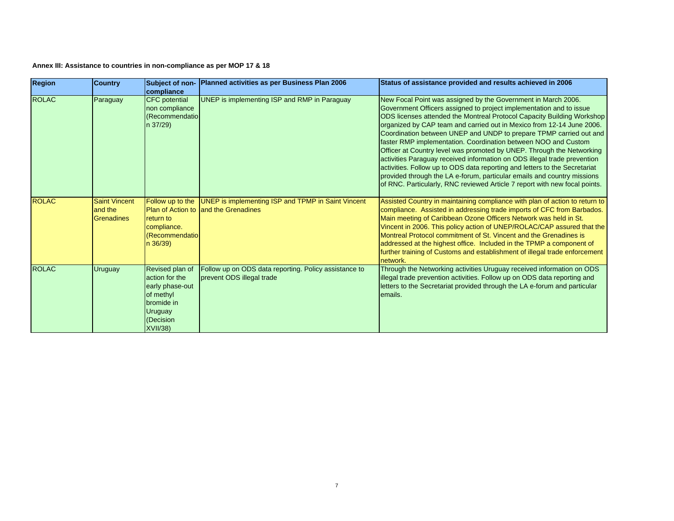| <b>Region</b> | <b>Country</b>                                       | compliance                                                                                                                 | Subject of non- Planned activities as per Business Plan 2006                                                        | Status of assistance provided and results achieved in 2006                                                                                                                                                                                                                                                                                                                                                                                                                                                                                                                                                                                                                                                                                                                                                                  |
|---------------|------------------------------------------------------|----------------------------------------------------------------------------------------------------------------------------|---------------------------------------------------------------------------------------------------------------------|-----------------------------------------------------------------------------------------------------------------------------------------------------------------------------------------------------------------------------------------------------------------------------------------------------------------------------------------------------------------------------------------------------------------------------------------------------------------------------------------------------------------------------------------------------------------------------------------------------------------------------------------------------------------------------------------------------------------------------------------------------------------------------------------------------------------------------|
| <b>ROLAC</b>  | Paraguay                                             | <b>CFC</b> potential<br>non compliance<br>(Recommendatio)<br>n 37/29)                                                      | UNEP is implementing ISP and RMP in Paraguay                                                                        | New Focal Point was assigned by the Government in March 2006.<br>Government Officers assigned to project implementation and to issue<br>ODS licenses attended the Montreal Protocol Capacity Building Workshop<br>organized by CAP team and carried out in Mexico from 12-14 June 2006.<br>Coordination between UNEP and UNDP to prepare TPMP carried out and<br>faster RMP implementation. Coordination between NOO and Custom<br>Officer at Country level was promoted by UNEP. Through the Networking<br>activities Paraguay received information on ODS illegal trade prevention<br>activities. Follow up to ODS data reporting and letters to the Secretariat<br>provided through the LA e-forum, particular emails and country missions<br>of RNC. Particularly, RNC reviewed Article 7 report with new focal points. |
| <b>ROLAC</b>  | <b>Saint Vincent</b><br>and the<br><b>Grenadines</b> | return to<br>compliance.<br>(Recommendatio<br>n 36/39)                                                                     | Follow up to the UNEP is implementing ISP and TPMP in Saint Vincent<br><b>Plan of Action to land the Grenadines</b> | Assisted Country in maintaining compliance with plan of action to return to<br>compliance. Assisted in addressing trade imports of CFC from Barbados.<br>Main meeting of Caribbean Ozone Officers Network was held in St.<br>Vincent in 2006. This policy action of UNEP/ROLAC/CAP assured that the<br>Montreal Protocol commitment of St. Vincent and the Grenadines is<br>addressed at the highest office. Included in the TPMP a component of<br>further training of Customs and establishment of illegal trade enforcement<br>network.                                                                                                                                                                                                                                                                                  |
| <b>ROLAC</b>  | Uruguay                                              | Revised plan of<br>action for the<br>early phase-out<br>of methyl<br>bromide in<br>Uruguay<br>(Decision<br><b>XVII/38)</b> | Follow up on ODS data reporting. Policy assistance to<br>prevent ODS illegal trade                                  | Through the Networking activities Uruguay received information on ODS<br>illegal trade prevention activities. Follow up on ODS data reporting and<br>letters to the Secretariat provided through the LA e-forum and particular<br>emails.                                                                                                                                                                                                                                                                                                                                                                                                                                                                                                                                                                                   |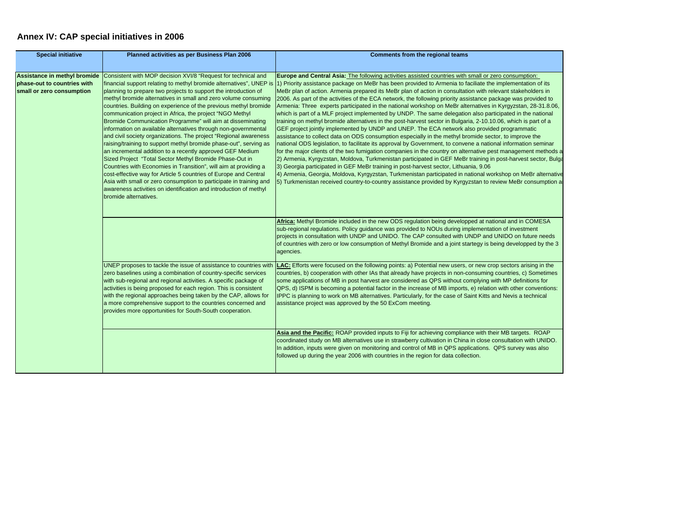## **Annex IV: CAP special initiatives in 2006**

| <b>Special initiative</b>                                | Planned activities as per Business Plan 2006                                                                                                                                                                                                                                                                                                                                                                                                                                                                                                                                                                                                                                                                                                                                                                                                                                                                                                                                                                                                                                 | Comments from the regional teams                                                                                                                                                                                                                                                                                                                                                                                                                                                                                                                                                                                                                                                                                                                                                                                                                                                                                                                                                                                                                                                                                                                                                                                                                                                                                                                                                                                                                                                                                                                                                                                                                                                                                                                         |
|----------------------------------------------------------|------------------------------------------------------------------------------------------------------------------------------------------------------------------------------------------------------------------------------------------------------------------------------------------------------------------------------------------------------------------------------------------------------------------------------------------------------------------------------------------------------------------------------------------------------------------------------------------------------------------------------------------------------------------------------------------------------------------------------------------------------------------------------------------------------------------------------------------------------------------------------------------------------------------------------------------------------------------------------------------------------------------------------------------------------------------------------|----------------------------------------------------------------------------------------------------------------------------------------------------------------------------------------------------------------------------------------------------------------------------------------------------------------------------------------------------------------------------------------------------------------------------------------------------------------------------------------------------------------------------------------------------------------------------------------------------------------------------------------------------------------------------------------------------------------------------------------------------------------------------------------------------------------------------------------------------------------------------------------------------------------------------------------------------------------------------------------------------------------------------------------------------------------------------------------------------------------------------------------------------------------------------------------------------------------------------------------------------------------------------------------------------------------------------------------------------------------------------------------------------------------------------------------------------------------------------------------------------------------------------------------------------------------------------------------------------------------------------------------------------------------------------------------------------------------------------------------------------------|
| phase-out to countries with<br>small or zero consumption | Assistance in methyl bromide Consistent with MOP decision XVI/8 "Request for technical and<br>planning to prepare two projects to support the introduction of<br>methyl bromide alternatives in small and zero volume consuming<br>countries. Building on experience of the previous methyl bromide<br>communication project in Africa, the project "NGO Methyl<br>Bromide Communication Programme" will aim at disseminating<br>information on available alternatives through non-governmental<br>and civil society organizations. The project "Regional awareness<br>raising/training to support methyl bromide phase-out", serving as<br>an incremental addition to a recently approved GEF Medium<br>Sized Project "Total Sector Methyl Bromide Phase-Out in<br>Countries with Economies in Transition", will aim at providing a<br>cost-effective way for Article 5 countries of Europe and Central<br>Asia with small or zero consumption to participate in training and<br>awareness activities on identification and introduction of methyl<br>bromide alternatives. | Europe and Central Asia: The following activities assisted countries with small or zero consumption:<br>financial support relating to methyl bromide alternatives", UNEP is (1) Priority assistance package on MeBr has been provided to Armenia to faciliate the implementation of its<br>MeBr plan of action. Armenia prepared its MeBr plan of action in consultation with relevant stakeholders in<br>2006. As part of the activities of the ECA network, the following priority assistance package was provided to<br>Armenia: Three experts participated in the national workshop on MeBr alternatives in Kyrgyzstan, 28-31.8.06,<br>which is part of a MLF project implemented by UNDP. The same delegation also participated in the national<br>training on methyl bromide alternatives in the post-harvest sector in Bulgaria, 2-10.10.06, which is part of a<br>GEF project jointly implemented by UNDP and UNEP. The ECA network also provided programmatic<br>assistance to collect data on ODS consumption especially in the methyl bromide sector, to improve the<br>national ODS legislation, to facilitate its approval by Government, to convene a national information seminar<br>for the major clients of the two fumigation companies in the country on alternative pest management methods a<br>2) Armenia, Kyrgyzstan, Moldova, Turkmenistan participated in GEF MeBr training in post-harvest sector, Bulga<br>3) Georgia participated in GEF MeBr training in post-harvest sector, Lithuania, 9.06<br>4) Armenia, Georgia, Moldova, Kyrgyzstan, Turkmenistan participated in national workshop on MeBr alternative<br>5) Turkmenistan received country-to-country assistance provided by Kyrgyzstan to review MeBr consumption a |
|                                                          |                                                                                                                                                                                                                                                                                                                                                                                                                                                                                                                                                                                                                                                                                                                                                                                                                                                                                                                                                                                                                                                                              | Africa: Methyl Bromide included in the new ODS regulation being developped at national and in COMESA<br>sub-regional regulations. Policy guidance was provided to NOUs during implementation of investment<br>projects in consultation with UNDP and UNIDO. The CAP consulted with UNDP and UNIDO on future needs<br>of countries with zero or low consumption of Methyl Bromide and a joint startegy is being developped by the 3<br>agencies.                                                                                                                                                                                                                                                                                                                                                                                                                                                                                                                                                                                                                                                                                                                                                                                                                                                                                                                                                                                                                                                                                                                                                                                                                                                                                                          |
|                                                          | UNEP proposes to tackle the issue of assistance to countries with<br>zero baselines using a combination of country-specific services<br>with sub-regional and regional activities. A specific package of<br>activities is being proposed for each region. This is consistent<br>with the regional approaches being taken by the CAP, allows for<br>a more comprehensive support to the countries concerned and<br>provides more opportunities for South-South cooperation.                                                                                                                                                                                                                                                                                                                                                                                                                                                                                                                                                                                                   | LAC: Efforts were focused on the following points: a) Potential new users, or new crop sectors arising in the<br>countries, b) cooperation with other IAs that already have projects in non-consuming countries, c) Sometimes<br>some applications of MB in post harvest are considered as QPS without complying with MP definitions for<br>QPS, d) ISPM is becoming a potential factor in the increase of MB imports, e) relation with other conventions:<br>IPPC is planning to work on MB alternatives. Particularly, for the case of Saint Kitts and Nevis a technical<br>assistance project was approved by the 50 ExCom meeting.                                                                                                                                                                                                                                                                                                                                                                                                                                                                                                                                                                                                                                                                                                                                                                                                                                                                                                                                                                                                                                                                                                                   |
|                                                          |                                                                                                                                                                                                                                                                                                                                                                                                                                                                                                                                                                                                                                                                                                                                                                                                                                                                                                                                                                                                                                                                              | Asia and the Pacific: ROAP provided inputs to Fiji for achieving compliance with their MB targets. ROAP<br>coordinated study on MB alternatives use in strawberry cultivation in China in close consultation with UNIDO.<br>In addition, inputs were given on monitoring and control of MB in QPS applications. QPS survey was also<br>followed up during the year 2006 with countries in the region for data collection.                                                                                                                                                                                                                                                                                                                                                                                                                                                                                                                                                                                                                                                                                                                                                                                                                                                                                                                                                                                                                                                                                                                                                                                                                                                                                                                                |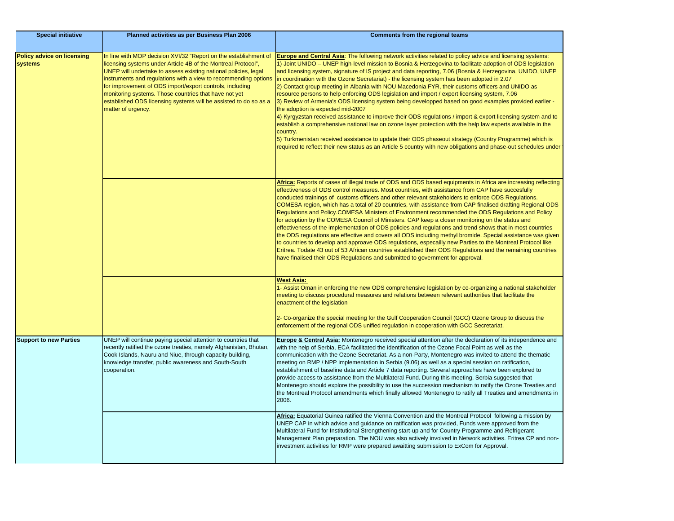| <b>Special initiative</b>                    | Planned activities as per Business Plan 2006                                                                                                                                                                                                                                                                                                                                                                                                                                           | <b>Comments from the regional teams</b>                                                                                                                                                                                                                                                                                                                                                                                                                                                                                                                                                                                                                                                                                                                                                                                                                                                                                                                                                                                                                                                                                                                                                                                                                        |
|----------------------------------------------|----------------------------------------------------------------------------------------------------------------------------------------------------------------------------------------------------------------------------------------------------------------------------------------------------------------------------------------------------------------------------------------------------------------------------------------------------------------------------------------|----------------------------------------------------------------------------------------------------------------------------------------------------------------------------------------------------------------------------------------------------------------------------------------------------------------------------------------------------------------------------------------------------------------------------------------------------------------------------------------------------------------------------------------------------------------------------------------------------------------------------------------------------------------------------------------------------------------------------------------------------------------------------------------------------------------------------------------------------------------------------------------------------------------------------------------------------------------------------------------------------------------------------------------------------------------------------------------------------------------------------------------------------------------------------------------------------------------------------------------------------------------|
|                                              |                                                                                                                                                                                                                                                                                                                                                                                                                                                                                        |                                                                                                                                                                                                                                                                                                                                                                                                                                                                                                                                                                                                                                                                                                                                                                                                                                                                                                                                                                                                                                                                                                                                                                                                                                                                |
| <b>Policy advice on licensing</b><br>systems | In line with MOP decision XVI/32 "Report on the establishment of<br>licensing systems under Article 4B of the Montreal Protocol",<br>UNEP will undertake to assess existing national policies, legal<br>instruments and regulations with a view to recommending options<br>for improvement of ODS import/export controls, including<br>monitoring systems. Those countries that have not yet<br>established ODS licensing systems will be assisted to do so as a<br>matter of urgency. | Europe and Central Asia: The following network activities related to policy advice and licensing systems:<br>1) Joint UNIDO – UNEP high-level mission to Bosnia & Herzegovina to facilitate adoption of ODS legislation<br>and licensing system, signature of IS project and data reporting, 7.06 (Bosnia & Herzegovina, UNIDO, UNEP<br>in coordination with the Ozone Secretariat) - the licensing system has been adopted in 2.07<br>2) Contact group meeting in Albania with NOU Macedonia FYR, their customs officers and UNIDO as<br>resource persons to help enforcing ODS legislation and import / export licensing system, 7.06<br>3) Review of Armenia's ODS licensing system being developped based on good examples provided earlier -<br>the adoption is expected mid-2007<br>4) Kyrgyzstan received assistance to improve their ODS regulations / import & export licensing system and to<br>establish a comprehensive national law on ozone layer protection with the help law experts available in the<br>country.<br>5) Turkmenistan received assistance to update their ODS phaseout strategy (Country Programme) which is<br>required to reflect their new status as an Article 5 country with new obligations and phase-out schedules under |
|                                              |                                                                                                                                                                                                                                                                                                                                                                                                                                                                                        | Africa: Reports of cases of illegal trade of ODS and ODS based equipments in Africa are increasing reflecting<br>effectiveness of ODS control measures. Most countries, with assistance from CAP have succesfully<br>conducted trainings of customs officers and other relevant stakeholders to enforce ODS Regulations.<br>COMESA region, which has a total of 20 countries, with assistance from CAP finalised drafting Regional ODS<br>Regulations and Policy.COMESA Ministers of Environment recommended the ODS Regulations and Policy<br>for adoption by the COMESA Council of Ministers. CAP keep a closer monitoring on the status and<br>effectiveness of the implementation of ODS policies and regulations and trend shows that in most countries<br>the ODS regulations are effective and covers all ODS including methyl bromide. Special assistance was given<br>to countries to develop and approave ODS regulations, especailly new Parties to the Montreal Protocol like<br>Eritrea. Todate 43 out of 53 African countries established their ODS Regulations and the remaining countries<br>have finalised their ODS Regulations and submitted to government for approval.                                                                    |
|                                              |                                                                                                                                                                                                                                                                                                                                                                                                                                                                                        | <b>West Asia:</b><br>1- Assist Oman in enforcing the new ODS comprehensive legislation by co-organizing a national stakeholder<br>meeting to discuss procedural measures and relations between relevant authorities that facilitate the<br>enactment of the legislation<br>2- Co-organize the special meeting for the Gulf Cooperation Council (GCC) Ozone Group to discuss the<br>enforcement of the regional ODS unified regulation in cooperation with GCC Secretariat.                                                                                                                                                                                                                                                                                                                                                                                                                                                                                                                                                                                                                                                                                                                                                                                     |
| <b>Support to new Parties</b>                | UNEP will continue paying special attention to countries that<br>recently ratified the ozone treaties, namely Afghanistan, Bhutan,<br>Cook Islands, Nauru and Niue, through capacity building,<br>knowledge transfer, public awareness and South-South<br>cooperation.                                                                                                                                                                                                                 | Europe & Central Asia: Montenegro received special attention after the declaration of its independence and<br>with the help of Serbia, ECA facilitated the identification of the Ozone Focal Point as well as the<br>communication with the Ozone Secretariat. As a non-Party, Montenegro was invited to attend the thematic<br>meeting on RMP / NPP implementation in Serbia (9.06) as well as a special session on ratification,<br>establishment of baseline data and Article 7 data reporting. Several approaches have been explored to<br>provide access to assistance from the Multilateral Fund. During this meeting, Serbia suggested that<br>Montenegro should explore the possibility to use the succession mechanism to ratify the Ozone Treaties and<br>the Montreal Protocol amendments which finally allowed Montenegro to ratify all Treaties and amendments in<br>2006.                                                                                                                                                                                                                                                                                                                                                                        |
|                                              |                                                                                                                                                                                                                                                                                                                                                                                                                                                                                        | Africa: Equatorial Guinea ratified the Vienna Convention and the Montreal Protocol following a mission by<br>UNEP CAP in which advice and guidance on ratification was provided, Funds were approved from the<br>Multilateral Fund for Institutional Strengthening start-up and for Country Programme and Refrigerant<br>Management Plan preparation. The NOU was also actively involved in Network activities. Eritrea CP and non-<br>investment activities for RMP were prepared awaitting submission to ExCom for Approval.                                                                                                                                                                                                                                                                                                                                                                                                                                                                                                                                                                                                                                                                                                                                 |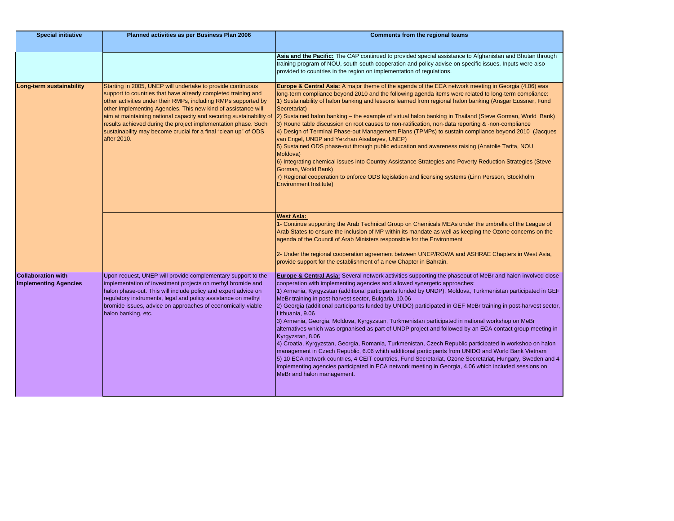| <b>Special initiative</b>                                 | Planned activities as per Business Plan 2006                                                                                                                                                                                                                                                                                                                                                                                                                                               | <b>Comments from the regional teams</b>                                                                                                                                                                                                                                                                                                                                                                                                                                                                                                                                                                                                                                                                                                                                                                                                                                                                                                                                                                                                                                                                                                                                                                        |
|-----------------------------------------------------------|--------------------------------------------------------------------------------------------------------------------------------------------------------------------------------------------------------------------------------------------------------------------------------------------------------------------------------------------------------------------------------------------------------------------------------------------------------------------------------------------|----------------------------------------------------------------------------------------------------------------------------------------------------------------------------------------------------------------------------------------------------------------------------------------------------------------------------------------------------------------------------------------------------------------------------------------------------------------------------------------------------------------------------------------------------------------------------------------------------------------------------------------------------------------------------------------------------------------------------------------------------------------------------------------------------------------------------------------------------------------------------------------------------------------------------------------------------------------------------------------------------------------------------------------------------------------------------------------------------------------------------------------------------------------------------------------------------------------|
|                                                           |                                                                                                                                                                                                                                                                                                                                                                                                                                                                                            |                                                                                                                                                                                                                                                                                                                                                                                                                                                                                                                                                                                                                                                                                                                                                                                                                                                                                                                                                                                                                                                                                                                                                                                                                |
|                                                           |                                                                                                                                                                                                                                                                                                                                                                                                                                                                                            | Asia and the Pacific: The CAP continued to provided special assistance to Afghanistan and Bhutan through<br>training program of NOU, south-south cooperation and policy advise on specific issues. Inputs were also<br>provided to countries in the region on implementation of regulations.                                                                                                                                                                                                                                                                                                                                                                                                                                                                                                                                                                                                                                                                                                                                                                                                                                                                                                                   |
| Long-term sustainability                                  | Starting in 2005, UNEP will undertake to provide continuous<br>support to countries that have already completed training and<br>other activities under their RMPs, including RMPs supported by<br>other Implementing Agencies. This new kind of assistance will<br>aim at maintaining national capacity and securing sustainability of<br>results achieved during the project implementation phase. Such<br>sustainability may become crucial for a final "clean up" of ODS<br>after 2010. | Europe & Central Asia: A major theme of the agenda of the ECA network meeting in Georgia (4.06) was<br>long-term compliance beyond 2010 and the following agenda items were related to long-term compliance:<br>1) Sustainability of halon banking and lessons learned from regional halon banking (Ansgar Eussner, Fund<br>Secretariat)<br>[2] Sustained halon banking – the example of virtual halon banking in Thailand (Steve Gorman, World Bank)<br>3) Round table discussion on root causes to non-ratification, non-data reporting & -non-compliance<br>4) Design of Terminal Phase-out Management Plans (TPMPs) to sustain compliance beyond 2010 (Jacques<br>van Engel, UNDP and Yerzhan Aisabayev, UNEP)<br>5) Sustained ODS phase-out through public education and awareness raising (Anatolie Tarita, NOU<br>Moldova)<br>6) Integrating chemical issues into Country Assistance Strategies and Poverty Reduction Strategies (Steve<br>Gorman, World Bank)<br>7) Regional cooperation to enforce ODS legislation and licensing systems (Linn Persson, Stockholm<br><b>Environment Institute)</b>                                                                                                    |
|                                                           |                                                                                                                                                                                                                                                                                                                                                                                                                                                                                            | West Asia:<br>1- Continue supporting the Arab Technical Group on Chemicals MEAs under the umbrella of the League of<br>Arab States to ensure the inclusion of MP within its mandate as well as keeping the Ozone concerns on the<br>agenda of the Council of Arab Ministers responsible for the Environment<br>2- Under the regional cooperation agreement between UNEP/ROWA and ASHRAE Chapters in West Asia,<br>provide support for the establishment of a new Chapter in Bahrain.                                                                                                                                                                                                                                                                                                                                                                                                                                                                                                                                                                                                                                                                                                                           |
| <b>Collaboration with</b><br><b>Implementing Agencies</b> | Upon request, UNEP will provide complementary support to the<br>implementation of investment projects on methyl bromide and<br>halon phase-out. This will include policy and expert advice on<br>regulatory instruments, legal and policy assistance on methyl<br>bromide issues, advice on approaches of economically-viable<br>halon banking, etc.                                                                                                                                       | Europe & Central Asia: Several network activities supporting the phaseout of MeBr and halon involved close<br>cooperation with implementing agencies and allowed synergetic approaches:<br>1) Armenia, Kyrgyzstan (additional participants funded by UNDP), Moldova, Turkmenistan participated in GEF<br>MeBr training in post-harvest sector, Bulgaria, 10.06<br>2) Georgia (additional participants funded by UNIDO) participated in GEF MeBr training in post-harvest sector,<br>Lithuania, 9.06<br>3) Armenia, Georgia, Moldova, Kyrgyzstan, Turkmenistan participated in national workshop on MeBr<br>alternatives which was orgnanised as part of UNDP project and followed by an ECA contact group meeting in<br>Kyrgyzstan, 8.06<br>4) Croatia, Kyrgyzstan, Georgia, Romania, Turkmenistan, Czech Republic participated in workshop on halon<br>management in Czech Republic, 6.06 whith additional participants from UNIDO and World Bank Vietnam<br>5) 10 ECA network countries, 4 CEIT countries, Fund Secretariat, Ozone Secretariat, Hungary, Sweden and 4<br>implementing agencies participated in ECA network meeting in Georgia, 4.06 which included sessions on<br>MeBr and halon management. |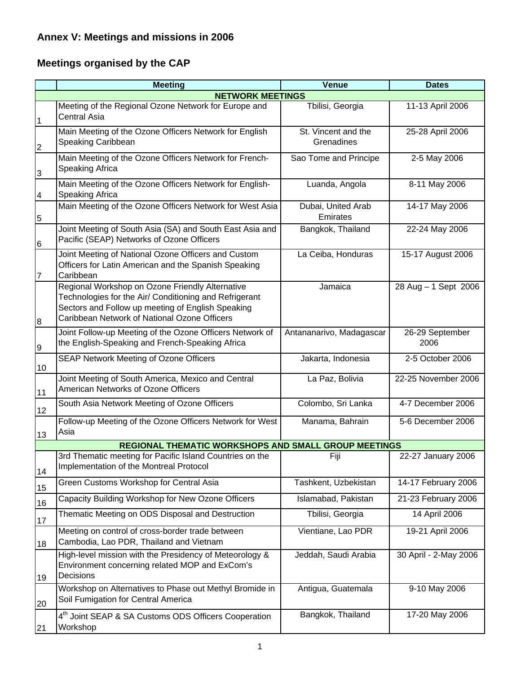# **Annex V: Meetings and missions in 2006**

# **Meetings organised by the CAP**

|                 | <b>Meeting</b>                                                                                                                                                                                                 | <b>Venue</b>                      | <b>Dates</b>            |  |  |  |  |  |  |  |  |
|-----------------|----------------------------------------------------------------------------------------------------------------------------------------------------------------------------------------------------------------|-----------------------------------|-------------------------|--|--|--|--|--|--|--|--|
|                 | <b>NETWORK MEETINGS</b>                                                                                                                                                                                        |                                   |                         |  |  |  |  |  |  |  |  |
| 1               | Meeting of the Regional Ozone Network for Europe and<br><b>Central Asia</b>                                                                                                                                    | Tbilisi, Georgia                  | 11-13 April 2006        |  |  |  |  |  |  |  |  |
| $\overline{c}$  | Main Meeting of the Ozone Officers Network for English<br>Speaking Caribbean                                                                                                                                   | St. Vincent and the<br>Grenadines | 25-28 April 2006        |  |  |  |  |  |  |  |  |
| $\overline{3}$  | Main Meeting of the Ozone Officers Network for French-<br>Speaking Africa                                                                                                                                      | Sao Tome and Principe             | 2-5 May 2006            |  |  |  |  |  |  |  |  |
| $\overline{4}$  | Main Meeting of the Ozone Officers Network for English-<br>Speaking Africa                                                                                                                                     | Luanda, Angola                    | 8-11 May 2006           |  |  |  |  |  |  |  |  |
| 5               | Main Meeting of the Ozone Officers Network for West Asia                                                                                                                                                       | Dubai, United Arab<br>Emirates    | 14-17 May 2006          |  |  |  |  |  |  |  |  |
| $6\phantom{.}6$ | Joint Meeting of South Asia (SA) and South East Asia and<br>Pacific (SEAP) Networks of Ozone Officers                                                                                                          | Bangkok, Thailand                 | 22-24 May 2006          |  |  |  |  |  |  |  |  |
| 7               | Joint Meeting of National Ozone Officers and Custom<br>Officers for Latin American and the Spanish Speaking<br>Caribbean                                                                                       | La Ceiba, Honduras                | 15-17 August 2006       |  |  |  |  |  |  |  |  |
| 8               | Regional Workshop on Ozone Friendly Alternative<br>Technologies for the Air/ Conditioning and Refrigerant<br>Sectors and Follow up meeting of English Speaking<br>Caribbean Network of National Ozone Officers | Jamaica                           | 28 Aug - 1 Sept 2006    |  |  |  |  |  |  |  |  |
| 9               | Joint Follow-up Meeting of the Ozone Officers Network of<br>the English-Speaking and French-Speaking Africa                                                                                                    | Antananarivo, Madagascar          | 26-29 September<br>2006 |  |  |  |  |  |  |  |  |
| 10              | SEAP Network Meeting of Ozone Officers                                                                                                                                                                         | Jakarta, Indonesia                | 2-5 October 2006        |  |  |  |  |  |  |  |  |
| 11              | Joint Meeting of South America, Mexico and Central<br>American Networks of Ozone Officers                                                                                                                      | La Paz, Bolivia                   | 22-25 November 2006     |  |  |  |  |  |  |  |  |
| 12              | South Asia Network Meeting of Ozone Officers                                                                                                                                                                   | Colombo, Sri Lanka                | 4-7 December 2006       |  |  |  |  |  |  |  |  |
| 13              | Follow-up Meeting of the Ozone Officers Network for West<br>Asia                                                                                                                                               | Manama, Bahrain                   | 5-6 December 2006       |  |  |  |  |  |  |  |  |
|                 | REGIONAL THEMATIC WORKSHOPS AND SMALL GROUP MEETINGS                                                                                                                                                           |                                   |                         |  |  |  |  |  |  |  |  |
| 14              | 3rd Thematic meeting for Pacific Island Countries on the<br>Implementation of the Montreal Protocol                                                                                                            | Fiji                              | 22-27 January 2006      |  |  |  |  |  |  |  |  |
| 15              | Green Customs Workshop for Central Asia                                                                                                                                                                        | Tashkent, Uzbekistan              | 14-17 February 2006     |  |  |  |  |  |  |  |  |
| 16              | Capacity Building Workshop for New Ozone Officers                                                                                                                                                              | Islamabad, Pakistan               | 21-23 February 2006     |  |  |  |  |  |  |  |  |
| 17              | Thematic Meeting on ODS Disposal and Destruction                                                                                                                                                               | Tbilisi, Georgia                  | 14 April 2006           |  |  |  |  |  |  |  |  |
| 18              | Meeting on control of cross-border trade between<br>Cambodia, Lao PDR, Thailand and Vietnam                                                                                                                    | Vientiane, Lao PDR                | 19-21 April 2006        |  |  |  |  |  |  |  |  |
| 19              | High-level mission with the Presidency of Meteorology &<br>Environment concerning related MOP and ExCom's<br>Decisions                                                                                         | Jeddah, Saudi Arabia              | 30 April - 2-May 2006   |  |  |  |  |  |  |  |  |
| 20              | Workshop on Alternatives to Phase out Methyl Bromide in<br>Soil Fumigation for Central America                                                                                                                 | Antigua, Guatemala                | 9-10 May 2006           |  |  |  |  |  |  |  |  |
| 21              | 4 <sup>th</sup> Joint SEAP & SA Customs ODS Officers Cooperation<br>Workshop                                                                                                                                   | Bangkok, Thailand                 | 17-20 May 2006          |  |  |  |  |  |  |  |  |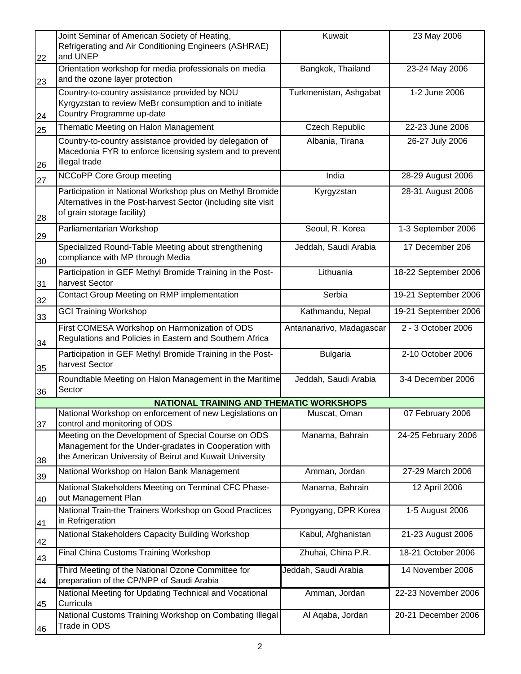|          | Joint Seminar of American Society of Heating,<br>Refrigerating and Air Conditioning Engineers (ASHRAE)                                                                  | Kuwait                   | 23 May 2006          |
|----------|-------------------------------------------------------------------------------------------------------------------------------------------------------------------------|--------------------------|----------------------|
| 22       | and UNEP<br>Orientation workshop for media professionals on media<br>and the ozone layer protection                                                                     | Bangkok, Thailand        | 23-24 May 2006       |
| 23<br>24 | Country-to-country assistance provided by NOU<br>Kyrgyzstan to review MeBr consumption and to initiate<br>Country Programme up-date                                     | Turkmenistan, Ashgabat   | 1-2 June 2006        |
| 25       | Thematic Meeting on Halon Management                                                                                                                                    | <b>Czech Republic</b>    | 22-23 June 2006      |
| 26       | Country-to-country assistance provided by delegation of<br>Macedonia FYR to enforce licensing system and to prevent<br>illegal trade                                    | Albania, Tirana          | 26-27 July 2006      |
| 27       | <b>NCCoPP Core Group meeting</b>                                                                                                                                        | India                    | 28-29 August 2006    |
| 28       | Participation in National Workshop plus on Methyl Bromide<br>Alternatives in the Post-harvest Sector (including site visit<br>of grain storage facility)                | Kyrgyzstan               | 28-31 August 2006    |
| 29       | Parliamentarian Workshop                                                                                                                                                | Seoul, R. Korea          | 1-3 September 2006   |
| 30       | Specialized Round-Table Meeting about strengthening<br>compliance with MP through Media                                                                                 | Jeddah, Saudi Arabia     | 17 December 206      |
| 31       | Participation in GEF Methyl Bromide Training in the Post-<br>harvest Sector                                                                                             | Lithuania                | 18-22 September 2006 |
| 32       | Contact Group Meeting on RMP implementation                                                                                                                             | Serbia                   | 19-21 September 2006 |
| 33       | <b>GCI Training Workshop</b>                                                                                                                                            | Kathmandu, Nepal         | 19-21 September 2006 |
| 34       | First COMESA Workshop on Harmonization of ODS<br>Regulations and Policies in Eastern and Southern Africa                                                                | Antananarivo, Madagascar | 2 - 3 October 2006   |
| 35       | Participation in GEF Methyl Bromide Training in the Post-<br>harvest Sector                                                                                             | <b>Bulgaria</b>          | 2-10 October 2006    |
| 36       | Roundtable Meeting on Halon Management in the Maritime<br>Sector                                                                                                        | Jeddah, Saudi Arabia     | 3-4 December 2006    |
|          | NATIONAL TRAINING AND THEMATIC WORKSHOPS                                                                                                                                |                          |                      |
| 37       | National Workshop on enforcement of new Legislations on<br>control and monitoring of ODS                                                                                | Muscat, Oman             | 07 February 2006     |
| 38       | Meeting on the Development of Special Course on ODS<br>Management for the Under-gradates in Cooperation with<br>the American University of Beirut and Kuwait University | Manama, Bahrain          | 24-25 February 2006  |
| 39       | National Workshop on Halon Bank Management                                                                                                                              | Amman, Jordan            | 27-29 March 2006     |
| 40       | National Stakeholders Meeting on Terminal CFC Phase-<br>out Management Plan                                                                                             | Manama, Bahrain          | 12 April 2006        |
| 41       | National Train-the Trainers Workshop on Good Practices<br>in Refrigeration                                                                                              | Pyongyang, DPR Korea     | 1-5 August 2006      |
| 42       | National Stakeholders Capacity Building Workshop                                                                                                                        | Kabul, Afghanistan       | 21-23 August 2006    |
| 43       | Final China Customs Training Workshop                                                                                                                                   | Zhuhai, China P.R.       | 18-21 October 2006   |
| 44       | Third Meeting of the National Ozone Committee for<br>preparation of the CP/NPP of Saudi Arabia                                                                          | Jeddah, Saudi Arabia     | 14 November 2006     |
| 45       | National Meeting for Updating Technical and Vocational<br>Curricula                                                                                                     | Amman, Jordan            | 22-23 November 2006  |
| 46       | National Customs Training Workshop on Combating Illegal<br>Trade in ODS                                                                                                 | Al Aqaba, Jordan         | 20-21 December 2006  |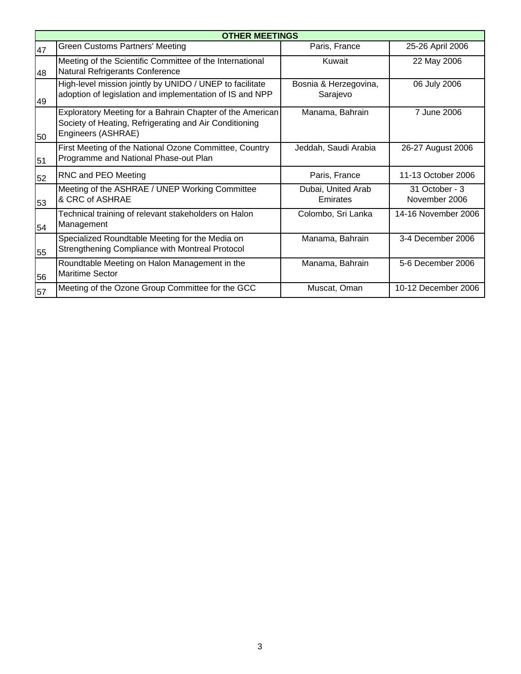|    | <b>OTHER MEETINGS</b>                                                                                                                     |                                   |                                 |  |  |  |  |  |  |
|----|-------------------------------------------------------------------------------------------------------------------------------------------|-----------------------------------|---------------------------------|--|--|--|--|--|--|
| 47 | <b>Green Customs Partners' Meeting</b>                                                                                                    | Paris, France                     | 25-26 April 2006                |  |  |  |  |  |  |
| 48 | Meeting of the Scientific Committee of the International<br>Natural Refrigerants Conference                                               | Kuwait                            | 22 May 2006                     |  |  |  |  |  |  |
| 49 | High-level mission jointly by UNIDO / UNEP to facilitate<br>adoption of legislation and implementation of IS and NPP                      | Bosnia & Herzegovina,<br>Sarajevo | 06 July 2006                    |  |  |  |  |  |  |
| 50 | Exploratory Meeting for a Bahrain Chapter of the American<br>Society of Heating, Refrigerating and Air Conditioning<br>Engineers (ASHRAE) | Manama, Bahrain                   | 7 June 2006                     |  |  |  |  |  |  |
| 51 | First Meeting of the National Ozone Committee, Country<br>Programme and National Phase-out Plan                                           | Jeddah, Saudi Arabia              | 26-27 August 2006               |  |  |  |  |  |  |
| 52 | RNC and PEO Meeting                                                                                                                       | Paris, France                     | 11-13 October 2006              |  |  |  |  |  |  |
| 53 | Meeting of the ASHRAE / UNEP Working Committee<br>& CRC of ASHRAE                                                                         | Dubai, United Arab<br>Emirates    | 31 October - 3<br>November 2006 |  |  |  |  |  |  |
| 54 | Technical training of relevant stakeholders on Halon<br>Management                                                                        | Colombo, Sri Lanka                | 14-16 November 2006             |  |  |  |  |  |  |
| 55 | Specialized Roundtable Meeting for the Media on<br>Strengthening Compliance with Montreal Protocol                                        | Manama, Bahrain                   | 3-4 December 2006               |  |  |  |  |  |  |
| 56 | Roundtable Meeting on Halon Management in the<br><b>Maritime Sector</b>                                                                   | Manama, Bahrain                   | 5-6 December 2006               |  |  |  |  |  |  |
| 57 | Meeting of the Ozone Group Committee for the GCC                                                                                          | Muscat, Oman                      | 10-12 December 2006             |  |  |  |  |  |  |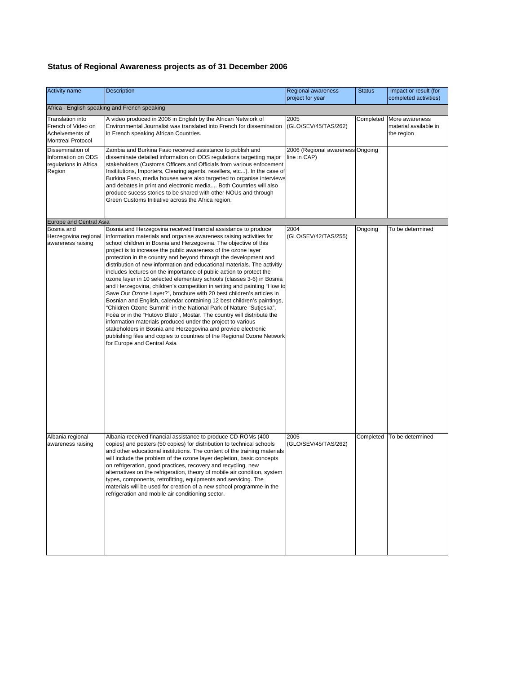### **Status of Regional Awareness projects as of 31 December 2006**

| <b>Activity name</b>                                                                  | <b>Description</b>                                                                                                                                                                                                                                                                                                                                                                                                                                                                                                                                                                                                                                                                                                                                                                                                                                                                                                                                                                                                                                                                                                                                                                                 | <b>Regional awareness</b><br>project for year    | <b>Status</b> | Impact or result (for<br>completed activities)        |  |  |  |  |
|---------------------------------------------------------------------------------------|----------------------------------------------------------------------------------------------------------------------------------------------------------------------------------------------------------------------------------------------------------------------------------------------------------------------------------------------------------------------------------------------------------------------------------------------------------------------------------------------------------------------------------------------------------------------------------------------------------------------------------------------------------------------------------------------------------------------------------------------------------------------------------------------------------------------------------------------------------------------------------------------------------------------------------------------------------------------------------------------------------------------------------------------------------------------------------------------------------------------------------------------------------------------------------------------------|--------------------------------------------------|---------------|-------------------------------------------------------|--|--|--|--|
| Africa - English speaking and French speaking                                         |                                                                                                                                                                                                                                                                                                                                                                                                                                                                                                                                                                                                                                                                                                                                                                                                                                                                                                                                                                                                                                                                                                                                                                                                    |                                                  |               |                                                       |  |  |  |  |
| Translation into<br>French of Video on<br>Acheivements of<br><b>Montreal Protocol</b> | A video produced in 2006 in English by the African Netwiork of<br>Environmental Journalist was translated into French for dissemination<br>in French speaking African Countries.                                                                                                                                                                                                                                                                                                                                                                                                                                                                                                                                                                                                                                                                                                                                                                                                                                                                                                                                                                                                                   | 2005<br>(GLO/SEV/45/TAS/262)                     | Completed     | More awareness<br>material available in<br>the region |  |  |  |  |
| Dissemination of<br>Information on ODS<br>regulations in Africa<br>Region             | Zambia and Burkina Faso received assistance to publish and<br>disseminate detailed information on ODS regulations targetting major<br>stakeholders (Customs Officers and Officials from various enfocement<br>Insititutions, Importers, Clearing agents, resellers, etc). In the case of<br>Burkina Faso, media houses were also targetted to organise interviews<br>and debates in print and electronic media Both Countries will also<br>produce sucess stories to be shared with other NOUs and through<br>Green Customs Initiative across the Africa region.                                                                                                                                                                                                                                                                                                                                                                                                                                                                                                                                                                                                                                   | 2006 (Regional awareness Ongoing<br>line in CAP) |               |                                                       |  |  |  |  |
| <b>Europe and Central Asia</b>                                                        |                                                                                                                                                                                                                                                                                                                                                                                                                                                                                                                                                                                                                                                                                                                                                                                                                                                                                                                                                                                                                                                                                                                                                                                                    |                                                  |               |                                                       |  |  |  |  |
| Bosnia and<br>Herzegovina regional<br>awareness raising                               | Bosnia and Herzegovina received financial assistance to produce<br>information materials and organise awareness raising activities for<br>school children in Bosnia and Herzegovina. The objective of this<br>project is to increase the public awareness of the ozone layer<br>protection in the country and beyond through the development and<br>distribution of new information and educational materials. The activitiy<br>includes lectures on the importance of public action to protect the<br>ozone layer in 10 selected elementary schools (classes 3-6) in Bosnia<br>and Herzegovina, children's competition in writing and painting "How to<br>Save Our Ozone Layer?", brochure with 20 best children's articles in<br>Bosnian and English, calendar containing 12 best children's paintings,<br>'Children Ozone Summit" in the National Park of Nature "Sutjeska",<br>Foèa or in the "Hutovo Blato", Mostar. The country will distribute the<br>information materials produced under the project to various<br>stakeholders in Bosnia and Herzegovina and provide electronic<br>publishing files and copies to countries of the Regional Ozone Network<br>for Europe and Central Asia | 2004<br>(GLO/SEV/42/TAS/255)                     | Ongoing       | To be determined                                      |  |  |  |  |
| Albania regional<br>awareness raising                                                 | Albania received financial assistance to produce CD-ROMs (400<br>copies) and posters (50 copies) for distribution to technical schools<br>and other educational institutions. The content of the training materials<br>will include the problem of the ozone layer depletion, basic concepts<br>on refrigeration, good practices, recovery and recycling, new<br>alternatives on the refrigeration, theory of mobile air condition, system<br>types, components, retrofitting, equipments and servicing. The<br>materials will be used for creation of a new school programme in the<br>refrigeration and mobile air conditioning sector.                                                                                                                                                                                                                                                                                                                                                                                                                                                                                                                                                          | 2005<br>(GLO/SEV/45/TAS/262)                     |               | Completed To be determined                            |  |  |  |  |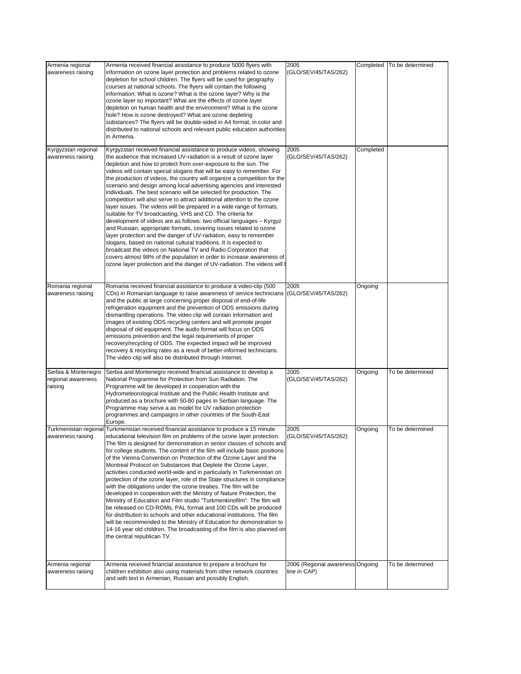| Armenia regional<br>awareness raising      | Armenia received financial assistance to produce 5000 flyers with                                                                                                                                                                                                                                                                                                                                                                                                                                                                                                                                                                                                                                                                                                                                                                                                                                                                                                                                                                                                                                                                                                                                                                                   | 2005                                             | Completed | To be determined |
|--------------------------------------------|-----------------------------------------------------------------------------------------------------------------------------------------------------------------------------------------------------------------------------------------------------------------------------------------------------------------------------------------------------------------------------------------------------------------------------------------------------------------------------------------------------------------------------------------------------------------------------------------------------------------------------------------------------------------------------------------------------------------------------------------------------------------------------------------------------------------------------------------------------------------------------------------------------------------------------------------------------------------------------------------------------------------------------------------------------------------------------------------------------------------------------------------------------------------------------------------------------------------------------------------------------|--------------------------------------------------|-----------|------------------|
|                                            | information on ozone layer protection and problems related to ozone<br>depletion for school children. The flyers will be used for geography<br>courses at national schools. The flyers will contain the following<br>information: What is ozone? What is the ozone layer? Why is the<br>ozone layer so important? What are the effects of ozone layer<br>depletion on human health and the environment? What is the ozone                                                                                                                                                                                                                                                                                                                                                                                                                                                                                                                                                                                                                                                                                                                                                                                                                           | (GLO/SEV/45/TAS/262)                             |           |                  |
|                                            | hole? How is ozone destroyed? What are ozone depleting<br>substances? The flyers will be double-sided in A4 format, in color and<br>distributed to national schools and relevant public education authorities<br>in Armenia.                                                                                                                                                                                                                                                                                                                                                                                                                                                                                                                                                                                                                                                                                                                                                                                                                                                                                                                                                                                                                        |                                                  |           |                  |
| Kyrgyzstan regional<br>awareness raising   | Kyrgyzstan received financial assistance to produce videos, showing<br>the audience that increased UV-radiation is a result of ozone layer<br>depletion and how to protect from over-exposure to the sun. The<br>videos will contain special slogans that will be easy to remember. For<br>the production of videos, the country will organize a competition for the<br>scenario and design among local advertising agencies and interested<br>individuals. The best scenario will be selected for production. The<br>competition will also serve to attract additional attention to the ozone<br>layer issues. The videos will be prepared in a wide range of formats,<br>suitable for TV broadcasting, VHS and CD. The criteria for<br>development of videos are as follows: two official languages - Kyrgyz<br>and Russian, appropriate formats, covering issues related to ozone<br>layer protection and the danger of UV-radiation, easy to remember<br>slogans, based on national cultural traditions. It is expected to<br>broadcast the videos on National TV and Radio Corporation that<br>covers almost 98% of the population in order to increase awareness of<br>ozone layer protection and the danger of UV-radiation. The videos will | 2005<br>(GLO/SEV/45/TAS/262)                     | Completed |                  |
| Romania regional<br>awareness raising      | Romania received financial assistance to produce a video-clip (500<br>CDs) in Romanian language to raise awareness of service technicians<br>and the public at large concerning proper disposal of end-of-life<br>refrigeration equipment and the prevention of ODS emissions during<br>dismantling operations. The video clip will contain information and<br>images of existing ODS recycling centers and will promote proper<br>disposal of old equipment. The audio format will focus on ODS<br>emissions prevention and the legal requirements of proper<br>recovery/recycling of ODS. The expected impact will be improved<br>recovery & recycling rates as a result of better-informed technicians.<br>The video-clip will also be distributed through Internet.                                                                                                                                                                                                                                                                                                                                                                                                                                                                             | 2005<br>(GLO/SEV/45/TAS/262)                     | Ongoing   |                  |
| Serbia & Montenegro                        | Serbia and Montenegro received financial assistance to develop a                                                                                                                                                                                                                                                                                                                                                                                                                                                                                                                                                                                                                                                                                                                                                                                                                                                                                                                                                                                                                                                                                                                                                                                    | 2005                                             | Ongoing   | To be determined |
| regional awareness<br>raising              | National Programme for Protection from Sun Radiation. The<br>Programme will be developed in cooperation with the<br>Hydrometeorological Institute and the Public Health Institute and<br>produced as a brochure with 50-60 pages in Serbian language. The<br>Programme may serve a as model for UV radiation protection<br>programmes and campaigns in other countries of the South-East<br>Europe.                                                                                                                                                                                                                                                                                                                                                                                                                                                                                                                                                                                                                                                                                                                                                                                                                                                 | (GLO/SEV/45/TAS/262)                             |           |                  |
| Turkmenistan regional<br>awareness raising | Turkmenistan received financial assistance to produce a 15 minute<br>educational television film on problems of the ozone layer protection.<br>The film is designed for demonstration in senior classes of schools and<br>for college students. The content of the film will include basic positions<br>of the Vienna Convention on Protection of the Ozone Layer and the<br>Montreal Protocol on Substances that Deplete the Ozone Layer,<br>activities conducted world-wide and in particularly in Turkmenistan on<br>protection of the ozone layer, role of the State structures in compliance<br>with the obligations under the ozone treaties. The film will be<br>developed in cooperation with the Ministry of Nature Protection, the<br>Ministry of Education and Film studio "Turkmenkinofilm". The film will<br>be released on CD-ROMs, PAL format and 100 CDs will be produced<br>for distribution to schools and other educational institutions. The film<br>will be recommended to the Ministry of Education for demonstration to<br>14-16 year old children. The broadcasting of the film is also planned on<br>the central republican TV.                                                                                            | 2005<br>(GLO/SEV/45/TAS/262)                     | Ongoing   | To be determined |
| Armenia regional<br>awareness raising      | Armenia received financial assistance to prepare a brochure for<br>children exhibition also using materials from other network countries<br>and with text in Armenian, Russian and possibly English.                                                                                                                                                                                                                                                                                                                                                                                                                                                                                                                                                                                                                                                                                                                                                                                                                                                                                                                                                                                                                                                | 2006 (Regional awareness Ongoing<br>line in CAP) |           | To be determined |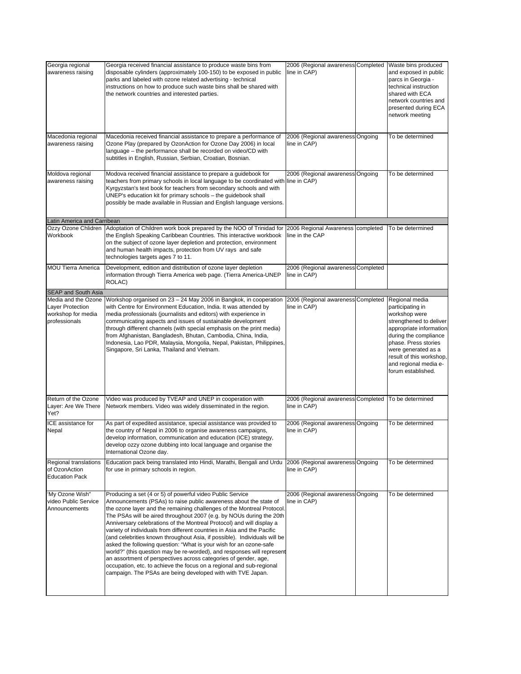| Georgia regional<br>awareness raising                                          | Georgia received financial assistance to produce waste bins from<br>disposable cylinders (approximately 100-150) to be exposed in public<br>parks and labeled with ozone related advertising - technical<br>instructions on how to produce such waste bins shall be shared with<br>the network countries and interested parties.                                                                                                                                                                                                                                                                                                                                                                                                                                                                                                                                            | 2006 (Regional awareness Completed<br>line in CAP)   | Waste bins produced<br>and exposed in public<br>parcs in Georgia -<br>technical instruction<br>shared with ECA<br>network countries and<br>presented during ECA<br>network meeting                                                                           |
|--------------------------------------------------------------------------------|-----------------------------------------------------------------------------------------------------------------------------------------------------------------------------------------------------------------------------------------------------------------------------------------------------------------------------------------------------------------------------------------------------------------------------------------------------------------------------------------------------------------------------------------------------------------------------------------------------------------------------------------------------------------------------------------------------------------------------------------------------------------------------------------------------------------------------------------------------------------------------|------------------------------------------------------|--------------------------------------------------------------------------------------------------------------------------------------------------------------------------------------------------------------------------------------------------------------|
| Macedonia regional<br>awareness raising                                        | Macedonia received financial assistance to prepare a performance of<br>Ozone Play (prepared by OzonAction for Ozone Day 2006) in local<br>language - the performance shall be recorded on video/CD with<br>subtitles in English, Russian, Serbian, Croatian, Bosnian.                                                                                                                                                                                                                                                                                                                                                                                                                                                                                                                                                                                                       | 2006 (Regional awareness Ongoing<br>line in CAP)     | To be determined                                                                                                                                                                                                                                             |
| Moldova regional<br>awareness raising                                          | Modova received financial assistance to prepare a quidebook for<br>teachers from primary schools in local language to be coordinated with line in CAP)<br>Kyrgyzstan's text book for teachers from secondary schools and with<br>UNEP's education kit for primary schools - the guidebook shall<br>possibly be made available in Russian and English language versions.                                                                                                                                                                                                                                                                                                                                                                                                                                                                                                     | 2006 (Regional awareness Ongoing                     | To be determined                                                                                                                                                                                                                                             |
| Latin America and Carribean<br>Workbook                                        | Ozzy Ozone Chlidren   Adoptation of Children work book prepared by the NOO of Trinidad for<br>the English Speaking Caribbean Countries. This interactive workbook<br>on the subject of ozone layer depletion and protection, environment<br>and human health impacts, protection from UV rays and safe<br>technologies targets ages 7 to 11.                                                                                                                                                                                                                                                                                                                                                                                                                                                                                                                                | 2006 Regional Awareness completed<br>line in the CAP | To be determined                                                                                                                                                                                                                                             |
| <b>MOU Tierra America</b>                                                      | Development, edition and distribution of ozone layer depletion<br>information through Tierra America web page. (Tierra America-UNEP<br>ROLAC)                                                                                                                                                                                                                                                                                                                                                                                                                                                                                                                                                                                                                                                                                                                               | 2006 (Regional awareness Completed<br>line in CAP)   |                                                                                                                                                                                                                                                              |
| SEAP and South Asia                                                            |                                                                                                                                                                                                                                                                                                                                                                                                                                                                                                                                                                                                                                                                                                                                                                                                                                                                             |                                                      |                                                                                                                                                                                                                                                              |
| Media and the Ozone<br>Layer Protection<br>workshop for media<br>professionals | Workshop organised on 23 - 24 May 2006 in Bangkok, in cooperation<br>with Centre for Environment Education, India. It was attended by<br>media professionals (journalists and editors) with experience in<br>communicating aspects and issues of sustainable development<br>through different channels (with special emphasis on the print media)<br>from Afghanistan, Bangladesh, Bhutan, Cambodia, China, India,<br>Indonesia, Lao PDR, Malaysia, Mongolia, Nepal, Pakistan, Philippines,<br>Singapore, Sri Lanka, Thailand and Vietnam.                                                                                                                                                                                                                                                                                                                                  | 2006 (Regional awareness Completed<br>line in CAP)   | Regional media<br>participating in<br>workshop were<br>strengthened to deliver<br>appropriate information<br>during the compliance<br>phase. Press stories<br>were generated as a<br>result of this workshop,<br>and regional media e-<br>forum established. |
| Return of the Ozone<br>Layer: Are We There<br>Yet?                             | Video was produced by TVEAP and UNEP in cooperation with<br>Network members. Video was widely disseminated in the region.                                                                                                                                                                                                                                                                                                                                                                                                                                                                                                                                                                                                                                                                                                                                                   | 2006 (Regional awareness Completed<br>line in CAP)   | To be determined                                                                                                                                                                                                                                             |
| ICE assistance for<br>Nepal                                                    | As part of expedited assistance, special assistance was provided to<br>the country of Nepal in 2006 to organise awareness campaigns,<br>develop information, communication and education (ICE) strategy,<br>develop ozzy ozone dubbing into local language and organise the<br>International Ozone day.                                                                                                                                                                                                                                                                                                                                                                                                                                                                                                                                                                     | 2006 (Regional awareness Ongoing<br>line in CAP)     | To be determined                                                                                                                                                                                                                                             |
| Regional translations<br>of OzonAction<br><b>Education Pack</b>                | Education pack being translated into Hindi, Marathi, Bengali and Urdu<br>for use in primary schools in region.                                                                                                                                                                                                                                                                                                                                                                                                                                                                                                                                                                                                                                                                                                                                                              | 2006 (Regional awareness Ongoing<br>line in CAP)     | To be determined                                                                                                                                                                                                                                             |
| 'My Ozone Wish"<br>video Public Service<br>Announcements                       | Producing a set (4 or 5) of powerful video Public Service<br>Announcements (PSAs) to raise public awareness about the state of<br>the ozone layer and the remaining challenges of the Montreal Protocol.<br>The PSAs will be aired throughout 2007 (e.g. by NOUs during the 20th<br>Anniversary celebrations of the Montreal Protocol) and will display a<br>variety of individuals from different countries in Asia and the Pacific<br>(and celebrities known throughout Asia, if possible). Individuals will be<br>asked the following question: "What is your wish for an ozone-safe<br>world?" (this question may be re-worded), and responses will represent<br>an assortment of perspectives across categories of gender, age,<br>occupation, etc. to achieve the focus on a regional and sub-regional<br>campaign. The PSAs are being developed with with TVE Japan. | 2006 (Regional awareness Ongoing<br>line in CAP)     | To be determined                                                                                                                                                                                                                                             |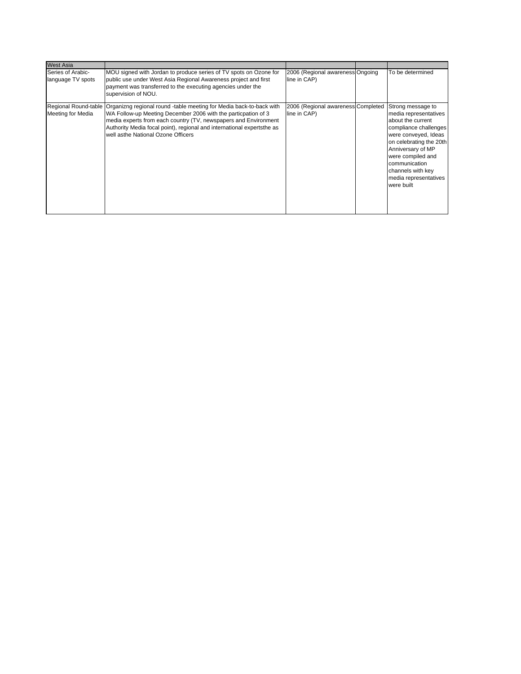| <b>West Asia</b>                       |                                                                                                                                                                                                                                                                                                                                              |                                                    |                                                                                                                                                                                                                                                                    |
|----------------------------------------|----------------------------------------------------------------------------------------------------------------------------------------------------------------------------------------------------------------------------------------------------------------------------------------------------------------------------------------------|----------------------------------------------------|--------------------------------------------------------------------------------------------------------------------------------------------------------------------------------------------------------------------------------------------------------------------|
| Series of Arabic-<br>language TV spots | MOU signed with Jordan to produce series of TV spots on Ozone for<br>public use under West Asia Regional Awareness project and first<br>payment was transferred to the executing agencies under the<br>supervision of NOU.                                                                                                                   | 2006 (Regional awareness Ongoing<br>line in CAP)   | To be determined                                                                                                                                                                                                                                                   |
| <b>Meeting for Media</b>               | Regional Round-table Organizng regional round -table meeting for Media back-to-back with<br>WA Follow-up Meeting December 2006 with the particpation of 3<br>media experts from each country (TV, newspapers and Environment<br>Authority Media focal point), regional and international expertsthe as<br>well asthe National Ozone Officers | 2006 (Regional awareness Completed<br>line in CAP) | Strong message to<br>media representatives<br>about the current<br>compliance challenges<br>were conveyed, Ideas<br>on celebrating the 20th<br>Anniversary of MP<br>were compiled and<br>communication<br>channels with key<br>media representatives<br>were built |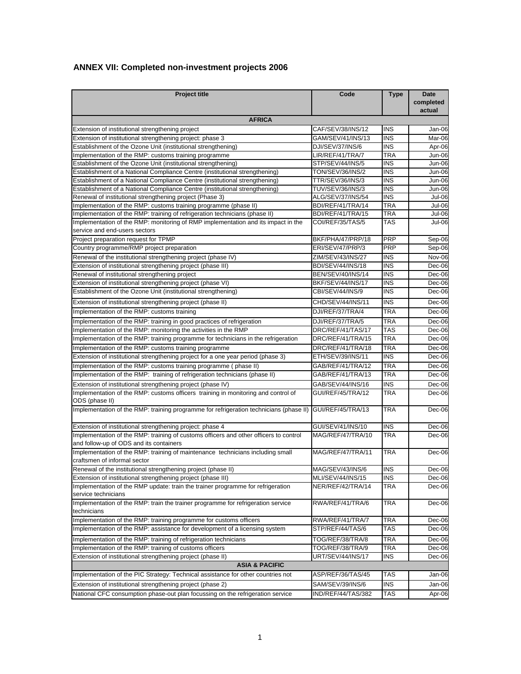### **ANNEX VII: Completed non-investment projects 2006**

| <b>Project title</b>                                                                                                             | Code                     | <b>Type</b>       | Date<br>completed<br>actual |  |
|----------------------------------------------------------------------------------------------------------------------------------|--------------------------|-------------------|-----------------------------|--|
| <b>AFRICA</b>                                                                                                                    |                          |                   |                             |  |
| Extension of institutional strengthening project                                                                                 | CAF/SEV/38/INS/12        | <b>INS</b>        | Jan-06                      |  |
| Extension of institutional strengthening project: phase 3                                                                        | GAM/SEV/41/INS/13        | <b>INS</b>        | Mar-06                      |  |
| Establishment of the Ozone Unit (institutional strengthening)                                                                    | DJI/SEV/37/INS/6         | <b>INS</b>        | Apr-06                      |  |
| Implementation of the RMP: customs training programme                                                                            | LIR/REF/41/TRA/7         | TRA               | Jun-06                      |  |
| Establishment of the Ozone Unit (institutional strengthening)                                                                    | STP/SEV/44/INS/5         | <b>INS</b>        | Jun-06                      |  |
| Establishment of a National Compliance Centre (institutional strengthening)                                                      | TON/SEV/36/INS/2         | <b>INS</b>        | Jun-06                      |  |
| Establishment of a National Compliance Centre (institutional strengthening)                                                      | TTR/SEV/36/INS/3         | <b>INS</b>        | Jun-06                      |  |
| Establishment of a National Compliance Centre (institutional strengthening)                                                      | TUV/SEV/36/INS/3         | <b>INS</b>        | Jun-06                      |  |
| Renewal of institutional strengthening project (Phase 3)                                                                         | ALG/SEV/37/INS/54        | <b>INS</b>        | Jul-06                      |  |
| Implementation of the RMP: customs training programme (phase II)                                                                 | BDI/REF/41/TRA/14        | TRA               | Jul-06                      |  |
| Implementation of the RMP: training of refrigeration technicians (phase II)                                                      | BDI/REF/41/TRA/15        | TRA               | Jul-06                      |  |
| Implementation of the RMP: monitoring of RMP implementation and its impact in the<br>service and end-users sectors               | COI/REF/35/TAS/5         | <b>TAS</b>        | <b>Jul-06</b>               |  |
| Project preparation request for TPMP                                                                                             | BKF/PHA/47/PRP/18        | <b>PRP</b>        | Sep-06                      |  |
| Country programme/RMP project preparation                                                                                        | ERI/SEV/47/PRP/3         | <b>PRP</b>        | Sep-06                      |  |
| Renewal of the institutional strengthening project (phase IV)                                                                    | ZIM/SEV/43/INS/27        | <b>INS</b>        | <b>Nov-06</b>               |  |
| Extension of institutional strengthening project (phase III)                                                                     | <b>BDI/SEV/44/INS/18</b> | <b>INS</b>        | Dec-06                      |  |
| Renewal of institutional strengthening project                                                                                   | BEN/SEV/40/INS/14        | <b>INS</b>        | Dec-06                      |  |
| Extension of institutional strengthening project (phase VI)                                                                      | BKF/SEV/44/INS/17        | <b>INS</b>        | Dec-06                      |  |
| Establishment of the Ozone Unit (institutional strengthening)                                                                    | CBI/SEV/44/INS/9         | <b>INS</b>        | Dec-06                      |  |
|                                                                                                                                  | CHD/SEV/44/INS/11        | <b>INS</b>        | Dec-06                      |  |
| Extension of institutional strengthening project (phase II)                                                                      |                          | <b>TRA</b>        |                             |  |
| Implementation of the RMP: customs training                                                                                      | DJI/REF/37/TRA/4         |                   | Dec-06                      |  |
| Implementation of the RMP: training in good practices of refrigeration                                                           | DJI/REF/37/TRA/5         | <b>TRA</b>        | Dec-06                      |  |
| Implementation of the RMP: monitoring the activities in the RMP                                                                  | DRC/REF/41/TAS/17        | <b>TAS</b>        | Dec-06                      |  |
| Implementation of the RMP: training programme for technicians in the refrigeration                                               | DRC/REF/41/TRA/15        | <b>TRA</b>        | Dec-06                      |  |
| Implementation of the RMP: customs training programme                                                                            | DRC/REF/41/TRA/18        | TRA               | Dec-06                      |  |
| Extension of institutional strengthening project for a one year period (phase 3)                                                 | ETH/SEV/39/INS/11        | <b>INS</b>        | Dec-06                      |  |
| Implementation of the RMP: customs training programme (phase II)                                                                 | GAB/REF/41/TRA/12        | <b>TRA</b>        | Dec-06                      |  |
| Implementation of the RMP: training of refrigeration technicians (phase II)                                                      | GAB/REF/41/TRA/13        | <b>TRA</b>        | Dec-06                      |  |
| Extension of institutional strengthening project (phase IV)                                                                      | GAB/SEV/44/INS/16        | <b>INS</b>        | Dec-06                      |  |
| Implementation of the RMP: customs officers training in monitoring and control of<br>ODS (phase II)                              | GUI/REF/45/TRA/12        | TRA               | Dec-06                      |  |
| Implementation of the RMP: training programme for refrigeration technicians (phase II)                                           | GUI/REF/45/TRA/13        | <b>TRA</b>        | Dec-06                      |  |
| Extension of institutional strengthening project: phase 4                                                                        | GUI/SEV/41/INS/10        | <b>INS</b>        | Dec-06                      |  |
| Implementation of the RMP: training of customs officers and other officers to control<br>and follow-up of ODS and its containers | MAG/REF/47/TRA/10        | TRA               | Dec-06                      |  |
| Implementation of the RMP: training of maintenance technicians including small<br>craftsmen of informal sector                   | MAG/REF/47/TRA/11        | <b>TRA</b>        | Dec-06                      |  |
| Renewal of the institutional strengthening project (phase II)                                                                    | MAG/SEV/43/INS/6         | <b>INS</b>        | Dec-06                      |  |
| Extension of institutional strengthening project (phase III)                                                                     | MLI/SEV/44/INS/15        | <b>INS</b>        | Dec-06                      |  |
| Implementation of the RMP update: train the trainer programme for refrigeration<br>service technicians                           | NER/REF/42/TRA/14        | TRA               | Dec-06                      |  |
| Implementation of the RMP: train the trainer programme for refrigeration service<br>technicians                                  | RWA/REF/41/TRA/6         | TRA               | Dec-06                      |  |
| Implementation of the RMP: training programme for customs officers                                                               | RWA/REF/41/TRA/7         | <b>TRA</b>        | Dec-06                      |  |
| Implementation of the RMP: assistance for development of a licensing system                                                      | STP/REF/44/TAS/6         | TAS               | Dec-06                      |  |
|                                                                                                                                  |                          |                   |                             |  |
| Implementation of the RMP: training of refrigeration technicians                                                                 | TOG/REF/38/TRA/8         | TRA               | Dec-06                      |  |
| Implementation of the RMP: training of customs officers<br>Extension of institutional strengthening project (phase II)           | TOG/REF/38/TRA/9         | TRA<br><b>INS</b> | Dec-06                      |  |
|                                                                                                                                  | URT/SEV/44/INS/17        |                   | Dec-06                      |  |
| <b>ASIA &amp; PACIFIC</b><br>Implementation of the PIC Strategy: Technical assistance for other countries not                    |                          | TAS               |                             |  |
|                                                                                                                                  | ASP/REF/36/TAS/45        |                   | Jan-06                      |  |
| Extension of institutional strengthening project (phase 2)                                                                       | SAM/SEV/39/INS/6         | INS               | Jan-06                      |  |
| National CFC consumption phase-out plan focussing on the refrigeration service                                                   | IND/REF/44/TAS/382       | <b>TAS</b>        | Apr-06                      |  |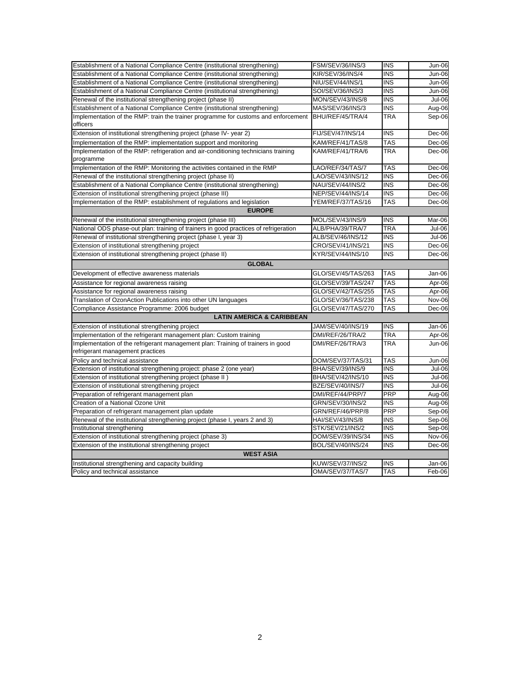| Establishment of a National Compliance Centre (institutional strengthening)          | FSM/SEV/36/INS/3   | <b>INS</b> | Jun-06        |
|--------------------------------------------------------------------------------------|--------------------|------------|---------------|
| Establishment of a National Compliance Centre (institutional strengthening)          | KIR/SEV/36/INS/4   | <b>INS</b> | Jun-06        |
| Establishment of a National Compliance Centre (institutional strengthening)          | NIU/SEV/44/INS/1   | <b>INS</b> | <b>Jun-06</b> |
| Establishment of a National Compliance Centre (institutional strengthening)          | SOI/SEV/36/INS/3   | <b>INS</b> | Jun-06        |
| Renewal of the institutional strengthening project (phase II)                        | MON/SEV/43/INS/8   | <b>INS</b> | <b>Jul-06</b> |
| Establishment of a National Compliance Centre (institutional strengthening)          | MAS/SEV/36/INS/3   | <b>INS</b> | Aug-06        |
| Implementation of the RMP: train the trainer programme for customs and enforcement   | BHU/REF/45/TRA/4   | TRA        | Sep-06        |
| officers                                                                             |                    |            |               |
| Extension of institutional strengthening project (phase IV- year 2)                  | FIJ/SEV/47/INS/14  | <b>INS</b> | Dec-06        |
| Implementation of the RMP: implementation support and monitoring                     | KAM/REF/41/TAS/8   | <b>TAS</b> | Dec-06        |
| Implementation of the RMP: refrigeration and air-conditioning technicians training   | KAM/REF/41/TRA/6   | TRA        | Dec-06        |
| programme                                                                            |                    |            |               |
| Implementation of the RMP: Monitoring the activities contained in the RMP            | LAO/REF/34/TAS/7   | TAS        | Dec-06        |
| Renewal of the institutional strengthening project (phase II)                        | LAO/SEV/43/INS/12  | <b>INS</b> | Dec-06        |
| Establishment of a National Compliance Centre (institutional strengthening)          | NAU/SEV/44/INS/2   | <b>INS</b> | Dec-06        |
| Extension of institutional strengthening project (phase III)                         | NEP/SEV/44/INS/14  | <b>INS</b> | Dec-06        |
| Implementation of the RMP: establishment of regulations and legislation              | YEM/REF/37/TAS/16  | TAS        | Dec-06        |
| <b>EUROPE</b>                                                                        |                    |            |               |
| Renewal of the institutional strengthening project (phase III)                       | MOL/SEV/43/INS/9   | <b>INS</b> | Mar-06        |
| National ODS phase-out plan: training of trainers in good practices of refrigeration | ALB/PHA/39/TRA/7   | <b>TRA</b> | Jul-06        |
| Renewal of institutional strengthening project (phase I, year 3)                     | ALB/SEV/46/INS/12  | <b>INS</b> | <b>Jul-06</b> |
| Extension of institutional strengthening project                                     | CRO/SEV/41/INS/21  | <b>INS</b> | Dec-06        |
| Extension of institutional strengthening project (phase II)                          | KYR/SEV/44/INS/10  | <b>INS</b> | Dec-06        |
| <b>GLOBAL</b>                                                                        |                    |            |               |
| Development of effective awareness materials                                         | GLO/SEV/45/TAS/263 | <b>TAS</b> | Jan-06        |
|                                                                                      |                    |            |               |
| Assistance for regional awareness raising                                            | GLO/SEV/39/TAS/247 | TAS        | Apr-06        |
| Assistance for regional awareness raising                                            | GLO/SEV/42/TAS/255 | TAS        | Apr-06        |
| Translation of OzonAction Publications into other UN languages                       | GLO/SEV/36/TAS/238 | TAS        | Nov-06        |
| Compliance Assistance Programme: 2006 budget                                         | GLO/SEV/47/TAS/270 | <b>TAS</b> | Dec-06        |
| <b>LATIN AMERICA &amp; CARIBBEAN</b>                                                 |                    |            |               |
| Extension of institutional strengthening project                                     | JAM/SEV/40/INS/19  | <b>INS</b> | Jan-06        |
| Implementation of the refrigerant management plan: Custom training                   | DMI/REF/26/TRA/2   | TRA        | Apr-06        |
| Implementation of the refrigerant management plan: Training of trainers in good      | DMI/REF/26/TRA/3   | TRA        | Jun-06        |
| refrigerant management practices                                                     |                    |            |               |
| Policy and technical assistance                                                      | DOM/SEV/37/TAS/31  | <b>TAS</b> | <b>Jun-06</b> |
| Extension of institutional strengthening project: phase 2 (one year)                 | BHA/SEV/39/INS/9   | <b>INS</b> | Jul-06        |
| Extension of institutional strengthening project (phase II)                          | BHA/SEV/42/INS/10  | <b>INS</b> | Jul-06        |
| Extension of institutional strengthening project                                     | BZE/SEV/40/INS/7   | <b>INS</b> | <b>Jul-06</b> |
| Preparation of refrigerant management plan                                           | DMI/REF/44/PRP/7   | PRP        | Aug-06        |
| Creation of a National Ozone Unit                                                    | GRN/SEV/30/INS/2   | <b>INS</b> | Aug-06        |
| Preparation of refrigerant management plan update                                    | GRN/REF/46/PRP/8   | PRP        | Sep-06        |
| Renewal of the institutional strengthening project (phase I, years 2 and 3)          | HAI/SEV/43/INS/8   | <b>INS</b> | Sep-06        |
| Institutional strengthening                                                          | STK/SEV/21/INS/2   | INS        | Sep-06        |
| Extension of institutional strengthening project (phase 3)                           | DOM/SEV/39/INS/34  | INS        | Nov-06        |
| Extension of the institutional strengthening project                                 | BOL/SEV/40/INS/24  | <b>INS</b> | Dec-06        |
| <b>WEST ASIA</b>                                                                     |                    |            |               |
| Institutional strengthening and capacity building                                    | KUW/SEV/37/INS/2   | <b>INS</b> | Jan-06        |
| Policy and technical assistance                                                      | OMA/SEV/37/TAS/7   | <b>TAS</b> | Feb-06        |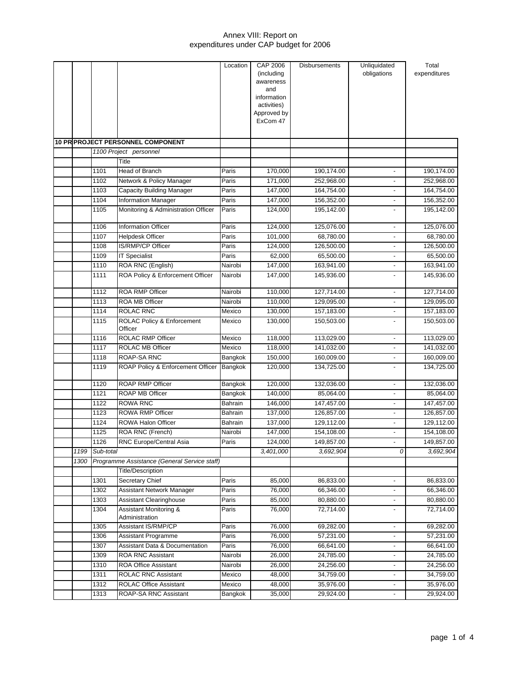|      |           |                                              | Location | <b>CAP 2006</b>            | <b>Disbursements</b> | Unliquidated             | Total        |
|------|-----------|----------------------------------------------|----------|----------------------------|----------------------|--------------------------|--------------|
|      |           |                                              |          | (including                 |                      | obligations              | expenditures |
|      |           |                                              |          | awareness                  |                      |                          |              |
|      |           |                                              |          | and                        |                      |                          |              |
|      |           |                                              |          | information<br>activities) |                      |                          |              |
|      |           |                                              |          | Approved by                |                      |                          |              |
|      |           |                                              |          | ExCom 47                   |                      |                          |              |
|      |           |                                              |          |                            |                      |                          |              |
|      |           | 10 PR PROJECT PERSONNEL COMPONENT            |          |                            |                      |                          |              |
|      |           | 1100 Project personnel                       |          |                            |                      |                          |              |
|      |           | Title                                        |          |                            |                      |                          |              |
|      | 1101      | <b>Head of Branch</b>                        | Paris    | 170,000                    | 190,174.00           | $\blacksquare$           | 190,174.00   |
|      | 1102      | Network & Policy Manager                     | Paris    | 171,000                    | 252,968.00           |                          | 252,968.00   |
|      | 1103      | <b>Capacity Building Manager</b>             | Paris    | 147,000                    | 164,754.00           | $\overline{\phantom{a}}$ | 164,754.00   |
|      | 1104      | <b>Information Manager</b>                   | Paris    | 147,000                    | 156,352.00           | $\overline{\phantom{0}}$ | 156,352.00   |
|      | 1105      | Monitoring & Administration Officer          | Paris    | 124,000                    | 195,142.00           |                          | 195,142.00   |
|      |           |                                              |          |                            |                      |                          |              |
|      | 1106      | <b>Information Officer</b>                   | Paris    | 124,000                    | 125,076.00           |                          | 125,076.00   |
|      | 1107      | <b>Helpdesk Officer</b>                      | Paris    | 101,000                    | 68,780.00            | $\overline{\phantom{a}}$ | 68,780.00    |
|      | 1108      | IS/RMP/CP Officer                            | Paris    | 124,000                    | 126,500.00           |                          | 126,500.00   |
|      | 1109      | <b>IT Specialist</b>                         | Paris    | 62,000                     | 65,500.00            | ٠                        | 65,500.00    |
|      | 1110      | ROA RNC (English)                            | Nairobi  | 147,000                    | 163,941.00           | $\overline{\phantom{a}}$ | 163,941.00   |
|      | 1111      | ROA Policy & Enforcement Officer             | Nairobi  | 147,000                    | 145,936.00           | $\overline{\phantom{a}}$ | 145,936.00   |
|      | 1112      | <b>ROA RMP Officer</b>                       | Nairobi  | 110,000                    | 127,714.00           | $\overline{\phantom{0}}$ | 127,714.00   |
|      | 1113      | <b>ROA MB Officer</b>                        | Nairobi  | 110,000                    | 129,095.00           | $\overline{\phantom{0}}$ | 129,095.00   |
|      | 1114      | ROLAC RNC                                    | Mexico   | 130,000                    | 157,183.00           | $\overline{\phantom{a}}$ | 157,183.00   |
|      | 1115      | ROLAC Policy & Enforcement                   | Mexico   | 130,000                    | 150,503.00           | $\overline{\phantom{0}}$ | 150,503.00   |
|      |           | Officer                                      |          |                            |                      |                          |              |
|      | 1116      | <b>ROLAC RMP Officer</b>                     | Mexico   | 118,000                    | 113,029.00           | $\overline{a}$           | 113,029.00   |
|      | 1117      | <b>ROLAC MB Officer</b>                      | Mexico   | 118,000                    | 141,032.00           | $\overline{\phantom{0}}$ | 141,032.00   |
|      | 1118      | ROAP-SA RNC                                  | Bangkok  | 150,000                    | 160,009.00           | $\overline{\phantom{a}}$ | 160,009.00   |
|      | 1119      | ROAP Policy & Enforcement Officer            | Bangkok  | 120,000                    | 134,725.00           | $\overline{\phantom{a}}$ | 134,725.00   |
|      | 1120      | <b>ROAP RMP Officer</b>                      | Bangkok  | 120,000                    | 132,036.00           | $\overline{\phantom{0}}$ | 132,036.00   |
|      | 1121      | <b>ROAP MB Officer</b>                       | Bangkok  | 140,000                    | 85,064.00            | $\overline{\phantom{0}}$ | 85,064.00    |
|      | 1122      | <b>ROWA RNC</b>                              | Bahrain  | 146,000                    | 147,457.00           | $\overline{\phantom{a}}$ | 147,457.00   |
|      | 1123      | <b>ROWA RMP Officer</b>                      | Bahrain  | 137,000                    | 126,857.00           | $\overline{a}$           | 126,857.00   |
|      | 1124      | ROWA Halon Officer                           | Bahrain  | 137,000                    | 129,112.00           |                          | 129,112.00   |
|      | 1125      | ROA RNC (French)                             | Nairobi  | 147,000                    | 154,108.00           |                          | 154,108.00   |
|      | 1126      | RNC Europe/Central Asia                      | Paris    | 124,000                    | 149,857.00           |                          | 149,857.00   |
| 1199 | Sub-total |                                              |          | 3,401,000                  | 3,692,904            | 0                        | 3,692,904    |
| 1300 |           | Programme Assistance (General Service staff) |          |                            |                      |                          |              |
|      |           | <b>Title/Description</b>                     |          |                            |                      |                          |              |
|      | 1301      | <b>Secretary Chief</b>                       | Paris    | 85,000                     | 86,833.00            | $\overline{\phantom{0}}$ | 86,833.00    |
|      | 1302      | Assistant Network Manager                    | Paris    | 76,000                     | 66,346.00            | $\overline{\phantom{a}}$ | 66,346.00    |
|      | 1303      | <b>Assistant Clearinghouse</b>               | Paris    | 85,000                     | 80,880.00            | ٠                        | 80,880.00    |
|      | 1304      | Assistant Monitoring &                       | Paris    | 76,000                     | 72,714.00            |                          | 72,714.00    |
|      |           | Administration                               |          |                            |                      |                          |              |
|      | 1305      | <b>Assistant IS/RMP/CP</b>                   | Paris    | 76,000                     | 69,282.00            | ٠                        | 69,282.00    |
|      | 1306      | Assistant Programme                          | Paris    | 76,000                     | 57,231.00            | $\overline{\phantom{a}}$ | 57,231.00    |
|      | 1307      | <b>Assistant Data &amp; Documentation</b>    | Paris    | 76,000                     | 66,641.00            | $\overline{\phantom{a}}$ | 66,641.00    |
|      | 1309      | ROA RNC Assistant                            | Nairobi  | 26,000                     | 24,785.00            | $\overline{\phantom{a}}$ | 24,785.00    |
|      | 1310      | <b>ROA Office Assistant</b>                  | Nairobi  | 26,000                     | 24,256.00            |                          | 24,256.00    |
|      | 1311      | <b>ROLAC RNC Assistant</b>                   | Mexico   | 48,000                     | 34,759.00            | ٠                        | 34,759.00    |
|      | 1312      | ROLAC Office Assistant                       | Mexico   | 48,000                     | 35,976.00            |                          | 35,976.00    |
|      | 1313      | ROAP-SA RNC Assistant                        | Bangkok  | 35,000                     | 29,924.00            | $\overline{\phantom{a}}$ | 29,924.00    |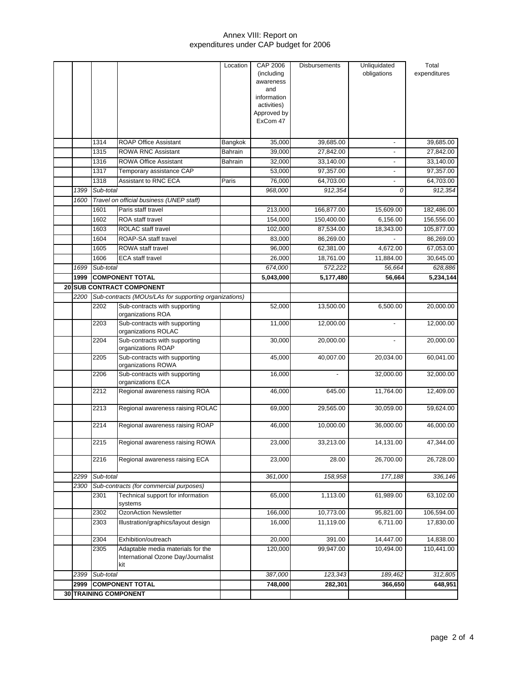|      | 1314      | <b>ROAP Office Assistant</b>                                                   | Location<br>Bangkok | CAP 2006<br>(including<br>awareness<br>and<br>information<br>activities)<br>Approved by<br>ExCom 47<br>35,000 | <b>Disbursements</b><br>39,685.00 | Unliquidated<br>obligations<br>$\overline{\phantom{a}}$ | Total<br>expenditures<br>39,685.00 |
|------|-----------|--------------------------------------------------------------------------------|---------------------|---------------------------------------------------------------------------------------------------------------|-----------------------------------|---------------------------------------------------------|------------------------------------|
|      | 1315      | <b>ROWA RNC Assistant</b>                                                      | Bahrain             | 39.000                                                                                                        | 27,842.00                         |                                                         | 27,842.00                          |
|      | 1316      | <b>ROWA Office Assistant</b>                                                   | Bahrain             | 32,000                                                                                                        | 33,140.00                         | $\overline{a}$                                          | 33,140.00                          |
|      | 1317      | Temporary assistance CAP                                                       |                     | 53,000                                                                                                        | 97,357.00                         |                                                         | 97,357.00                          |
|      | 1318      | Assistant to RNC ECA                                                           | Paris               | 76,000                                                                                                        | 64,703.00                         | $\overline{\phantom{0}}$                                | 64,703.00                          |
| 1399 | Sub-total |                                                                                |                     | 968,000                                                                                                       | 912,354                           | 0                                                       | 912,354                            |
| 1600 |           | Travel on official business (UNEP staff)                                       |                     |                                                                                                               |                                   |                                                         |                                    |
|      | 1601      | Paris staff travel                                                             |                     | 213,000                                                                                                       | 166,877.00                        | 15,609.00                                               | 182,486.00                         |
|      | 1602      | <b>ROA</b> staff travel                                                        |                     | 154,000                                                                                                       | 150,400.00                        | 6,156.00                                                | 156,556.00                         |
|      | 1603      | <b>ROLAC</b> staff travel                                                      |                     | 102,000                                                                                                       | 87,534.00                         | 18,343.00                                               | 105,877.00                         |
|      | 1604      | ROAP-SA staff travel                                                           |                     | 83,000                                                                                                        | 86,269.00                         |                                                         | 86,269.00                          |
|      | 1605      | ROWA staff travel                                                              |                     | 96,000                                                                                                        | 62,381.00                         | 4,672.00                                                | 67,053.00                          |
|      | 1606      | <b>ECA</b> staff travel                                                        |                     | 26,000                                                                                                        | 18,761.00                         | 11,884.00                                               | 30,645.00                          |
| 1699 | Sub-total |                                                                                |                     | 674,000                                                                                                       | 572,222                           | 56,664                                                  | 628,886                            |
| 1999 |           | <b>COMPONENT TOTAL</b>                                                         |                     | 5,043,000                                                                                                     | 5,177,480                         | 56,664                                                  | 5,234,144                          |
|      |           | 20 SUB CONTRACT COMPONENT                                                      |                     |                                                                                                               |                                   |                                                         |                                    |
| 2200 |           | Sub-contracts (MOUs/LAs for supporting organizations)                          |                     |                                                                                                               |                                   |                                                         |                                    |
|      | 2202      | Sub-contracts with supporting<br>organizations ROA                             |                     | 52,000                                                                                                        | 13,500.00                         | 6,500.00                                                | 20,000.00                          |
|      | 2203      | Sub-contracts with supporting<br>organizations ROLAC                           |                     | 11,000                                                                                                        | 12,000.00                         |                                                         | 12,000.00                          |
|      | 2204      | Sub-contracts with supporting<br>organizations ROAP                            |                     | 30,000                                                                                                        | 20,000.00                         |                                                         | 20,000.00                          |
|      | 2205      | Sub-contracts with supporting<br>organizations ROWA                            |                     | 45,000                                                                                                        | 40,007.00                         | 20,034.00                                               | 60,041.00                          |
|      | 2206      | Sub-contracts with supporting<br>organizations ECA                             |                     | 16,000                                                                                                        |                                   | 32,000.00                                               | 32,000.00                          |
|      | 2212      | Regional awareness raising ROA                                                 |                     | 46,000                                                                                                        | 645.00                            | 11,764.00                                               | 12,409.00                          |
|      | 2213      | Regional awareness raising ROLAC                                               |                     | 69,000                                                                                                        | 29,565.00                         | 30,059.00                                               | 59,624.00                          |
|      | 2214      | Regional awareness raising ROAP                                                |                     | 46,000                                                                                                        | 10,000.00                         | 36,000.00                                               | 46,000.00                          |
|      | 2215      | Regional awareness raising ROWA                                                |                     | 23,000                                                                                                        | 33,213.00                         | 14,131.00                                               | 47,344.00                          |
|      | 2216      | Regional awareness raising ECA                                                 |                     | 23,000                                                                                                        | 28.00                             | 26,700.00                                               | 26,728.00                          |
| 2299 | Sub-total |                                                                                |                     | 361,000                                                                                                       | 158,958                           | 177,188                                                 | 336,146                            |
| 2300 |           | Sub-contracts (for commercial purposes)                                        |                     |                                                                                                               |                                   |                                                         |                                    |
|      | 2301      | Technical support for information<br>systems                                   |                     | 65,000                                                                                                        | 1,113.00                          | 61,989.00                                               | 63,102.00                          |
|      | 2302      | OzonAction Newsletter                                                          |                     | 166,000                                                                                                       | 10,773.00                         | 95,821.00                                               | 106,594.00                         |
|      | 2303      | Illustration/graphics/layout design                                            |                     | 16,000                                                                                                        | 11,119.00                         | 6,711.00                                                | 17,830.00                          |
|      | 2304      | Exhibition/outreach                                                            |                     | 20,000                                                                                                        | 391.00                            | 14,447.00                                               | 14,838.00                          |
|      | 2305      | Adaptable media materials for the<br>International Ozone Day/Journalist<br>kit |                     | 120,000                                                                                                       | 99,947.00                         | 10,494.00                                               | 110,441.00                         |
| 2399 | Sub-total |                                                                                |                     | 387,000                                                                                                       | 123,343                           | 189,462                                                 | 312,805                            |
| 2999 |           | <b>COMPONENT TOTAL</b>                                                         |                     | 748,000                                                                                                       | 282,301                           | 366,650                                                 | 648,951                            |
|      |           | 30 TRAINING COMPONENT                                                          |                     |                                                                                                               |                                   |                                                         |                                    |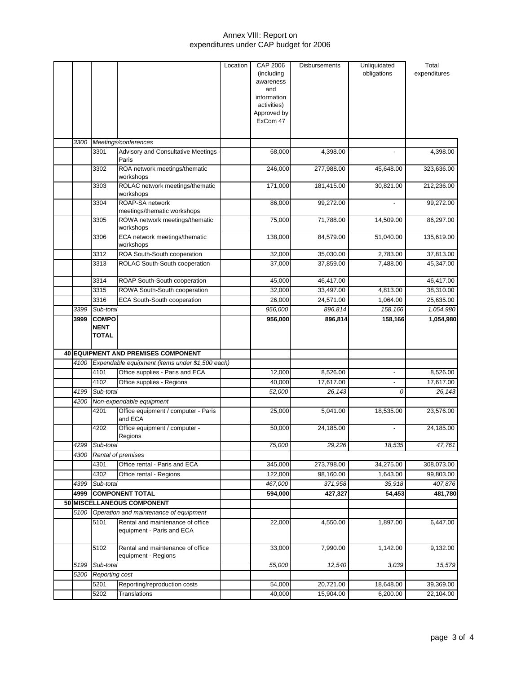|      |                |                                                               | Location | CAP 2006                | <b>Disbursements</b> | Unliquidated             | Total        |
|------|----------------|---------------------------------------------------------------|----------|-------------------------|----------------------|--------------------------|--------------|
|      |                |                                                               |          | (including              |                      | obligations              | expenditures |
|      |                |                                                               |          | awareness               |                      |                          |              |
|      |                |                                                               |          | and                     |                      |                          |              |
|      |                |                                                               |          | information             |                      |                          |              |
|      |                |                                                               |          | activities)             |                      |                          |              |
|      |                |                                                               |          | Approved by<br>ExCom 47 |                      |                          |              |
|      |                |                                                               |          |                         |                      |                          |              |
| 3300 |                | Meetings/conferences                                          |          |                         |                      |                          |              |
|      | 3301           | Advisory and Consultative Meetings                            |          | 68,000                  | 4,398.00             |                          | 4,398.00     |
|      |                | Paris                                                         |          |                         |                      |                          |              |
|      | 3302           | ROA network meetings/thematic<br>workshops                    |          | 246,000                 | 277,988.00           | 45,648.00                | 323,636.00   |
|      | 3303           | ROLAC network meetings/thematic<br>workshops                  |          | 171,000                 | 181,415.00           | 30,821.00                | 212,236.00   |
|      | 3304           | ROAP-SA network                                               |          | 86,000                  | 99,272.00            |                          | 99,272.00    |
|      |                | meetings/thematic workshops                                   |          |                         |                      |                          |              |
|      | 3305           | ROWA network meetings/thematic<br>workshops                   |          | 75,000                  | 71,788.00            | 14,509.00                | 86,297.00    |
|      | 3306           | ECA network meetings/thematic<br>workshops                    |          | 138,000                 | 84,579.00            | 51,040.00                | 135,619.00   |
|      | 3312           | ROA South-South cooperation                                   |          | 32,000                  | 35,030.00            | 2,783.00                 | 37,813.00    |
|      | 3313           | ROLAC South-South cooperation                                 |          | 37,000                  | 37,859.00            | 7.488.00                 | 45,347.00    |
|      | 3314           | ROAP South-South cooperation                                  |          | 45,000                  | 46,417.00            |                          | 46,417.00    |
|      | 3315           | ROWA South-South cooperation                                  |          | 32,000                  | 33,497.00            | 4,813.00                 | 38,310.00    |
|      | 3316           | <b>ECA South-South cooperation</b>                            |          | 26,000                  | 24,571.00            | 1,064.00                 | 25,635.00    |
| 3399 | Sub-total      |                                                               |          | 956,000                 | 896,814              | 158,166                  | 1,054,980    |
| 3999 | <b>COMPO</b>   |                                                               |          | 956,000                 | 896,814              | 158,166                  | 1,054,980    |
|      | NENT           |                                                               |          |                         |                      |                          |              |
|      | TOTAL          |                                                               |          |                         |                      |                          |              |
|      |                |                                                               |          |                         |                      |                          |              |
|      |                | <b>40 EQUIPMENT AND PREMISES COMPONENT</b>                    |          |                         |                      |                          |              |
| 4100 |                | Expendable equipment (items under \$1,500 each)               |          |                         |                      |                          |              |
|      | 4101           | Office supplies - Paris and ECA                               |          | 12,000                  | 8,526.00             | -                        | 8,526.00     |
|      | 4102           | Office supplies - Regions                                     |          | 40,000                  | 17,617.00            | $\overline{\phantom{0}}$ | 17,617.00    |
| 4199 | Sub-total      |                                                               |          | 52,000                  | 26,143               | 0                        | 26,143       |
| 4200 |                | Non-expendable equipment                                      |          |                         |                      |                          |              |
|      | 4201           | Office equipment / computer - Paris<br>and ECA                |          | 25,000                  | 5,041.00             | 18,535.00                | 23,576.00    |
|      | 4202           | Office equipment / computer -<br>Regions                      |          | 50,000                  | 24,185.00            | $\blacksquare$           | 24,185.00    |
| 4299 | Sub-total      |                                                               |          | 75,000                  | 29,226               | 18,535                   | 47,761       |
| 4300 |                | Rental of premises                                            |          |                         |                      |                          |              |
|      | 4301           | Office rental - Paris and ECA                                 |          | 345.000                 | 273,798.00           | 34,275.00                | 308,073.00   |
|      | 4302           | Office rental - Regions                                       |          | 122,000                 | 98,160.00            | 1,643.00                 | 99,803.00    |
| 4399 | Sub-total      |                                                               |          | 467,000                 | 371,958              | 35,918                   | 407,876      |
| 4999 |                | <b>COMPONENT TOTAL</b>                                        |          | 594,000                 | 427,327              | 54,453                   | 481,780      |
|      |                | 50 MISCELLANEOUS COMPONENT                                    |          |                         |                      |                          |              |
| 5100 |                | Operation and maintenance of equipment                        |          |                         |                      |                          |              |
|      | 5101           | Rental and maintenance of office<br>equipment - Paris and ECA |          | 22,000                  | 4,550.00             | 1,897.00                 | 6,447.00     |
|      | 5102           | Rental and maintenance of office<br>equipment - Regions       |          | 33,000                  | 7,990.00             | 1,142.00                 | 9,132.00     |
| 5199 | Sub-total      |                                                               |          | 55,000                  | 12,540               | 3.039                    | 15,579       |
| 5200 | Reporting cost |                                                               |          |                         |                      |                          |              |
|      | 5201           | Reporting/reproduction costs                                  |          | 54,000                  | 20,721.00            | 18,648.00                | 39,369.00    |
|      | 5202           | <b>Translations</b>                                           |          | 40,000                  | 15,904.00            | 6,200.00                 | 22,104.00    |
|      |                |                                                               |          |                         |                      |                          |              |